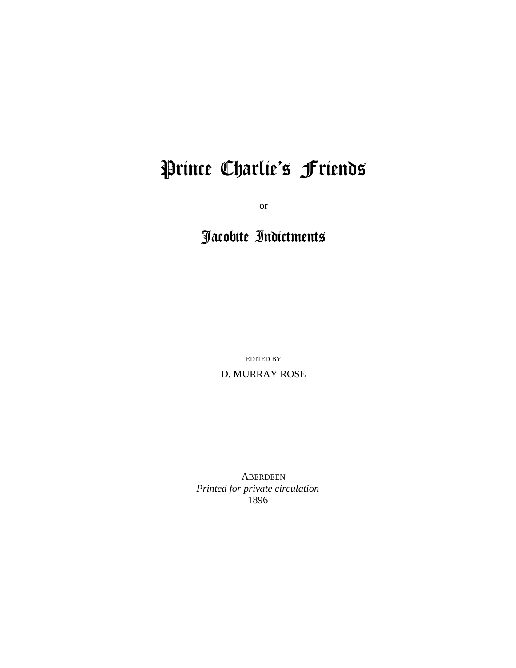# Prince Charlie's Friends

or

# Jacobite Indictments

EDITED BY D. MURRAY ROSE

ABERDEEN *Printed for private circulation* 1896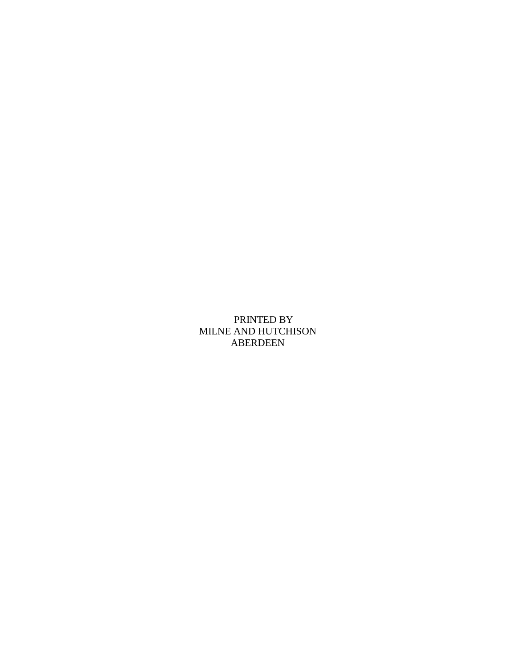PRINTED BY MILNE AND HUTCHISON ABERDEEN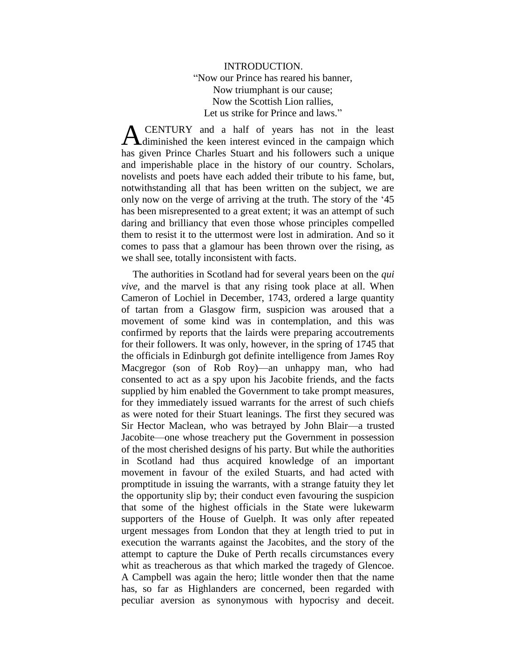# INTRODUCTION. "Now our Prince has reared his banner, Now triumphant is our cause; Now the Scottish Lion rallies, Let us strike for Prince and laws."

CENTURY and a half of years has not in the least **A** CENTURY and a half of years has not in the least diminished the keen interest evinced in the campaign which has given Prince Charles Stuart and his followers such a unique and imperishable place in the history of our country. Scholars, novelists and poets have each added their tribute to his fame, but, notwithstanding all that has been written on the subject, we are only now on the verge of arriving at the truth. The story of the '45 has been misrepresented to a great extent; it was an attempt of such daring and brilliancy that even those whose principles compelled them to resist it to the uttermost were lost in admiration. And so it comes to pass that a glamour has been thrown over the rising, as we shall see, totally inconsistent with facts.

The authorities in Scotland had for several years been on the *qui vive,* and the marvel is that any rising took place at all. When Cameron of Lochiel in December, 1743, ordered a large quantity of tartan from a Glasgow firm, suspicion was aroused that a movement of some kind was in contemplation, and this was confirmed by reports that the lairds were preparing accoutrements for their followers. It was only, however, in the spring of 1745 that the officials in Edinburgh got definite intelligence from James Roy Macgregor (son of Rob Roy)—an unhappy man, who had consented to act as a spy upon his Jacobite friends, and the facts supplied by him enabled the Government to take prompt measures, for they immediately issued warrants for the arrest of such chiefs as were noted for their Stuart leanings. The first they secured was Sir Hector Maclean, who was betrayed by John Blair—a trusted Jacobite—one whose treachery put the Government in possession of the most cherished designs of his party. But while the authorities in Scotland had thus acquired knowledge of an important movement in favour of the exiled Stuarts, and had acted with promptitude in issuing the warrants, with a strange fatuity they let the opportunity slip by; their conduct even favouring the suspicion that some of the highest officials in the State were lukewarm supporters of the House of Guelph. It was only after repeated urgent messages from London that they at length tried to put in execution the warrants against the Jacobites, and the story of the attempt to capture the Duke of Perth recalls circumstances every whit as treacherous as that which marked the tragedy of Glencoe. A Campbell was again the hero; little wonder then that the name has, so far as Highlanders are concerned, been regarded with peculiar aversion as synonymous with hypocrisy and deceit.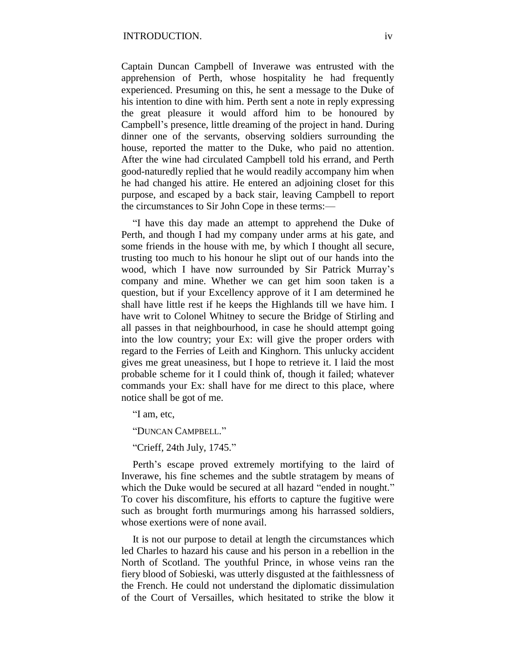Captain Duncan Campbell of Inverawe was entrusted with the apprehension of Perth, whose hospitality he had frequently experienced. Presuming on this, he sent a message to the Duke of his intention to dine with him. Perth sent a note in reply expressing the great pleasure it would afford him to be honoured by Campbell's presence, little dreaming of the project in hand. During dinner one of the servants, observing soldiers surrounding the house, reported the matter to the Duke, who paid no attention. After the wine had circulated Campbell told his errand, and Perth good-naturedly replied that he would readily accompany him when he had changed his attire. He entered an adjoining closet for this purpose, and escaped by a back stair, leaving Campbell to report the circumstances to Sir John Cope in these terms:—

"I have this day made an attempt to apprehend the Duke of Perth, and though I had my company under arms at his gate, and some friends in the house with me, by which I thought all secure, trusting too much to his honour he slipt out of our hands into the wood, which I have now surrounded by Sir Patrick Murray's company and mine. Whether we can get him soon taken is a question, but if your Excellency approve of it I am determined he shall have little rest if he keeps the Highlands till we have him. I have writ to Colonel Whitney to secure the Bridge of Stirling and all passes in that neighbourhood, in case he should attempt going into the low country; your Ex: will give the proper orders with regard to the Ferries of Leith and Kinghorn. This unlucky accident gives me great uneasiness, but I hope to retrieve it. I laid the most probable scheme for it I could think of, though it failed; whatever commands your Ex: shall have for me direct to this place, where notice shall be got of me.

"I am, etc,

"DUNCAN CAMPBELL."

"Crieff, 24th July, 1745."

Perth's escape proved extremely mortifying to the laird of Inverawe, his fine schemes and the subtle stratagem by means of which the Duke would be secured at all hazard "ended in nought." To cover his discomfiture, his efforts to capture the fugitive were such as brought forth murmurings among his harrassed soldiers, whose exertions were of none avail.

It is not our purpose to detail at length the circumstances which led Charles to hazard his cause and his person in a rebellion in the North of Scotland. The youthful Prince, in whose veins ran the fiery blood of Sobieski, was utterly disgusted at the faithlessness of the French. He could not understand the diplomatic dissimulation of the Court of Versailles, which hesitated to strike the blow it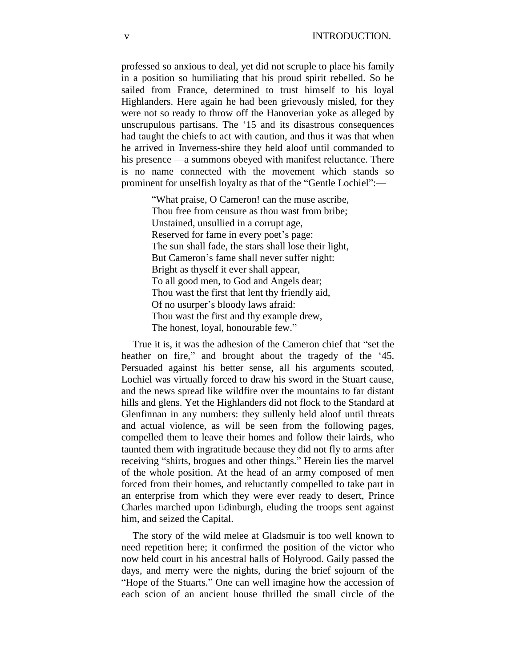professed so anxious to deal, yet did not scruple to place his family in a position so humiliating that his proud spirit rebelled. So he sailed from France, determined to trust himself to his loyal Highlanders. Here again he had been grievously misled, for they were not so ready to throw off the Hanoverian yoke as alleged by unscrupulous partisans. The '15 and its disastrous consequences had taught the chiefs to act with caution, and thus it was that when he arrived in Inverness-shire they held aloof until commanded to his presence —a summons obeyed with manifest reluctance. There is no name connected with the movement which stands so prominent for unselfish loyalty as that of the "Gentle Lochiel":—

> "What praise, O Cameron! can the muse ascribe, Thou free from censure as thou wast from bribe; Unstained, unsullied in a corrupt age, Reserved for fame in every poet's page: The sun shall fade, the stars shall lose their light, But Cameron's fame shall never suffer night: Bright as thyself it ever shall appear, To all good men, to God and Angels dear; Thou wast the first that lent thy friendly aid, Of no usurper's bloody laws afraid: Thou wast the first and thy example drew, The honest, loyal, honourable few."

True it is, it was the adhesion of the Cameron chief that "set the heather on fire," and brought about the tragedy of the '45. Persuaded against his better sense, all his arguments scouted, Lochiel was virtually forced to draw his sword in the Stuart cause, and the news spread like wildfire over the mountains to far distant hills and glens. Yet the Highlanders did not flock to the Standard at Glenfinnan in any numbers: they sullenly held aloof until threats and actual violence, as will be seen from the following pages, compelled them to leave their homes and follow their lairds, who taunted them with ingratitude because they did not fly to arms after receiving "shirts, brogues and other things." Herein lies the marvel of the whole position. At the head of an army composed of men forced from their homes, and reluctantly compelled to take part in an enterprise from which they were ever ready to desert, Prince Charles marched upon Edinburgh, eluding the troops sent against him, and seized the Capital.

The story of the wild melee at Gladsmuir is too well known to need repetition here; it confirmed the position of the victor who now held court in his ancestral halls of Holyrood. Gaily passed the days, and merry were the nights, during the brief sojourn of the "Hope of the Stuarts." One can well imagine how the accession of each scion of an ancient house thrilled the small circle of the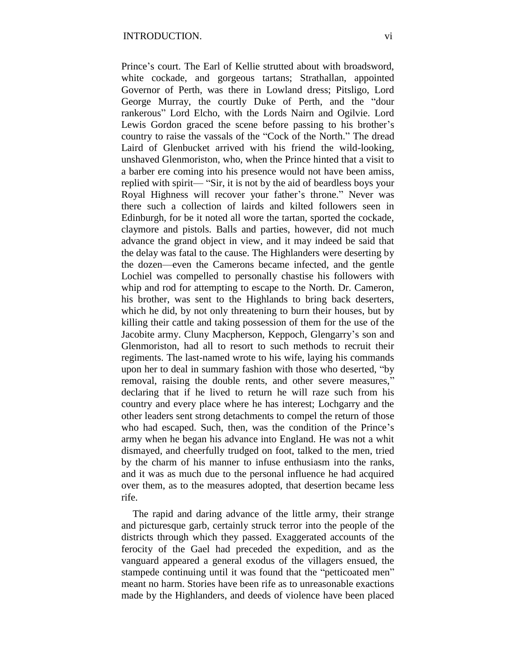Prince's court. The Earl of Kellie strutted about with broadsword, white cockade, and gorgeous tartans; Strathallan, appointed Governor of Perth, was there in Lowland dress; Pitsligo, Lord George Murray, the courtly Duke of Perth, and the "dour rankerous" Lord Elcho, with the Lords Nairn and Ogilvie. Lord Lewis Gordon graced the scene before passing to his brother's country to raise the vassals of the "Cock of the North." The dread Laird of Glenbucket arrived with his friend the wild-looking, unshaved Glenmoriston, who, when the Prince hinted that a visit to a barber ere coming into his presence would not have been amiss, replied with spirit— "Sir, it is not by the aid of beardless boys your Royal Highness will recover your father's throne." Never was there such a collection of lairds and kilted followers seen in Edinburgh, for be it noted all wore the tartan, sported the cockade, claymore and pistols. Balls and parties, however, did not much advance the grand object in view, and it may indeed be said that the delay was fatal to the cause. The Highlanders were deserting by the dozen—even the Camerons became infected, and the gentle Lochiel was compelled to personally chastise his followers with whip and rod for attempting to escape to the North. Dr. Cameron, his brother, was sent to the Highlands to bring back deserters, which he did, by not only threatening to burn their houses, but by killing their cattle and taking possession of them for the use of the Jacobite army. Cluny Macpherson, Keppoch, Glengarry's son and Glenmoriston, had all to resort to such methods to recruit their regiments. The last-named wrote to his wife, laying his commands upon her to deal in summary fashion with those who deserted, "by removal, raising the double rents, and other severe measures," declaring that if he lived to return he will raze such from his country and every place where he has interest; Lochgarry and the other leaders sent strong detachments to compel the return of those who had escaped. Such, then, was the condition of the Prince's army when he began his advance into England. He was not a whit dismayed, and cheerfully trudged on foot, talked to the men, tried by the charm of his manner to infuse enthusiasm into the ranks, and it was as much due to the personal influence he had acquired over them, as to the measures adopted, that desertion became less rife.

The rapid and daring advance of the little army, their strange and picturesque garb, certainly struck terror into the people of the districts through which they passed. Exaggerated accounts of the ferocity of the Gael had preceded the expedition, and as the vanguard appeared a general exodus of the villagers ensued, the stampede continuing until it was found that the "petticoated men" meant no harm. Stories have been rife as to unreasonable exactions made by the Highlanders, and deeds of violence have been placed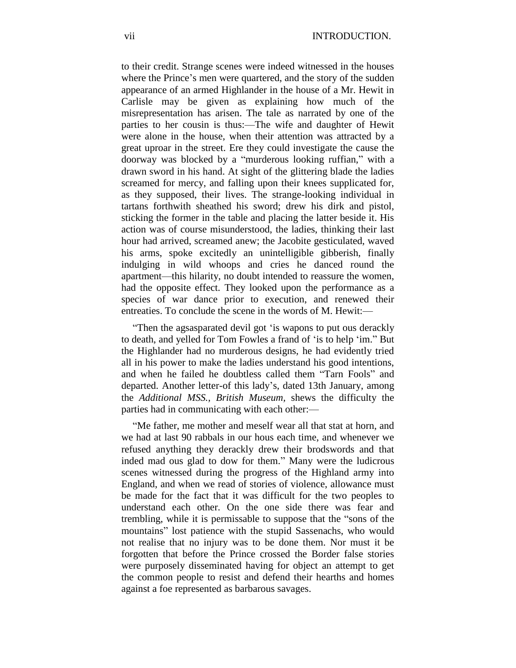to their credit. Strange scenes were indeed witnessed in the houses where the Prince's men were quartered, and the story of the sudden appearance of an armed Highlander in the house of a Mr. Hewit in Carlisle may be given as explaining how much of the misrepresentation has arisen. The tale as narrated by one of the parties to her cousin is thus:—The wife and daughter of Hewit were alone in the house, when their attention was attracted by a great uproar in the street. Ere they could investigate the cause the doorway was blocked by a "murderous looking ruffian," with a drawn sword in his hand. At sight of the glittering blade the ladies screamed for mercy, and falling upon their knees supplicated for, as they supposed, their lives. The strange-looking individual in tartans forthwith sheathed his sword; drew his dirk and pistol, sticking the former in the table and placing the latter beside it. His action was of course misunderstood, the ladies, thinking their last hour had arrived, screamed anew; the Jacobite gesticulated, waved his arms, spoke excitedly an unintelligible gibberish, finally indulging in wild whoops and cries he danced round the apartment—this hilarity, no doubt intended to reassure the women, had the opposite effect. They looked upon the performance as a species of war dance prior to execution, and renewed their entreaties. To conclude the scene in the words of M. Hewit:—

"Then the agsasparated devil got 'is wapons to put ous derackly to death, and yelled for Tom Fowles a frand of 'is to help 'im." But the Highlander had no murderous designs, he had evidently tried all in his power to make the ladies understand his good intentions, and when he failed he doubtless called them "Tarn Fools" and departed. Another letter-of this lady's, dated 13th January, among the *Additional MSS., British Museum,* shews the difficulty the parties had in communicating with each other:—

"Me father, me mother and meself wear all that stat at horn, and we had at last 90 rabbals in our hous each time, and whenever we refused anything they derackly drew their brodswords and that inded mad ous glad to dow for them." Many were the ludicrous scenes witnessed during the progress of the Highland army into England, and when we read of stories of violence, allowance must be made for the fact that it was difficult for the two peoples to understand each other. On the one side there was fear and trembling, while it is permissable to suppose that the "sons of the mountains" lost patience with the stupid Sassenachs, who would not realise that no injury was to be done them. Nor must it be forgotten that before the Prince crossed the Border false stories were purposely disseminated having for object an attempt to get the common people to resist and defend their hearths and homes against a foe represented as barbarous savages.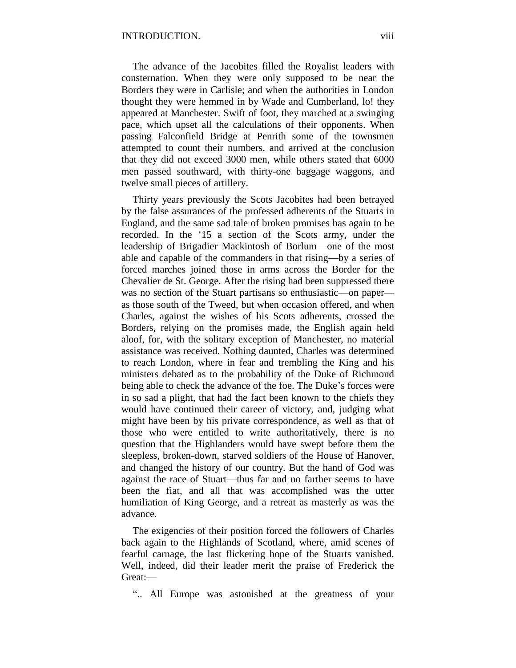The advance of the Jacobites filled the Royalist leaders with consternation. When they were only supposed to be near the Borders they were in Carlisle; and when the authorities in London thought they were hemmed in by Wade and Cumberland, lo! they appeared at Manchester. Swift of foot, they marched at a swinging pace, which upset all the calculations of their opponents. When passing Falconfield Bridge at Penrith some of the townsmen attempted to count their numbers, and arrived at the conclusion that they did not exceed 3000 men, while others stated that 6000 men passed southward, with thirty-one baggage waggons, and twelve small pieces of artillery.

Thirty years previously the Scots Jacobites had been betrayed by the false assurances of the professed adherents of the Stuarts in England, and the same sad tale of broken promises has again to be recorded. In the '15 a section of the Scots army, under the leadership of Brigadier Mackintosh of Borlum—one of the most able and capable of the commanders in that rising—by a series of forced marches joined those in arms across the Border for the Chevalier de St. George. After the rising had been suppressed there was no section of the Stuart partisans so enthusiastic—on paper as those south of the Tweed, but when occasion offered, and when Charles, against the wishes of his Scots adherents, crossed the Borders, relying on the promises made, the English again held aloof, for, with the solitary exception of Manchester, no material assistance was received. Nothing daunted, Charles was determined to reach London, where in fear and trembling the King and his ministers debated as to the probability of the Duke of Richmond being able to check the advance of the foe. The Duke's forces were in so sad a plight, that had the fact been known to the chiefs they would have continued their career of victory, and, judging what might have been by his private correspondence, as well as that of those who were entitled to write authoritatively, there is no question that the Highlanders would have swept before them the sleepless, broken-down, starved soldiers of the House of Hanover, and changed the history of our country. But the hand of God was against the race of Stuart—thus far and no farther seems to have been the fiat, and all that was accomplished was the utter humiliation of King George, and a retreat as masterly as was the advance.

The exigencies of their position forced the followers of Charles back again to the Highlands of Scotland, where, amid scenes of fearful carnage, the last flickering hope of the Stuarts vanished. Well, indeed, did their leader merit the praise of Frederick the Great:—

".. All Europe was astonished at the greatness of your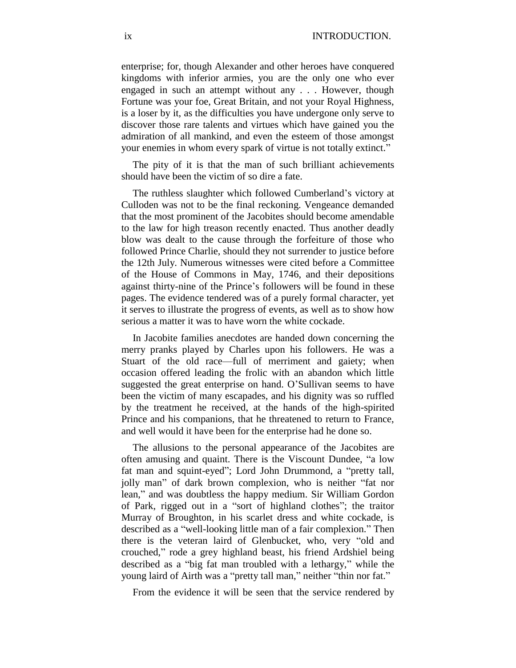enterprise; for, though Alexander and other heroes have conquered kingdoms with inferior armies, you are the only one who ever engaged in such an attempt without any . . . However, though Fortune was your foe, Great Britain, and not your Royal Highness, is a loser by it, as the difficulties you have undergone only serve to discover those rare talents and virtues which have gained you the admiration of all mankind, and even the esteem of those amongst your enemies in whom every spark of virtue is not totally extinct."

The pity of it is that the man of such brilliant achievements should have been the victim of so dire a fate.

The ruthless slaughter which followed Cumberland's victory at Culloden was not to be the final reckoning. Vengeance demanded that the most prominent of the Jacobites should become amendable to the law for high treason recently enacted. Thus another deadly blow was dealt to the cause through the forfeiture of those who followed Prince Charlie, should they not surrender to justice before the 12th July. Numerous witnesses were cited before a Committee of the House of Commons in May, 1746, and their depositions against thirty-nine of the Prince's followers will be found in these pages. The evidence tendered was of a purely formal character, yet it serves to illustrate the progress of events, as well as to show how serious a matter it was to have worn the white cockade.

In Jacobite families anecdotes are handed down concerning the merry pranks played by Charles upon his followers. He was a Stuart of the old race—full of merriment and gaiety; when occasion offered leading the frolic with an abandon which little suggested the great enterprise on hand. O'Sullivan seems to have been the victim of many escapades, and his dignity was so ruffled by the treatment he received, at the hands of the high-spirited Prince and his companions, that he threatened to return to France, and well would it have been for the enterprise had he done so.

The allusions to the personal appearance of the Jacobites are often amusing and quaint. There is the Viscount Dundee, "a low fat man and squint-eyed"; Lord John Drummond, a "pretty tall, jolly man" of dark brown complexion, who is neither "fat nor lean," and was doubtless the happy medium. Sir William Gordon of Park, rigged out in a "sort of highland clothes"; the traitor Murray of Broughton, in his scarlet dress and white cockade, is described as a "well-looking little man of a fair complexion." Then there is the veteran laird of Glenbucket, who, very "old and crouched," rode a grey highland beast, his friend Ardshiel being described as a "big fat man troubled with a lethargy," while the young laird of Airth was a "pretty tall man," neither "thin nor fat."

From the evidence it will be seen that the service rendered by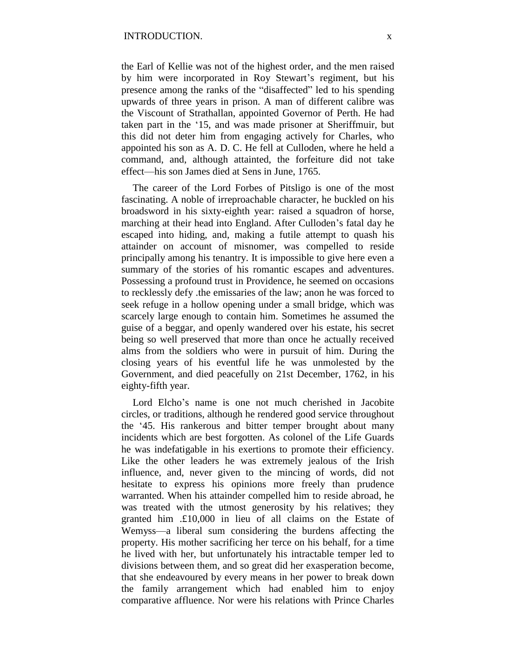the Earl of Kellie was not of the highest order, and the men raised by him were incorporated in Roy Stewart's regiment, but his presence among the ranks of the "disaffected" led to his spending upwards of three years in prison. A man of different calibre was the Viscount of Strathallan, appointed Governor of Perth. He had taken part in the '15, and was made prisoner at Sheriffmuir, but this did not deter him from engaging actively for Charles, who appointed his son as A. D. C. He fell at Culloden, where he held a command, and, although attainted, the forfeiture did not take effect—his son James died at Sens in June, 1765.

The career of the Lord Forbes of Pitsligo is one of the most fascinating. A noble of irreproachable character, he buckled on his broadsword in his sixty-eighth year: raised a squadron of horse, marching at their head into England. After Culloden's fatal day he escaped into hiding, and, making a futile attempt to quash his attainder on account of misnomer, was compelled to reside principally among his tenantry. It is impossible to give here even a summary of the stories of his romantic escapes and adventures. Possessing a profound trust in Providence, he seemed on occasions to recklessly defy .the emissaries of the law; anon he was forced to seek refuge in a hollow opening under a small bridge, which was scarcely large enough to contain him. Sometimes he assumed the guise of a beggar, and openly wandered over his estate, his secret being so well preserved that more than once he actually received alms from the soldiers who were in pursuit of him. During the closing years of his eventful life he was unmolested by the Government, and died peacefully on 21st December, 1762, in his eighty-fifth year.

Lord Elcho's name is one not much cherished in Jacobite circles, or traditions, although he rendered good service throughout the '45. His rankerous and bitter temper brought about many incidents which are best forgotten. As colonel of the Life Guards he was indefatigable in his exertions to promote their efficiency. Like the other leaders he was extremely jealous of the Irish influence, and, never given to the mincing of words, did not hesitate to express his opinions more freely than prudence warranted. When his attainder compelled him to reside abroad, he was treated with the utmost generosity by his relatives; they granted him .£10,000 in lieu of all claims on the Estate of Wemyss—a liberal sum considering the burdens affecting the property. His mother sacrificing her terce on his behalf, for a time he lived with her, but unfortunately his intractable temper led to divisions between them, and so great did her exasperation become, that she endeavoured by every means in her power to break down the family arrangement which had enabled him to enjoy comparative affluence. Nor were his relations with Prince Charles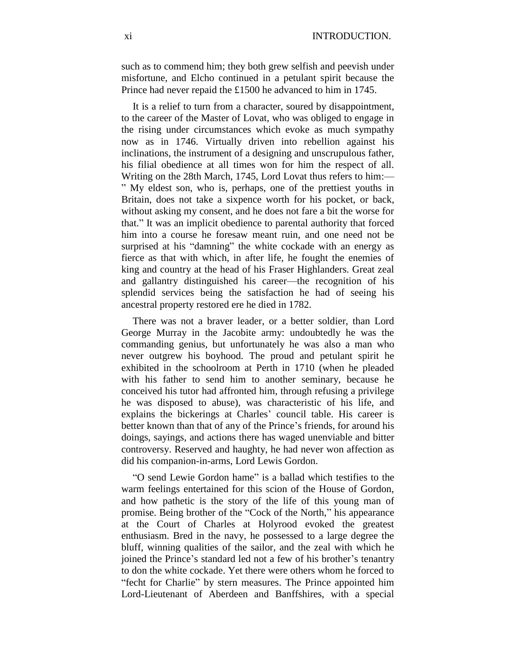such as to commend him; they both grew selfish and peevish under misfortune, and Elcho continued in a petulant spirit because the Prince had never repaid the £1500 he advanced to him in 1745.

It is a relief to turn from a character, soured by disappointment, to the career of the Master of Lovat, who was obliged to engage in the rising under circumstances which evoke as much sympathy now as in 1746. Virtually driven into rebellion against his inclinations, the instrument of a designing and unscrupulous father, his filial obedience at all times won for him the respect of all. Writing on the 28th March, 1745, Lord Lovat thus refers to him:— " My eldest son, who is, perhaps, one of the prettiest youths in Britain, does not take a sixpence worth for his pocket, or back, without asking my consent, and he does not fare a bit the worse for that." It was an implicit obedience to parental authority that forced him into a course he foresaw meant ruin, and one need not be surprised at his "damning" the white cockade with an energy as fierce as that with which, in after life, he fought the enemies of king and country at the head of his Fraser Highlanders. Great zeal and gallantry distinguished his career—the recognition of his splendid services being the satisfaction he had of seeing his ancestral property restored ere he died in 1782.

There was not a braver leader, or a better soldier, than Lord George Murray in the Jacobite army: undoubtedly he was the commanding genius, but unfortunately he was also a man who never outgrew his boyhood. The proud and petulant spirit he exhibited in the schoolroom at Perth in 1710 (when he pleaded with his father to send him to another seminary, because he conceived his tutor had affronted him, through refusing a privilege he was disposed to abuse), was characteristic of his life, and explains the bickerings at Charles' council table. His career is better known than that of any of the Prince's friends, for around his doings, sayings, and actions there has waged unenviable and bitter controversy. Reserved and haughty, he had never won affection as did his companion-in-arms, Lord Lewis Gordon.

"O send Lewie Gordon hame" is a ballad which testifies to the warm feelings entertained for this scion of the House of Gordon, and how pathetic is the story of the life of this young man of promise. Being brother of the "Cock of the North," his appearance at the Court of Charles at Holyrood evoked the greatest enthusiasm. Bred in the navy, he possessed to a large degree the bluff, winning qualities of the sailor, and the zeal with which he joined the Prince's standard led not a few of his brother's tenantry to don the white cockade. Yet there were others whom he forced to "fecht for Charlie" by stern measures. The Prince appointed him Lord-Lieutenant of Aberdeen and Banffshires, with a special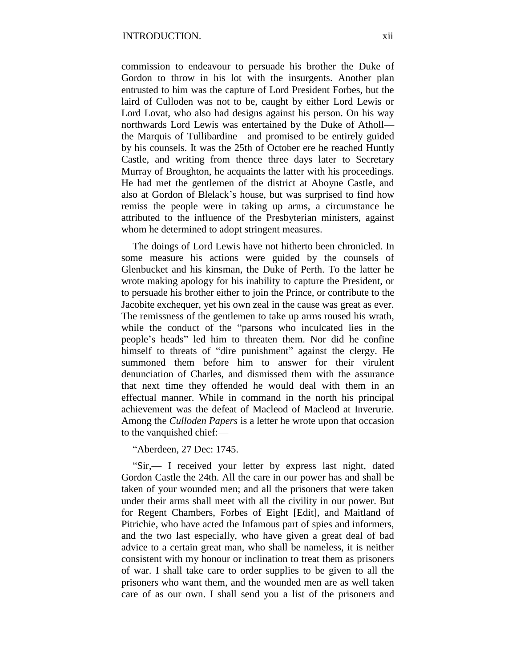commission to endeavour to persuade his brother the Duke of Gordon to throw in his lot with the insurgents. Another plan entrusted to him was the capture of Lord President Forbes, but the laird of Culloden was not to be, caught by either Lord Lewis or Lord Lovat, who also had designs against his person. On his way northwards Lord Lewis was entertained by the Duke of Atholl the Marquis of Tullibardine—and promised to be entirely guided by his counsels. It was the 25th of October ere he reached Huntly Castle, and writing from thence three days later to Secretary Murray of Broughton, he acquaints the latter with his proceedings. He had met the gentlemen of the district at Aboyne Castle, and also at Gordon of Blelack's house, but was surprised to find how remiss the people were in taking up arms, a circumstance he attributed to the influence of the Presbyterian ministers, against whom he determined to adopt stringent measures.

The doings of Lord Lewis have not hitherto been chronicled. In some measure his actions were guided by the counsels of Glenbucket and his kinsman, the Duke of Perth. To the latter he wrote making apology for his inability to capture the President, or to persuade his brother either to join the Prince, or contribute to the Jacobite exchequer, yet his own zeal in the cause was great as ever. The remissness of the gentlemen to take up arms roused his wrath, while the conduct of the "parsons who inculcated lies in the people's heads" led him to threaten them. Nor did he confine himself to threats of "dire punishment" against the clergy. He summoned them before him to answer for their virulent denunciation of Charles, and dismissed them with the assurance that next time they offended he would deal with them in an effectual manner. While in command in the north his principal achievement was the defeat of Macleod of Macleod at Inverurie. Among the *Culloden Papers* is a letter he wrote upon that occasion to the vanquished chief:—

"Aberdeen, 27 Dec: 1745.

"Sir,— I received your letter by express last night, dated Gordon Castle the 24th. All the care in our power has and shall be taken of your wounded men; and all the prisoners that were taken under their arms shall meet with all the civility in our power. But for Regent Chambers, Forbes of Eight [Edit], and Maitland of Pitrichie, who have acted the Infamous part of spies and informers, and the two last especially, who have given a great deal of bad advice to a certain great man, who shall be nameless, it is neither consistent with my honour or inclination to treat them as prisoners of war. I shall take care to order supplies to be given to all the prisoners who want them, and the wounded men are as well taken care of as our own. I shall send you a list of the prisoners and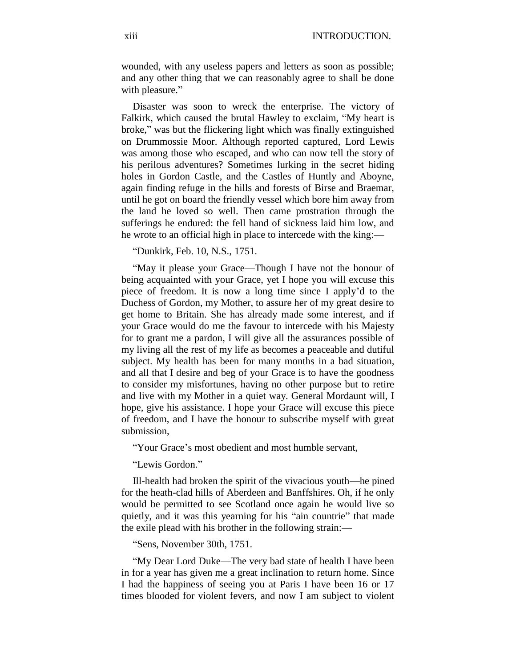wounded, with any useless papers and letters as soon as possible; and any other thing that we can reasonably agree to shall be done with pleasure."

Disaster was soon to wreck the enterprise. The victory of Falkirk, which caused the brutal Hawley to exclaim, "My heart is broke," was but the flickering light which was finally extinguished on Drummossie Moor. Although reported captured, Lord Lewis was among those who escaped, and who can now tell the story of his perilous adventures? Sometimes lurking in the secret hiding holes in Gordon Castle, and the Castles of Huntly and Aboyne, again finding refuge in the hills and forests of Birse and Braemar, until he got on board the friendly vessel which bore him away from the land he loved so well. Then came prostration through the sufferings he endured: the fell hand of sickness laid him low, and he wrote to an official high in place to intercede with the king:—

"Dunkirk, Feb. 10, N.S., 1751.

"May it please your Grace—Though I have not the honour of being acquainted with your Grace, yet I hope you will excuse this piece of freedom. It is now a long time since I apply'd to the Duchess of Gordon, my Mother, to assure her of my great desire to get home to Britain. She has already made some interest, and if your Grace would do me the favour to intercede with his Majesty for to grant me a pardon, I will give all the assurances possible of my living all the rest of my life as becomes a peaceable and dutiful subject. My health has been for many months in a bad situation, and all that I desire and beg of your Grace is to have the goodness to consider my misfortunes, having no other purpose but to retire and live with my Mother in a quiet way. General Mordaunt will, I hope, give his assistance. I hope your Grace will excuse this piece of freedom, and I have the honour to subscribe myself with great submission,

"Your Grace's most obedient and most humble servant,

"Lewis Gordon."

Ill-health had broken the spirit of the vivacious youth—he pined for the heath-clad hills of Aberdeen and Banffshires. Oh, if he only would be permitted to see Scotland once again he would live so quietly, and it was this yearning for his "ain countrie" that made the exile plead with his brother in the following strain:—

"Sens, November 30th, 1751.

"My Dear Lord Duke—The very bad state of health I have been in for a year has given me a great inclination to return home. Since I had the happiness of seeing you at Paris I have been 16 or 17 times blooded for violent fevers, and now I am subject to violent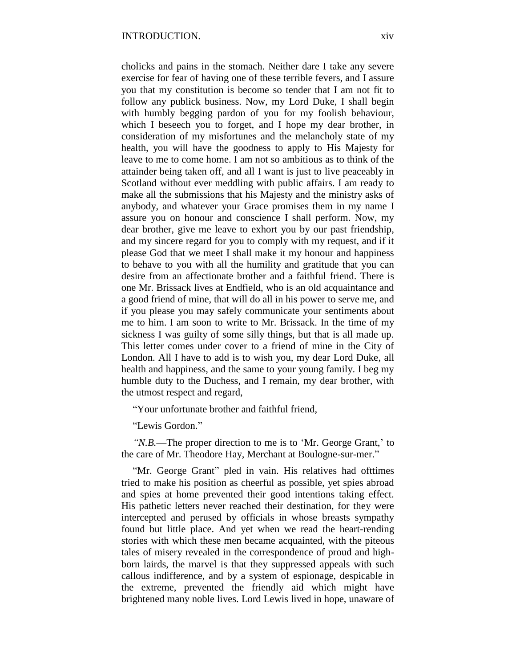cholicks and pains in the stomach. Neither dare I take any severe exercise for fear of having one of these terrible fevers, and I assure you that my constitution is become so tender that I am not fit to follow any publick business. Now, my Lord Duke, I shall begin with humbly begging pardon of you for my foolish behaviour, which I beseech you to forget, and I hope my dear brother, in consideration of my misfortunes and the melancholy state of my health, you will have the goodness to apply to His Majesty for leave to me to come home. I am not so ambitious as to think of the attainder being taken off, and all I want is just to live peaceably in Scotland without ever meddling with public affairs. I am ready to make all the submissions that his Majesty and the ministry asks of anybody, and whatever your Grace promises them in my name I assure you on honour and conscience I shall perform. Now, my dear brother, give me leave to exhort you by our past friendship, and my sincere regard for you to comply with my request, and if it please God that we meet I shall make it my honour and happiness to behave to you with all the humility and gratitude that you can desire from an affectionate brother and a faithful friend. There is one Mr. Brissack lives at Endfield, who is an old acquaintance and a good friend of mine, that will do all in his power to serve me, and if you please you may safely communicate your sentiments about me to him. I am soon to write to Mr. Brissack. In the time of my sickness I was guilty of some silly things, but that is all made up. This letter comes under cover to a friend of mine in the City of London. All I have to add is to wish you, my dear Lord Duke, all health and happiness, and the same to your young family. I beg my humble duty to the Duchess, and I remain, my dear brother, with the utmost respect and regard,

"Your unfortunate brother and faithful friend,

"Lewis Gordon."

*"N.B.*—The proper direction to me is to 'Mr. George Grant,' to the care of Mr. Theodore Hay, Merchant at Boulogne-sur-mer."

"Mr. George Grant" pled in vain. His relatives had ofttimes tried to make his position as cheerful as possible, yet spies abroad and spies at home prevented their good intentions taking effect. His pathetic letters never reached their destination, for they were intercepted and perused by officials in whose breasts sympathy found but little place. And yet when we read the heart-rending stories with which these men became acquainted, with the piteous tales of misery revealed in the correspondence of proud and highborn lairds, the marvel is that they suppressed appeals with such callous indifference, and by a system of espionage, despicable in the extreme, prevented the friendly aid which might have brightened many noble lives. Lord Lewis lived in hope, unaware of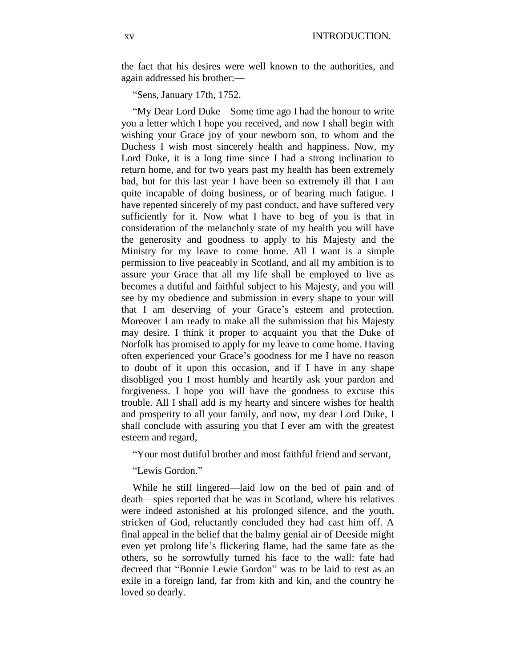the fact that his desires were well known to the authorities, and again addressed his brother:—

"Sens, January 17th, 1752.

"My Dear Lord Duke—Some time ago I had the honour to write you a letter which I hope you received, and now I shall begin with wishing your Grace joy of your newborn son, to whom and the Duchess I wish most sincerely health and happiness. Now, my Lord Duke, it is a long time since I had a strong inclination to return home, and for two years past my health has been extremely bad, but for this last year I have been so extremely ill that I am quite incapable of doing business, or of bearing much fatigue. I have repented sincerely of my past conduct, and have suffered very sufficiently for it. Now what I have to beg of you is that in consideration of the melancholy state of my health you will have the generosity and goodness to apply to his Majesty and the Ministry for my leave to come home. All I want is a simple permission to live peaceably in Scotland, and all my ambition is to assure your Grace that all my life shall be employed to live as becomes a dutiful and faithful subject to his Majesty, and you will see by my obedience and submission in every shape to your will that I am deserving of your Grace's esteem and protection. Moreover I am ready to make all the submission that his Majesty may desire. I think it proper to acquaint you that the Duke of Norfolk has promised to apply for my leave to come home. Having often experienced your Grace's goodness for me I have no reason to doubt of it upon this occasion, and if I have in any shape disobliged you I most humbly and heartily ask your pardon and forgiveness. I hope you will have the goodness to excuse this trouble. All I shall add is my hearty and sincere wishes for health and prosperity to all your family, and now, my dear Lord Duke, I shall conclude with assuring you that I ever am with the greatest esteem and regard,

"Your most dutiful brother and most faithful friend and servant,

"Lewis Gordon."

While he still lingered—laid low on the bed of pain and of death—spies reported that he was in Scotland, where his relatives were indeed astonished at his prolonged silence, and the youth, stricken of God, reluctantly concluded they had cast him off. A final appeal in the belief that the balmy genial air of Deeside might even yet prolong life's flickering flame, had the same fate as the others, so he sorrowfully turned his face to the wall: fate had decreed that "Bonnie Lewie Gordon" was to be laid to rest as an exile in a foreign land, far from kith and kin, and the country he loved so dearly.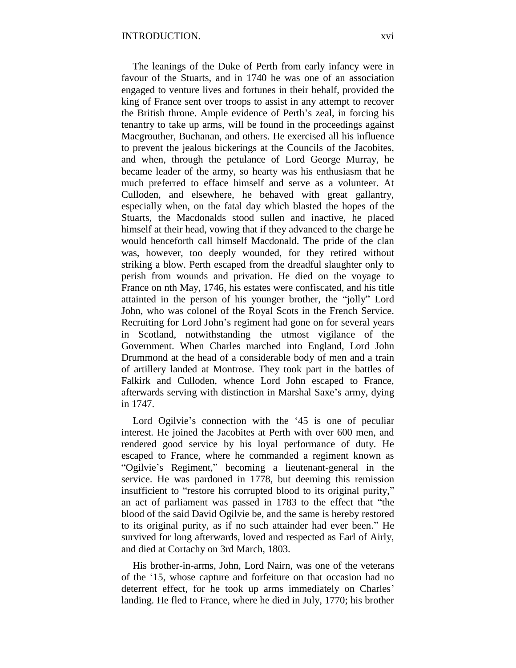The leanings of the Duke of Perth from early infancy were in favour of the Stuarts, and in 1740 he was one of an association engaged to venture lives and fortunes in their behalf, provided the king of France sent over troops to assist in any attempt to recover the British throne. Ample evidence of Perth's zeal, in forcing his tenantry to take up arms, will be found in the proceedings against Macgrouther, Buchanan, and others. He exercised all his influence to prevent the jealous bickerings at the Councils of the Jacobites, and when, through the petulance of Lord George Murray, he became leader of the army, so hearty was his enthusiasm that he much preferred to efface himself and serve as a volunteer. At Culloden, and elsewhere, he behaved with great gallantry, especially when, on the fatal day which blasted the hopes of the Stuarts, the Macdonalds stood sullen and inactive, he placed himself at their head, vowing that if they advanced to the charge he would henceforth call himself Macdonald. The pride of the clan was, however, too deeply wounded, for they retired without striking a blow. Perth escaped from the dreadful slaughter only to perish from wounds and privation. He died on the voyage to France on nth May, 1746, his estates were confiscated, and his title attainted in the person of his younger brother, the "jolly" Lord John, who was colonel of the Royal Scots in the French Service. Recruiting for Lord John's regiment had gone on for several years in Scotland, notwithstanding the utmost vigilance of the Government. When Charles marched into England, Lord John Drummond at the head of a considerable body of men and a train of artillery landed at Montrose. They took part in the battles of Falkirk and Culloden, whence Lord John escaped to France, afterwards serving with distinction in Marshal Saxe's army, dying in 1747.

Lord Ogilvie's connection with the '45 is one of peculiar interest. He joined the Jacobites at Perth with over 600 men, and rendered good service by his loyal performance of duty. He escaped to France, where he commanded a regiment known as "Ogilvie's Regiment," becoming a lieutenant-general in the service. He was pardoned in 1778, but deeming this remission insufficient to "restore his corrupted blood to its original purity," an act of parliament was passed in 1783 to the effect that "the blood of the said David Ogilvie be, and the same is hereby restored to its original purity, as if no such attainder had ever been." He survived for long afterwards, loved and respected as Earl of Airly, and died at Cortachy on 3rd March, 1803.

His brother-in-arms, John, Lord Nairn, was one of the veterans of the '15, whose capture and forfeiture on that occasion had no deterrent effect, for he took up arms immediately on Charles' landing. He fled to France, where he died in July, 1770; his brother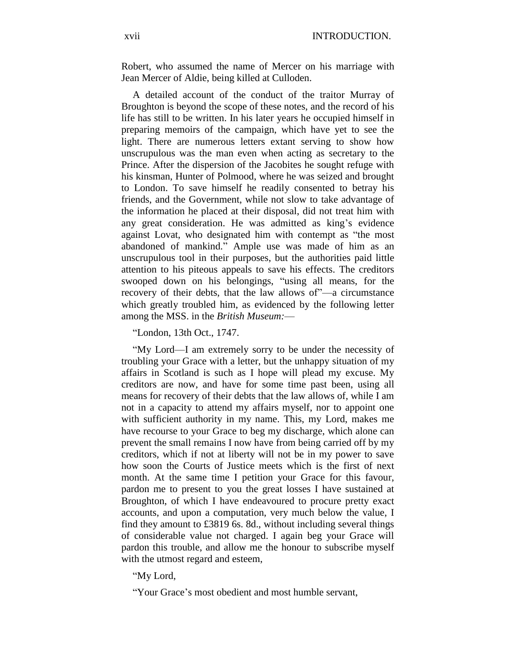Robert, who assumed the name of Mercer on his marriage with Jean Mercer of Aldie, being killed at Culloden.

A detailed account of the conduct of the traitor Murray of Broughton is beyond the scope of these notes, and the record of his life has still to be written. In his later years he occupied himself in preparing memoirs of the campaign, which have yet to see the light. There are numerous letters extant serving to show how unscrupulous was the man even when acting as secretary to the Prince. After the dispersion of the Jacobites he sought refuge with his kinsman, Hunter of Polmood, where he was seized and brought to London. To save himself he readily consented to betray his friends, and the Government, while not slow to take advantage of the information he placed at their disposal, did not treat him with any great consideration. He was admitted as king's evidence against Lovat, who designated him with contempt as "the most abandoned of mankind." Ample use was made of him as an unscrupulous tool in their purposes, but the authorities paid little attention to his piteous appeals to save his effects. The creditors swooped down on his belongings, "using all means, for the recovery of their debts, that the law allows of"—a circumstance which greatly troubled him, as evidenced by the following letter among the MSS. in the *British Museum:*—

"London, 13th Oct., 1747.

"My Lord—I am extremely sorry to be under the necessity of troubling your Grace with a letter, but the unhappy situation of my affairs in Scotland is such as I hope will plead my excuse. My creditors are now, and have for some time past been, using all means for recovery of their debts that the law allows of, while I am not in a capacity to attend my affairs myself, nor to appoint one with sufficient authority in my name. This, my Lord, makes me have recourse to your Grace to beg my discharge, which alone can prevent the small remains I now have from being carried off by my creditors, which if not at liberty will not be in my power to save how soon the Courts of Justice meets which is the first of next month. At the same time I petition your Grace for this favour, pardon me to present to you the great losses I have sustained at Broughton, of which I have endeavoured to procure pretty exact accounts, and upon a computation, very much below the value, I find they amount to £3819 6s. 8d., without including several things of considerable value not charged. I again beg your Grace will pardon this trouble, and allow me the honour to subscribe myself with the utmost regard and esteem,

"My Lord,

"Your Grace's most obedient and most humble servant,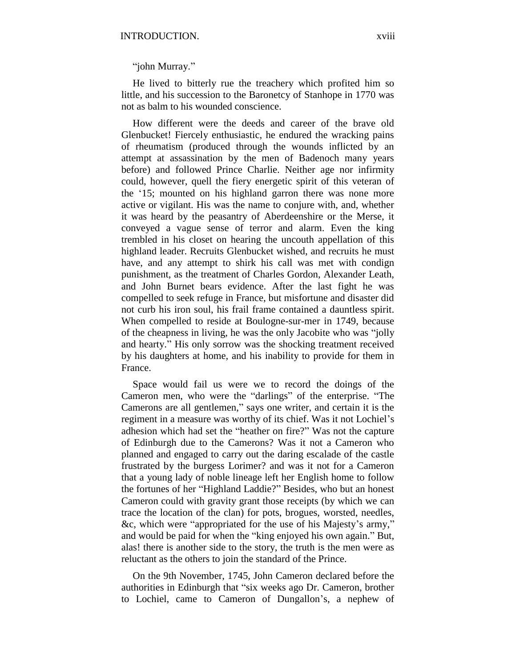"john Murray."

He lived to bitterly rue the treachery which profited him so little, and his succession to the Baronetcy of Stanhope in 1770 was not as balm to his wounded conscience.

How different were the deeds and career of the brave old Glenbucket! Fiercely enthusiastic, he endured the wracking pains of rheumatism (produced through the wounds inflicted by an attempt at assassination by the men of Badenoch many years before) and followed Prince Charlie. Neither age nor infirmity could, however, quell the fiery energetic spirit of this veteran of the '15; mounted on his highland garron there was none more active or vigilant. His was the name to conjure with, and, whether it was heard by the peasantry of Aberdeenshire or the Merse, it conveyed a vague sense of terror and alarm. Even the king trembled in his closet on hearing the uncouth appellation of this highland leader. Recruits Glenbucket wished, and recruits he must have, and any attempt to shirk his call was met with condign punishment, as the treatment of Charles Gordon, Alexander Leath, and John Burnet bears evidence. After the last fight he was compelled to seek refuge in France, but misfortune and disaster did not curb his iron soul, his frail frame contained a dauntless spirit. When compelled to reside at Boulogne-sur-mer in 1749, because of the cheapness in living, he was the only Jacobite who was "jolly and hearty." His only sorrow was the shocking treatment received by his daughters at home, and his inability to provide for them in France.

Space would fail us were we to record the doings of the Cameron men, who were the "darlings" of the enterprise. "The Camerons are all gentlemen," says one writer, and certain it is the regiment in a measure was worthy of its chief. Was it not Lochiel's adhesion which had set the "heather on fire?" Was not the capture of Edinburgh due to the Camerons? Was it not a Cameron who planned and engaged to carry out the daring escalade of the castle frustrated by the burgess Lorimer? and was it not for a Cameron that a young lady of noble lineage left her English home to follow the fortunes of her "Highland Laddie?" Besides, who but an honest Cameron could with gravity grant those receipts (by which we can trace the location of the clan) for pots, brogues, worsted, needles, &c, which were "appropriated for the use of his Majesty's army," and would be paid for when the "king enjoyed his own again." But, alas! there is another side to the story, the truth is the men were as reluctant as the others to join the standard of the Prince.

On the 9th November, 1745, John Cameron declared before the authorities in Edinburgh that "six weeks ago Dr. Cameron, brother to Lochiel, came to Cameron of Dungallon's, a nephew of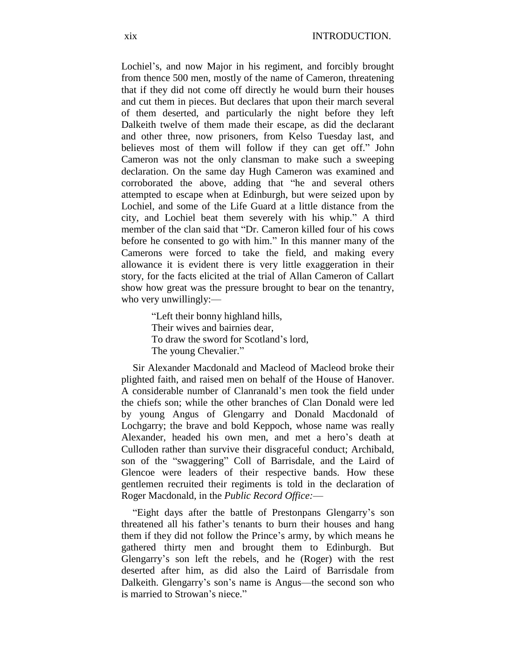Lochiel's, and now Major in his regiment, and forcibly brought from thence 500 men, mostly of the name of Cameron, threatening that if they did not come off directly he would burn their houses and cut them in pieces. But declares that upon their march several of them deserted, and particularly the night before they left Dalkeith twelve of them made their escape, as did the declarant and other three, now prisoners, from Kelso Tuesday last, and believes most of them will follow if they can get off." John Cameron was not the only clansman to make such a sweeping declaration. On the same day Hugh Cameron was examined and corroborated the above, adding that "he and several others attempted to escape when at Edinburgh, but were seized upon by Lochiel, and some of the Life Guard at a little distance from the city, and Lochiel beat them severely with his whip." A third member of the clan said that "Dr. Cameron killed four of his cows before he consented to go with him." In this manner many of the Camerons were forced to take the field, and making every allowance it is evident there is very little exaggeration in their story, for the facts elicited at the trial of Allan Cameron of Callart show how great was the pressure brought to bear on the tenantry, who very unwillingly:—

> "Left their bonny highland hills, Their wives and bairnies dear, To draw the sword for Scotland's lord, The young Chevalier."

Sir Alexander Macdonald and Macleod of Macleod broke their plighted faith, and raised men on behalf of the House of Hanover. A considerable number of Clanranald's men took the field under the chiefs son; while the other branches of Clan Donald were led by young Angus of Glengarry and Donald Macdonald of Lochgarry; the brave and bold Keppoch, whose name was really Alexander, headed his own men, and met a hero's death at Culloden rather than survive their disgraceful conduct; Archibald, son of the "swaggering" Coll of Barrisdale, and the Laird of Glencoe were leaders of their respective bands. How these gentlemen recruited their regiments is told in the declaration of Roger Macdonald, in the *Public Record Office:*—

"Eight days after the battle of Prestonpans Glengarry's son threatened all his father's tenants to burn their houses and hang them if they did not follow the Prince's army, by which means he gathered thirty men and brought them to Edinburgh. But Glengarry's son left the rebels, and he (Roger) with the rest deserted after him, as did also the Laird of Barrisdale from Dalkeith. Glengarry's son's name is Angus—the second son who is married to Strowan's niece."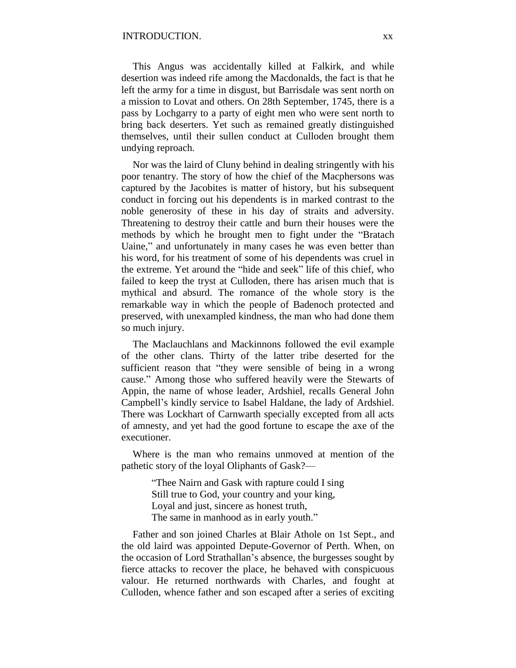This Angus was accidentally killed at Falkirk, and while desertion was indeed rife among the Macdonalds, the fact is that he left the army for a time in disgust, but Barrisdale was sent north on a mission to Lovat and others. On 28th September, 1745, there is a pass by Lochgarry to a party of eight men who were sent north to bring back deserters. Yet such as remained greatly distinguished themselves, until their sullen conduct at Culloden brought them undying reproach.

Nor was the laird of Cluny behind in dealing stringently with his poor tenantry. The story of how the chief of the Macphersons was captured by the Jacobites is matter of history, but his subsequent conduct in forcing out his dependents is in marked contrast to the noble generosity of these in his day of straits and adversity. Threatening to destroy their cattle and burn their houses were the methods by which he brought men to fight under the "Bratach Uaine," and unfortunately in many cases he was even better than his word, for his treatment of some of his dependents was cruel in the extreme. Yet around the "hide and seek" life of this chief, who failed to keep the tryst at Culloden, there has arisen much that is mythical and absurd. The romance of the whole story is the remarkable way in which the people of Badenoch protected and preserved, with unexampled kindness, the man who had done them so much injury.

The Maclauchlans and Mackinnons followed the evil example of the other clans. Thirty of the latter tribe deserted for the sufficient reason that "they were sensible of being in a wrong cause." Among those who suffered heavily were the Stewarts of Appin, the name of whose leader, Ardshiel, recalls General John Campbell's kindly service to Isabel Haldane, the lady of Ardshiel. There was Lockhart of Carnwarth specially excepted from all acts of amnesty, and yet had the good fortune to escape the axe of the executioner.

Where is the man who remains unmoved at mention of the pathetic story of the loyal Oliphants of Gask?—

> "Thee Nairn and Gask with rapture could I sing Still true to God, your country and your king, Loyal and just, sincere as honest truth, The same in manhood as in early youth."

Father and son joined Charles at Blair Athole on 1st Sept., and the old laird was appointed Depute-Governor of Perth. When, on the occasion of Lord Strathallan's absence, the burgesses sought by fierce attacks to recover the place, he behaved with conspicuous valour. He returned northwards with Charles, and fought at Culloden, whence father and son escaped after a series of exciting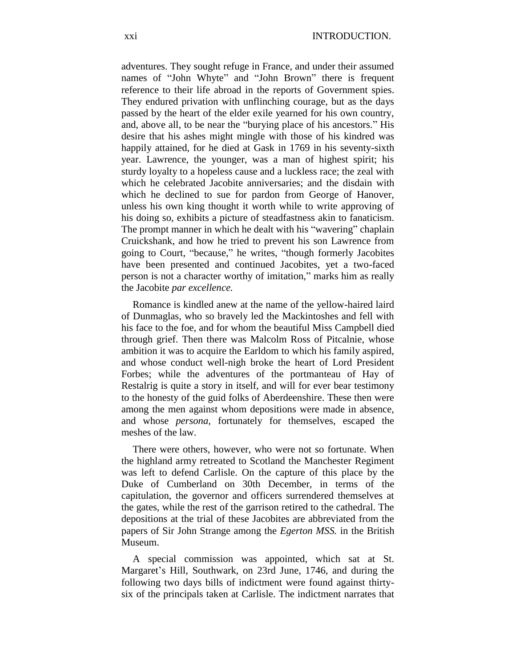adventures. They sought refuge in France, and under their assumed names of "John Whyte" and "John Brown" there is frequent reference to their life abroad in the reports of Government spies. They endured privation with unflinching courage, but as the days passed by the heart of the elder exile yearned for his own country, and, above all, to be near the "burying place of his ancestors." His desire that his ashes might mingle with those of his kindred was happily attained, for he died at Gask in 1769 in his seventy-sixth year. Lawrence, the younger, was a man of highest spirit; his sturdy loyalty to a hopeless cause and a luckless race; the zeal with which he celebrated Jacobite anniversaries; and the disdain with which he declined to sue for pardon from George of Hanover, unless his own king thought it worth while to write approving of his doing so, exhibits a picture of steadfastness akin to fanaticism. The prompt manner in which he dealt with his "wavering" chaplain Cruickshank, and how he tried to prevent his son Lawrence from going to Court, "because," he writes, "though formerly Jacobites have been presented and continued Jacobites, yet a two-faced person is not a character worthy of imitation," marks him as really the Jacobite *par excellence.*

Romance is kindled anew at the name of the yellow-haired laird of Dunmaglas, who so bravely led the Mackintoshes and fell with his face to the foe, and for whom the beautiful Miss Campbell died through grief. Then there was Malcolm Ross of Pitcalnie, whose ambition it was to acquire the Earldom to which his family aspired, and whose conduct well-nigh broke the heart of Lord President Forbes; while the adventures of the portmanteau of Hay of Restalrig is quite a story in itself, and will for ever bear testimony to the honesty of the guid folks of Aberdeenshire. These then were among the men against whom depositions were made in absence, and whose *persona,* fortunately for themselves, escaped the meshes of the law.

There were others, however, who were not so fortunate. When the highland army retreated to Scotland the Manchester Regiment was left to defend Carlisle. On the capture of this place by the Duke of Cumberland on 30th December, in terms of the capitulation, the governor and officers surrendered themselves at the gates, while the rest of the garrison retired to the cathedral. The depositions at the trial of these Jacobites are abbreviated from the papers of Sir John Strange among the *Egerton MSS.* in the British Museum.

A special commission was appointed, which sat at St. Margaret's Hill, Southwark, on 23rd June, 1746, and during the following two days bills of indictment were found against thirtysix of the principals taken at Carlisle. The indictment narrates that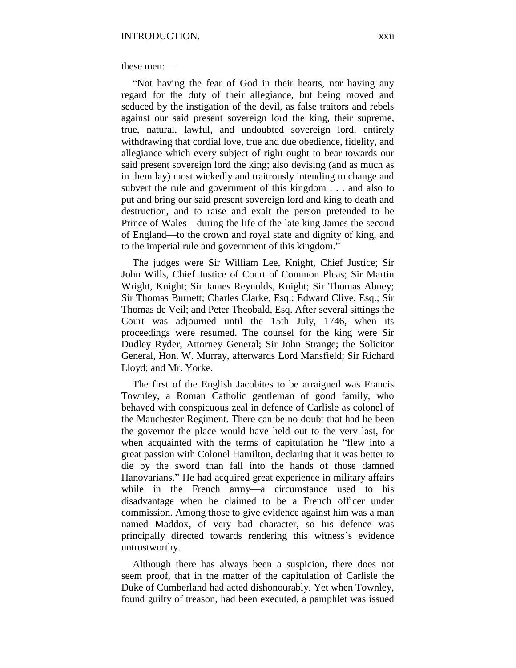these men:—

"Not having the fear of God in their hearts, nor having any regard for the duty of their allegiance, but being moved and seduced by the instigation of the devil, as false traitors and rebels against our said present sovereign lord the king, their supreme, true, natural, lawful, and undoubted sovereign lord, entirely withdrawing that cordial love, true and due obedience, fidelity, and allegiance which every subject of right ought to bear towards our said present sovereign lord the king; also devising (and as much as in them lay) most wickedly and traitrously intending to change and subvert the rule and government of this kingdom . . . and also to put and bring our said present sovereign lord and king to death and destruction, and to raise and exalt the person pretended to be Prince of Wales—during the life of the late king James the second of England—to the crown and royal state and dignity of king, and to the imperial rule and government of this kingdom."

The judges were Sir William Lee, Knight, Chief Justice; Sir John Wills, Chief Justice of Court of Common Pleas; Sir Martin Wright, Knight; Sir James Reynolds, Knight; Sir Thomas Abney; Sir Thomas Burnett; Charles Clarke, Esq.; Edward Clive, Esq.; Sir Thomas de Veil; and Peter Theobald, Esq. After several sittings the Court was adjourned until the 15th July, 1746, when its proceedings were resumed. The counsel for the king were Sir Dudley Ryder, Attorney General; Sir John Strange; the Solicitor General, Hon. W. Murray, afterwards Lord Mansfield; Sir Richard Lloyd; and Mr. Yorke.

The first of the English Jacobites to be arraigned was Francis Townley, a Roman Catholic gentleman of good family, who behaved with conspicuous zeal in defence of Carlisle as colonel of the Manchester Regiment. There can be no doubt that had he been the governor the place would have held out to the very last, for when acquainted with the terms of capitulation he "flew into a great passion with Colonel Hamilton, declaring that it was better to die by the sword than fall into the hands of those damned Hanovarians." He had acquired great experience in military affairs while in the French army—a circumstance used to his disadvantage when he claimed to be a French officer under commission. Among those to give evidence against him was a man named Maddox, of very bad character, so his defence was principally directed towards rendering this witness's evidence untrustworthy.

Although there has always been a suspicion, there does not seem proof, that in the matter of the capitulation of Carlisle the Duke of Cumberland had acted dishonourably. Yet when Townley, found guilty of treason, had been executed, a pamphlet was issued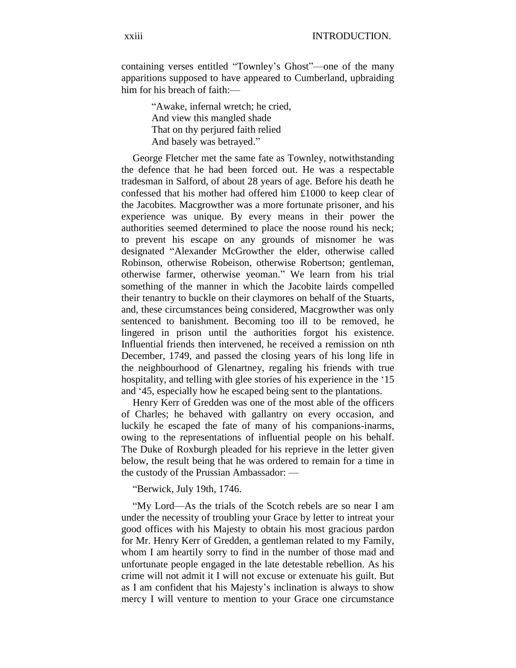containing verses entitled "Townley's Ghost"—one of the many apparitions supposed to have appeared to Cumberland, upbraiding him for his breach of faith:—

> "Awake, infernal wretch; he cried, And view this mangled shade That on thy perjured faith relied And basely was betrayed."

George Fletcher met the same fate as Townley, notwithstanding the defence that he had been forced out. He was a respectable tradesman in Salford, of about 28 years of age. Before his death he confessed that his mother had offered him £1000 to keep clear of the Jacobites. Macgrowther was a more fortunate prisoner, and his experience was unique. By every means in their power the authorities seemed determined to place the noose round his neck; to prevent his escape on any grounds of misnomer he was designated "Alexander McGrowther the elder, otherwise called Robinson, otherwise Robeison, otherwise Robertson; gentleman, otherwise farmer, otherwise yeoman." We learn from his trial something of the manner in which the Jacobite lairds compelled their tenantry to buckle on their claymores on behalf of the Stuarts, and, these circumstances being considered, Macgrowther was only sentenced to banishment. Becoming too ill to be removed, he lingered in prison until the authorities forgot his existence. Influential friends then intervened, he received a remission on nth December, 1749, and passed the closing years of his long life in the neighbourhood of Glenartney, regaling his friends with true hospitality, and telling with glee stories of his experience in the '15 and '45, especially how he escaped being sent to the plantations.

Henry Kerr of Gredden was one of the most able of the officers of Charles; he behaved with gallantry on every occasion, and luckily he escaped the fate of many of his companions-inarms, owing to the representations of influential people on his behalf. The Duke of Roxburgh pleaded for his reprieve in the letter given below, the result being that he was ordered to remain for a time in the custody of the Prussian Ambassador: —

"Berwick, July 19th, 1746.

"My Lord—As the trials of the Scotch rebels are so near I am under the necessity of troubling your Grace by letter to intreat your good offices with his Majesty to obtain his most gracious pardon for Mr. Henry Kerr of Gredden, a gentleman related to my Family, whom I am heartily sorry to find in the number of those mad and unfortunate people engaged in the late detestable rebellion. As his crime will not admit it I will not excuse or extenuate his guilt. But as I am confident that his Majesty's inclination is always to show mercy I will venture to mention to your Grace one circumstance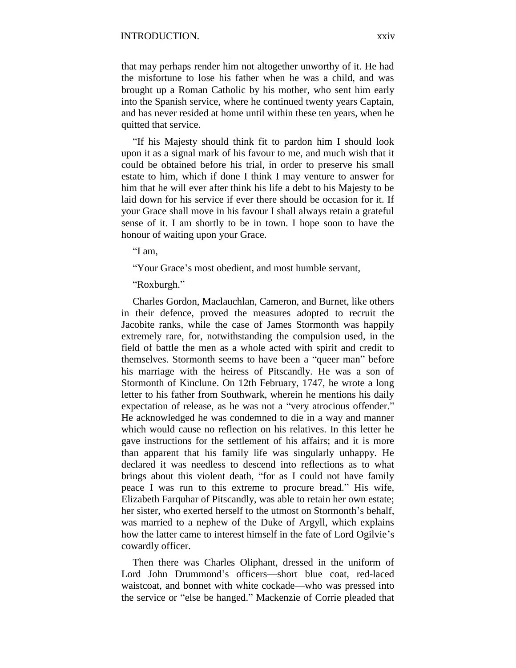that may perhaps render him not altogether unworthy of it. He had the misfortune to lose his father when he was a child, and was brought up a Roman Catholic by his mother, who sent him early into the Spanish service, where he continued twenty years Captain, and has never resided at home until within these ten years, when he quitted that service.

"If his Majesty should think fit to pardon him I should look upon it as a signal mark of his favour to me, and much wish that it could be obtained before his trial, in order to preserve his small estate to him, which if done I think I may venture to answer for him that he will ever after think his life a debt to his Majesty to be laid down for his service if ever there should be occasion for it. If your Grace shall move in his favour I shall always retain a grateful sense of it. I am shortly to be in town. I hope soon to have the honour of waiting upon your Grace.

"I am,

"Your Grace's most obedient, and most humble servant,

"Roxburgh."

Charles Gordon, Maclauchlan, Cameron, and Burnet, like others in their defence, proved the measures adopted to recruit the Jacobite ranks, while the case of James Stormonth was happily extremely rare, for, notwithstanding the compulsion used, in the field of battle the men as a whole acted with spirit and credit to themselves. Stormonth seems to have been a "queer man" before his marriage with the heiress of Pitscandly. He was a son of Stormonth of Kinclune. On 12th February, 1747, he wrote a long letter to his father from Southwark, wherein he mentions his daily expectation of release, as he was not a "very atrocious offender." He acknowledged he was condemned to die in a way and manner which would cause no reflection on his relatives. In this letter he gave instructions for the settlement of his affairs; and it is more than apparent that his family life was singularly unhappy. He declared it was needless to descend into reflections as to what brings about this violent death, "for as I could not have family peace I was run to this extreme to procure bread." His wife, Elizabeth Farquhar of Pitscandly, was able to retain her own estate; her sister, who exerted herself to the utmost on Stormonth's behalf, was married to a nephew of the Duke of Argyll, which explains how the latter came to interest himself in the fate of Lord Ogilvie's cowardly officer.

Then there was Charles Oliphant, dressed in the uniform of Lord John Drummond's officers—short blue coat, red-laced waistcoat, and bonnet with white cockade—who was pressed into the service or "else be hanged." Mackenzie of Corrie pleaded that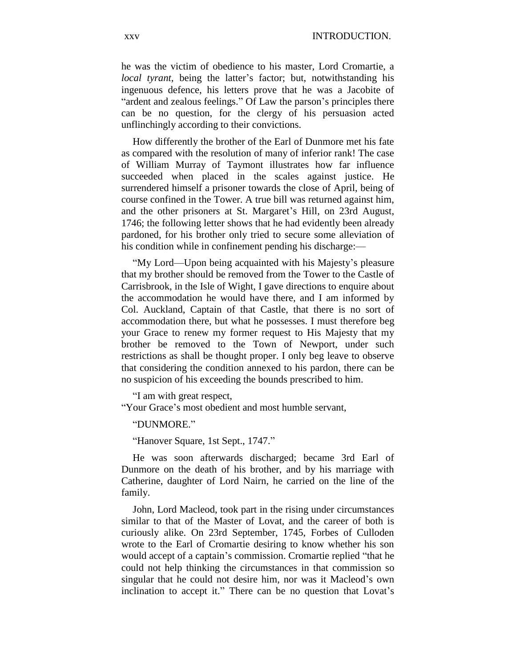he was the victim of obedience to his master, Lord Cromartie, a *local tyrant,* being the latter's factor; but, notwithstanding his ingenuous defence, his letters prove that he was a Jacobite of "ardent and zealous feelings." Of Law the parson's principles there can be no question, for the clergy of his persuasion acted unflinchingly according to their convictions.

How differently the brother of the Earl of Dunmore met his fate as compared with the resolution of many of inferior rank! The case of William Murray of Taymont illustrates how far influence succeeded when placed in the scales against justice. He surrendered himself a prisoner towards the close of April, being of course confined in the Tower. A true bill was returned against him, and the other prisoners at St. Margaret's Hill, on 23rd August, 1746; the following letter shows that he had evidently been already pardoned, for his brother only tried to secure some alleviation of his condition while in confinement pending his discharge:—

"My Lord—Upon being acquainted with his Majesty's pleasure that my brother should be removed from the Tower to the Castle of Carrisbrook, in the Isle of Wight, I gave directions to enquire about the accommodation he would have there, and I am informed by Col. Auckland, Captain of that Castle, that there is no sort of accommodation there, but what he possesses. I must therefore beg your Grace to renew my former request to His Majesty that my brother be removed to the Town of Newport, under such restrictions as shall be thought proper. I only beg leave to observe that considering the condition annexed to his pardon, there can be no suspicion of his exceeding the bounds prescribed to him.

"I am with great respect,

"Your Grace's most obedient and most humble servant,

"DUNMORE."

"Hanover Square, 1st Sept., 1747."

He was soon afterwards discharged; became 3rd Earl of Dunmore on the death of his brother, and by his marriage with Catherine, daughter of Lord Nairn, he carried on the line of the family.

John, Lord Macleod, took part in the rising under circumstances similar to that of the Master of Lovat, and the career of both is curiously alike. On 23rd September, 1745, Forbes of Culloden wrote to the Earl of Cromartie desiring to know whether his son would accept of a captain's commission. Cromartie replied "that he could not help thinking the circumstances in that commission so singular that he could not desire him, nor was it Macleod's own inclination to accept it." There can be no question that Lovat's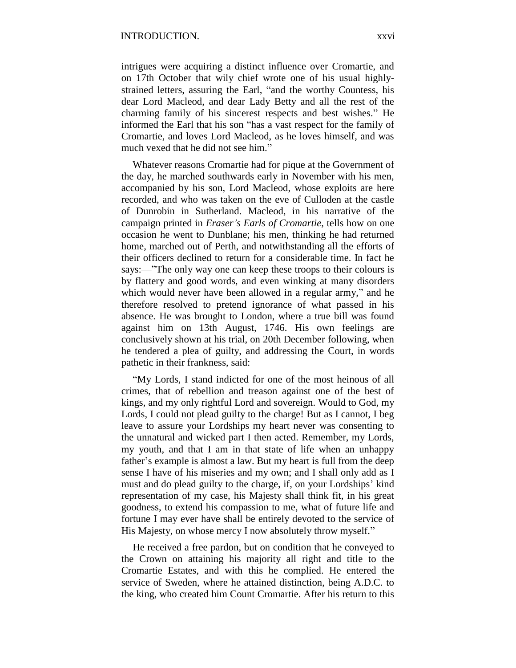intrigues were acquiring a distinct influence over Cromartie, and on 17th October that wily chief wrote one of his usual highlystrained letters, assuring the Earl, "and the worthy Countess, his dear Lord Macleod, and dear Lady Betty and all the rest of the charming family of his sincerest respects and best wishes." He informed the Earl that his son "has a vast respect for the family of Cromartie, and loves Lord Macleod, as he loves himself, and was much vexed that he did not see him."

Whatever reasons Cromartie had for pique at the Government of the day, he marched southwards early in November with his men, accompanied by his son, Lord Macleod, whose exploits are here recorded, and who was taken on the eve of Culloden at the castle of Dunrobin in Sutherland. Macleod, in his narrative of the campaign printed in *Eraser's Earls of Cromartie,* tells how on one occasion he went to Dunblane; his men, thinking he had returned home, marched out of Perth, and notwithstanding all the efforts of their officers declined to return for a considerable time. In fact he says:—"The only way one can keep these troops to their colours is by flattery and good words, and even winking at many disorders which would never have been allowed in a regular army," and he therefore resolved to pretend ignorance of what passed in his absence. He was brought to London, where a true bill was found against him on 13th August, 1746. His own feelings are conclusively shown at his trial, on 20th December following, when he tendered a plea of guilty, and addressing the Court, in words pathetic in their frankness, said:

"My Lords, I stand indicted for one of the most heinous of all crimes, that of rebellion and treason against one of the best of kings, and my only rightful Lord and sovereign. Would to God, my Lords, I could not plead guilty to the charge! But as I cannot, I beg leave to assure your Lordships my heart never was consenting to the unnatural and wicked part I then acted. Remember, my Lords, my youth, and that I am in that state of life when an unhappy father's example is almost a law. But my heart is full from the deep sense I have of his miseries and my own; and I shall only add as I must and do plead guilty to the charge, if, on your Lordships' kind representation of my case, his Majesty shall think fit, in his great goodness, to extend his compassion to me, what of future life and fortune I may ever have shall be entirely devoted to the service of His Majesty, on whose mercy I now absolutely throw myself."

He received a free pardon, but on condition that he conveyed to the Crown on attaining his majority all right and title to the Cromartie Estates, and with this he complied. He entered the service of Sweden, where he attained distinction, being A.D.C. to the king, who created him Count Cromartie. After his return to this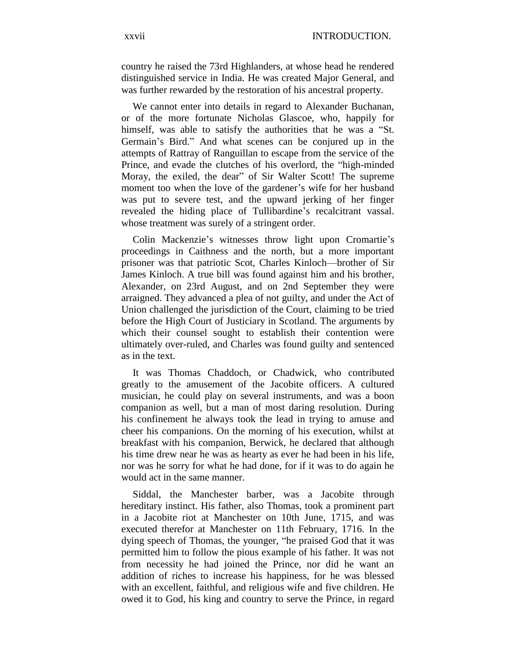country he raised the 73rd Highlanders, at whose head he rendered distinguished service in India. He was created Major General, and was further rewarded by the restoration of his ancestral property.

We cannot enter into details in regard to Alexander Buchanan, or of the more fortunate Nicholas Glascoe, who, happily for himself, was able to satisfy the authorities that he was a "St. Germain's Bird." And what scenes can be conjured up in the attempts of Rattray of Ranguillan to escape from the service of the Prince, and evade the clutches of his overlord, the "high-minded Moray, the exiled, the dear" of Sir Walter Scott! The supreme moment too when the love of the gardener's wife for her husband was put to severe test, and the upward jerking of her finger revealed the hiding place of Tullibardine's recalcitrant vassal. whose treatment was surely of a stringent order.

Colin Mackenzie's witnesses throw light upon Cromartie's proceedings in Caithness and the north, but a more important prisoner was that patriotic Scot, Charles Kinloch—brother of Sir James Kinloch. A true bill was found against him and his brother, Alexander, on 23rd August, and on 2nd September they were arraigned. They advanced a plea of not guilty, and under the Act of Union challenged the jurisdiction of the Court, claiming to be tried before the High Court of Justiciary in Scotland. The arguments by which their counsel sought to establish their contention were ultimately over-ruled, and Charles was found guilty and sentenced as in the text.

It was Thomas Chaddoch, or Chadwick, who contributed greatly to the amusement of the Jacobite officers. A cultured musician, he could play on several instruments, and was a boon companion as well, but a man of most daring resolution. During his confinement he always took the lead in trying to amuse and cheer his companions. On the morning of his execution, whilst at breakfast with his companion, Berwick, he declared that although his time drew near he was as hearty as ever he had been in his life, nor was he sorry for what he had done, for if it was to do again he would act in the same manner.

Siddal, the Manchester barber, was a Jacobite through hereditary instinct. His father, also Thomas, took a prominent part in a Jacobite riot at Manchester on 10th June, 1715, and was executed therefor at Manchester on 11th February, 1716. In the dying speech of Thomas, the younger, "he praised God that it was permitted him to follow the pious example of his father. It was not from necessity he had joined the Prince, nor did he want an addition of riches to increase his happiness, for he was blessed with an excellent, faithful, and religious wife and five children. He owed it to God, his king and country to serve the Prince, in regard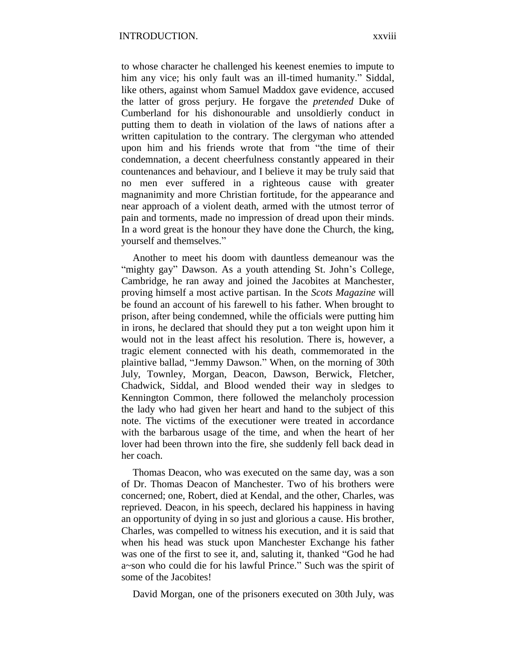to whose character he challenged his keenest enemies to impute to him any vice; his only fault was an ill-timed humanity." Siddal, like others, against whom Samuel Maddox gave evidence, accused the latter of gross perjury. He forgave the *pretended* Duke of Cumberland for his dishonourable and unsoldierly conduct in putting them to death in violation of the laws of nations after a written capitulation to the contrary. The clergyman who attended upon him and his friends wrote that from "the time of their condemnation, a decent cheerfulness constantly appeared in their countenances and behaviour, and I believe it may be truly said that no men ever suffered in a righteous cause with greater magnanimity and more Christian fortitude, for the appearance and near approach of a violent death, armed with the utmost terror of pain and torments, made no impression of dread upon their minds. In a word great is the honour they have done the Church, the king, yourself and themselves."

Another to meet his doom with dauntless demeanour was the "mighty gay" Dawson. As a youth attending St. John's College, Cambridge, he ran away and joined the Jacobites at Manchester, proving himself a most active partisan. In the *Scots Magazine* will be found an account of his farewell to his father. When brought to prison, after being condemned, while the officials were putting him in irons, he declared that should they put a ton weight upon him it would not in the least affect his resolution. There is, however, a tragic element connected with his death, commemorated in the plaintive ballad, "Jemmy Dawson." When, on the morning of 30th July, Townley, Morgan, Deacon, Dawson, Berwick, Fletcher, Chadwick, Siddal, and Blood wended their way in sledges to Kennington Common, there followed the melancholy procession the lady who had given her heart and hand to the subject of this note. The victims of the executioner were treated in accordance with the barbarous usage of the time, and when the heart of her lover had been thrown into the fire, she suddenly fell back dead in her coach.

Thomas Deacon, who was executed on the same day, was a son of Dr. Thomas Deacon of Manchester. Two of his brothers were concerned; one, Robert, died at Kendal, and the other, Charles, was reprieved. Deacon, in his speech, declared his happiness in having an opportunity of dying in so just and glorious a cause. His brother, Charles, was compelled to witness his execution, and it is said that when his head was stuck upon Manchester Exchange his father was one of the first to see it, and, saluting it, thanked "God he had a~son who could die for his lawful Prince." Such was the spirit of some of the Jacobites!

David Morgan, one of the prisoners executed on 30th July, was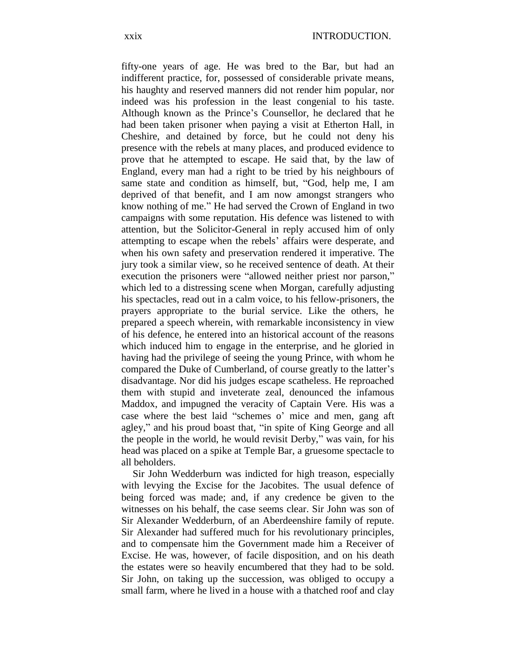fifty-one years of age. He was bred to the Bar, but had an indifferent practice, for, possessed of considerable private means, his haughty and reserved manners did not render him popular, nor indeed was his profession in the least congenial to his taste. Although known as the Prince's Counsellor, he declared that he had been taken prisoner when paying a visit at Etherton Hall, in Cheshire, and detained by force, but he could not deny his presence with the rebels at many places, and produced evidence to prove that he attempted to escape. He said that, by the law of England, every man had a right to be tried by his neighbours of same state and condition as himself, but, "God, help me, I am deprived of that benefit, and I am now amongst strangers who know nothing of me." He had served the Crown of England in two campaigns with some reputation. His defence was listened to with attention, but the Solicitor-General in reply accused him of only attempting to escape when the rebels' affairs were desperate, and when his own safety and preservation rendered it imperative. The jury took a similar view, so he received sentence of death. At their execution the prisoners were "allowed neither priest nor parson," which led to a distressing scene when Morgan, carefully adjusting his spectacles, read out in a calm voice, to his fellow-prisoners, the prayers appropriate to the burial service. Like the others, he prepared a speech wherein, with remarkable inconsistency in view of his defence, he entered into an historical account of the reasons which induced him to engage in the enterprise, and he gloried in having had the privilege of seeing the young Prince, with whom he compared the Duke of Cumberland, of course greatly to the latter's disadvantage. Nor did his judges escape scatheless. He reproached them with stupid and inveterate zeal, denounced the infamous Maddox, and impugned the veracity of Captain Vere. His was a case where the best laid "schemes o' mice and men, gang aft agley," and his proud boast that, "in spite of King George and all the people in the world, he would revisit Derby," was vain, for his head was placed on a spike at Temple Bar, a gruesome spectacle to all beholders.

Sir John Wedderburn was indicted for high treason, especially with levying the Excise for the Jacobites. The usual defence of being forced was made; and, if any credence be given to the witnesses on his behalf, the case seems clear. Sir John was son of Sir Alexander Wedderburn, of an Aberdeenshire family of repute. Sir Alexander had suffered much for his revolutionary principles, and to compensate him the Government made him a Receiver of Excise. He was, however, of facile disposition, and on his death the estates were so heavily encumbered that they had to be sold. Sir John, on taking up the succession, was obliged to occupy a small farm, where he lived in a house with a thatched roof and clay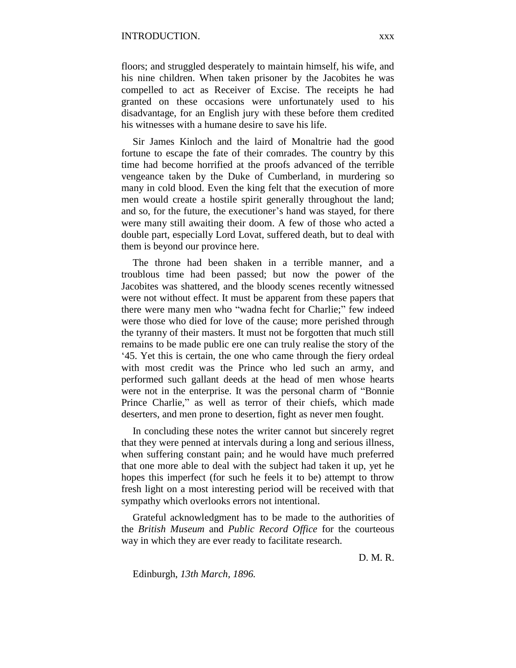floors; and struggled desperately to maintain himself, his wife, and his nine children. When taken prisoner by the Jacobites he was compelled to act as Receiver of Excise. The receipts he had granted on these occasions were unfortunately used to his disadvantage, for an English jury with these before them credited his witnesses with a humane desire to save his life.

Sir James Kinloch and the laird of Monaltrie had the good fortune to escape the fate of their comrades. The country by this time had become horrified at the proofs advanced of the terrible vengeance taken by the Duke of Cumberland, in murdering so many in cold blood. Even the king felt that the execution of more men would create a hostile spirit generally throughout the land; and so, for the future, the executioner's hand was stayed, for there were many still awaiting their doom. A few of those who acted a double part, especially Lord Lovat, suffered death, but to deal with them is beyond our province here.

The throne had been shaken in a terrible manner, and a troublous time had been passed; but now the power of the Jacobites was shattered, and the bloody scenes recently witnessed were not without effect. It must be apparent from these papers that there were many men who "wadna fecht for Charlie;" few indeed were those who died for love of the cause; more perished through the tyranny of their masters. It must not be forgotten that much still remains to be made public ere one can truly realise the story of the '45. Yet this is certain, the one who came through the fiery ordeal with most credit was the Prince who led such an army, and performed such gallant deeds at the head of men whose hearts were not in the enterprise. It was the personal charm of "Bonnie Prince Charlie," as well as terror of their chiefs, which made deserters, and men prone to desertion, fight as never men fought.

In concluding these notes the writer cannot but sincerely regret that they were penned at intervals during a long and serious illness, when suffering constant pain; and he would have much preferred that one more able to deal with the subject had taken it up, yet he hopes this imperfect (for such he feels it to be) attempt to throw fresh light on a most interesting period will be received with that sympathy which overlooks errors not intentional.

Grateful acknowledgment has to be made to the authorities of the *British Museum* and *Public Record Office* for the courteous way in which they are ever ready to facilitate research.

D. M. R.

Edinburgh, *13th March, 1896.*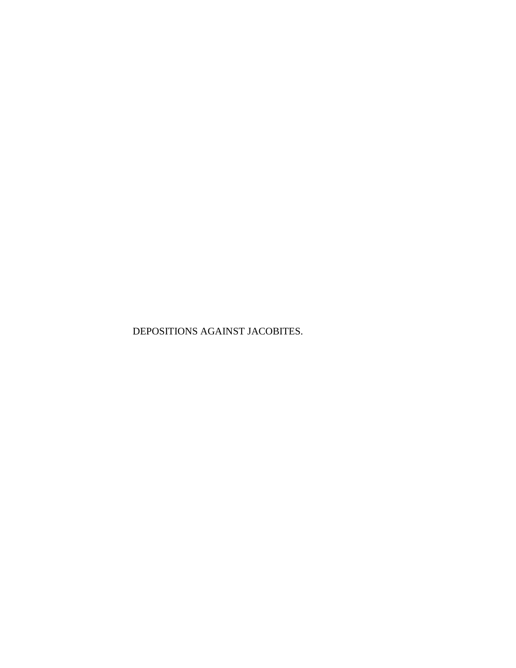DEPOSITIONS AGAINST JACOBITES.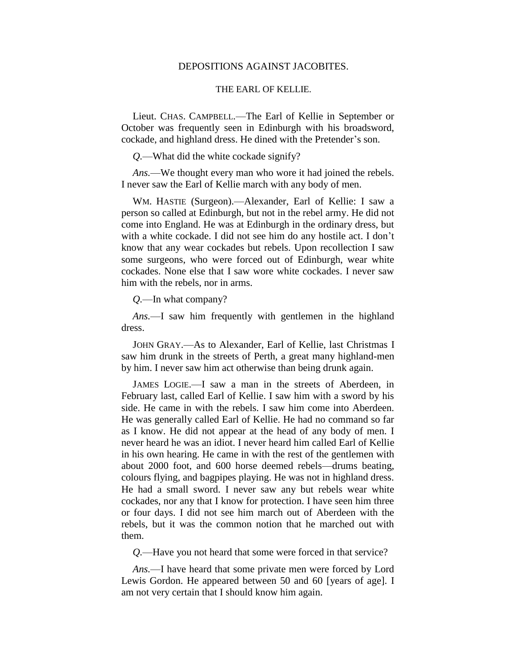## DEPOSITIONS AGAINST JACOBITES.

#### THE EARL OF KELLIE.

Lieut. CHAS. CAMPBELL.—The Earl of Kellie in September or October was frequently seen in Edinburgh with his broadsword, cockade, and highland dress. He dined with the Pretender's son.

*Q.*—What did the white cockade signify?

*Ans.*—We thought every man who wore it had joined the rebels. I never saw the Earl of Kellie march with any body of men.

WM. HASTIE (Surgeon).—Alexander, Earl of Kellie: I saw a person so called at Edinburgh, but not in the rebel army. He did not come into England. He was at Edinburgh in the ordinary dress, but with a white cockade. I did not see him do any hostile act. I don't know that any wear cockades but rebels. Upon recollection I saw some surgeons, who were forced out of Edinburgh, wear white cockades. None else that I saw wore white cockades. I never saw him with the rebels, nor in arms.

*Q.*—In what company?

*Ans.*—I saw him frequently with gentlemen in the highland dress.

JOHN GRAY.—As to Alexander, Earl of Kellie, last Christmas I saw him drunk in the streets of Perth, a great many highland-men by him. I never saw him act otherwise than being drunk again.

JAMES LOGIE.—I saw a man in the streets of Aberdeen, in February last, called Earl of Kellie. I saw him with a sword by his side. He came in with the rebels. I saw him come into Aberdeen. He was generally called Earl of Kellie. He had no command so far as I know. He did not appear at the head of any body of men. I never heard he was an idiot. I never heard him called Earl of Kellie in his own hearing. He came in with the rest of the gentlemen with about 2000 foot, and 600 horse deemed rebels—drums beating, colours flying, and bagpipes playing. He was not in highland dress. He had a small sword. I never saw any but rebels wear white cockades, nor any that I know for protection. I have seen him three or four days. I did not see him march out of Aberdeen with the rebels, but it was the common notion that he marched out with them.

*Q.*—Have you not heard that some were forced in that service?

*Ans.*—I have heard that some private men were forced by Lord Lewis Gordon. He appeared between 50 and 60 [years of age]. I am not very certain that I should know him again.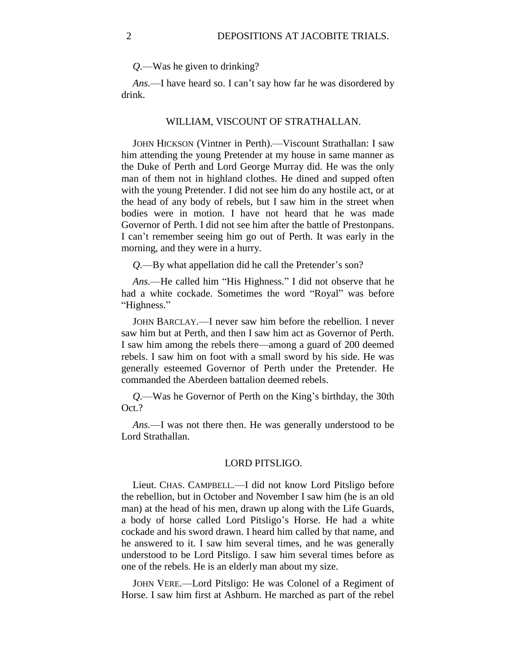*Q.*—Was he given to drinking?

*Ans.*—I have heard so. I can't say how far he was disordered by drink.

## WILLIAM, VISCOUNT OF STRATHALLAN.

JOHN HICKSON (Vintner in Perth).—Viscount Strathallan: I saw him attending the young Pretender at my house in same manner as the Duke of Perth and Lord George Murray did. He was the only man of them not in highland clothes. He dined and supped often with the young Pretender. I did not see him do any hostile act, or at the head of any body of rebels, but I saw him in the street when bodies were in motion. I have not heard that he was made Governor of Perth. I did not see him after the battle of Prestonpans. I can't remember seeing him go out of Perth. It was early in the morning, and they were in a hurry.

*Q.*—By what appellation did he call the Pretender's son?

*Ans.*—He called him "His Highness." I did not observe that he had a white cockade. Sometimes the word "Royal" was before "Highness."

JOHN BARCLAY.—I never saw him before the rebellion. I never saw him but at Perth, and then I saw him act as Governor of Perth. I saw him among the rebels there—among a guard of 200 deemed rebels. I saw him on foot with a small sword by his side. He was generally esteemed Governor of Perth under the Pretender. He commanded the Aberdeen battalion deemed rebels.

*Q.*—Was he Governor of Perth on the King's birthday, the 30th Oct.?

*Ans.*—I was not there then. He was generally understood to be Lord Strathallan.

#### LORD PITSLIGO.

Lieut. CHAS. CAMPBELL.—I did not know Lord Pitsligo before the rebellion, but in October and November I saw him (he is an old man) at the head of his men, drawn up along with the Life Guards, a body of horse called Lord Pitsligo's Horse. He had a white cockade and his sword drawn. I heard him called by that name, and he answered to it. I saw him several times, and he was generally understood to be Lord Pitsligo. I saw him several times before as one of the rebels. He is an elderly man about my size.

JOHN VERE.—Lord Pitsligo: He was Colonel of a Regiment of Horse. I saw him first at Ashburn. He marched as part of the rebel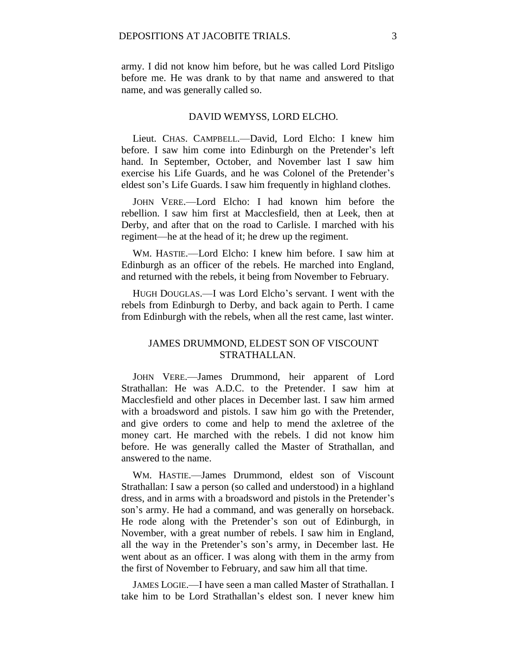army. I did not know him before, but he was called Lord Pitsligo before me. He was drank to by that name and answered to that name, and was generally called so.

#### DAVID WEMYSS, LORD ELCHO.

Lieut. CHAS. CAMPBELL.—David, Lord Elcho: I knew him before. I saw him come into Edinburgh on the Pretender's left hand. In September, October, and November last I saw him exercise his Life Guards, and he was Colonel of the Pretender's eldest son's Life Guards. I saw him frequently in highland clothes.

JOHN VERE.—Lord Elcho: I had known him before the rebellion. I saw him first at Macclesfield, then at Leek, then at Derby, and after that on the road to Carlisle. I marched with his regiment—he at the head of it; he drew up the regiment.

WM. HASTIE.—Lord Elcho: I knew him before. I saw him at Edinburgh as an officer of the rebels. He marched into England, and returned with the rebels, it being from November to February.

HUGH DOUGLAS.—I was Lord Elcho's servant. I went with the rebels from Edinburgh to Derby, and back again to Perth. I came from Edinburgh with the rebels, when all the rest came, last winter.

# JAMES DRUMMOND, ELDEST SON OF VISCOUNT STRATHALLAN.

JOHN VERE.—James Drummond, heir apparent of Lord Strathallan: He was A.D.C. to the Pretender. I saw him at Macclesfield and other places in December last. I saw him armed with a broadsword and pistols. I saw him go with the Pretender, and give orders to come and help to mend the axletree of the money cart. He marched with the rebels. I did not know him before. He was generally called the Master of Strathallan, and answered to the name.

WM. HASTIE.—James Drummond, eldest son of Viscount Strathallan: I saw a person (so called and understood) in a highland dress, and in arms with a broadsword and pistols in the Pretender's son's army. He had a command, and was generally on horseback. He rode along with the Pretender's son out of Edinburgh, in November, with a great number of rebels. I saw him in England, all the way in the Pretender's son's army, in December last. He went about as an officer. I was along with them in the army from the first of November to February, and saw him all that time.

JAMES LOGIE.—I have seen a man called Master of Strathallan. I take him to be Lord Strathallan's eldest son. I never knew him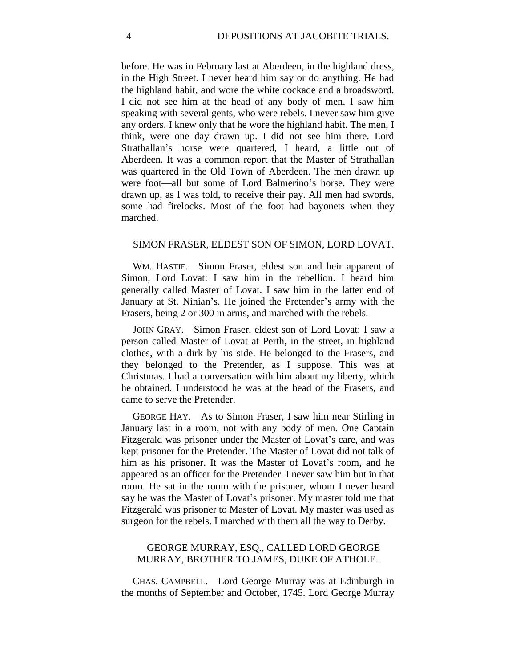before. He was in February last at Aberdeen, in the highland dress, in the High Street. I never heard him say or do anything. He had the highland habit, and wore the white cockade and a broadsword. I did not see him at the head of any body of men. I saw him speaking with several gents, who were rebels. I never saw him give any orders. I knew only that he wore the highland habit. The men, I think, were one day drawn up. I did not see him there. Lord Strathallan's horse were quartered, I heard, a little out of Aberdeen. It was a common report that the Master of Strathallan was quartered in the Old Town of Aberdeen. The men drawn up were foot—all but some of Lord Balmerino's horse. They were drawn up, as I was told, to receive their pay. All men had swords, some had firelocks. Most of the foot had bayonets when they marched.

#### SIMON FRASER, ELDEST SON OF SIMON, LORD LOVAT.

WM. HASTIE.—Simon Fraser, eldest son and heir apparent of Simon, Lord Lovat: I saw him in the rebellion. I heard him generally called Master of Lovat. I saw him in the latter end of January at St. Ninian's. He joined the Pretender's army with the Frasers, being 2 or 300 in arms, and marched with the rebels.

JOHN GRAY.—Simon Fraser, eldest son of Lord Lovat: I saw a person called Master of Lovat at Perth, in the street, in highland clothes, with a dirk by his side. He belonged to the Frasers, and they belonged to the Pretender, as I suppose. This was at Christmas. I had a conversation with him about my liberty, which he obtained. I understood he was at the head of the Frasers, and came to serve the Pretender.

GEORGE HAY.—As to Simon Fraser, I saw him near Stirling in January last in a room, not with any body of men. One Captain Fitzgerald was prisoner under the Master of Lovat's care, and was kept prisoner for the Pretender. The Master of Lovat did not talk of him as his prisoner. It was the Master of Lovat's room, and he appeared as an officer for the Pretender. I never saw him but in that room. He sat in the room with the prisoner, whom I never heard say he was the Master of Lovat's prisoner. My master told me that Fitzgerald was prisoner to Master of Lovat. My master was used as surgeon for the rebels. I marched with them all the way to Derby.

# GEORGE MURRAY, ESQ., CALLED LORD GEORGE MURRAY, BROTHER TO JAMES, DUKE OF ATHOLE.

CHAS. CAMPBELL.—Lord George Murray was at Edinburgh in the months of September and October, 1745. Lord George Murray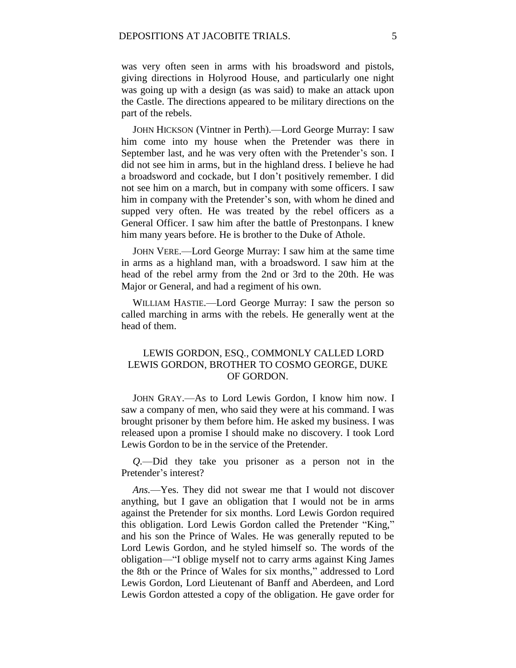was very often seen in arms with his broadsword and pistols, giving directions in Holyrood House, and particularly one night was going up with a design (as was said) to make an attack upon the Castle. The directions appeared to be military directions on the part of the rebels.

JOHN HICKSON (Vintner in Perth).—Lord George Murray: I saw him come into my house when the Pretender was there in September last, and he was very often with the Pretender's son. I did not see him in arms, but in the highland dress. I believe he had a broadsword and cockade, but I don't positively remember. I did not see him on a march, but in company with some officers. I saw him in company with the Pretender's son, with whom he dined and supped very often. He was treated by the rebel officers as a General Officer. I saw him after the battle of Prestonpans. I knew him many years before. He is brother to the Duke of Athole.

JOHN VERE.—Lord George Murray: I saw him at the same time in arms as a highland man, with a broadsword. I saw him at the head of the rebel army from the 2nd or 3rd to the 20th. He was Major or General, and had a regiment of his own.

WILLIAM HASTIE.—Lord George Murray: I saw the person so called marching in arms with the rebels. He generally went at the head of them.

# LEWIS GORDON, ESQ., COMMONLY CALLED LORD LEWIS GORDON, BROTHER TO COSMO GEORGE, DUKE OF GORDON.

JOHN GRAY.—As to Lord Lewis Gordon, I know him now. I saw a company of men, who said they were at his command. I was brought prisoner by them before him. He asked my business. I was released upon a promise I should make no discovery. I took Lord Lewis Gordon to be in the service of the Pretender.

*Q.*—Did they take you prisoner as a person not in the Pretender's interest?

*Ans.*—Yes. They did not swear me that I would not discover anything, but I gave an obligation that I would not be in arms against the Pretender for six months. Lord Lewis Gordon required this obligation. Lord Lewis Gordon called the Pretender "King," and his son the Prince of Wales. He was generally reputed to be Lord Lewis Gordon, and he styled himself so. The words of the obligation—"I oblige myself not to carry arms against King James the 8th or the Prince of Wales for six months," addressed to Lord Lewis Gordon, Lord Lieutenant of Banff and Aberdeen, and Lord Lewis Gordon attested a copy of the obligation. He gave order for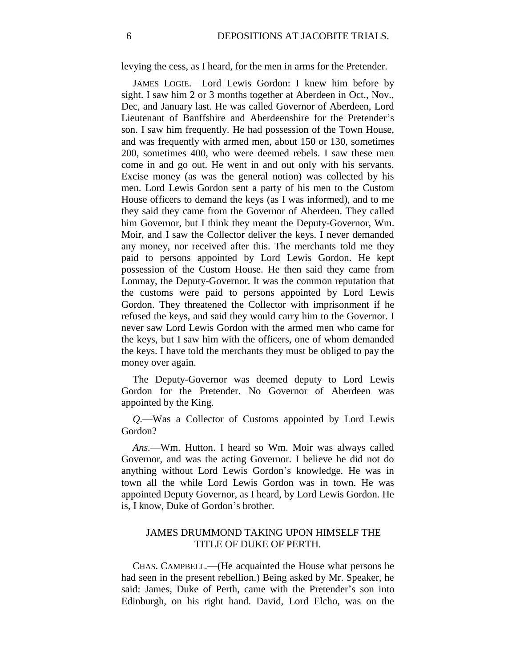levying the cess, as I heard, for the men in arms for the Pretender.

JAMES LOGIE.—Lord Lewis Gordon: I knew him before by sight. I saw him 2 or 3 months together at Aberdeen in Oct., Nov., Dec, and January last. He was called Governor of Aberdeen, Lord Lieutenant of Banffshire and Aberdeenshire for the Pretender's son. I saw him frequently. He had possession of the Town House, and was frequently with armed men, about 150 or 130, sometimes 200, sometimes 400, who were deemed rebels. I saw these men come in and go out. He went in and out only with his servants. Excise money (as was the general notion) was collected by his men. Lord Lewis Gordon sent a party of his men to the Custom House officers to demand the keys (as I was informed), and to me they said they came from the Governor of Aberdeen. They called him Governor, but I think they meant the Deputy-Governor, Wm. Moir, and I saw the Collector deliver the keys. I never demanded any money, nor received after this. The merchants told me they paid to persons appointed by Lord Lewis Gordon. He kept possession of the Custom House. He then said they came from Lonmay, the Deputy-Governor. It was the common reputation that the customs were paid to persons appointed by Lord Lewis Gordon. They threatened the Collector with imprisonment if he refused the keys, and said they would carry him to the Governor. I never saw Lord Lewis Gordon with the armed men who came for the keys, but I saw him with the officers, one of whom demanded the keys. I have told the merchants they must be obliged to pay the money over again.

The Deputy-Governor was deemed deputy to Lord Lewis Gordon for the Pretender. No Governor of Aberdeen was appointed by the King.

*Q.*—Was a Collector of Customs appointed by Lord Lewis Gordon?

*Ans.*—Wm. Hutton. I heard so Wm. Moir was always called Governor, and was the acting Governor. I believe he did not do anything without Lord Lewis Gordon's knowledge. He was in town all the while Lord Lewis Gordon was in town. He was appointed Deputy Governor, as I heard, by Lord Lewis Gordon. He is, I know, Duke of Gordon's brother.

## JAMES DRUMMOND TAKING UPON HIMSELF THE TITLE OF DUKE OF PERTH.

CHAS. CAMPBELL.—(He acquainted the House what persons he had seen in the present rebellion.) Being asked by Mr. Speaker, he said: James, Duke of Perth, came with the Pretender's son into Edinburgh, on his right hand. David, Lord Elcho, was on the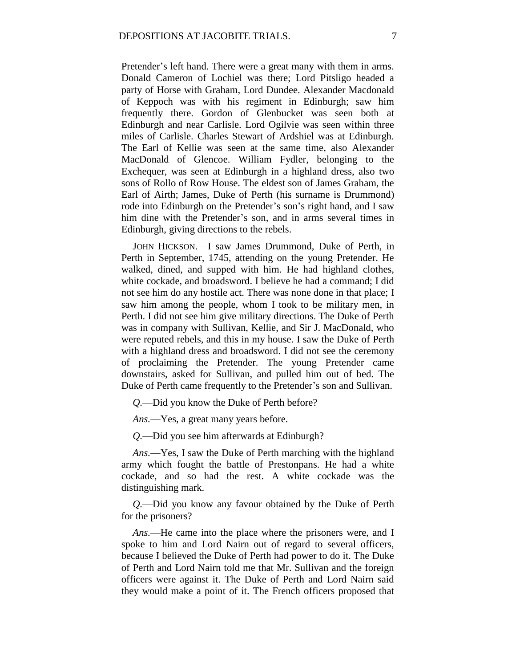Pretender's left hand. There were a great many with them in arms. Donald Cameron of Lochiel was there; Lord Pitsligo headed a party of Horse with Graham, Lord Dundee. Alexander Macdonald of Keppoch was with his regiment in Edinburgh; saw him frequently there. Gordon of Glenbucket was seen both at Edinburgh and near Carlisle. Lord Ogilvie was seen within three miles of Carlisle. Charles Stewart of Ardshiel was at Edinburgh. The Earl of Kellie was seen at the same time, also Alexander MacDonald of Glencoe. William Fydler, belonging to the Exchequer, was seen at Edinburgh in a highland dress, also two sons of Rollo of Row House. The eldest son of James Graham, the Earl of Airth; James, Duke of Perth (his surname is Drummond) rode into Edinburgh on the Pretender's son's right hand, and I saw him dine with the Pretender's son, and in arms several times in Edinburgh, giving directions to the rebels.

JOHN HICKSON.—I saw James Drummond, Duke of Perth, in Perth in September, 1745, attending on the young Pretender. He walked, dined, and supped with him. He had highland clothes, white cockade, and broadsword. I believe he had a command; I did not see him do any hostile act. There was none done in that place; I saw him among the people, whom I took to be military men, in Perth. I did not see him give military directions. The Duke of Perth was in company with Sullivan, Kellie, and Sir J. MacDonald, who were reputed rebels, and this in my house. I saw the Duke of Perth with a highland dress and broadsword. I did not see the ceremony of proclaiming the Pretender. The young Pretender came downstairs, asked for Sullivan, and pulled him out of bed. The Duke of Perth came frequently to the Pretender's son and Sullivan.

*Q.*—Did you know the Duke of Perth before?

*Ans.*—Yes, a great many years before.

*Q.*—Did you see him afterwards at Edinburgh?

*Ans.*—Yes, I saw the Duke of Perth marching with the highland army which fought the battle of Prestonpans. He had a white cockade, and so had the rest. A white cockade was the distinguishing mark.

*Q.*—Did you know any favour obtained by the Duke of Perth for the prisoners?

*Ans.*—He came into the place where the prisoners were, and I spoke to him and Lord Nairn out of regard to several officers, because I believed the Duke of Perth had power to do it. The Duke of Perth and Lord Nairn told me that Mr. Sullivan and the foreign officers were against it. The Duke of Perth and Lord Nairn said they would make a point of it. The French officers proposed that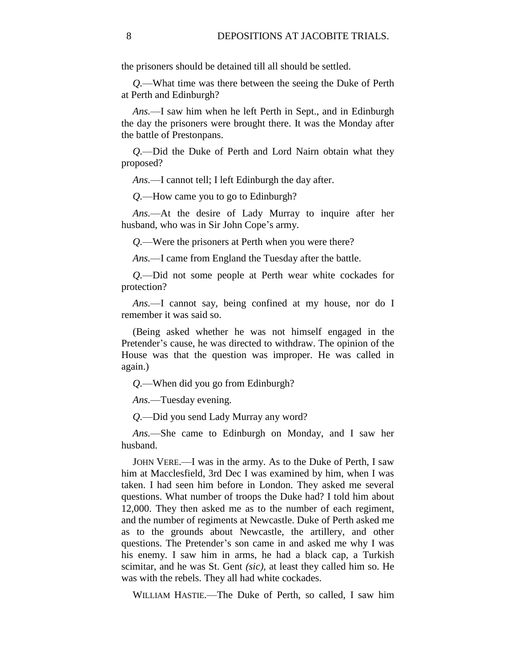the prisoners should be detained till all should be settled.

*Q.*—What time was there between the seeing the Duke of Perth at Perth and Edinburgh?

*Ans.*—I saw him when he left Perth in Sept., and in Edinburgh the day the prisoners were brought there. It was the Monday after the battle of Prestonpans.

*Q.*—Did the Duke of Perth and Lord Nairn obtain what they proposed?

*Ans.*—I cannot tell; I left Edinburgh the day after.

*Q.*—How came you to go to Edinburgh?

*Ans.*—At the desire of Lady Murray to inquire after her husband, who was in Sir John Cope's army.

*Q.*—Were the prisoners at Perth when you were there?

*Ans.*—I came from England the Tuesday after the battle.

*Q.*—Did not some people at Perth wear white cockades for protection?

*Ans.*—I cannot say, being confined at my house, nor do I remember it was said so.

(Being asked whether he was not himself engaged in the Pretender's cause, he was directed to withdraw. The opinion of the House was that the question was improper. He was called in again.)

*Q.*—When did you go from Edinburgh?

*Ans.*—Tuesday evening.

*Q.*—Did you send Lady Murray any word?

*Ans.*—She came to Edinburgh on Monday, and I saw her husband.

JOHN VERE.—I was in the army. As to the Duke of Perth, I saw him at Macclesfield, 3rd Dec I was examined by him, when I was taken. I had seen him before in London. They asked me several questions. What number of troops the Duke had? I told him about 12,000. They then asked me as to the number of each regiment, and the number of regiments at Newcastle. Duke of Perth asked me as to the grounds about Newcastle, the artillery, and other questions. The Pretender's son came in and asked me why I was his enemy. I saw him in arms, he had a black cap, a Turkish scimitar, and he was St. Gent *(sic),* at least they called him so. He was with the rebels. They all had white cockades.

WILLIAM HASTIE.—The Duke of Perth, so called, I saw him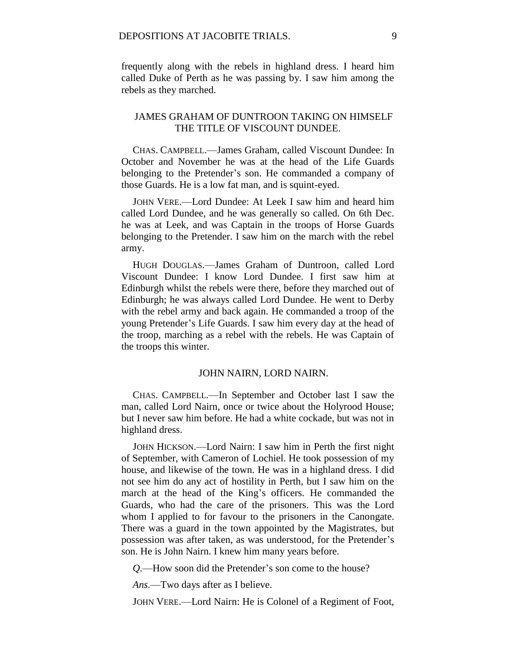frequently along with the rebels in highland dress. I heard him called Duke of Perth as he was passing by. I saw him among the rebels as they marched.

# JAMES GRAHAM OF DUNTROON TAKING ON HIMSELF THE TITLE OF VISCOUNT DUNDEE.

CHAS. CAMPBELL.—James Graham, called Viscount Dundee: In October and November he was at the head of the Life Guards belonging to the Pretender's son. He commanded a company of those Guards. He is a low fat man, and is squint-eyed.

JOHN VERE.—Lord Dundee: At Leek I saw him and heard him called Lord Dundee, and he was generally so called. On 6th Dec. he was at Leek, and was Captain in the troops of Horse Guards belonging to the Pretender. I saw him on the march with the rebel army.

HUGH DOUGLAS.—James Graham of Duntroon, called Lord Viscount Dundee: I know Lord Dundee. I first saw him at Edinburgh whilst the rebels were there, before they marched out of Edinburgh; he was always called Lord Dundee. He went to Derby with the rebel army and back again. He commanded a troop of the young Pretender's Life Guards. I saw him every day at the head of the troop, marching as a rebel with the rebels. He was Captain of the troops this winter.

#### JOHN NAIRN, LORD NAIRN.

CHAS. CAMPBELL.—In September and October last I saw the man, called Lord Nairn, once or twice about the Holyrood House; but I never saw him before. He had a white cockade, but was not in highland dress.

JOHN HICKSON.—Lord Nairn: I saw him in Perth the first night of September, with Cameron of Lochiel. He took possession of my house, and likewise of the town. He was in a highland dress. I did not see him do any act of hostility in Perth, but I saw him on the march at the head of the King's officers. He commanded the Guards, who had the care of the prisoners. This was the Lord whom I applied to for favour to the prisoners in the Canongate. There was a guard in the town appointed by the Magistrates, but possession was after taken, as was understood, for the Pretender's son. He is John Nairn. I knew him many years before.

*Q.*—How soon did the Pretender's son come to the house?

*Ans.*—Two days after as I believe.

JOHN VERE.—Lord Nairn: He is Colonel of a Regiment of Foot,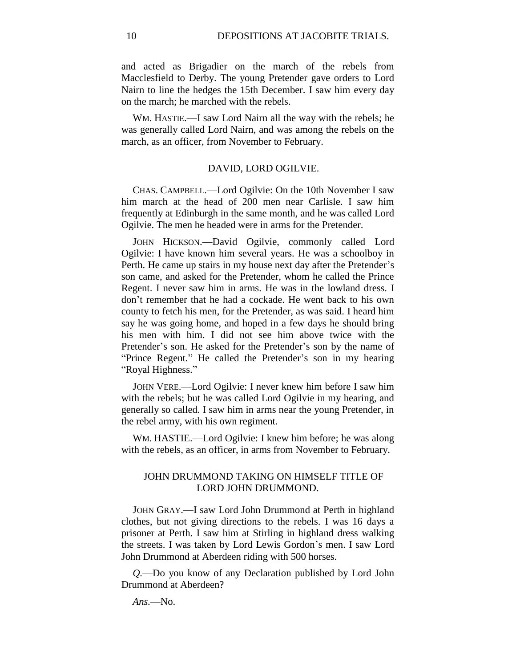and acted as Brigadier on the march of the rebels from Macclesfield to Derby. The young Pretender gave orders to Lord Nairn to line the hedges the 15th December. I saw him every day on the march; he marched with the rebels.

WM. HASTIE.—I saw Lord Nairn all the way with the rebels; he was generally called Lord Nairn, and was among the rebels on the march, as an officer, from November to February.

#### DAVID, LORD OGILVIE.

CHAS. CAMPBELL.—Lord Ogilvie: On the 10th November I saw him march at the head of 200 men near Carlisle. I saw him frequently at Edinburgh in the same month, and he was called Lord Ogilvie. The men he headed were in arms for the Pretender.

JOHN HICKSON.—David Ogilvie, commonly called Lord Ogilvie: I have known him several years. He was a schoolboy in Perth. He came up stairs in my house next day after the Pretender's son came, and asked for the Pretender, whom he called the Prince Regent. I never saw him in arms. He was in the lowland dress. I don't remember that he had a cockade. He went back to his own county to fetch his men, for the Pretender, as was said. I heard him say he was going home, and hoped in a few days he should bring his men with him. I did not see him above twice with the Pretender's son. He asked for the Pretender's son by the name of "Prince Regent." He called the Pretender's son in my hearing "Royal Highness."

JOHN VERE.—Lord Ogilvie: I never knew him before I saw him with the rebels; but he was called Lord Ogilvie in my hearing, and generally so called. I saw him in arms near the young Pretender, in the rebel army, with his own regiment.

WM. HASTIE.—Lord Ogilvie: I knew him before; he was along with the rebels, as an officer, in arms from November to February.

## JOHN DRUMMOND TAKING ON HIMSELF TITLE OF LORD JOHN DRUMMOND.

JOHN GRAY.—I saw Lord John Drummond at Perth in highland clothes, but not giving directions to the rebels. I was 16 days a prisoner at Perth. I saw him at Stirling in highland dress walking the streets. I was taken by Lord Lewis Gordon's men. I saw Lord John Drummond at Aberdeen riding with 500 horses.

*Q.*—Do you know of any Declaration published by Lord John Drummond at Aberdeen?

*Ans.*—No.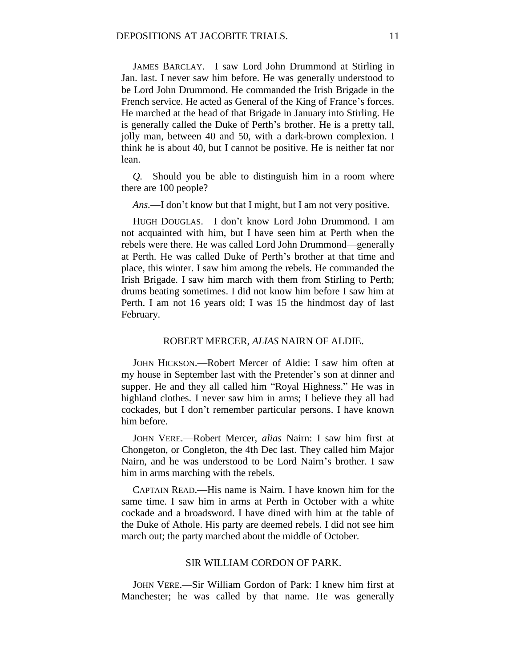JAMES BARCLAY.—I saw Lord John Drummond at Stirling in Jan. last. I never saw him before. He was generally understood to be Lord John Drummond. He commanded the Irish Brigade in the French service. He acted as General of the King of France's forces. He marched at the head of that Brigade in January into Stirling. He is generally called the Duke of Perth's brother. He is a pretty tall, jolly man, between 40 and 50, with a dark-brown complexion. I think he is about 40, but I cannot be positive. He is neither fat nor lean.

*Q.*—Should you be able to distinguish him in a room where there are 100 people?

*Ans.*—I don't know but that I might, but I am not very positive.

HUGH DOUGLAS.—I don't know Lord John Drummond. I am not acquainted with him, but I have seen him at Perth when the rebels were there. He was called Lord John Drummond—generally at Perth. He was called Duke of Perth's brother at that time and place, this winter. I saw him among the rebels. He commanded the Irish Brigade. I saw him march with them from Stirling to Perth; drums beating sometimes. I did not know him before I saw him at Perth. I am not 16 years old; I was 15 the hindmost day of last February.

### ROBERT MERCER, *ALIAS* NAIRN OF ALDIE.

JOHN HICKSON.—Robert Mercer of Aldie: I saw him often at my house in September last with the Pretender's son at dinner and supper. He and they all called him "Royal Highness." He was in highland clothes. I never saw him in arms; I believe they all had cockades, but I don't remember particular persons. I have known him before.

JOHN VERE.—Robert Mercer, *alias* Nairn: I saw him first at Chongeton, or Congleton, the 4th Dec last. They called him Major Nairn, and he was understood to be Lord Nairn's brother. I saw him in arms marching with the rebels.

CAPTAIN READ.—His name is Nairn. I have known him for the same time. I saw him in arms at Perth in October with a white cockade and a broadsword. I have dined with him at the table of the Duke of Athole. His party are deemed rebels. I did not see him march out; the party marched about the middle of October.

# SIR WILLIAM CORDON OF PARK.

JOHN VERE.—Sir William Gordon of Park: I knew him first at Manchester; he was called by that name. He was generally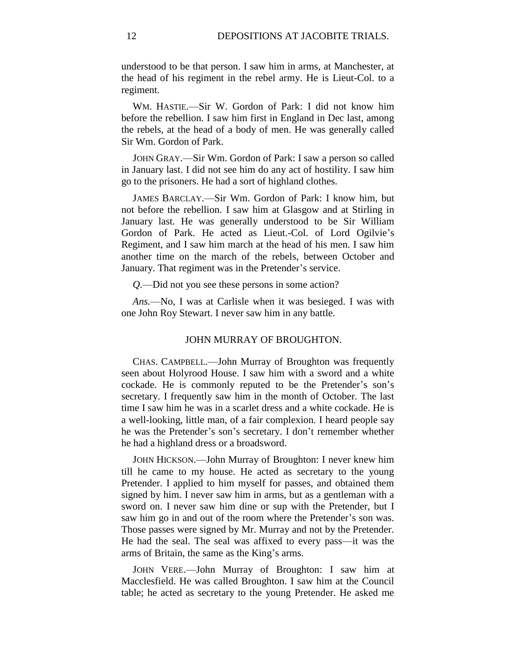understood to be that person. I saw him in arms, at Manchester, at the head of his regiment in the rebel army. He is Lieut-Col. to a regiment.

WM. HASTIE.—Sir W. Gordon of Park: I did not know him before the rebellion. I saw him first in England in Dec last, among the rebels, at the head of a body of men. He was generally called Sir Wm. Gordon of Park.

JOHN GRAY.—Sir Wm. Gordon of Park: I saw a person so called in January last. I did not see him do any act of hostility. I saw him go to the prisoners. He had a sort of highland clothes.

JAMES BARCLAY.—Sir Wm. Gordon of Park: I know him, but not before the rebellion. I saw him at Glasgow and at Stirling in January last. He was generally understood to be Sir William Gordon of Park. He acted as Lieut.-Col. of Lord Ogilvie's Regiment, and I saw him march at the head of his men. I saw him another time on the march of the rebels, between October and January. That regiment was in the Pretender's service.

*Q.*—Did not you see these persons in some action?

*Ans.*—No, I was at Carlisle when it was besieged. I was with one John Roy Stewart. I never saw him in any battle.

### JOHN MURRAY OF BROUGHTON.

CHAS. CAMPBELL.—John Murray of Broughton was frequently seen about Holyrood House. I saw him with a sword and a white cockade. He is commonly reputed to be the Pretender's son's secretary. I frequently saw him in the month of October. The last time I saw him he was in a scarlet dress and a white cockade. He is a well-looking, little man, of a fair complexion. I heard people say he was the Pretender's son's secretary. I don't remember whether he had a highland dress or a broadsword.

JOHN HICKSON.—John Murray of Broughton: I never knew him till he came to my house. He acted as secretary to the young Pretender. I applied to him myself for passes, and obtained them signed by him. I never saw him in arms, but as a gentleman with a sword on. I never saw him dine or sup with the Pretender, but I saw him go in and out of the room where the Pretender's son was. Those passes were signed by Mr. Murray and not by the Pretender. He had the seal. The seal was affixed to every pass—it was the arms of Britain, the same as the King's arms.

JOHN VERE.—John Murray of Broughton: I saw him at Macclesfield. He was called Broughton. I saw him at the Council table; he acted as secretary to the young Pretender. He asked me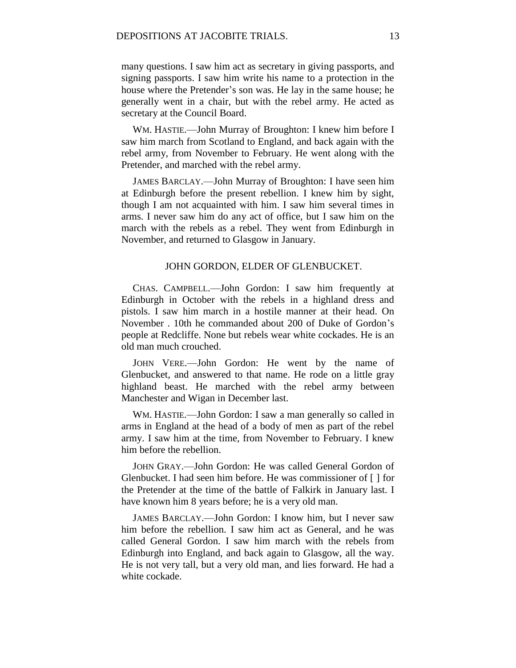many questions. I saw him act as secretary in giving passports, and signing passports. I saw him write his name to a protection in the house where the Pretender's son was. He lay in the same house; he generally went in a chair, but with the rebel army. He acted as secretary at the Council Board.

WM. HASTIE.—John Murray of Broughton: I knew him before I saw him march from Scotland to England, and back again with the rebel army, from November to February. He went along with the Pretender, and marched with the rebel army.

JAMES BARCLAY.—John Murray of Broughton: I have seen him at Edinburgh before the present rebellion. I knew him by sight, though I am not acquainted with him. I saw him several times in arms. I never saw him do any act of office, but I saw him on the march with the rebels as a rebel. They went from Edinburgh in November, and returned to Glasgow in January.

### JOHN GORDON, ELDER OF GLENBUCKET.

CHAS. CAMPBELL.—John Gordon: I saw him frequently at Edinburgh in October with the rebels in a highland dress and pistols. I saw him march in a hostile manner at their head. On November . 10th he commanded about 200 of Duke of Gordon's people at Redcliffe. None but rebels wear white cockades. He is an old man much crouched.

JOHN VERE.—John Gordon: He went by the name of Glenbucket, and answered to that name. He rode on a little gray highland beast. He marched with the rebel army between Manchester and Wigan in December last.

WM. HASTIE.—John Gordon: I saw a man generally so called in arms in England at the head of a body of men as part of the rebel army. I saw him at the time, from November to February. I knew him before the rebellion.

JOHN GRAY.—John Gordon: He was called General Gordon of Glenbucket. I had seen him before. He was commissioner of [ ] for the Pretender at the time of the battle of Falkirk in January last. I have known him 8 years before; he is a very old man.

JAMES BARCLAY.—John Gordon: I know him, but I never saw him before the rebellion. I saw him act as General, and he was called General Gordon. I saw him march with the rebels from Edinburgh into England, and back again to Glasgow, all the way. He is not very tall, but a very old man, and lies forward. He had a white cockade.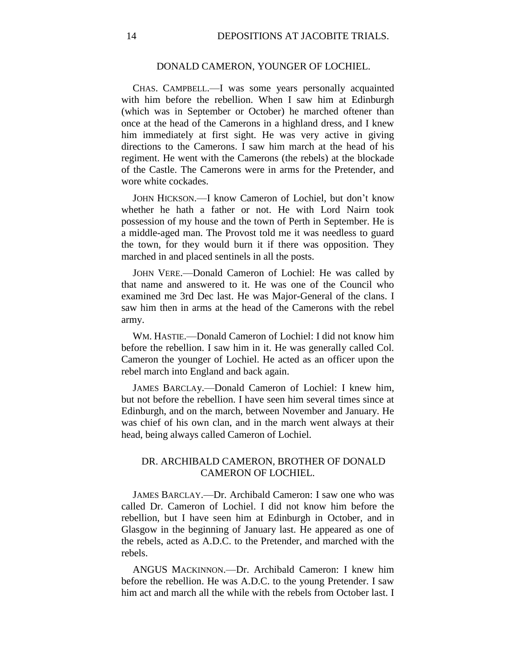# DONALD CAMERON, YOUNGER OF LOCHIEL.

CHAS. CAMPBELL.—I was some years personally acquainted with him before the rebellion. When I saw him at Edinburgh (which was in September or October) he marched oftener than once at the head of the Camerons in a highland dress, and I knew him immediately at first sight. He was very active in giving directions to the Camerons. I saw him march at the head of his regiment. He went with the Camerons (the rebels) at the blockade of the Castle. The Camerons were in arms for the Pretender, and wore white cockades.

JOHN HICKSON.—I know Cameron of Lochiel, but don't know whether he hath a father or not. He with Lord Nairn took possession of my house and the town of Perth in September. He is a middle-aged man. The Provost told me it was needless to guard the town, for they would burn it if there was opposition. They marched in and placed sentinels in all the posts.

JOHN VERE.—Donald Cameron of Lochiel: He was called by that name and answered to it. He was one of the Council who examined me 3rd Dec last. He was Major-General of the clans. I saw him then in arms at the head of the Camerons with the rebel army.

WM. HASTIE.—Donald Cameron of Lochiel: I did not know him before the rebellion. I saw him in it. He was generally called Col. Cameron the younger of Lochiel. He acted as an officer upon the rebel march into England and back again.

JAMES BARCLAy.—Donald Cameron of Lochiel: I knew him, but not before the rebellion. I have seen him several times since at Edinburgh, and on the march, between November and January. He was chief of his own clan, and in the march went always at their head, being always called Cameron of Lochiel.

# DR. ARCHIBALD CAMERON, BROTHER OF DONALD CAMERON OF LOCHIEL.

JAMES BARCLAY.—Dr. Archibald Cameron: I saw one who was called Dr. Cameron of Lochiel. I did not know him before the rebellion, but I have seen him at Edinburgh in October, and in Glasgow in the beginning of January last. He appeared as one of the rebels, acted as A.D.C. to the Pretender, and marched with the rebels.

ANGUS MACKINNON.—Dr. Archibald Cameron: I knew him before the rebellion. He was A.D.C. to the young Pretender. I saw him act and march all the while with the rebels from October last. I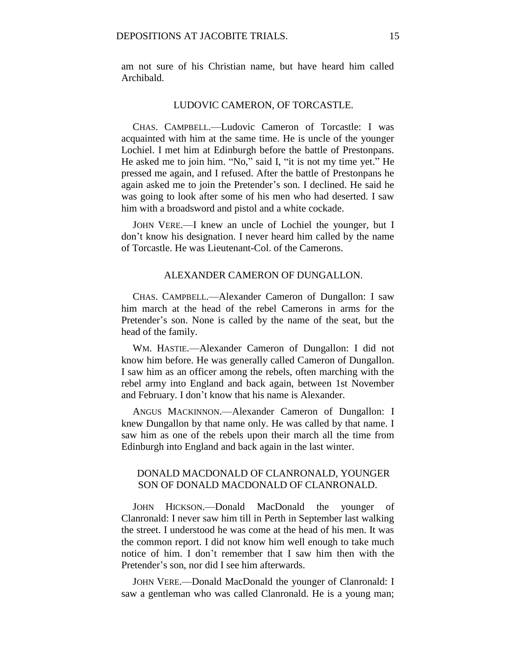am not sure of his Christian name, but have heard him called Archibald.

#### LUDOVIC CAMERON, OF TORCASTLE.

CHAS. CAMPBELL.—Ludovic Cameron of Torcastle: I was acquainted with him at the same time. He is uncle of the younger Lochiel. I met him at Edinburgh before the battle of Prestonpans. He asked me to join him. "No," said I, "it is not my time yet." He pressed me again, and I refused. After the battle of Prestonpans he again asked me to join the Pretender's son. I declined. He said he was going to look after some of his men who had deserted. I saw him with a broadsword and pistol and a white cockade.

JOHN VERE.—I knew an uncle of Lochiel the younger, but I don't know his designation. I never heard him called by the name of Torcastle. He was Lieutenant-Col. of the Camerons.

### ALEXANDER CAMERON OF DUNGALLON.

CHAS. CAMPBELL.—Alexander Cameron of Dungallon: I saw him march at the head of the rebel Camerons in arms for the Pretender's son. None is called by the name of the seat, but the head of the family.

WM. HASTIE.—Alexander Cameron of Dungallon: I did not know him before. He was generally called Cameron of Dungallon. I saw him as an officer among the rebels, often marching with the rebel army into England and back again, between 1st November and February. I don't know that his name is Alexander.

ANGUS MACKINNON.—Alexander Cameron of Dungallon: I knew Dungallon by that name only. He was called by that name. I saw him as one of the rebels upon their march all the time from Edinburgh into England and back again in the last winter.

# DONALD MACDONALD OF CLANRONALD, YOUNGER SON OF DONALD MACDONALD OF CLANRONALD.

JOHN HICKSON.—Donald MacDonald the younger of Clanronald: I never saw him till in Perth in September last walking the street. I understood he was come at the head of his men. It was the common report. I did not know him well enough to take much notice of him. I don't remember that I saw him then with the Pretender's son, nor did I see him afterwards.

JOHN VERE.—Donald MacDonald the younger of Clanronald: I saw a gentleman who was called Clanronald. He is a young man;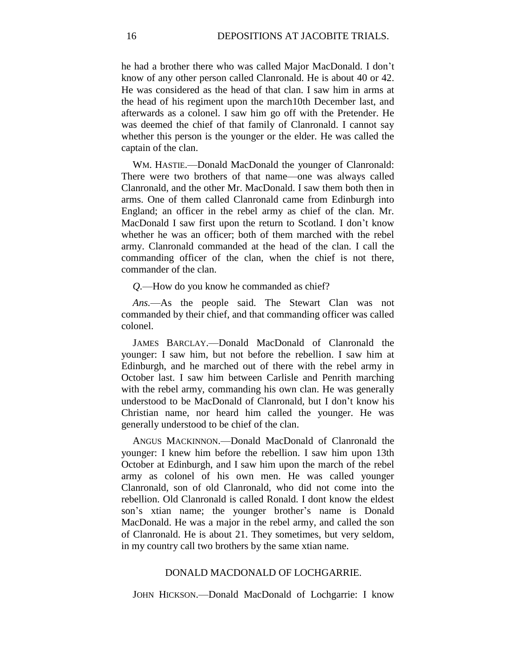he had a brother there who was called Major MacDonald. I don't know of any other person called Clanronald. He is about 40 or 42. He was considered as the head of that clan. I saw him in arms at the head of his regiment upon the march10th December last, and afterwards as a colonel. I saw him go off with the Pretender. He was deemed the chief of that family of Clanronald. I cannot say whether this person is the younger or the elder. He was called the captain of the clan.

WM. HASTIE.—Donald MacDonald the younger of Clanronald: There were two brothers of that name—one was always called Clanronald, and the other Mr. MacDonald. I saw them both then in arms. One of them called Clanronald came from Edinburgh into England; an officer in the rebel army as chief of the clan. Mr. MacDonald I saw first upon the return to Scotland. I don't know whether he was an officer; both of them marched with the rebel army. Clanronald commanded at the head of the clan. I call the commanding officer of the clan, when the chief is not there, commander of the clan.

*Q.*—How do you know he commanded as chief?

*Ans.*—As the people said. The Stewart Clan was not commanded by their chief, and that commanding officer was called colonel.

JAMES BARCLAY.—Donald MacDonald of Clanronald the younger: I saw him, but not before the rebellion. I saw him at Edinburgh, and he marched out of there with the rebel army in October last. I saw him between Carlisle and Penrith marching with the rebel army, commanding his own clan. He was generally understood to be MacDonald of Clanronald, but I don't know his Christian name, nor heard him called the younger. He was generally understood to be chief of the clan.

ANGUS MACKINNON.—Donald MacDonald of Clanronald the younger: I knew him before the rebellion. I saw him upon 13th October at Edinburgh, and I saw him upon the march of the rebel army as colonel of his own men. He was called younger Clanronald, son of old Clanronald, who did not come into the rebellion. Old Clanronald is called Ronald. I dont know the eldest son's xtian name; the younger brother's name is Donald MacDonald. He was a major in the rebel army, and called the son of Clanronald. He is about 21. They sometimes, but very seldom, in my country call two brothers by the same xtian name.

### DONALD MACDONALD OF LOCHGARRIE.

JOHN HICKSON.—Donald MacDonald of Lochgarrie: I know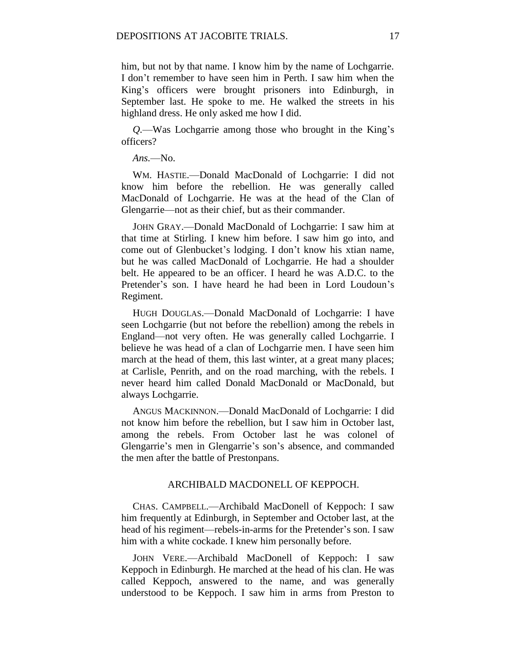him, but not by that name. I know him by the name of Lochgarrie. I don't remember to have seen him in Perth. I saw him when the King's officers were brought prisoners into Edinburgh, in September last. He spoke to me. He walked the streets in his highland dress. He only asked me how I did.

*Q.*—Was Lochgarrie among those who brought in the King's officers?

*Ans.*—No.

WM. HASTIE.—Donald MacDonald of Lochgarrie: I did not know him before the rebellion. He was generally called MacDonald of Lochgarrie. He was at the head of the Clan of Glengarrie—not as their chief, but as their commander.

JOHN GRAY.—Donald MacDonald of Lochgarrie: I saw him at that time at Stirling. I knew him before. I saw him go into, and come out of Glenbucket's lodging. I don't know his xtian name, but he was called MacDonald of Lochgarrie. He had a shoulder belt. He appeared to be an officer. I heard he was A.D.C. to the Pretender's son. I have heard he had been in Lord Loudoun's Regiment.

HUGH DOUGLAS.—Donald MacDonald of Lochgarrie: I have seen Lochgarrie (but not before the rebellion) among the rebels in England—not very often. He was generally called Lochgarrie. I believe he was head of a clan of Lochgarrie men. I have seen him march at the head of them, this last winter, at a great many places; at Carlisle, Penrith, and on the road marching, with the rebels. I never heard him called Donald MacDonald or MacDonald, but always Lochgarrie.

ANGUS MACKINNON.—Donald MacDonald of Lochgarrie: I did not know him before the rebellion, but I saw him in October last, among the rebels. From October last he was colonel of Glengarrie's men in Glengarrie's son's absence, and commanded the men after the battle of Prestonpans.

## ARCHIBALD MACDONELL OF KEPPOCH.

CHAS. CAMPBELL.—Archibald MacDonell of Keppoch: I saw him frequently at Edinburgh, in September and October last, at the head of his regiment—rebels-in-arms for the Pretender's son. I saw him with a white cockade. I knew him personally before.

JOHN VERE.—Archibald MacDonell of Keppoch: I saw Keppoch in Edinburgh. He marched at the head of his clan. He was called Keppoch, answered to the name, and was generally understood to be Keppoch. I saw him in arms from Preston to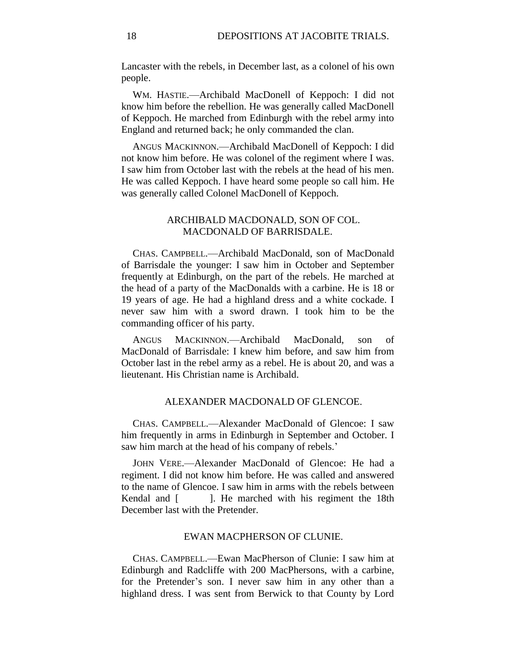Lancaster with the rebels, in December last, as a colonel of his own people.

WM. HASTIE.—Archibald MacDonell of Keppoch: I did not know him before the rebellion. He was generally called MacDonell of Keppoch. He marched from Edinburgh with the rebel army into England and returned back; he only commanded the clan.

ANGUS MACKINNON.—Archibald MacDonell of Keppoch: I did not know him before. He was colonel of the regiment where I was. I saw him from October last with the rebels at the head of his men. He was called Keppoch. I have heard some people so call him. He was generally called Colonel MacDonell of Keppoch.

# ARCHIBALD MACDONALD, SON OF COL. MACDONALD OF BARRISDALE.

CHAS. CAMPBELL.—Archibald MacDonald, son of MacDonald of Barrisdale the younger: I saw him in October and September frequently at Edinburgh, on the part of the rebels. He marched at the head of a party of the MacDonalds with a carbine. He is 18 or 19 years of age. He had a highland dress and a white cockade. I never saw him with a sword drawn. I took him to be the commanding officer of his party.

ANGUS MACKINNON.—Archibald MacDonald, son of MacDonald of Barrisdale: I knew him before, and saw him from October last in the rebel army as a rebel. He is about 20, and was a lieutenant. His Christian name is Archibald.

### ALEXANDER MACDONALD OF GLENCOE.

CHAS. CAMPBELL.—Alexander MacDonald of Glencoe: I saw him frequently in arms in Edinburgh in September and October. I saw him march at the head of his company of rebels.'

JOHN VERE.—Alexander MacDonald of Glencoe: He had a regiment. I did not know him before. He was called and answered to the name of Glencoe. I saw him in arms with the rebels between Kendal and [ ]. He marched with his regiment the 18th December last with the Pretender.

#### EWAN MACPHERSON OF CLUNIE.

CHAS. CAMPBELL.—Ewan MacPherson of Clunie: I saw him at Edinburgh and Radcliffe with 200 MacPhersons, with a carbine, for the Pretender's son. I never saw him in any other than a highland dress. I was sent from Berwick to that County by Lord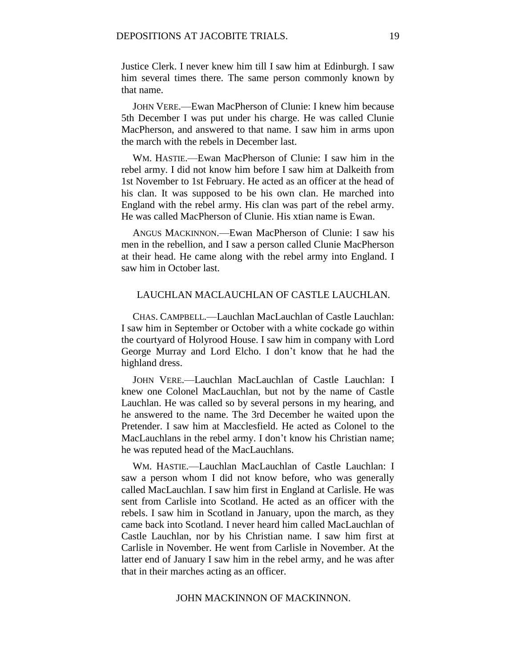Justice Clerk. I never knew him till I saw him at Edinburgh. I saw him several times there. The same person commonly known by that name.

JOHN VERE.—Ewan MacPherson of Clunie: I knew him because 5th December I was put under his charge. He was called Clunie MacPherson, and answered to that name. I saw him in arms upon the march with the rebels in December last.

WM. HASTIE.—Ewan MacPherson of Clunie: I saw him in the rebel army. I did not know him before I saw him at Dalkeith from 1st November to 1st February. He acted as an officer at the head of his clan. It was supposed to be his own clan. He marched into England with the rebel army. His clan was part of the rebel army. He was called MacPherson of Clunie. His xtian name is Ewan.

ANGUS MACKINNON.—Ewan MacPherson of Clunie: I saw his men in the rebellion, and I saw a person called Clunie MacPherson at their head. He came along with the rebel army into England. I saw him in October last.

## LAUCHLAN MACLAUCHLAN OF CASTLE LAUCHLAN.

CHAS. CAMPBELL.—Lauchlan MacLauchlan of Castle Lauchlan: I saw him in September or October with a white cockade go within the courtyard of Holyrood House. I saw him in company with Lord George Murray and Lord Elcho. I don't know that he had the highland dress.

JOHN VERE.—Lauchlan MacLauchlan of Castle Lauchlan: I knew one Colonel MacLauchlan, but not by the name of Castle Lauchlan. He was called so by several persons in my hearing, and he answered to the name. The 3rd December he waited upon the Pretender. I saw him at Macclesfield. He acted as Colonel to the MacLauchlans in the rebel army. I don't know his Christian name; he was reputed head of the MacLauchlans.

WM. HASTIE.—Lauchlan MacLauchlan of Castle Lauchlan: I saw a person whom I did not know before, who was generally called MacLauchlan. I saw him first in England at Carlisle. He was sent from Carlisle into Scotland. He acted as an officer with the rebels. I saw him in Scotland in January, upon the march, as they came back into Scotland. I never heard him called MacLauchlan of Castle Lauchlan, nor by his Christian name. I saw him first at Carlisle in November. He went from Carlisle in November. At the latter end of January I saw him in the rebel army, and he was after that in their marches acting as an officer.

# JOHN MACKINNON OF MACKINNON.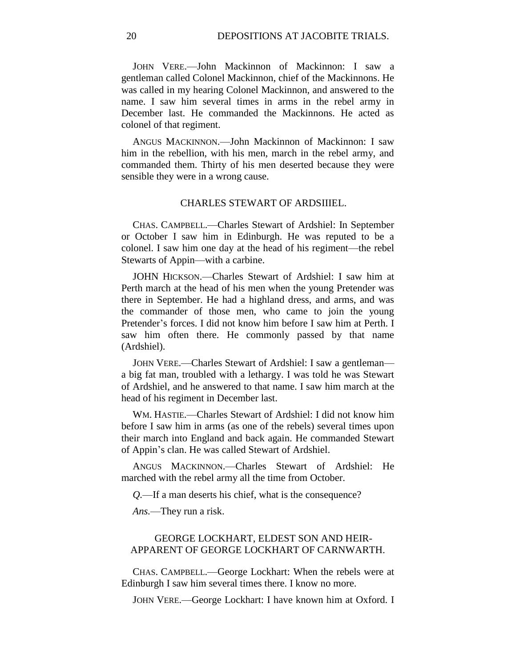JOHN VERE.—John Mackinnon of Mackinnon: I saw a gentleman called Colonel Mackinnon, chief of the Mackinnons. He was called in my hearing Colonel Mackinnon, and answered to the name. I saw him several times in arms in the rebel army in December last. He commanded the Mackinnons. He acted as colonel of that regiment.

ANGUS MACKINNON.—John Mackinnon of Mackinnon: I saw him in the rebellion, with his men, march in the rebel army, and commanded them. Thirty of his men deserted because they were sensible they were in a wrong cause.

#### CHARLES STEWART OF ARDSIIIEL.

CHAS. CAMPBELL.—Charles Stewart of Ardshiel: In September or October I saw him in Edinburgh. He was reputed to be a colonel. I saw him one day at the head of his regiment—the rebel Stewarts of Appin—with a carbine.

JOHN HICKSON.—Charles Stewart of Ardshiel: I saw him at Perth march at the head of his men when the young Pretender was there in September. He had a highland dress, and arms, and was the commander of those men, who came to join the young Pretender's forces. I did not know him before I saw him at Perth. I saw him often there. He commonly passed by that name (Ardshiel).

JOHN VERE.—Charles Stewart of Ardshiel: I saw a gentleman a big fat man, troubled with a lethargy. I was told he was Stewart of Ardshiel, and he answered to that name. I saw him march at the head of his regiment in December last.

WM. HASTIE.—Charles Stewart of Ardshiel: I did not know him before I saw him in arms (as one of the rebels) several times upon their march into England and back again. He commanded Stewart of Appin's clan. He was called Stewart of Ardshiel.

ANGUS MACKINNON.—Charles Stewart of Ardshiel: He marched with the rebel army all the time from October.

*Q.*—If a man deserts his chief, what is the consequence?

*Ans.*—They run a risk.

# GEORGE LOCKHART, ELDEST SON AND HEIR-APPARENT OF GEORGE LOCKHART OF CARNWARTH.

CHAS. CAMPBELL.—George Lockhart: When the rebels were at Edinburgh I saw him several times there. I know no more.

JOHN VERE.—George Lockhart: I have known him at Oxford. I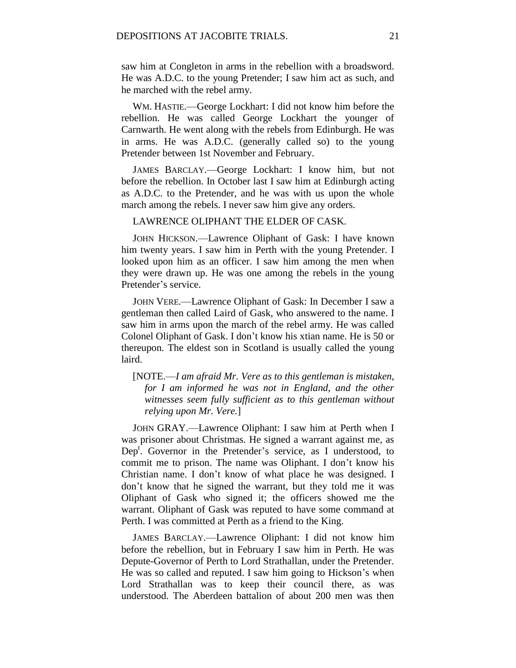saw him at Congleton in arms in the rebellion with a broadsword. He was A.D.C. to the young Pretender; I saw him act as such, and he marched with the rebel army.

WM. HASTIE.—George Lockhart: I did not know him before the rebellion. He was called George Lockhart the younger of Carnwarth. He went along with the rebels from Edinburgh. He was in arms. He was A.D.C. (generally called so) to the young Pretender between 1st November and February.

JAMES BARCLAY.—George Lockhart: I know him, but not before the rebellion. In October last I saw him at Edinburgh acting as A.D.C. to the Pretender, and he was with us upon the whole march among the rebels. I never saw him give any orders.

### LAWRENCE OLIPHANT THE ELDER OF CASK.

JOHN HICKSON.—Lawrence Oliphant of Gask: I have known him twenty years. I saw him in Perth with the young Pretender. I looked upon him as an officer. I saw him among the men when they were drawn up. He was one among the rebels in the young Pretender's service.

JOHN VERE.—Lawrence Oliphant of Gask: In December I saw a gentleman then called Laird of Gask, who answered to the name. I saw him in arms upon the march of the rebel army. He was called Colonel Oliphant of Gask. I don't know his xtian name. He is 50 or thereupon. The eldest son in Scotland is usually called the young laird.

# [NOTE.—*I am afraid Mr. Vere as to this gentleman is mistaken, for I am informed he was not in England, and the other witnesses seem fully sufficient as to this gentleman without relying upon Mr. Vere.*]

JOHN GRAY.—Lawrence Oliphant: I saw him at Perth when I was prisoner about Christmas. He signed a warrant against me, as Dep<sup>t</sup>. Governor in the Pretender's service, as I understood, to commit me to prison. The name was Oliphant. I don't know his Christian name. I don't know of what place he was designed. I don't know that he signed the warrant, but they told me it was Oliphant of Gask who signed it; the officers showed me the warrant. Oliphant of Gask was reputed to have some command at Perth. I was committed at Perth as a friend to the King.

JAMES BARCLAY.—Lawrence Oliphant: I did not know him before the rebellion, but in February I saw him in Perth. He was Depute-Governor of Perth to Lord Strathallan, under the Pretender. He was so called and reputed. I saw him going to Hickson's when Lord Strathallan was to keep their council there, as was understood. The Aberdeen battalion of about 200 men was then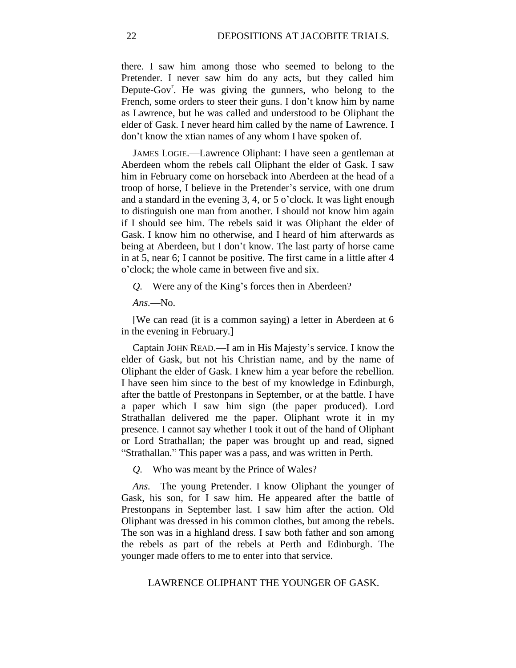there. I saw him among those who seemed to belong to the Pretender. I never saw him do any acts, but they called him Depute-Gov<sup>r</sup>. He was giving the gunners, who belong to the French, some orders to steer their guns. I don't know him by name as Lawrence, but he was called and understood to be Oliphant the elder of Gask. I never heard him called by the name of Lawrence. I don't know the xtian names of any whom I have spoken of.

JAMES LOGIE.—Lawrence Oliphant: I have seen a gentleman at Aberdeen whom the rebels call Oliphant the elder of Gask. I saw him in February come on horseback into Aberdeen at the head of a troop of horse, I believe in the Pretender's service, with one drum and a standard in the evening 3, 4, or 5 o'clock. It was light enough to distinguish one man from another. I should not know him again if I should see him. The rebels said it was Oliphant the elder of Gask. I know him no otherwise, and I heard of him afterwards as being at Aberdeen, but I don't know. The last party of horse came in at 5, near 6; I cannot be positive. The first came in a little after 4 o'clock; the whole came in between five and six.

*Q.*—Were any of the King's forces then in Aberdeen?

*Ans.*—No.

[We can read (it is a common saying) a letter in Aberdeen at 6 in the evening in February.]

Captain JOHN READ.—I am in His Majesty's service. I know the elder of Gask, but not his Christian name, and by the name of Oliphant the elder of Gask. I knew him a year before the rebellion. I have seen him since to the best of my knowledge in Edinburgh, after the battle of Prestonpans in September, or at the battle. I have a paper which I saw him sign (the paper produced). Lord Strathallan delivered me the paper. Oliphant wrote it in my presence. I cannot say whether I took it out of the hand of Oliphant or Lord Strathallan; the paper was brought up and read, signed "Strathallan." This paper was a pass, and was written in Perth.

*Q.*—Who was meant by the Prince of Wales?

*Ans.*—The young Pretender. I know Oliphant the younger of Gask, his son, for I saw him. He appeared after the battle of Prestonpans in September last. I saw him after the action. Old Oliphant was dressed in his common clothes, but among the rebels. The son was in a highland dress. I saw both father and son among the rebels as part of the rebels at Perth and Edinburgh. The younger made offers to me to enter into that service.

LAWRENCE OLIPHANT THE YOUNGER OF GASK.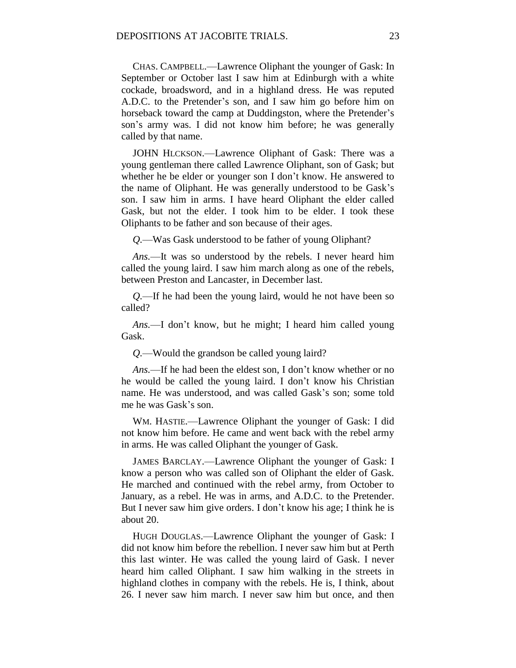CHAS. CAMPBELL.—Lawrence Oliphant the younger of Gask: In September or October last I saw him at Edinburgh with a white cockade, broadsword, and in a highland dress. He was reputed A.D.C. to the Pretender's son, and I saw him go before him on horseback toward the camp at Duddingston, where the Pretender's son's army was. I did not know him before; he was generally called by that name.

JOHN HLCKSON.—Lawrence Oliphant of Gask: There was a young gentleman there called Lawrence Oliphant, son of Gask; but whether he be elder or younger son I don't know. He answered to the name of Oliphant. He was generally understood to be Gask's son. I saw him in arms. I have heard Oliphant the elder called Gask, but not the elder. I took him to be elder. I took these Oliphants to be father and son because of their ages.

*Q.*—Was Gask understood to be father of young Oliphant?

*Ans.*—It was so understood by the rebels. I never heard him called the young laird. I saw him march along as one of the rebels, between Preston and Lancaster, in December last.

*Q.*—If he had been the young laird, would he not have been so called?

*Ans.*—I don't know, but he might; I heard him called young Gask.

*Q.*—Would the grandson be called young laird?

*Ans.*—If he had been the eldest son, I don't know whether or no he would be called the young laird. I don't know his Christian name. He was understood, and was called Gask's son; some told me he was Gask's son.

WM. HASTIE.—Lawrence Oliphant the younger of Gask: I did not know him before. He came and went back with the rebel army in arms. He was called Oliphant the younger of Gask.

JAMES BARCLAY.—Lawrence Oliphant the younger of Gask: I know a person who was called son of Oliphant the elder of Gask. He marched and continued with the rebel army, from October to January, as a rebel. He was in arms, and A.D.C. to the Pretender. But I never saw him give orders. I don't know his age; I think he is about 20.

HUGH DOUGLAS.—Lawrence Oliphant the younger of Gask: I did not know him before the rebellion. I never saw him but at Perth this last winter. He was called the young laird of Gask. I never heard him called Oliphant. I saw him walking in the streets in highland clothes in company with the rebels. He is, I think, about 26. I never saw him march. I never saw him but once, and then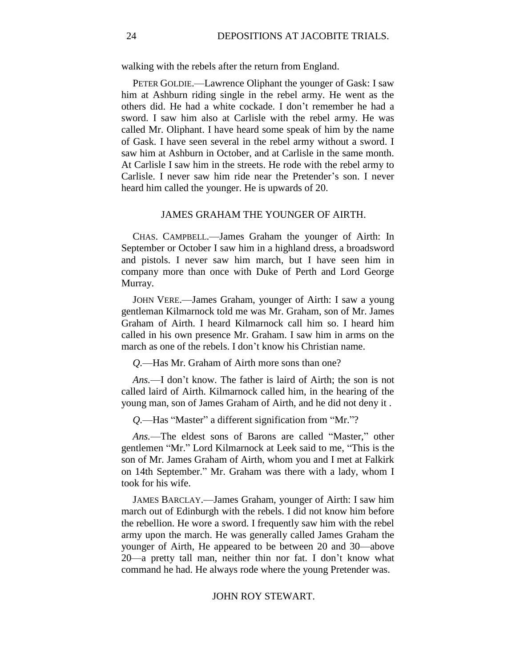walking with the rebels after the return from England.

PETER GOLDIE.—Lawrence Oliphant the younger of Gask: I saw him at Ashburn riding single in the rebel army. He went as the others did. He had a white cockade. I don't remember he had a sword. I saw him also at Carlisle with the rebel army. He was called Mr. Oliphant. I have heard some speak of him by the name of Gask. I have seen several in the rebel army without a sword. I saw him at Ashburn in October, and at Carlisle in the same month. At Carlisle I saw him in the streets. He rode with the rebel army to Carlisle. I never saw him ride near the Pretender's son. I never heard him called the younger. He is upwards of 20.

### JAMES GRAHAM THE YOUNGER OF AIRTH.

CHAS. CAMPBELL.—James Graham the younger of Airth: In September or October I saw him in a highland dress, a broadsword and pistols. I never saw him march, but I have seen him in company more than once with Duke of Perth and Lord George Murray.

JOHN VERE.—James Graham, younger of Airth: I saw a young gentleman Kilmarnock told me was Mr. Graham, son of Mr. James Graham of Airth. I heard Kilmarnock call him so. I heard him called in his own presence Mr. Graham. I saw him in arms on the march as one of the rebels. I don't know his Christian name.

*Q.*—Has Mr. Graham of Airth more sons than one?

*Ans.*—I don't know. The father is laird of Airth; the son is not called laird of Airth. Kilmarnock called him, in the hearing of the young man, son of James Graham of Airth, and he did not deny it .

*Q.*—Has "Master" a different signification from "Mr."?

*Ans.*—The eldest sons of Barons are called "Master," other gentlemen "Mr." Lord Kilmarnock at Leek said to me, "This is the son of Mr. James Graham of Airth, whom you and I met at Falkirk on 14th September." Mr. Graham was there with a lady, whom I took for his wife.

JAMES BARCLAY.—James Graham, younger of Airth: I saw him march out of Edinburgh with the rebels. I did not know him before the rebellion. He wore a sword. I frequently saw him with the rebel army upon the march. He was generally called James Graham the younger of Airth, He appeared to be between 20 and 30—above 20—a pretty tall man, neither thin nor fat. I don't know what command he had. He always rode where the young Pretender was.

## JOHN ROY STEWART.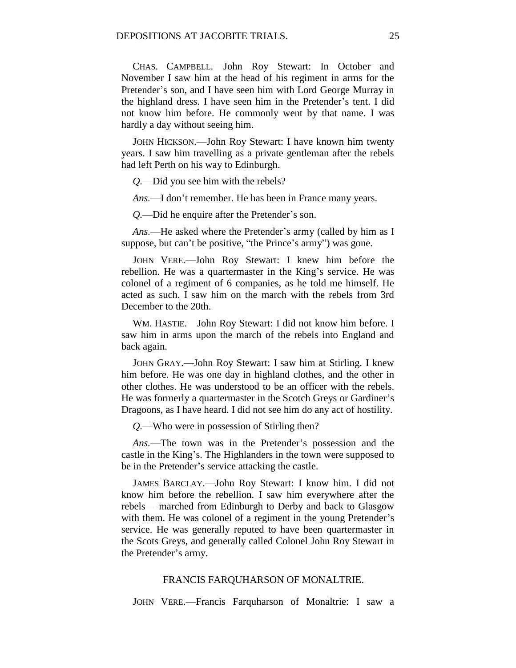CHAS. CAMPBELL.—John Roy Stewart: In October and November I saw him at the head of his regiment in arms for the Pretender's son, and I have seen him with Lord George Murray in the highland dress. I have seen him in the Pretender's tent. I did not know him before. He commonly went by that name. I was hardly a day without seeing him.

JOHN HICKSON.—John Roy Stewart: I have known him twenty years. I saw him travelling as a private gentleman after the rebels had left Perth on his way to Edinburgh.

*Q.*—Did you see him with the rebels?

*Ans.*—I don't remember. He has been in France many years.

*Q.*—Did he enquire after the Pretender's son.

*Ans.*—He asked where the Pretender's army (called by him as I suppose, but can't be positive, "the Prince's army") was gone.

JOHN VERE.—John Roy Stewart: I knew him before the rebellion. He was a quartermaster in the King's service. He was colonel of a regiment of 6 companies, as he told me himself. He acted as such. I saw him on the march with the rebels from 3rd December to the 20th.

WM. HASTIE.—John Roy Stewart: I did not know him before. I saw him in arms upon the march of the rebels into England and back again.

JOHN GRAY.—John Roy Stewart: I saw him at Stirling. I knew him before. He was one day in highland clothes, and the other in other clothes. He was understood to be an officer with the rebels. He was formerly a quartermaster in the Scotch Greys or Gardiner's Dragoons, as I have heard. I did not see him do any act of hostility.

*Q.*—Who were in possession of Stirling then?

*Ans.*—The town was in the Pretender's possession and the castle in the King's. The Highlanders in the town were supposed to be in the Pretender's service attacking the castle.

JAMES BARCLAY.—John Roy Stewart: I know him. I did not know him before the rebellion. I saw him everywhere after the rebels— marched from Edinburgh to Derby and back to Glasgow with them. He was colonel of a regiment in the young Pretender's service. He was generally reputed to have been quartermaster in the Scots Greys, and generally called Colonel John Roy Stewart in the Pretender's army.

### FRANCIS FARQUHARSON OF MONALTRIE.

JOHN VERE.—Francis Farquharson of Monaltrie: I saw a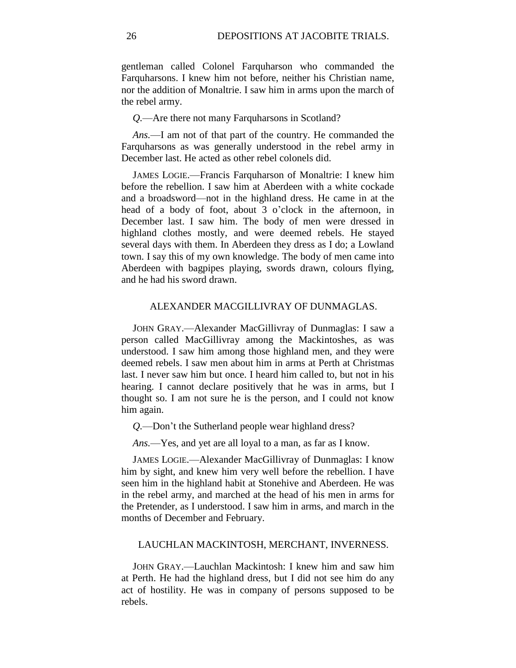gentleman called Colonel Farquharson who commanded the Farquharsons. I knew him not before, neither his Christian name, nor the addition of Monaltrie. I saw him in arms upon the march of the rebel army.

*Q.*—Are there not many Farquharsons in Scotland?

*Ans.*—I am not of that part of the country. He commanded the Farquharsons as was generally understood in the rebel army in December last. He acted as other rebel colonels did.

JAMES LOGIE.—Francis Farquharson of Monaltrie: I knew him before the rebellion. I saw him at Aberdeen with a white cockade and a broadsword—not in the highland dress. He came in at the head of a body of foot, about 3 o'clock in the afternoon, in December last. I saw him. The body of men were dressed in highland clothes mostly, and were deemed rebels. He stayed several days with them. In Aberdeen they dress as I do; a Lowland town. I say this of my own knowledge. The body of men came into Aberdeen with bagpipes playing, swords drawn, colours flying, and he had his sword drawn.

### ALEXANDER MACGILLIVRAY OF DUNMAGLAS.

JOHN GRAY.—Alexander MacGillivray of Dunmaglas: I saw a person called MacGillivray among the Mackintoshes, as was understood. I saw him among those highland men, and they were deemed rebels. I saw men about him in arms at Perth at Christmas last. I never saw him but once. I heard him called to, but not in his hearing. I cannot declare positively that he was in arms, but I thought so. I am not sure he is the person, and I could not know him again.

*Q.*—Don't the Sutherland people wear highland dress?

*Ans.*—Yes, and yet are all loyal to a man, as far as I know.

JAMES LOGIE.—Alexander MacGillivray of Dunmaglas: I know him by sight, and knew him very well before the rebellion. I have seen him in the highland habit at Stonehive and Aberdeen. He was in the rebel army, and marched at the head of his men in arms for the Pretender, as I understood. I saw him in arms, and march in the months of December and February.

### LAUCHLAN MACKINTOSH, MERCHANT, INVERNESS.

JOHN GRAY.—Lauchlan Mackintosh: I knew him and saw him at Perth. He had the highland dress, but I did not see him do any act of hostility. He was in company of persons supposed to be rebels.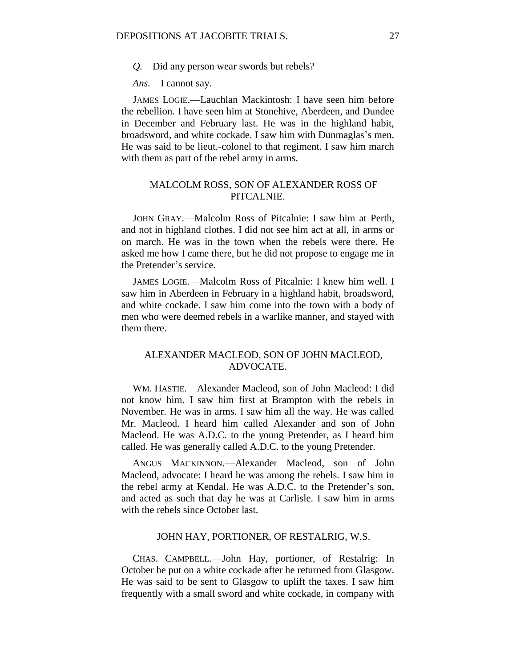*Q.*—Did any person wear swords but rebels?

*Ans.*—I cannot say.

JAMES LOGIE.—Lauchlan Mackintosh: I have seen him before the rebellion. I have seen him at Stonehive, Aberdeen, and Dundee in December and February last. He was in the highland habit, broadsword, and white cockade. I saw him with Dunmaglas's men. He was said to be lieut.-colonel to that regiment. I saw him march with them as part of the rebel army in arms.

# MALCOLM ROSS, SON OF ALEXANDER ROSS OF PITCALNIE.

JOHN GRAY.—Malcolm Ross of Pitcalnie: I saw him at Perth, and not in highland clothes. I did not see him act at all, in arms or on march. He was in the town when the rebels were there. He asked me how I came there, but he did not propose to engage me in the Pretender's service.

JAMES LOGIE.—Malcolm Ross of Pitcalnie: I knew him well. I saw him in Aberdeen in February in a highland habit, broadsword, and white cockade. I saw him come into the town with a body of men who were deemed rebels in a warlike manner, and stayed with them there.

# ALEXANDER MACLEOD, SON OF JOHN MACLEOD, ADVOCATE.

WM. HASTIE.—Alexander Macleod, son of John Macleod: I did not know him. I saw him first at Brampton with the rebels in November. He was in arms. I saw him all the way. He was called Mr. Macleod. I heard him called Alexander and son of John Macleod. He was A.D.C. to the young Pretender, as I heard him called. He was generally called A.D.C. to the young Pretender.

ANGUS MACKINNON.—Alexander Macleod, son of John Macleod, advocate: I heard he was among the rebels. I saw him in the rebel army at Kendal. He was A.D.C. to the Pretender's son, and acted as such that day he was at Carlisle. I saw him in arms with the rebels since October last.

#### JOHN HAY, PORTIONER, OF RESTALRIG, W.S.

CHAS. CAMPBELL.—John Hay, portioner, of Restalrig: In October he put on a white cockade after he returned from Glasgow. He was said to be sent to Glasgow to uplift the taxes. I saw him frequently with a small sword and white cockade, in company with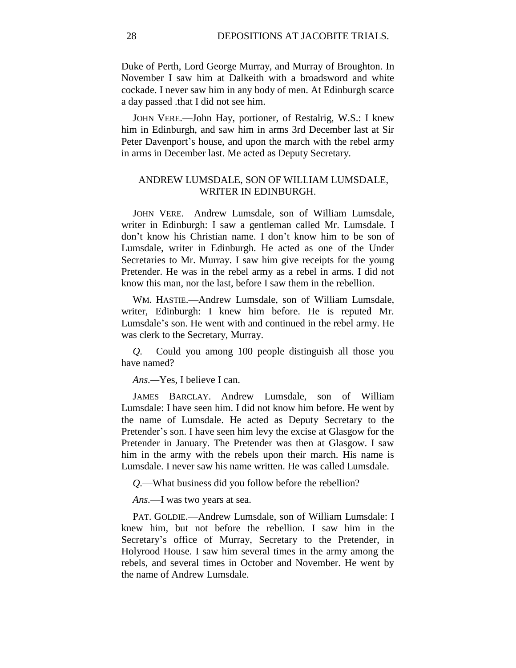Duke of Perth, Lord George Murray, and Murray of Broughton. In November I saw him at Dalkeith with a broadsword and white cockade. I never saw him in any body of men. At Edinburgh scarce a day passed .that I did not see him.

JOHN VERE.—John Hay, portioner, of Restalrig, W.S.: I knew him in Edinburgh, and saw him in arms 3rd December last at Sir Peter Davenport's house, and upon the march with the rebel army in arms in December last. Me acted as Deputy Secretary.

## ANDREW LUMSDALE, SON OF WILLIAM LUMSDALE, WRITER IN EDINBURGH.

JOHN VERE.—Andrew Lumsdale, son of William Lumsdale, writer in Edinburgh: I saw a gentleman called Mr. Lumsdale. I don't know his Christian name. I don't know him to be son of Lumsdale, writer in Edinburgh. He acted as one of the Under Secretaries to Mr. Murray. I saw him give receipts for the young Pretender. He was in the rebel army as a rebel in arms. I did not know this man, nor the last, before I saw them in the rebellion.

WM. HASTIE.—Andrew Lumsdale, son of William Lumsdale, writer, Edinburgh: I knew him before. He is reputed Mr. Lumsdale's son. He went with and continued in the rebel army. He was clerk to the Secretary, Murray.

*Q.—* Could you among 100 people distinguish all those you have named?

*Ans.—*Yes, I believe I can.

JAMES BARCLAY.—Andrew Lumsdale, son of William Lumsdale: I have seen him. I did not know him before. He went by the name of Lumsdale. He acted as Deputy Secretary to the Pretender's son. I have seen him levy the excise at Glasgow for the Pretender in January. The Pretender was then at Glasgow. I saw him in the army with the rebels upon their march. His name is Lumsdale. I never saw his name written. He was called Lumsdale.

*Q.*—What business did you follow before the rebellion?

*Ans.*—I was two years at sea.

PAT. GOLDIE.—Andrew Lumsdale, son of William Lumsdale: I knew him, but not before the rebellion. I saw him in the Secretary's office of Murray, Secretary to the Pretender, in Holyrood House. I saw him several times in the army among the rebels, and several times in October and November. He went by the name of Andrew Lumsdale.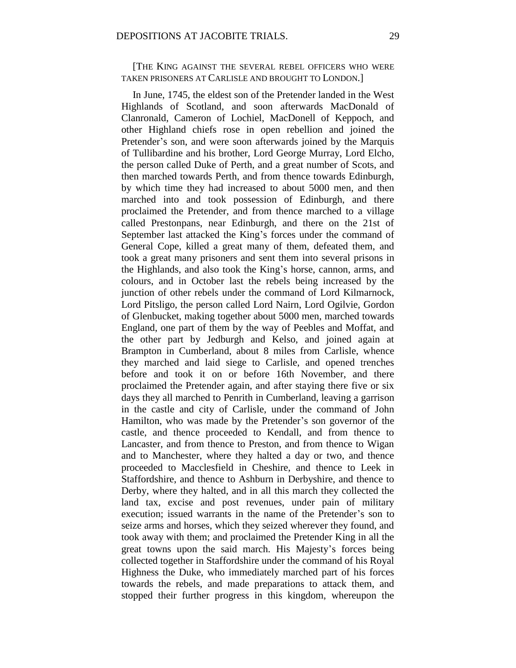[THE KING AGAINST THE SEVERAL REBEL OFFICERS WHO WERE TAKEN PRISONERS AT CARLISLE AND BROUGHT TO LONDON.]

In June, 1745, the eldest son of the Pretender landed in the West Highlands of Scotland, and soon afterwards MacDonald of Clanronald, Cameron of Lochiel, MacDonell of Keppoch, and other Highland chiefs rose in open rebellion and joined the Pretender's son, and were soon afterwards joined by the Marquis of Tullibardine and his brother, Lord George Murray, Lord Elcho, the person called Duke of Perth, and a great number of Scots, and then marched towards Perth, and from thence towards Edinburgh, by which time they had increased to about 5000 men, and then marched into and took possession of Edinburgh, and there proclaimed the Pretender, and from thence marched to a village called Prestonpans, near Edinburgh, and there on the 21st of September last attacked the King's forces under the command of General Cope, killed a great many of them, defeated them, and took a great many prisoners and sent them into several prisons in the Highlands, and also took the King's horse, cannon, arms, and colours, and in October last the rebels being increased by the junction of other rebels under the command of Lord Kilmarnock, Lord Pitsligo, the person called Lord Nairn, Lord Ogilvie, Gordon of Glenbucket, making together about 5000 men, marched towards England, one part of them by the way of Peebles and Moffat, and the other part by Jedburgh and Kelso, and joined again at Brampton in Cumberland, about 8 miles from Carlisle, whence they marched and laid siege to Carlisle, and opened trenches before and took it on or before 16th November, and there proclaimed the Pretender again, and after staying there five or six days they all marched to Penrith in Cumberland, leaving a garrison in the castle and city of Carlisle, under the command of John Hamilton, who was made by the Pretender's son governor of the castle, and thence proceeded to Kendall, and from thence to Lancaster, and from thence to Preston, and from thence to Wigan and to Manchester, where they halted a day or two, and thence proceeded to Macclesfield in Cheshire, and thence to Leek in Staffordshire, and thence to Ashburn in Derbyshire, and thence to Derby, where they halted, and in all this march they collected the land tax, excise and post revenues, under pain of military execution; issued warrants in the name of the Pretender's son to seize arms and horses, which they seized wherever they found, and took away with them; and proclaimed the Pretender King in all the great towns upon the said march. His Majesty's forces being collected together in Staffordshire under the command of his Royal Highness the Duke, who immediately marched part of his forces towards the rebels, and made preparations to attack them, and stopped their further progress in this kingdom, whereupon the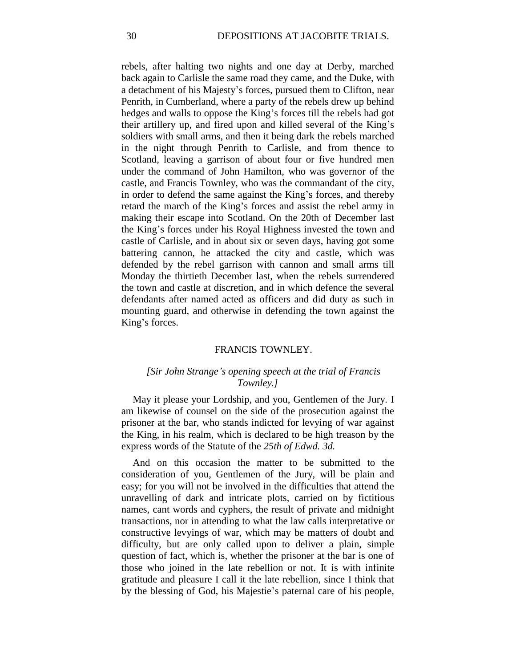rebels, after halting two nights and one day at Derby, marched back again to Carlisle the same road they came, and the Duke, with a detachment of his Majesty's forces, pursued them to Clifton, near Penrith, in Cumberland, where a party of the rebels drew up behind hedges and walls to oppose the King's forces till the rebels had got their artillery up, and fired upon and killed several of the King's soldiers with small arms, and then it being dark the rebels marched in the night through Penrith to Carlisle, and from thence to Scotland, leaving a garrison of about four or five hundred men under the command of John Hamilton, who was governor of the castle, and Francis Townley, who was the commandant of the city, in order to defend the same against the King's forces, and thereby retard the march of the King's forces and assist the rebel army in making their escape into Scotland. On the 20th of December last the King's forces under his Royal Highness invested the town and castle of Carlisle, and in about six or seven days, having got some battering cannon, he attacked the city and castle, which was defended by the rebel garrison with cannon and small arms till Monday the thirtieth December last, when the rebels surrendered the town and castle at discretion, and in which defence the several defendants after named acted as officers and did duty as such in mounting guard, and otherwise in defending the town against the King's forces.

#### FRANCIS TOWNLEY.

## *[Sir John Strange's opening speech at the trial of Francis Townley.]*

May it please your Lordship, and you, Gentlemen of the Jury. I am likewise of counsel on the side of the prosecution against the prisoner at the bar, who stands indicted for levying of war against the King, in his realm, which is declared to be high treason by the express words of the Statute of the *25th of Edwd. 3d.*

And on this occasion the matter to be submitted to the consideration of you, Gentlemen of the Jury, will be plain and easy; for you will not be involved in the difficulties that attend the unravelling of dark and intricate plots, carried on by fictitious names, cant words and cyphers, the result of private and midnight transactions, nor in attending to what the law calls interpretative or constructive levyings of war, which may be matters of doubt and difficulty, but are only called upon to deliver a plain, simple question of fact, which is, whether the prisoner at the bar is one of those who joined in the late rebellion or not. It is with infinite gratitude and pleasure I call it the late rebellion, since I think that by the blessing of God, his Majestie's paternal care of his people,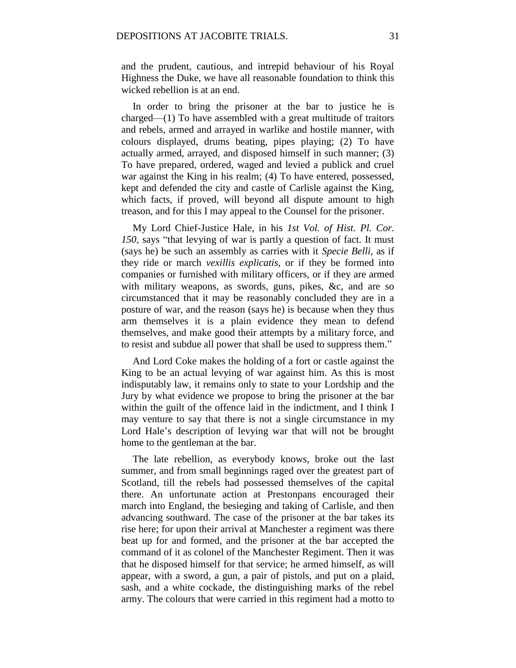and the prudent, cautious, and intrepid behaviour of his Royal Highness the Duke, we have all reasonable foundation to think this wicked rebellion is at an end.

In order to bring the prisoner at the bar to justice he is charged—(1) To have assembled with a great multitude of traitors and rebels, armed and arrayed in warlike and hostile manner, with colours displayed, drums beating, pipes playing; (2) To have actually armed, arrayed, and disposed himself in such manner; (3) To have prepared, ordered, waged and levied a publick and cruel war against the King in his realm; (4) To have entered, possessed, kept and defended the city and castle of Carlisle against the King, which facts, if proved, will beyond all dispute amount to high treason, and for this I may appeal to the Counsel for the prisoner.

My Lord Chief-Justice Hale, in his *1st Vol. of Hist. Pl. Cor. 150,* says "that levying of war is partly a question of fact. It must (says he) be such an assembly as carries with it *Specie Belli,* as if they ride or march *vexillis explicatis,* or if they be formed into companies or furnished with military officers, or if they are armed with military weapons, as swords, guns, pikes, &c, and are so circumstanced that it may be reasonably concluded they are in a posture of war, and the reason (says he) is because when they thus arm themselves it is a plain evidence they mean to defend themselves, and make good their attempts by a military force, and to resist and subdue all power that shall be used to suppress them."

And Lord Coke makes the holding of a fort or castle against the King to be an actual levying of war against him. As this is most indisputably law, it remains only to state to your Lordship and the Jury by what evidence we propose to bring the prisoner at the bar within the guilt of the offence laid in the indictment, and I think I may venture to say that there is not a single circumstance in my Lord Hale's description of levying war that will not be brought home to the gentleman at the bar.

The late rebellion, as everybody knows, broke out the last summer, and from small beginnings raged over the greatest part of Scotland, till the rebels had possessed themselves of the capital there. An unfortunate action at Prestonpans encouraged their march into England, the besieging and taking of Carlisle, and then advancing southward. The case of the prisoner at the bar takes its rise here; for upon their arrival at Manchester a regiment was there beat up for and formed, and the prisoner at the bar accepted the command of it as colonel of the Manchester Regiment. Then it was that he disposed himself for that service; he armed himself, as will appear, with a sword, a gun, a pair of pistols, and put on a plaid, sash, and a white cockade, the distinguishing marks of the rebel army. The colours that were carried in this regiment had a motto to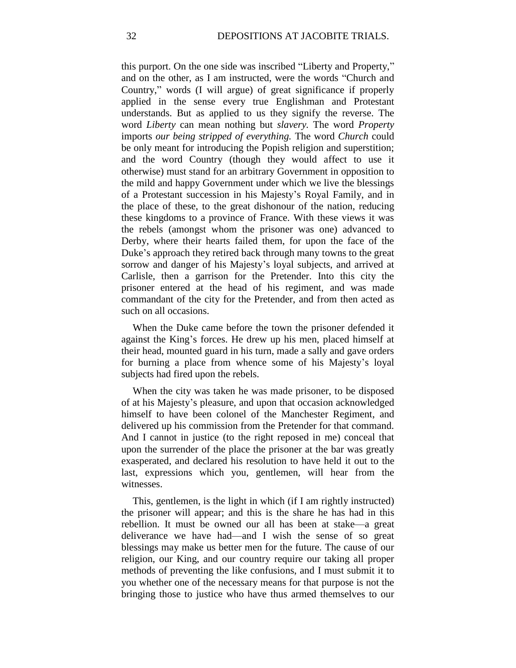this purport. On the one side was inscribed "Liberty and Property," and on the other, as I am instructed, were the words "Church and Country," words (I will argue) of great significance if properly applied in the sense every true Englishman and Protestant understands. But as applied to us they signify the reverse. The word *Liberty* can mean nothing but *slavery.* The word *Property*  imports *our being stripped of everything.* The word *Church* could be only meant for introducing the Popish religion and superstition; and the word Country (though they would affect to use it otherwise) must stand for an arbitrary Government in opposition to the mild and happy Government under which we live the blessings of a Protestant succession in his Majesty's Royal Family, and in the place of these, to the great dishonour of the nation, reducing these kingdoms to a province of France. With these views it was the rebels (amongst whom the prisoner was one) advanced to Derby, where their hearts failed them, for upon the face of the Duke's approach they retired back through many towns to the great sorrow and danger of his Majesty's loyal subjects, and arrived at Carlisle, then a garrison for the Pretender. Into this city the prisoner entered at the head of his regiment, and was made commandant of the city for the Pretender, and from then acted as such on all occasions.

When the Duke came before the town the prisoner defended it against the King's forces. He drew up his men, placed himself at their head, mounted guard in his turn, made a sally and gave orders for burning a place from whence some of his Majesty's loyal subjects had fired upon the rebels.

When the city was taken he was made prisoner, to be disposed of at his Majesty's pleasure, and upon that occasion acknowledged himself to have been colonel of the Manchester Regiment, and delivered up his commission from the Pretender for that command. And I cannot in justice (to the right reposed in me) conceal that upon the surrender of the place the prisoner at the bar was greatly exasperated, and declared his resolution to have held it out to the last, expressions which you, gentlemen, will hear from the witnesses.

This, gentlemen, is the light in which (if I am rightly instructed) the prisoner will appear; and this is the share he has had in this rebellion. It must be owned our all has been at stake—a great deliverance we have had—and I wish the sense of so great blessings may make us better men for the future. The cause of our religion, our King, and our country require our taking all proper methods of preventing the like confusions, and I must submit it to you whether one of the necessary means for that purpose is not the bringing those to justice who have thus armed themselves to our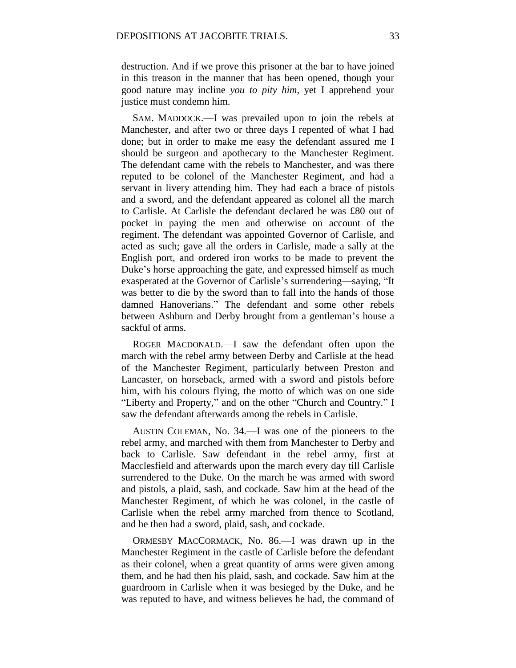destruction. And if we prove this prisoner at the bar to have joined in this treason in the manner that has been opened, though your good nature may incline *you to pity him,* yet I apprehend your justice must condemn him.

SAM. MADDOCK.—I was prevailed upon to join the rebels at Manchester, and after two or three days I repented of what I had done; but in order to make me easy the defendant assured me I should be surgeon and apothecary to the Manchester Regiment. The defendant came with the rebels to Manchester, and was there reputed to be colonel of the Manchester Regiment, and had a servant in livery attending him. They had each a brace of pistols and a sword, and the defendant appeared as colonel all the march to Carlisle. At Carlisle the defendant declared he was £80 out of pocket in paying the men and otherwise on account of the regiment. The defendant was appointed Governor of Carlisle, and acted as such; gave all the orders in Carlisle, made a sally at the English port, and ordered iron works to be made to prevent the Duke's horse approaching the gate, and expressed himself as much exasperated at the Governor of Carlisle's surrendering—saying, "It was better to die by the sword than to fall into the hands of those damned Hanoverians." The defendant and some other rebels between Ashburn and Derby brought from a gentleman's house a sackful of arms.

ROGER MACDONALD.—I saw the defendant often upon the march with the rebel army between Derby and Carlisle at the head of the Manchester Regiment, particularly between Preston and Lancaster, on horseback, armed with a sword and pistols before him, with his colours flying, the motto of which was on one side "Liberty and Property," and on the other "Church and Country." I saw the defendant afterwards among the rebels in Carlisle.

AUSTIN COLEMAN, No. 34.—I was one of the pioneers to the rebel army, and marched with them from Manchester to Derby and back to Carlisle. Saw defendant in the rebel army, first at Macclesfield and afterwards upon the march every day till Carlisle surrendered to the Duke. On the march he was armed with sword and pistols, a plaid, sash, and cockade. Saw him at the head of the Manchester Regiment, of which he was colonel, in the castle of Carlisle when the rebel army marched from thence to Scotland, and he then had a sword, plaid, sash, and cockade.

ORMESBY MACCORMACK, No. 86.—I was drawn up in the Manchester Regiment in the castle of Carlisle before the defendant as their colonel, when a great quantity of arms were given among them, and he had then his plaid, sash, and cockade. Saw him at the guardroom in Carlisle when it was besieged by the Duke, and he was reputed to have, and witness believes he had, the command of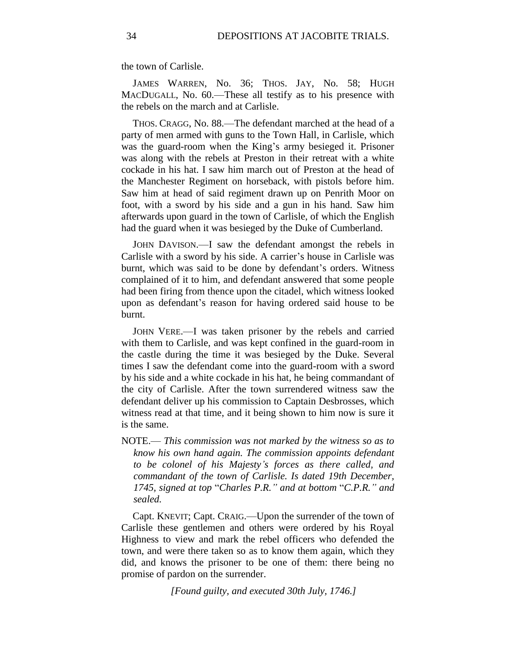the town of Carlisle.

JAMES WARREN, No. 36; THOS. JAY, No. 58; HUGH MACDUGALL, No. 60.—These all testify as to his presence with the rebels on the march and at Carlisle.

THOS. CRAGG, No. 88.—The defendant marched at the head of a party of men armed with guns to the Town Hall, in Carlisle, which was the guard-room when the King's army besieged it. Prisoner was along with the rebels at Preston in their retreat with a white cockade in his hat. I saw him march out of Preston at the head of the Manchester Regiment on horseback, with pistols before him. Saw him at head of said regiment drawn up on Penrith Moor on foot, with a sword by his side and a gun in his hand. Saw him afterwards upon guard in the town of Carlisle, of which the English had the guard when it was besieged by the Duke of Cumberland.

JOHN DAVISON.—I saw the defendant amongst the rebels in Carlisle with a sword by his side. A carrier's house in Carlisle was burnt, which was said to be done by defendant's orders. Witness complained of it to him, and defendant answered that some people had been firing from thence upon the citadel, which witness looked upon as defendant's reason for having ordered said house to be burnt.

JOHN VERE.—I was taken prisoner by the rebels and carried with them to Carlisle, and was kept confined in the guard-room in the castle during the time it was besieged by the Duke. Several times I saw the defendant come into the guard-room with a sword by his side and a white cockade in his hat, he being commandant of the city of Carlisle. After the town surrendered witness saw the defendant deliver up his commission to Captain Desbrosses, which witness read at that time, and it being shown to him now is sure it is the same.

NOTE.— *This commission was not marked by the witness so as to know his own hand again. The commission appoints defendant to be colonel of his Majesty's forces as there called, and commandant of the town of Carlisle. Is dated 19th December, 1745, signed at top* "*Charles P.R." and at bottom* "*C.P.R." and sealed.*

Capt. KNEVIT; Capt. CRAIG.—Upon the surrender of the town of Carlisle these gentlemen and others were ordered by his Royal Highness to view and mark the rebel officers who defended the town, and were there taken so as to know them again, which they did, and knows the prisoner to be one of them: there being no promise of pardon on the surrender.

*[Found guilty, and executed 30th July, 1746.]*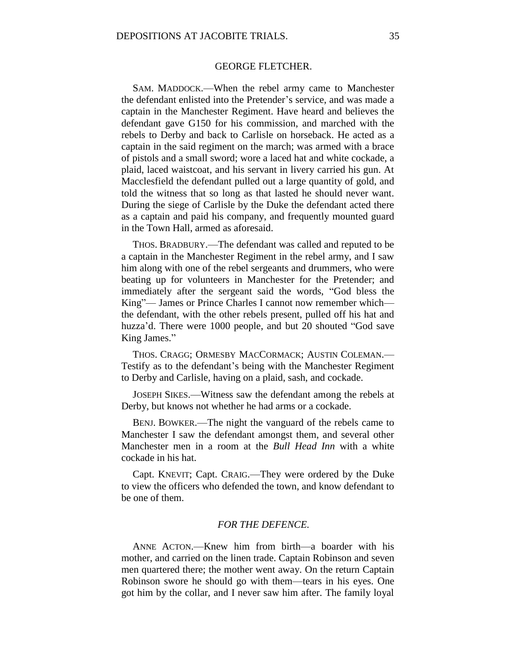# GEORGE FLETCHER.

SAM. MADDOCK.—When the rebel army came to Manchester the defendant enlisted into the Pretender's service, and was made a captain in the Manchester Regiment. Have heard and believes the defendant gave G150 for his commission, and marched with the rebels to Derby and back to Carlisle on horseback. He acted as a captain in the said regiment on the march; was armed with a brace of pistols and a small sword; wore a laced hat and white cockade, a plaid, laced waistcoat, and his servant in livery carried his gun. At Macclesfield the defendant pulled out a large quantity of gold, and told the witness that so long as that lasted he should never want. During the siege of Carlisle by the Duke the defendant acted there as a captain and paid his company, and frequently mounted guard in the Town Hall, armed as aforesaid.

THOS. BRADBURY.—The defendant was called and reputed to be a captain in the Manchester Regiment in the rebel army, and I saw him along with one of the rebel sergeants and drummers, who were beating up for volunteers in Manchester for the Pretender; and immediately after the sergeant said the words, "God bless the King"— James or Prince Charles I cannot now remember which the defendant, with the other rebels present, pulled off his hat and huzza'd. There were 1000 people, and but 20 shouted "God save King James."

THOS. CRAGG; ORMESBY MACCORMACK; AUSTIN COLEMAN.— Testify as to the defendant's being with the Manchester Regiment to Derby and Carlisle, having on a plaid, sash, and cockade.

JOSEPH SIKES.—Witness saw the defendant among the rebels at Derby, but knows not whether he had arms or a cockade.

BENJ. BOWKER.—The night the vanguard of the rebels came to Manchester I saw the defendant amongst them, and several other Manchester men in a room at the *Bull Head Inn* with a white cockade in his hat.

Capt. KNEVIT; Capt. CRAIG.—They were ordered by the Duke to view the officers who defended the town, and know defendant to be one of them.

# *FOR THE DEFENCE.*

ANNE ACTON.—Knew him from birth—a boarder with his mother, and carried on the linen trade. Captain Robinson and seven men quartered there; the mother went away. On the return Captain Robinson swore he should go with them—tears in his eyes. One got him by the collar, and I never saw him after. The family loyal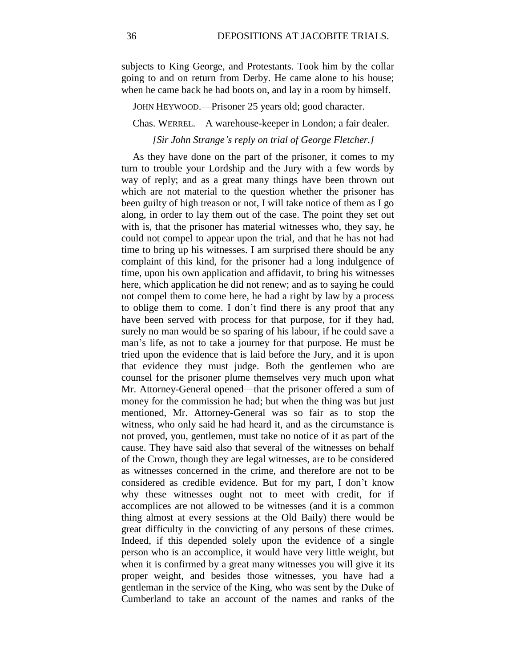subjects to King George, and Protestants. Took him by the collar going to and on return from Derby. He came alone to his house; when he came back he had boots on, and lay in a room by himself.

JOHN HEYWOOD.—Prisoner 25 years old; good character.

Chas. WERREL.—A warehouse-keeper in London; a fair dealer.

*[Sir John Strange's reply on trial of George Fletcher.]*

As they have done on the part of the prisoner, it comes to my turn to trouble your Lordship and the Jury with a few words by way of reply; and as a great many things have been thrown out which are not material to the question whether the prisoner has been guilty of high treason or not, I will take notice of them as I go along, in order to lay them out of the case. The point they set out with is, that the prisoner has material witnesses who, they say, he could not compel to appear upon the trial, and that he has not had time to bring up his witnesses. I am surprised there should be any complaint of this kind, for the prisoner had a long indulgence of time, upon his own application and affidavit, to bring his witnesses here, which application he did not renew; and as to saying he could not compel them to come here, he had a right by law by a process to oblige them to come. I don't find there is any proof that any have been served with process for that purpose, for if they had, surely no man would be so sparing of his labour, if he could save a man's life, as not to take a journey for that purpose. He must be tried upon the evidence that is laid before the Jury, and it is upon that evidence they must judge. Both the gentlemen who are counsel for the prisoner plume themselves very much upon what Mr. Attorney-General opened—that the prisoner offered a sum of money for the commission he had; but when the thing was but just mentioned, Mr. Attorney-General was so fair as to stop the witness, who only said he had heard it, and as the circumstance is not proved, you, gentlemen, must take no notice of it as part of the cause. They have said also that several of the witnesses on behalf of the Crown, though they are legal witnesses, are to be considered as witnesses concerned in the crime, and therefore are not to be considered as credible evidence. But for my part, I don't know why these witnesses ought not to meet with credit, for if accomplices are not allowed to be witnesses (and it is a common thing almost at every sessions at the Old Baily) there would be great difficulty in the convicting of any persons of these crimes. Indeed, if this depended solely upon the evidence of a single person who is an accomplice, it would have very little weight, but when it is confirmed by a great many witnesses you will give it its proper weight, and besides those witnesses, you have had a gentleman in the service of the King, who was sent by the Duke of Cumberland to take an account of the names and ranks of the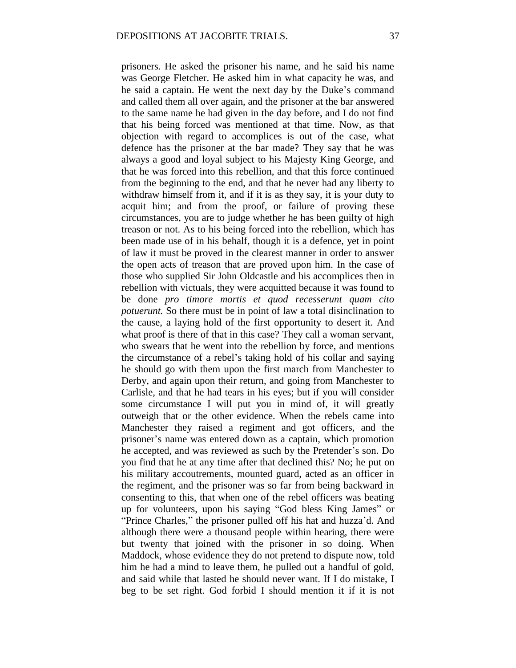prisoners. He asked the prisoner his name, and he said his name was George Fletcher. He asked him in what capacity he was, and he said a captain. He went the next day by the Duke's command and called them all over again, and the prisoner at the bar answered to the same name he had given in the day before, and I do not find that his being forced was mentioned at that time. Now, as that objection with regard to accomplices is out of the case, what defence has the prisoner at the bar made? They say that he was always a good and loyal subject to his Majesty King George, and that he was forced into this rebellion, and that this force continued from the beginning to the end, and that he never had any liberty to withdraw himself from it, and if it is as they say, it is your duty to acquit him; and from the proof, or failure of proving these circumstances, you are to judge whether he has been guilty of high treason or not. As to his being forced into the rebellion, which has been made use of in his behalf, though it is a defence, yet in point of law it must be proved in the clearest manner in order to answer the open acts of treason that are proved upon him. In the case of those who supplied Sir John Oldcastle and his accomplices then in rebellion with victuals, they were acquitted because it was found to be done *pro timore mortis et quod recesserunt quam cito potuerunt.* So there must be in point of law a total disinclination to the cause, a laying hold of the first opportunity to desert it. And what proof is there of that in this case? They call a woman servant, who swears that he went into the rebellion by force, and mentions the circumstance of a rebel's taking hold of his collar and saying he should go with them upon the first march from Manchester to Derby, and again upon their return, and going from Manchester to Carlisle, and that he had tears in his eyes; but if you will consider some circumstance I will put you in mind of, it will greatly outweigh that or the other evidence. When the rebels came into Manchester they raised a regiment and got officers, and the prisoner's name was entered down as a captain, which promotion he accepted, and was reviewed as such by the Pretender's son. Do you find that he at any time after that declined this? No; he put on his military accoutrements, mounted guard, acted as an officer in the regiment, and the prisoner was so far from being backward in consenting to this, that when one of the rebel officers was beating up for volunteers, upon his saying "God bless King James" or "Prince Charles," the prisoner pulled off his hat and huzza'd. And although there were a thousand people within hearing, there were but twenty that joined with the prisoner in so doing. When Maddock, whose evidence they do not pretend to dispute now, told him he had a mind to leave them, he pulled out a handful of gold, and said while that lasted he should never want. If I do mistake, I beg to be set right. God forbid I should mention it if it is not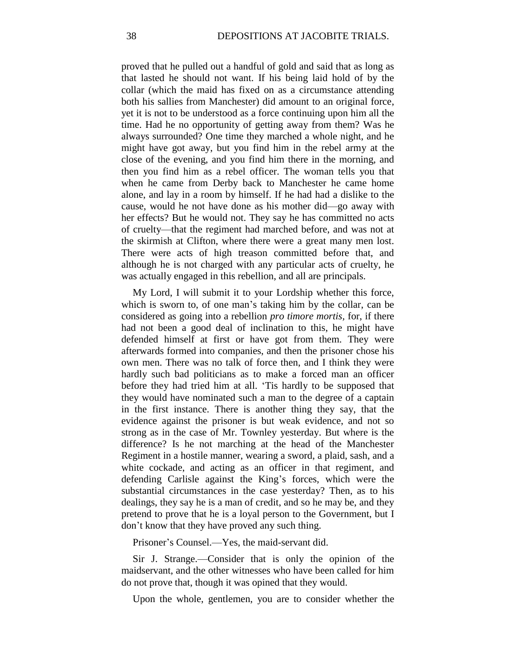proved that he pulled out a handful of gold and said that as long as that lasted he should not want. If his being laid hold of by the collar (which the maid has fixed on as a circumstance attending both his sallies from Manchester) did amount to an original force, yet it is not to be understood as a force continuing upon him all the time. Had he no opportunity of getting away from them? Was he always surrounded? One time they marched a whole night, and he might have got away, but you find him in the rebel army at the close of the evening, and you find him there in the morning, and then you find him as a rebel officer. The woman tells you that when he came from Derby back to Manchester he came home alone, and lay in a room by himself. If he had had a dislike to the cause, would he not have done as his mother did—go away with her effects? But he would not. They say he has committed no acts of cruelty—that the regiment had marched before, and was not at the skirmish at Clifton, where there were a great many men lost. There were acts of high treason committed before that, and although he is not charged with any particular acts of cruelty, he was actually engaged in this rebellion, and all are principals.

My Lord, I will submit it to your Lordship whether this force, which is sworn to, of one man's taking him by the collar, can be considered as going into a rebellion *pro timore mortis,* for, if there had not been a good deal of inclination to this, he might have defended himself at first or have got from them. They were afterwards formed into companies, and then the prisoner chose his own men. There was no talk of force then, and I think they were hardly such bad politicians as to make a forced man an officer before they had tried him at all. 'Tis hardly to be supposed that they would have nominated such a man to the degree of a captain in the first instance. There is another thing they say, that the evidence against the prisoner is but weak evidence, and not so strong as in the case of Mr. Townley yesterday. But where is the difference? Is he not marching at the head of the Manchester Regiment in a hostile manner, wearing a sword, a plaid, sash, and a white cockade, and acting as an officer in that regiment, and defending Carlisle against the King's forces, which were the substantial circumstances in the case yesterday? Then, as to his dealings, they say he is a man of credit, and so he may be, and they pretend to prove that he is a loyal person to the Government, but I don't know that they have proved any such thing.

Prisoner's Counsel.—Yes, the maid-servant did.

Sir J. Strange.—Consider that is only the opinion of the maidservant, and the other witnesses who have been called for him do not prove that, though it was opined that they would.

Upon the whole, gentlemen, you are to consider whether the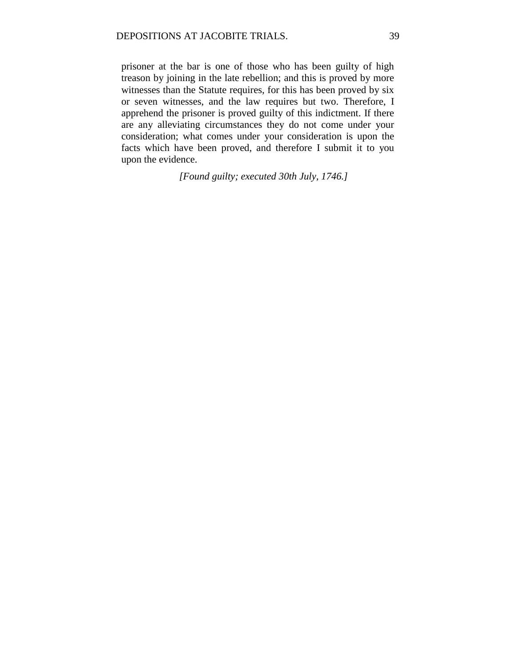prisoner at the bar is one of those who has been guilty of high treason by joining in the late rebellion; and this is proved by more witnesses than the Statute requires, for this has been proved by six or seven witnesses, and the law requires but two. Therefore, I apprehend the prisoner is proved guilty of this indictment. If there are any alleviating circumstances they do not come under your consideration; what comes under your consideration is upon the facts which have been proved, and therefore I submit it to you upon the evidence.

*[Found guilty; executed 30th July, 1746.]*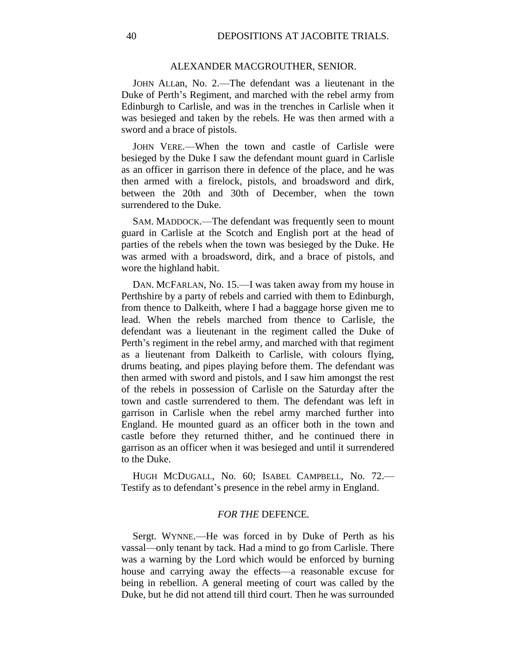#### ALEXANDER MACGROUTHER, SENIOR.

JOHN ALLan, No. 2.—The defendant was a lieutenant in the Duke of Perth's Regiment, and marched with the rebel army from Edinburgh to Carlisle, and was in the trenches in Carlisle when it was besieged and taken by the rebels. He was then armed with a sword and a brace of pistols.

JOHN VERE.—When the town and castle of Carlisle were besieged by the Duke I saw the defendant mount guard in Carlisle as an officer in garrison there in defence of the place, and he was then armed with a firelock, pistols, and broadsword and dirk, between the 20th and 30th of December, when the town surrendered to the Duke.

SAM. MADDOCK.—The defendant was frequently seen to mount guard in Carlisle at the Scotch and English port at the head of parties of the rebels when the town was besieged by the Duke. He was armed with a broadsword, dirk, and a brace of pistols, and wore the highland habit.

DAN. MCFARLAN, No. 15.—I was taken away from my house in Perthshire by a party of rebels and carried with them to Edinburgh, from thence to Dalkeith, where I had a baggage horse given me to lead. When the rebels marched from thence to Carlisle, the defendant was a lieutenant in the regiment called the Duke of Perth's regiment in the rebel army, and marched with that regiment as a lieutenant from Dalkeith to Carlisle, with colours flying, drums beating, and pipes playing before them. The defendant was then armed with sword and pistols, and I saw him amongst the rest of the rebels in possession of Carlisle on the Saturday after the town and castle surrendered to them. The defendant was left in garrison in Carlisle when the rebel army marched further into England. He mounted guard as an officer both in the town and castle before they returned thither, and he continued there in garrison as an officer when it was besieged and until it surrendered to the Duke.

HUGH MCDUGALL, No. 60; ISABEL CAMPBELL, No. 72.— Testify as to defendant's presence in the rebel army in England.

### *FOR THE* DEFENCE*.*

Sergt. WYNNE.—He was forced in by Duke of Perth as his vassal—only tenant by tack. Had a mind to go from Carlisle. There was a warning by the Lord which would be enforced by burning house and carrying away the effects—a reasonable excuse for being in rebellion. A general meeting of court was called by the Duke, but he did not attend till third court. Then he was surrounded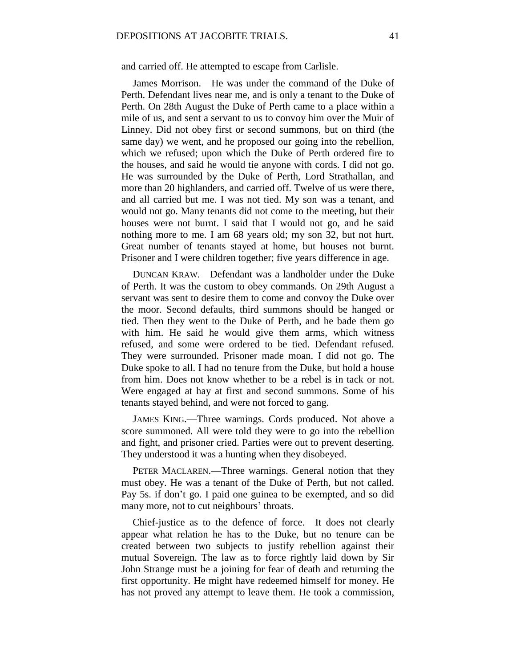and carried off. He attempted to escape from Carlisle.

James Morrison.—He was under the command of the Duke of Perth. Defendant lives near me, and is only a tenant to the Duke of Perth. On 28th August the Duke of Perth came to a place within a mile of us, and sent a servant to us to convoy him over the Muir of Linney. Did not obey first or second summons, but on third (the same day) we went, and he proposed our going into the rebellion, which we refused; upon which the Duke of Perth ordered fire to the houses, and said he would tie anyone with cords. I did not go. He was surrounded by the Duke of Perth, Lord Strathallan, and more than 20 highlanders, and carried off. Twelve of us were there, and all carried but me. I was not tied. My son was a tenant, and would not go. Many tenants did not come to the meeting, but their houses were not burnt. I said that I would not go, and he said nothing more to me. I am 68 years old; my son 32, but not hurt. Great number of tenants stayed at home, but houses not burnt. Prisoner and I were children together; five years difference in age.

DUNCAN KRAW.—Defendant was a landholder under the Duke of Perth. It was the custom to obey commands. On 29th August a servant was sent to desire them to come and convoy the Duke over the moor. Second defaults, third summons should be hanged or tied. Then they went to the Duke of Perth, and he bade them go with him. He said he would give them arms, which witness refused, and some were ordered to be tied. Defendant refused. They were surrounded. Prisoner made moan. I did not go. The Duke spoke to all. I had no tenure from the Duke, but hold a house from him. Does not know whether to be a rebel is in tack or not. Were engaged at hay at first and second summons. Some of his tenants stayed behind, and were not forced to gang.

JAMES KING.—Three warnings. Cords produced. Not above a score summoned. All were told they were to go into the rebellion and fight, and prisoner cried. Parties were out to prevent deserting. They understood it was a hunting when they disobeyed.

PETER MACLAREN.—Three warnings. General notion that they must obey. He was a tenant of the Duke of Perth, but not called. Pay 5s. if don't go. I paid one guinea to be exempted, and so did many more, not to cut neighbours' throats.

Chief-justice as to the defence of force.—It does not clearly appear what relation he has to the Duke, but no tenure can be created between two subjects to justify rebellion against their mutual Sovereign. The law as to force rightly laid down by Sir John Strange must be a joining for fear of death and returning the first opportunity. He might have redeemed himself for money. He has not proved any attempt to leave them. He took a commission,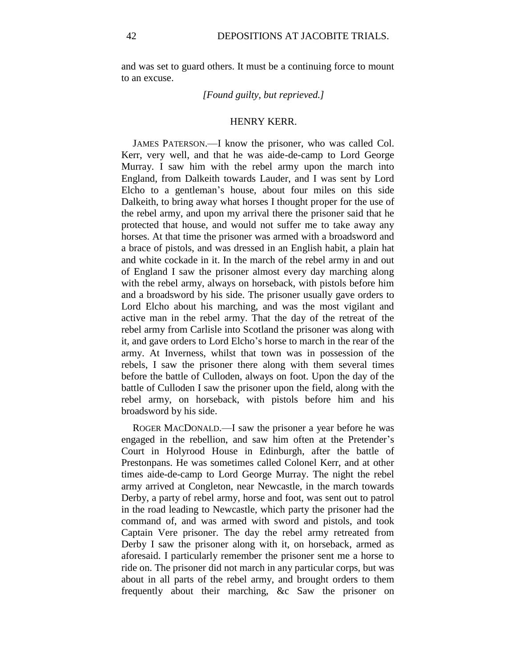and was set to guard others. It must be a continuing force to mount to an excuse.

## *[Found guilty, but reprieved.]*

## HENRY KERR.

JAMES PATERSON.—I know the prisoner, who was called Col. Kerr, very well, and that he was aide-de-camp to Lord George Murray. I saw him with the rebel army upon the march into England, from Dalkeith towards Lauder, and I was sent by Lord Elcho to a gentleman's house, about four miles on this side Dalkeith, to bring away what horses I thought proper for the use of the rebel army, and upon my arrival there the prisoner said that he protected that house, and would not suffer me to take away any horses. At that time the prisoner was armed with a broadsword and a brace of pistols, and was dressed in an English habit, a plain hat and white cockade in it. In the march of the rebel army in and out of England I saw the prisoner almost every day marching along with the rebel army, always on horseback, with pistols before him and a broadsword by his side. The prisoner usually gave orders to Lord Elcho about his marching, and was the most vigilant and active man in the rebel army. That the day of the retreat of the rebel army from Carlisle into Scotland the prisoner was along with it, and gave orders to Lord Elcho's horse to march in the rear of the army. At Inverness, whilst that town was in possession of the rebels, I saw the prisoner there along with them several times before the battle of Culloden, always on foot. Upon the day of the battle of Culloden I saw the prisoner upon the field, along with the rebel army, on horseback, with pistols before him and his broadsword by his side.

ROGER MACDONALD.—I saw the prisoner a year before he was engaged in the rebellion, and saw him often at the Pretender's Court in Holyrood House in Edinburgh, after the battle of Prestonpans. He was sometimes called Colonel Kerr, and at other times aide-de-camp to Lord George Murray. The night the rebel army arrived at Congleton, near Newcastle, in the march towards Derby, a party of rebel army, horse and foot, was sent out to patrol in the road leading to Newcastle, which party the prisoner had the command of, and was armed with sword and pistols, and took Captain Vere prisoner. The day the rebel army retreated from Derby I saw the prisoner along with it, on horseback, armed as aforesaid. I particularly remember the prisoner sent me a horse to ride on. The prisoner did not march in any particular corps, but was about in all parts of the rebel army, and brought orders to them frequently about their marching, &c Saw the prisoner on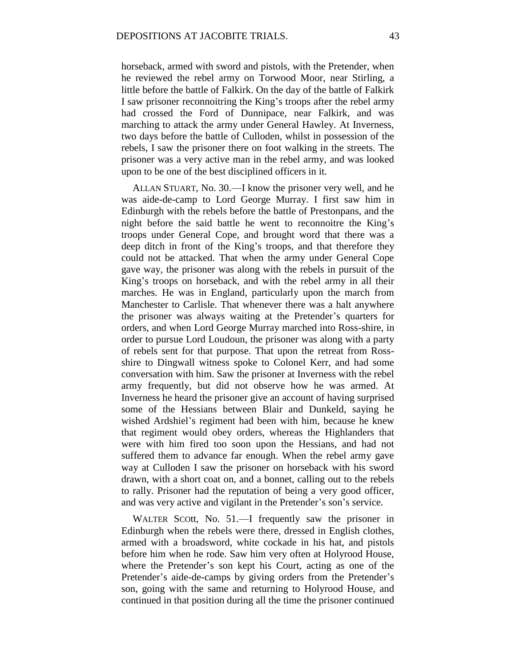horseback, armed with sword and pistols, with the Pretender, when he reviewed the rebel army on Torwood Moor, near Stirling, a little before the battle of Falkirk. On the day of the battle of Falkirk I saw prisoner reconnoitring the King's troops after the rebel army had crossed the Ford of Dunnipace, near Falkirk, and was marching to attack the army under General Hawley. At Inverness, two days before the battle of Culloden, whilst in possession of the rebels, I saw the prisoner there on foot walking in the streets. The prisoner was a very active man in the rebel army, and was looked upon to be one of the best disciplined officers in it.

ALLAN STUART, No. 30.—I know the prisoner very well, and he was aide-de-camp to Lord George Murray. I first saw him in Edinburgh with the rebels before the battle of Prestonpans, and the night before the said battle he went to reconnoitre the King's troops under General Cope, and brought word that there was a deep ditch in front of the King's troops, and that therefore they could not be attacked. That when the army under General Cope gave way, the prisoner was along with the rebels in pursuit of the King's troops on horseback, and with the rebel army in all their marches. He was in England, particularly upon the march from Manchester to Carlisle. That whenever there was a halt anywhere the prisoner was always waiting at the Pretender's quarters for orders, and when Lord George Murray marched into Ross-shire, in order to pursue Lord Loudoun, the prisoner was along with a party of rebels sent for that purpose. That upon the retreat from Rossshire to Dingwall witness spoke to Colonel Kerr, and had some conversation with him. Saw the prisoner at Inverness with the rebel army frequently, but did not observe how he was armed. At Inverness he heard the prisoner give an account of having surprised some of the Hessians between Blair and Dunkeld, saying he wished Ardshiel's regiment had been with him, because he knew that regiment would obey orders, whereas the Highlanders that were with him fired too soon upon the Hessians, and had not suffered them to advance far enough. When the rebel army gave way at Culloden I saw the prisoner on horseback with his sword drawn, with a short coat on, and a bonnet, calling out to the rebels to rally. Prisoner had the reputation of being a very good officer, and was very active and vigilant in the Pretender's son's service.

WALTER SCOtt, No. 51.—I frequently saw the prisoner in Edinburgh when the rebels were there, dressed in English clothes, armed with a broadsword, white cockade in his hat, and pistols before him when he rode. Saw him very often at Holyrood House, where the Pretender's son kept his Court, acting as one of the Pretender's aide-de-camps by giving orders from the Pretender's son, going with the same and returning to Holyrood House, and continued in that position during all the time the prisoner continued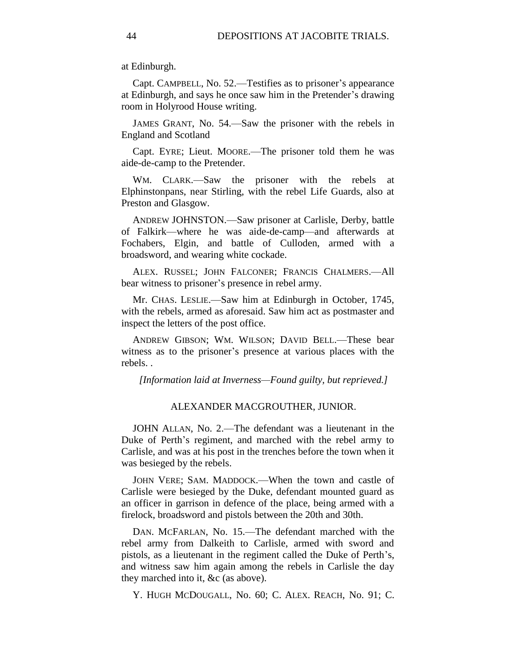at Edinburgh.

Capt. CAMPBELL, No. 52.—Testifies as to prisoner's appearance at Edinburgh, and says he once saw him in the Pretender's drawing room in Holyrood House writing.

JAMES GRANT, No. 54.—Saw the prisoner with the rebels in England and Scotland

Capt. EYRE; Lieut. MOORE.—The prisoner told them he was aide-de-camp to the Pretender.

WM. CLARK.—Saw the prisoner with the rebels at Elphinstonpans, near Stirling, with the rebel Life Guards, also at Preston and Glasgow.

ANDREW JOHNSTON.—Saw prisoner at Carlisle, Derby, battle of Falkirk—where he was aide-de-camp—and afterwards at Fochabers, Elgin, and battle of Culloden, armed with a broadsword, and wearing white cockade.

ALEX. RUSSEL; JOHN FALCONER; FRANCIS CHALMERS.—All bear witness to prisoner's presence in rebel army.

Mr. CHAS. LESLIE.—Saw him at Edinburgh in October, 1745, with the rebels, armed as aforesaid. Saw him act as postmaster and inspect the letters of the post office.

ANDREW GIBSON; WM. WILSON; DAVID BELL.—These bear witness as to the prisoner's presence at various places with the rebels. .

*[Information laid at Inverness—Found guilty, but reprieved.]*

#### ALEXANDER MACGROUTHER, JUNIOR.

JOHN ALLAN, No. 2.—The defendant was a lieutenant in the Duke of Perth's regiment, and marched with the rebel army to Carlisle, and was at his post in the trenches before the town when it was besieged by the rebels.

JOHN VERE; SAM. MADDOCK.—When the town and castle of Carlisle were besieged by the Duke, defendant mounted guard as an officer in garrison in defence of the place, being armed with a firelock, broadsword and pistols between the 20th and 30th.

DAN. MCFARLAN, No. 15.—The defendant marched with the rebel army from Dalkeith to Carlisle, armed with sword and pistols, as a lieutenant in the regiment called the Duke of Perth's, and witness saw him again among the rebels in Carlisle the day they marched into it, &c (as above).

Y. HUGH MCDOUGALL, No. 60; C. ALEX. REACH, No. 91; C.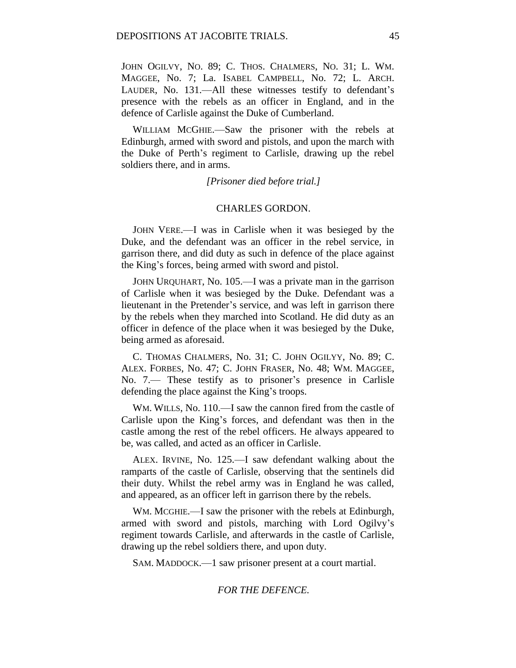JOHN OGILVY, NO. 89; C. THOS. CHALMERS, NO. 31; L. WM. MAGGEE, No. 7; La. ISABEL CAMPBELL, No. 72; L. ARCH. LAUDER, No. 131.—All these witnesses testify to defendant's presence with the rebels as an officer in England, and in the defence of Carlisle against the Duke of Cumberland.

WILLIAM MCGHIE.—Saw the prisoner with the rebels at Edinburgh, armed with sword and pistols, and upon the march with the Duke of Perth's regiment to Carlisle, drawing up the rebel soldiers there, and in arms.

*[Prisoner died before trial.]*

## CHARLES GORDON.

JOHN VERE.—I was in Carlisle when it was besieged by the Duke, and the defendant was an officer in the rebel service, in garrison there, and did duty as such in defence of the place against the King's forces, being armed with sword and pistol.

JOHN URQUHART, No. 105.—I was a private man in the garrison of Carlisle when it was besieged by the Duke. Defendant was a lieutenant in the Pretender's service, and was left in garrison there by the rebels when they marched into Scotland. He did duty as an officer in defence of the place when it was besieged by the Duke, being armed as aforesaid.

C. THOMAS CHALMERS, No. 31; C. JOHN OGILYY, No. 89; C. ALEX. FORBES, No. 47; C. JOHN FRASER, No. 48; WM. MAGGEE, No. 7.— These testify as to prisoner's presence in Carlisle defending the place against the King's troops.

WM. WILLS, No. 110.—I saw the cannon fired from the castle of Carlisle upon the King's forces, and defendant was then in the castle among the rest of the rebel officers. He always appeared to be, was called, and acted as an officer in Carlisle.

ALEX. IRVINE, No. 125.—I saw defendant walking about the ramparts of the castle of Carlisle, observing that the sentinels did their duty. Whilst the rebel army was in England he was called, and appeared, as an officer left in garrison there by the rebels.

WM. MCGHIE.—I saw the prisoner with the rebels at Edinburgh, armed with sword and pistols, marching with Lord Ogilvy's regiment towards Carlisle, and afterwards in the castle of Carlisle, drawing up the rebel soldiers there, and upon duty.

SAM. MADDOCK.—1 saw prisoner present at a court martial.

#### *FOR THE DEFENCE.*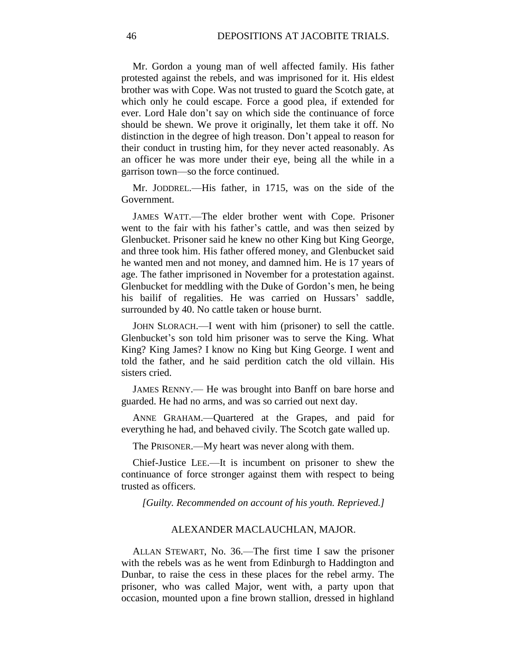Mr. Gordon a young man of well affected family. His father protested against the rebels, and was imprisoned for it. His eldest brother was with Cope. Was not trusted to guard the Scotch gate, at which only he could escape. Force a good plea, if extended for ever. Lord Hale don't say on which side the continuance of force should be shewn. We prove it originally, let them take it off. No distinction in the degree of high treason. Don't appeal to reason for their conduct in trusting him, for they never acted reasonably. As an officer he was more under their eye, being all the while in a garrison town—so the force continued.

Mr. JODDREL.—His father, in 1715, was on the side of the Government.

JAMES WATT.—The elder brother went with Cope. Prisoner went to the fair with his father's cattle, and was then seized by Glenbucket. Prisoner said he knew no other King but King George, and three took him. His father offered money, and Glenbucket said he wanted men and not money, and damned him. He is 17 years of age. The father imprisoned in November for a protestation against. Glenbucket for meddling with the Duke of Gordon's men, he being his bailif of regalities. He was carried on Hussars' saddle, surrounded by 40. No cattle taken or house burnt.

JOHN SLORACH.—I went with him (prisoner) to sell the cattle. Glenbucket's son told him prisoner was to serve the King. What King? King James? I know no King but King George. I went and told the father, and he said perdition catch the old villain. His sisters cried.

JAMES RENNY.— He was brought into Banff on bare horse and guarded. He had no arms, and was so carried out next day.

ANNE GRAHAM.—Quartered at the Grapes, and paid for everything he had, and behaved civily. The Scotch gate walled up.

The PRISONER.—My heart was never along with them.

Chief-Justice LEE.—It is incumbent on prisoner to shew the continuance of force stronger against them with respect to being trusted as officers.

*[Guilty. Recommended on account of his youth. Reprieved.]*

#### ALEXANDER MACLAUCHLAN, MAJOR.

ALLAN STEWART, No. 36.—The first time I saw the prisoner with the rebels was as he went from Edinburgh to Haddington and Dunbar, to raise the cess in these places for the rebel army. The prisoner, who was called Major, went with, a party upon that occasion, mounted upon a fine brown stallion, dressed in highland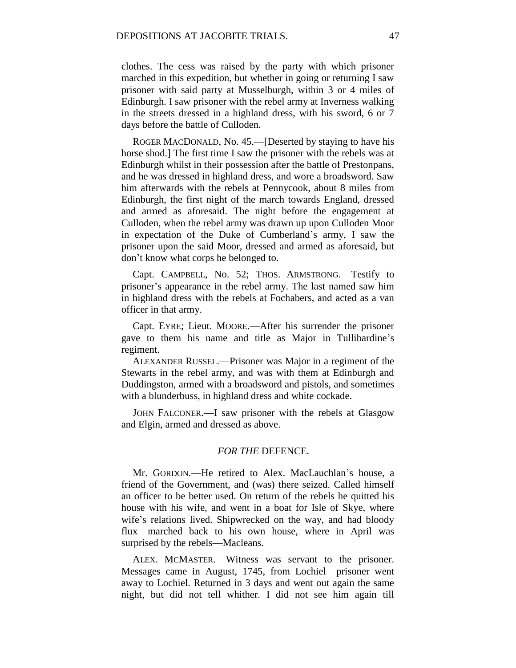clothes. The cess was raised by the party with which prisoner marched in this expedition, but whether in going or returning I saw prisoner with said party at Musselburgh, within 3 or 4 miles of Edinburgh. I saw prisoner with the rebel army at Inverness walking in the streets dressed in a highland dress, with his sword, 6 or 7 days before the battle of Culloden.

ROGER MACDONALD, No. 45.—[Deserted by staying to have his horse shod.] The first time I saw the prisoner with the rebels was at Edinburgh whilst in their possession after the battle of Prestonpans, and he was dressed in highland dress, and wore a broadsword. Saw him afterwards with the rebels at Pennycook, about 8 miles from Edinburgh, the first night of the march towards England, dressed and armed as aforesaid. The night before the engagement at Culloden, when the rebel army was drawn up upon Culloden Moor in expectation of the Duke of Cumberland's army, I saw the prisoner upon the said Moor, dressed and armed as aforesaid, but don't know what corps he belonged to.

Capt. CAMPBELL, No. 52; THOS. ARMSTRONG.—Testify to prisoner's appearance in the rebel army. The last named saw him in highland dress with the rebels at Fochabers, and acted as a van officer in that army.

Capt. EYRE; Lieut. MOORE.—After his surrender the prisoner gave to them his name and title as Major in Tullibardine's regiment.

ALEXANDER RUSSEL.—Prisoner was Major in a regiment of the Stewarts in the rebel army, and was with them at Edinburgh and Duddingston, armed with a broadsword and pistols, and sometimes with a blunderbuss, in highland dress and white cockade.

JOHN FALCONER.—I saw prisoner with the rebels at Glasgow and Elgin, armed and dressed as above.

#### *FOR THE* DEFENCE*.*

Mr. GORDON.—He retired to Alex. MacLauchlan's house, a friend of the Government, and (was) there seized. Called himself an officer to be better used. On return of the rebels he quitted his house with his wife, and went in a boat for Isle of Skye, where wife's relations lived. Shipwrecked on the way, and had bloody flux—marched back to his own house, where in April was surprised by the rebels—Macleans.

ALEX. MCMASTER.—Witness was servant to the prisoner. Messages came in August, 1745, from Lochiel—prisoner went away to Lochiel. Returned in 3 days and went out again the same night, but did not tell whither. I did not see him again till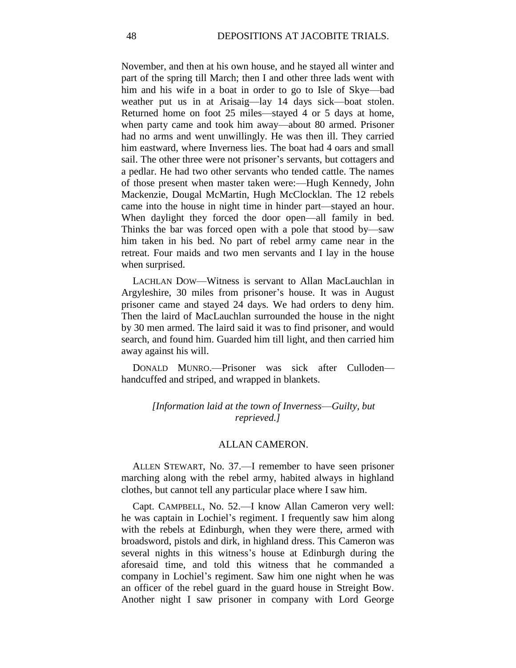November, and then at his own house, and he stayed all winter and part of the spring till March; then I and other three lads went with him and his wife in a boat in order to go to Isle of Skye—bad weather put us in at Arisaig—lay 14 days sick—boat stolen. Returned home on foot 25 miles—stayed 4 or 5 days at home, when party came and took him away—about 80 armed. Prisoner had no arms and went unwillingly. He was then ill. They carried him eastward, where Inverness lies. The boat had 4 oars and small sail. The other three were not prisoner's servants, but cottagers and a pedlar. He had two other servants who tended cattle. The names of those present when master taken were:—Hugh Kennedy, John Mackenzie, Dougal McMartin, Hugh McClocklan. The 12 rebels came into the house in night time in hinder part—stayed an hour. When daylight they forced the door open—all family in bed. Thinks the bar was forced open with a pole that stood by—saw him taken in his bed. No part of rebel army came near in the retreat. Four maids and two men servants and I lay in the house when surprised.

LACHLAN DOW—Witness is servant to Allan MacLauchlan in Argyleshire, 30 miles from prisoner's house. It was in August prisoner came and stayed 24 days. We had orders to deny him. Then the laird of MacLauchlan surrounded the house in the night by 30 men armed. The laird said it was to find prisoner, and would search, and found him. Guarded him till light, and then carried him away against his will.

DONALD MUNRO.—Prisoner was sick after Culloden handcuffed and striped, and wrapped in blankets.

> *[Information laid at the town of Inverness*—*Guilty, but reprieved.]*

## ALLAN CAMERON.

ALLEN STEWART, No. 37.—I remember to have seen prisoner marching along with the rebel army, habited always in highland clothes, but cannot tell any particular place where I saw him.

Capt. CAMPBELL, No. 52.—I know Allan Cameron very well: he was captain in Lochiel's regiment. I frequently saw him along with the rebels at Edinburgh, when they were there, armed with broadsword, pistols and dirk, in highland dress. This Cameron was several nights in this witness's house at Edinburgh during the aforesaid time, and told this witness that he commanded a company in Lochiel's regiment. Saw him one night when he was an officer of the rebel guard in the guard house in Streight Bow. Another night I saw prisoner in company with Lord George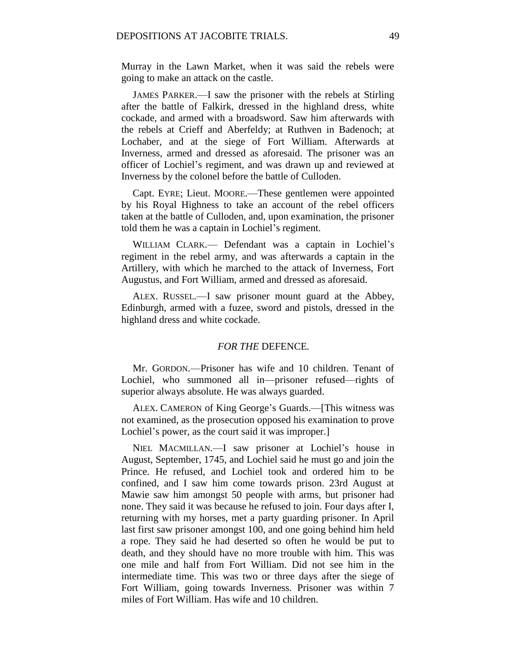Murray in the Lawn Market, when it was said the rebels were going to make an attack on the castle.

JAMES PARKER.—I saw the prisoner with the rebels at Stirling after the battle of Falkirk, dressed in the highland dress, white cockade, and armed with a broadsword. Saw him afterwards with the rebels at Crieff and Aberfeldy; at Ruthven in Badenoch; at Lochaber, and at the siege of Fort William. Afterwards at Inverness, armed and dressed as aforesaid. The prisoner was an officer of Lochiel's regiment, and was drawn up and reviewed at Inverness by the colonel before the battle of Culloden.

Capt. EYRE; Lieut. MOORE.—These gentlemen were appointed by his Royal Highness to take an account of the rebel officers taken at the battle of Culloden, and, upon examination, the prisoner told them he was a captain in Lochiel's regiment.

WILLIAM CLARK.— Defendant was a captain in Lochiel's regiment in the rebel army, and was afterwards a captain in the Artillery, with which he marched to the attack of Inverness, Fort Augustus, and Fort William, armed and dressed as aforesaid.

ALEX. RUSSEL.—I saw prisoner mount guard at the Abbey, Edinburgh, armed with a fuzee, sword and pistols, dressed in the highland dress and white cockade.

### *FOR THE* DEFENCE*.*

Mr. GORDON.—Prisoner has wife and 10 children. Tenant of Lochiel, who summoned all in—prisoner refused—rights of superior always absolute. He was always guarded.

ALEX. CAMERON of King George's Guards.—[This witness was not examined, as the prosecution opposed his examination to prove Lochiel's power, as the court said it was improper.]

NIEL MACMILLAN.—I saw prisoner at Lochiel's house in August, September, 1745, and Lochiel said he must go and join the Prince. He refused, and Lochiel took and ordered him to be confined, and I saw him come towards prison. 23rd August at Mawie saw him amongst 50 people with arms, but prisoner had none. They said it was because he refused to join. Four days after I, returning with my horses, met a party guarding prisoner. In April last first saw prisoner amongst 100, and one going behind him held a rope. They said he had deserted so often he would be put to death, and they should have no more trouble with him. This was one mile and half from Fort William. Did not see him in the intermediate time. This was two or three days after the siege of Fort William, going towards Inverness. Prisoner was within 7 miles of Fort William. Has wife and 10 children.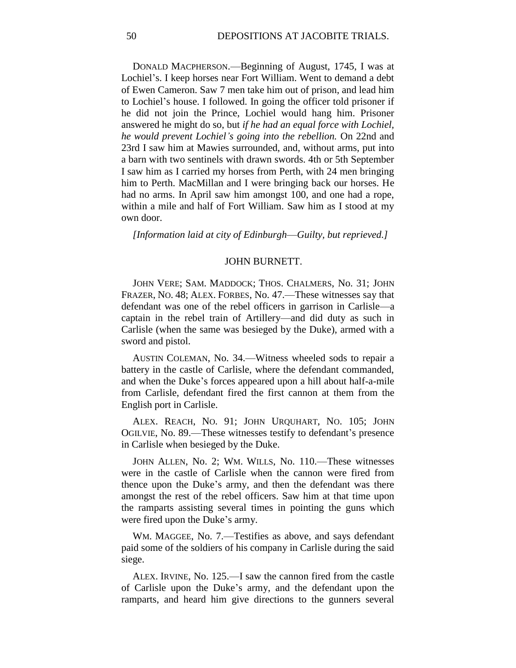DONALD MACPHERSON.—Beginning of August, 1745, I was at Lochiel's. I keep horses near Fort William. Went to demand a debt of Ewen Cameron. Saw 7 men take him out of prison, and lead him to Lochiel's house. I followed. In going the officer told prisoner if he did not join the Prince, Lochiel would hang him. Prisoner answered he might do so, but *if he had an equal force with Lochiel, he would prevent Lochiel's going into the rebellion.* On 22nd and 23rd I saw him at Mawies surrounded, and, without arms, put into a barn with two sentinels with drawn swords. 4th or 5th September I saw him as I carried my horses from Perth, with 24 men bringing him to Perth. MacMillan and I were bringing back our horses. He had no arms. In April saw him amongst 100, and one had a rope, within a mile and half of Fort William. Saw him as I stood at my own door.

*[Information laid at city of Edinburgh*—*Guilty, but reprieved.]*

### JOHN BURNETT.

JOHN VERE; SAM. MADDOCK; THOS. CHALMERS, No. 31; JOHN FRAZER, NO. 48; ALEX. FORBES, No. 47.—These witnesses say that defendant was one of the rebel officers in garrison in Carlisle—a captain in the rebel train of Artillery—and did duty as such in Carlisle (when the same was besieged by the Duke), armed with a sword and pistol.

AUSTIN COLEMAN, No. 34.—Witness wheeled sods to repair a battery in the castle of Carlisle, where the defendant commanded, and when the Duke's forces appeared upon a hill about half-a-mile from Carlisle, defendant fired the first cannon at them from the English port in Carlisle.

ALEX. REACH, NO. 91; JOHN URQUHART, NO. 105; JOHN OGILVIE, No. 89.—These witnesses testify to defendant's presence in Carlisle when besieged by the Duke.

JOHN ALLEN, No. 2; WM. WILLS, No. 110.—These witnesses were in the castle of Carlisle when the cannon were fired from thence upon the Duke's army, and then the defendant was there amongst the rest of the rebel officers. Saw him at that time upon the ramparts assisting several times in pointing the guns which were fired upon the Duke's army.

WM. MAGGEE, No. 7.—Testifies as above, and says defendant paid some of the soldiers of his company in Carlisle during the said siege.

ALEX. IRVINE, No. 125.—I saw the cannon fired from the castle of Carlisle upon the Duke's army, and the defendant upon the ramparts, and heard him give directions to the gunners several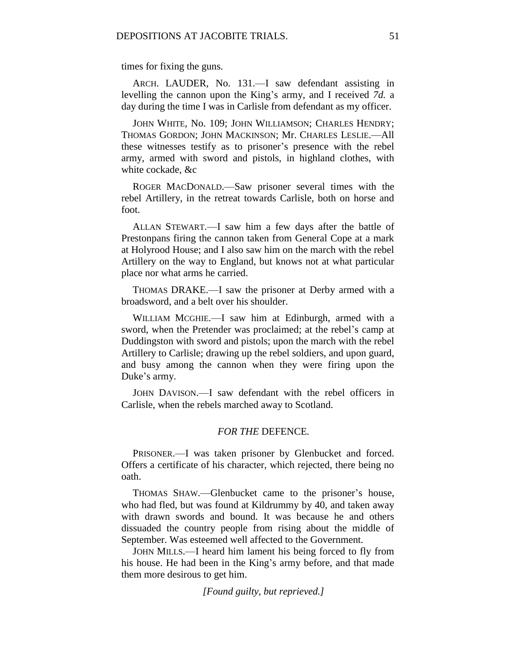times for fixing the guns.

ARCH. LAUDER, No. 131.—I saw defendant assisting in levelling the cannon upon the King's army, and I received *7d.* a day during the time I was in Carlisle from defendant as my officer.

JOHN WHITE, No. 109; JOHN WILLIAMSON; CHARLES HENDRY; THOMAS GORDON; JOHN MACKINSON; Mr. CHARLES LESLIE.—All these witnesses testify as to prisoner's presence with the rebel army, armed with sword and pistols, in highland clothes, with white cockade, &c

ROGER MACDONALD.—Saw prisoner several times with the rebel Artillery, in the retreat towards Carlisle, both on horse and foot.

ALLAN STEWART.—I saw him a few days after the battle of Prestonpans firing the cannon taken from General Cope at a mark at Holyrood House; and I also saw him on the march with the rebel Artillery on the way to England, but knows not at what particular place nor what arms he carried.

THOMAS DRAKE.—I saw the prisoner at Derby armed with a broadsword, and a belt over his shoulder.

WILLIAM MCGHIE.—I saw him at Edinburgh, armed with a sword, when the Pretender was proclaimed; at the rebel's camp at Duddingston with sword and pistols; upon the march with the rebel Artillery to Carlisle; drawing up the rebel soldiers, and upon guard, and busy among the cannon when they were firing upon the Duke's army.

JOHN DAVISON.—I saw defendant with the rebel officers in Carlisle, when the rebels marched away to Scotland.

## *FOR THE* DEFENCE*.*

PRISONER.—I was taken prisoner by Glenbucket and forced. Offers a certificate of his character, which rejected, there being no oath.

THOMAS SHAW.—Glenbucket came to the prisoner's house, who had fled, but was found at Kildrummy by 40, and taken away with drawn swords and bound. It was because he and others dissuaded the country people from rising about the middle of September. Was esteemed well affected to the Government.

JOHN MILLS.—I heard him lament his being forced to fly from his house. He had been in the King's army before, and that made them more desirous to get him.

*[Found guilty, but reprieved.]*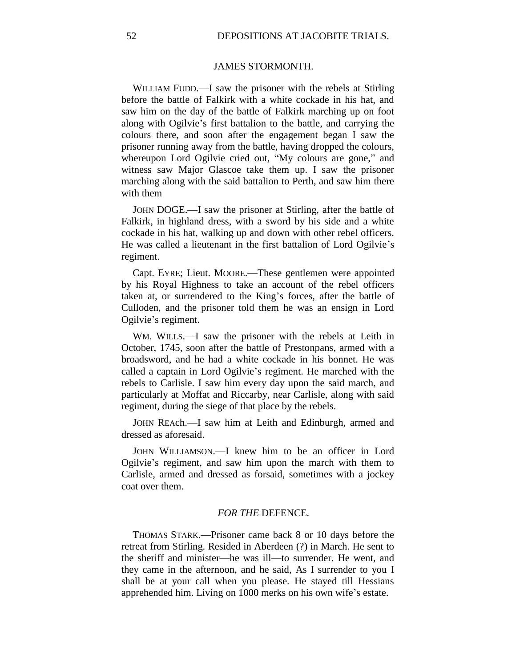## JAMES STORMONTH.

WILLIAM FUDD.—I saw the prisoner with the rebels at Stirling before the battle of Falkirk with a white cockade in his hat, and saw him on the day of the battle of Falkirk marching up on foot along with Ogilvie's first battalion to the battle, and carrying the colours there, and soon after the engagement began I saw the prisoner running away from the battle, having dropped the colours, whereupon Lord Ogilvie cried out, "My colours are gone," and witness saw Major Glascoe take them up. I saw the prisoner marching along with the said battalion to Perth, and saw him there with them

JOHN DOGE.—I saw the prisoner at Stirling, after the battle of Falkirk, in highland dress, with a sword by his side and a white cockade in his hat, walking up and down with other rebel officers. He was called a lieutenant in the first battalion of Lord Ogilvie's regiment.

Capt. EYRE; Lieut. MOORE.—These gentlemen were appointed by his Royal Highness to take an account of the rebel officers taken at, or surrendered to the King's forces, after the battle of Culloden, and the prisoner told them he was an ensign in Lord Ogilvie's regiment.

WM. WILLS.—I saw the prisoner with the rebels at Leith in October, 1745, soon after the battle of Prestonpans, armed with a broadsword, and he had a white cockade in his bonnet. He was called a captain in Lord Ogilvie's regiment. He marched with the rebels to Carlisle. I saw him every day upon the said march, and particularly at Moffat and Riccarby, near Carlisle, along with said regiment, during the siege of that place by the rebels.

JOHN REAch.—I saw him at Leith and Edinburgh, armed and dressed as aforesaid.

JOHN WILLIAMSON.—I knew him to be an officer in Lord Ogilvie's regiment, and saw him upon the march with them to Carlisle, armed and dressed as forsaid, sometimes with a jockey coat over them.

## *FOR THE* DEFENCE*.*

THOMAS STARK.—Prisoner came back 8 or 10 days before the retreat from Stirling. Resided in Aberdeen (?) in March. He sent to the sheriff and minister—he was ill—to surrender. He went, and they came in the afternoon, and he said, As I surrender to you I shall be at your call when you please. He stayed till Hessians apprehended him. Living on 1000 merks on his own wife's estate.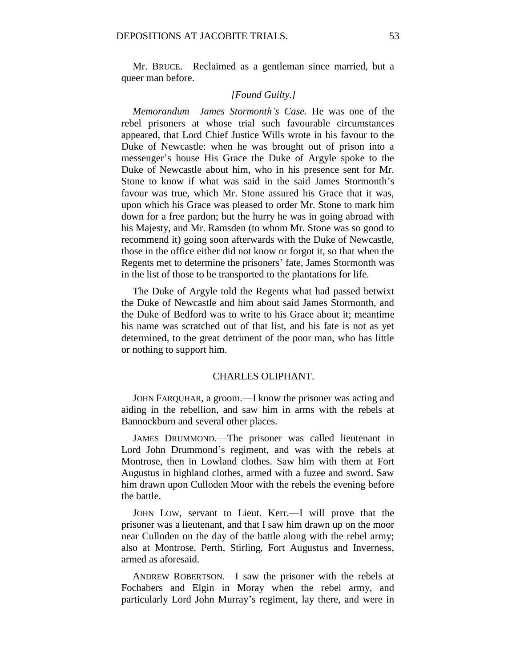Mr. BRUCE.—Reclaimed as a gentleman since married, but a queer man before.

## *[Found Guilty.]*

*Memorandum*—*James Stormonth's Case.* He was one of the rebel prisoners at whose trial such favourable circumstances appeared, that Lord Chief Justice Wills wrote in his favour to the Duke of Newcastle: when he was brought out of prison into a messenger's house His Grace the Duke of Argyle spoke to the Duke of Newcastle about him, who in his presence sent for Mr. Stone to know if what was said in the said James Stormonth's favour was true, which Mr. Stone assured his Grace that it was, upon which his Grace was pleased to order Mr. Stone to mark him down for a free pardon; but the hurry he was in going abroad with his Majesty, and Mr. Ramsden (to whom Mr. Stone was so good to recommend it) going soon afterwards with the Duke of Newcastle, those in the office either did not know or forgot it, so that when the Regents met to determine the prisoners' fate, James Stormonth was in the list of those to be transported to the plantations for life.

The Duke of Argyle told the Regents what had passed betwixt the Duke of Newcastle and him about said James Stormonth, and the Duke of Bedford was to write to his Grace about it; meantime his name was scratched out of that list, and his fate is not as yet determined, to the great detriment of the poor man, who has little or nothing to support him.

### CHARLES OLIPHANT.

JOHN FARQUHAR, a groom.—I know the prisoner was acting and aiding in the rebellion, and saw him in arms with the rebels at Bannockburn and several other places.

JAMES DRUMMOND.—The prisoner was called lieutenant in Lord John Drummond's regiment, and was with the rebels at Montrose, then in Lowland clothes. Saw him with them at Fort Augustus in highland clothes, armed with a fuzee and sword. Saw him drawn upon Culloden Moor with the rebels the evening before the battle.

JOHN LOW, servant to Lieut. Kerr.—I will prove that the prisoner was a lieutenant, and that I saw him drawn up on the moor near Culloden on the day of the battle along with the rebel army; also at Montrose, Perth, Stirling, Fort Augustus and Inverness, armed as aforesaid.

ANDREW ROBERTSON.—I saw the prisoner with the rebels at Fochabers and Elgin in Moray when the rebel army, and particularly Lord John Murray's regiment, lay there, and were in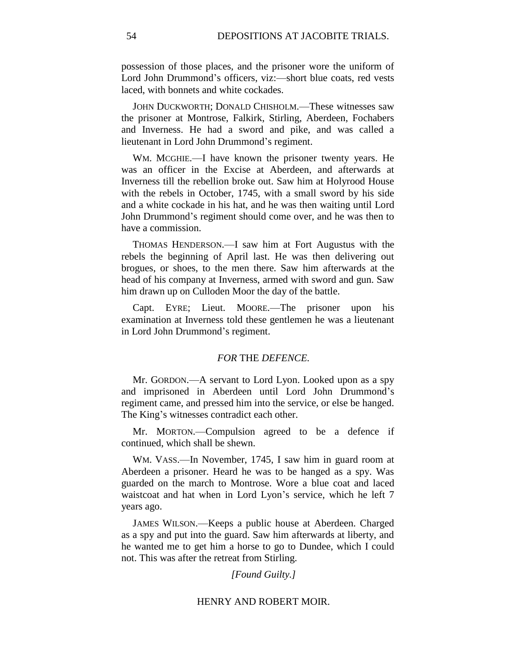possession of those places, and the prisoner wore the uniform of Lord John Drummond's officers, viz:—short blue coats, red vests laced, with bonnets and white cockades.

JOHN DUCKWORTH; DONALD CHISHOLM.—These witnesses saw the prisoner at Montrose, Falkirk, Stirling, Aberdeen, Fochabers and Inverness. He had a sword and pike, and was called a lieutenant in Lord John Drummond's regiment.

WM. MCGHIE.—I have known the prisoner twenty years. He was an officer in the Excise at Aberdeen, and afterwards at Inverness till the rebellion broke out. Saw him at Holyrood House with the rebels in October, 1745, with a small sword by his side and a white cockade in his hat, and he was then waiting until Lord John Drummond's regiment should come over, and he was then to have a commission.

THOMAS HENDERSON.—I saw him at Fort Augustus with the rebels the beginning of April last. He was then delivering out brogues, or shoes, to the men there. Saw him afterwards at the head of his company at Inverness, armed with sword and gun. Saw him drawn up on Culloden Moor the day of the battle.

Capt. EYRE; Lieut. MOORE.—The prisoner upon his examination at Inverness told these gentlemen he was a lieutenant in Lord John Drummond's regiment.

## *FOR* THE *DEFENCE.*

Mr. GORDON.—A servant to Lord Lyon. Looked upon as a spy and imprisoned in Aberdeen until Lord John Drummond's regiment came, and pressed him into the service, or else be hanged. The King's witnesses contradict each other.

Mr. MORTON.—Compulsion agreed to be a defence if continued, which shall be shewn.

WM. VASS.—In November, 1745, I saw him in guard room at Aberdeen a prisoner. Heard he was to be hanged as a spy. Was guarded on the march to Montrose. Wore a blue coat and laced waistcoat and hat when in Lord Lyon's service, which he left 7 years ago.

JAMES WILSON.—Keeps a public house at Aberdeen. Charged as a spy and put into the guard. Saw him afterwards at liberty, and he wanted me to get him a horse to go to Dundee, which I could not. This was after the retreat from Stirling.

## *[Found Guilty.]*

#### HENRY AND ROBERT MOIR.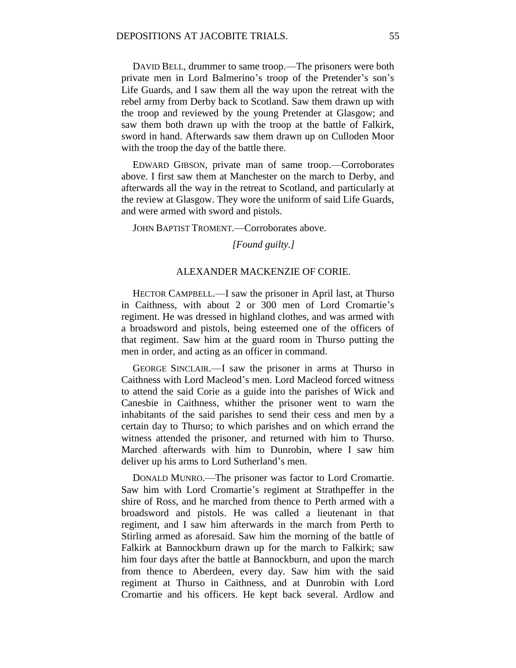DAVID BELL, drummer to same troop.—The prisoners were both private men in Lord Balmerino's troop of the Pretender's son's Life Guards, and I saw them all the way upon the retreat with the rebel army from Derby back to Scotland. Saw them drawn up with the troop and reviewed by the young Pretender at Glasgow; and saw them both drawn up with the troop at the battle of Falkirk, sword in hand. Afterwards saw them drawn up on Culloden Moor with the troop the day of the battle there.

EDWARD GIBSON, private man of same troop.—Corroborates above. I first saw them at Manchester on the march to Derby, and afterwards all the way in the retreat to Scotland, and particularly at the review at Glasgow. They wore the uniform of said Life Guards, and were armed with sword and pistols.

JOHN BAPTIST TROMENT.—Corroborates above.

#### *[Found guilty.]*

## ALEXANDER MACKENZIE OF CORIE.

HECTOR CAMPBELL.—I saw the prisoner in April last, at Thurso in Caithness, with about 2 or 300 men of Lord Cromartie's regiment. He was dressed in highland clothes, and was armed with a broadsword and pistols, being esteemed one of the officers of that regiment. Saw him at the guard room in Thurso putting the men in order, and acting as an officer in command.

GEORGE SINCLAIR.—I saw the prisoner in arms at Thurso in Caithness with Lord Macleod's men. Lord Macleod forced witness to attend the said Corie as a guide into the parishes of Wick and Canesbie in Caithness, whither the prisoner went to warn the inhabitants of the said parishes to send their cess and men by a certain day to Thurso; to which parishes and on which errand the witness attended the prisoner, and returned with him to Thurso. Marched afterwards with him to Dunrobin, where I saw him deliver up his arms to Lord Sutherland's men.

DONALD MUNRO.—The prisoner was factor to Lord Cromartie. Saw him with Lord Cromartie's regiment at Strathpeffer in the shire of Ross, and he marched from thence to Perth armed with a broadsword and pistols. He was called a lieutenant in that regiment, and I saw him afterwards in the march from Perth to Stirling armed as aforesaid. Saw him the morning of the battle of Falkirk at Bannockburn drawn up for the march to Falkirk; saw him four days after the battle at Bannockburn, and upon the march from thence to Aberdeen, every day. Saw him with the said regiment at Thurso in Caithness, and at Dunrobin with Lord Cromartie and his officers. He kept back several. Ardlow and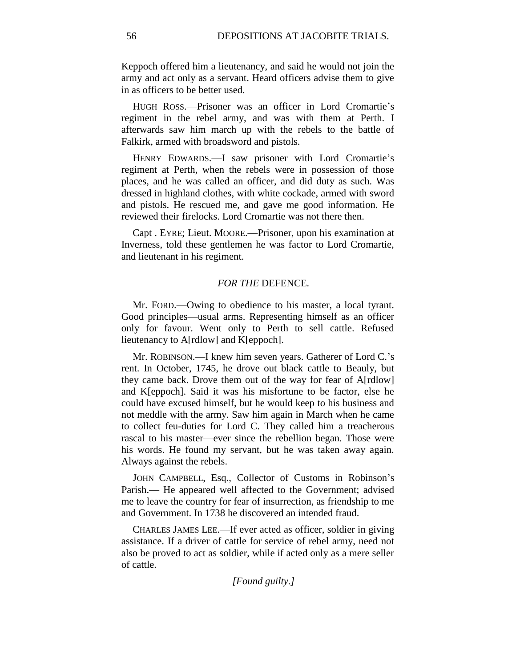Keppoch offered him a lieutenancy, and said he would not join the army and act only as a servant. Heard officers advise them to give in as officers to be better used.

HUGH ROSS.—Prisoner was an officer in Lord Cromartie's regiment in the rebel army, and was with them at Perth. I afterwards saw him march up with the rebels to the battle of Falkirk, armed with broadsword and pistols.

HENRY EDWARDS.—I saw prisoner with Lord Cromartie's regiment at Perth, when the rebels were in possession of those places, and he was called an officer, and did duty as such. Was dressed in highland clothes, with white cockade, armed with sword and pistols. He rescued me, and gave me good information. He reviewed their firelocks. Lord Cromartie was not there then.

Capt . EYRE; Lieut. MOORE.—Prisoner, upon his examination at Inverness, told these gentlemen he was factor to Lord Cromartie, and lieutenant in his regiment.

## *FOR THE* DEFENCE*.*

Mr. FORD.—Owing to obedience to his master, a local tyrant. Good principles—usual arms. Representing himself as an officer only for favour. Went only to Perth to sell cattle. Refused lieutenancy to A[rdlow] and K[eppoch].

Mr. ROBINSON.—I knew him seven years. Gatherer of Lord C.'s rent. In October, 1745, he drove out black cattle to Beauly, but they came back. Drove them out of the way for fear of A[rdlow] and K[eppoch]. Said it was his misfortune to be factor, else he could have excused himself, but he would keep to his business and not meddle with the army. Saw him again in March when he came to collect feu-duties for Lord C. They called him a treacherous rascal to his master—ever since the rebellion began. Those were his words. He found my servant, but he was taken away again. Always against the rebels.

JOHN CAMPBELL, Esq., Collector of Customs in Robinson's Parish.— He appeared well affected to the Government; advised me to leave the country for fear of insurrection, as friendship to me and Government. In 1738 he discovered an intended fraud.

CHARLES JAMES LEE.—If ever acted as officer, soldier in giving assistance. If a driver of cattle for service of rebel army, need not also be proved to act as soldier, while if acted only as a mere seller of cattle.

*[Found guilty.]*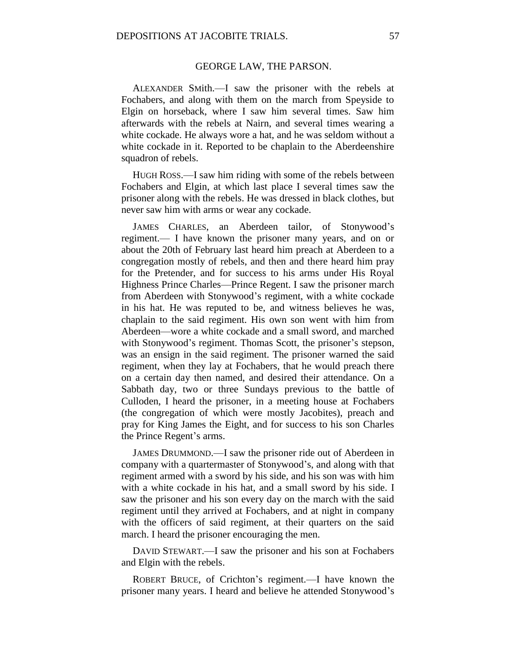### GEORGE LAW, THE PARSON.

ALEXANDER SMith.—I saw the prisoner with the rebels at Fochabers, and along with them on the march from Speyside to Elgin on horseback, where I saw him several times. Saw him afterwards with the rebels at Nairn, and several times wearing a white cockade. He always wore a hat, and he was seldom without a white cockade in it. Reported to be chaplain to the Aberdeenshire squadron of rebels.

HUGH ROSS.—I saw him riding with some of the rebels between Fochabers and Elgin, at which last place I several times saw the prisoner along with the rebels. He was dressed in black clothes, but never saw him with arms or wear any cockade.

JAMES CHARLES, an Aberdeen tailor, of Stonywood's regiment.— I have known the prisoner many years, and on or about the 20th of February last heard him preach at Aberdeen to a congregation mostly of rebels, and then and there heard him pray for the Pretender, and for success to his arms under His Royal Highness Prince Charles—Prince Regent. I saw the prisoner march from Aberdeen with Stonywood's regiment, with a white cockade in his hat. He was reputed to be, and witness believes he was, chaplain to the said regiment. His own son went with him from Aberdeen—wore a white cockade and a small sword, and marched with Stonywood's regiment. Thomas Scott, the prisoner's stepson, was an ensign in the said regiment. The prisoner warned the said regiment, when they lay at Fochabers, that he would preach there on a certain day then named, and desired their attendance. On a Sabbath day, two or three Sundays previous to the battle of Culloden, I heard the prisoner, in a meeting house at Fochabers (the congregation of which were mostly Jacobites), preach and pray for King James the Eight, and for success to his son Charles the Prince Regent's arms.

JAMES DRUMMOND.—I saw the prisoner ride out of Aberdeen in company with a quartermaster of Stonywood's, and along with that regiment armed with a sword by his side, and his son was with him with a white cockade in his hat, and a small sword by his side. I saw the prisoner and his son every day on the march with the said regiment until they arrived at Fochabers, and at night in company with the officers of said regiment, at their quarters on the said march. I heard the prisoner encouraging the men.

DAVID STEWART.—I saw the prisoner and his son at Fochabers and Elgin with the rebels.

ROBERT BRUCE, of Crichton's regiment.—I have known the prisoner many years. I heard and believe he attended Stonywood's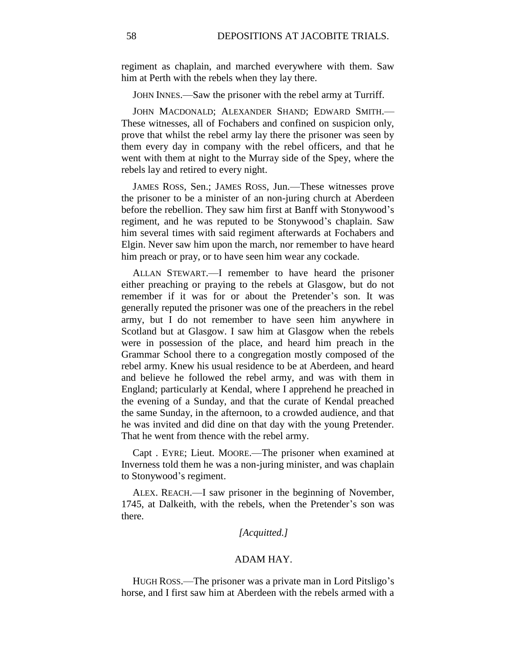regiment as chaplain, and marched everywhere with them. Saw him at Perth with the rebels when they lay there.

JOHN INNES.—Saw the prisoner with the rebel army at Turriff.

JOHN MACDONALD; ALEXANDER SHAND; EDWARD SMITH.— These witnesses, all of Fochabers and confined on suspicion only, prove that whilst the rebel army lay there the prisoner was seen by them every day in company with the rebel officers, and that he went with them at night to the Murray side of the Spey, where the rebels lay and retired to every night.

JAMES ROSS, Sen.; JAMES ROSS, Jun.—These witnesses prove the prisoner to be a minister of an non-juring church at Aberdeen before the rebellion. They saw him first at Banff with Stonywood's regiment, and he was reputed to be Stonywood's chaplain. Saw him several times with said regiment afterwards at Fochabers and Elgin. Never saw him upon the march, nor remember to have heard him preach or pray, or to have seen him wear any cockade.

ALLAN STEWART.—I remember to have heard the prisoner either preaching or praying to the rebels at Glasgow, but do not remember if it was for or about the Pretender's son. It was generally reputed the prisoner was one of the preachers in the rebel army, but I do not remember to have seen him anywhere in Scotland but at Glasgow. I saw him at Glasgow when the rebels were in possession of the place, and heard him preach in the Grammar School there to a congregation mostly composed of the rebel army. Knew his usual residence to be at Aberdeen, and heard and believe he followed the rebel army, and was with them in England; particularly at Kendal, where I apprehend he preached in the evening of a Sunday, and that the curate of Kendal preached the same Sunday, in the afternoon, to a crowded audience, and that he was invited and did dine on that day with the young Pretender. That he went from thence with the rebel army.

Capt . EYRE; Lieut. MOORE.—The prisoner when examined at Inverness told them he was a non-juring minister, and was chaplain to Stonywood's regiment.

ALEX. REACH.—I saw prisoner in the beginning of November, 1745, at Dalkeith, with the rebels, when the Pretender's son was there.

## *[Acquitted.]*

#### ADAM HAY.

HUGH ROSS.—The prisoner was a private man in Lord Pitsligo's horse, and I first saw him at Aberdeen with the rebels armed with a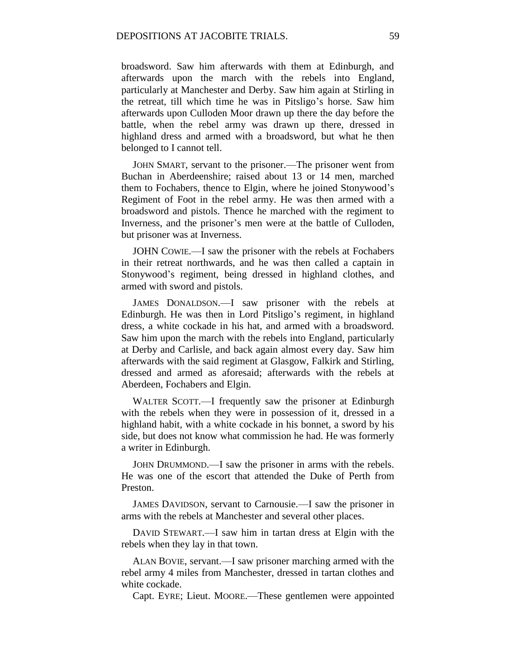broadsword. Saw him afterwards with them at Edinburgh, and afterwards upon the march with the rebels into England, particularly at Manchester and Derby. Saw him again at Stirling in the retreat, till which time he was in Pitsligo's horse. Saw him afterwards upon Culloden Moor drawn up there the day before the battle, when the rebel army was drawn up there, dressed in highland dress and armed with a broadsword, but what he then belonged to I cannot tell.

JOHN SMART, servant to the prisoner.—The prisoner went from Buchan in Aberdeenshire; raised about 13 or 14 men, marched them to Fochabers, thence to Elgin, where he joined Stonywood's Regiment of Foot in the rebel army. He was then armed with a broadsword and pistols. Thence he marched with the regiment to Inverness, and the prisoner's men were at the battle of Culloden, but prisoner was at Inverness.

JOHN COWIE.—I saw the prisoner with the rebels at Fochabers in their retreat northwards, and he was then called a captain in Stonywood's regiment, being dressed in highland clothes, and armed with sword and pistols.

JAMES DONALDSON.—I saw prisoner with the rebels at Edinburgh. He was then in Lord Pitsligo's regiment, in highland dress, a white cockade in his hat, and armed with a broadsword. Saw him upon the march with the rebels into England, particularly at Derby and Carlisle, and back again almost every day. Saw him afterwards with the said regiment at Glasgow, Falkirk and Stirling, dressed and armed as aforesaid; afterwards with the rebels at Aberdeen, Fochabers and Elgin.

WALTER SCOTT.—I frequently saw the prisoner at Edinburgh with the rebels when they were in possession of it, dressed in a highland habit, with a white cockade in his bonnet, a sword by his side, but does not know what commission he had. He was formerly a writer in Edinburgh.

JOHN DRUMMOND.—I saw the prisoner in arms with the rebels. He was one of the escort that attended the Duke of Perth from Preston.

JAMES DAVIDSON, servant to Carnousie.—I saw the prisoner in arms with the rebels at Manchester and several other places.

DAVID STEWART.—I saw him in tartan dress at Elgin with the rebels when they lay in that town.

ALAN BOVIE, servant.—I saw prisoner marching armed with the rebel army 4 miles from Manchester, dressed in tartan clothes and white cockade.

Capt. EYRE; Lieut. MOORE.—These gentlemen were appointed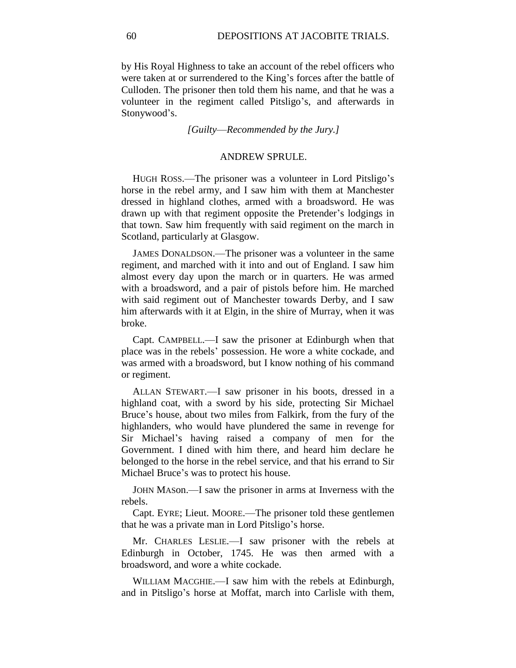by His Royal Highness to take an account of the rebel officers who were taken at or surrendered to the King's forces after the battle of Culloden. The prisoner then told them his name, and that he was a volunteer in the regiment called Pitsligo's, and afterwards in Stonywood's.

*[Guilty*—*Recommended by the Jury.]*

## ANDREW SPRULE.

HUGH ROSS.—The prisoner was a volunteer in Lord Pitsligo's horse in the rebel army, and I saw him with them at Manchester dressed in highland clothes, armed with a broadsword. He was drawn up with that regiment opposite the Pretender's lodgings in that town. Saw him frequently with said regiment on the march in Scotland, particularly at Glasgow.

JAMES DONALDSON.—The prisoner was a volunteer in the same regiment, and marched with it into and out of England. I saw him almost every day upon the march or in quarters. He was armed with a broadsword, and a pair of pistols before him. He marched with said regiment out of Manchester towards Derby, and I saw him afterwards with it at Elgin, in the shire of Murray, when it was broke.

Capt. CAMPBELL.—I saw the prisoner at Edinburgh when that place was in the rebels' possession. He wore a white cockade, and was armed with a broadsword, but I know nothing of his command or regiment.

ALLAN STEWART.—I saw prisoner in his boots, dressed in a highland coat, with a sword by his side, protecting Sir Michael Bruce's house, about two miles from Falkirk, from the fury of the highlanders, who would have plundered the same in revenge for Sir Michael's having raised a company of men for the Government. I dined with him there, and heard him declare he belonged to the horse in the rebel service, and that his errand to Sir Michael Bruce's was to protect his house.

JOHN MASon.—I saw the prisoner in arms at Inverness with the rebels.

Capt. EYRE; Lieut. MOORE.—The prisoner told these gentlemen that he was a private man in Lord Pitsligo's horse.

Mr. CHARLES LESLIE.—I saw prisoner with the rebels at Edinburgh in October, 1745. He was then armed with a broadsword, and wore a white cockade.

WILLIAM MACGHIE.—I saw him with the rebels at Edinburgh, and in Pitsligo's horse at Moffat, march into Carlisle with them,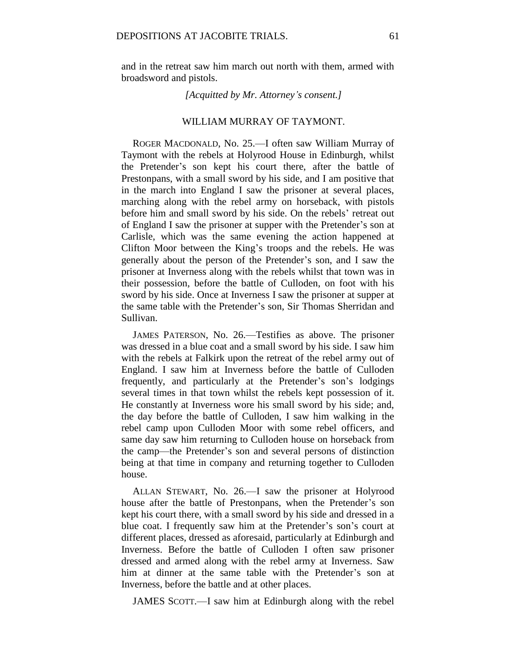and in the retreat saw him march out north with them, armed with broadsword and pistols.

*[Acquitted by Mr. Attorney's consent.]*

## WILLIAM MURRAY OF TAYMONT.

ROGER MACDONALD, No. 25.—I often saw William Murray of Taymont with the rebels at Holyrood House in Edinburgh, whilst the Pretender's son kept his court there, after the battle of Prestonpans, with a small sword by his side, and I am positive that in the march into England I saw the prisoner at several places, marching along with the rebel army on horseback, with pistols before him and small sword by his side. On the rebels' retreat out of England I saw the prisoner at supper with the Pretender's son at Carlisle, which was the same evening the action happened at Clifton Moor between the King's troops and the rebels. He was generally about the person of the Pretender's son, and I saw the prisoner at Inverness along with the rebels whilst that town was in their possession, before the battle of Culloden, on foot with his sword by his side. Once at Inverness I saw the prisoner at supper at the same table with the Pretender's son, Sir Thomas Sherridan and Sullivan.

JAMES PATERSON, No. 26.—Testifies as above. The prisoner was dressed in a blue coat and a small sword by his side. I saw him with the rebels at Falkirk upon the retreat of the rebel army out of England. I saw him at Inverness before the battle of Culloden frequently, and particularly at the Pretender's son's lodgings several times in that town whilst the rebels kept possession of it. He constantly at Inverness wore his small sword by his side; and, the day before the battle of Culloden, I saw him walking in the rebel camp upon Culloden Moor with some rebel officers, and same day saw him returning to Culloden house on horseback from the camp—the Pretender's son and several persons of distinction being at that time in company and returning together to Culloden house.

ALLAN STEWART, No. 26.—I saw the prisoner at Holyrood house after the battle of Prestonpans, when the Pretender's son kept his court there, with a small sword by his side and dressed in a blue coat. I frequently saw him at the Pretender's son's court at different places, dressed as aforesaid, particularly at Edinburgh and Inverness. Before the battle of Culloden I often saw prisoner dressed and armed along with the rebel army at Inverness. Saw him at dinner at the same table with the Pretender's son at Inverness, before the battle and at other places.

JAMES SCOTT.—I saw him at Edinburgh along with the rebel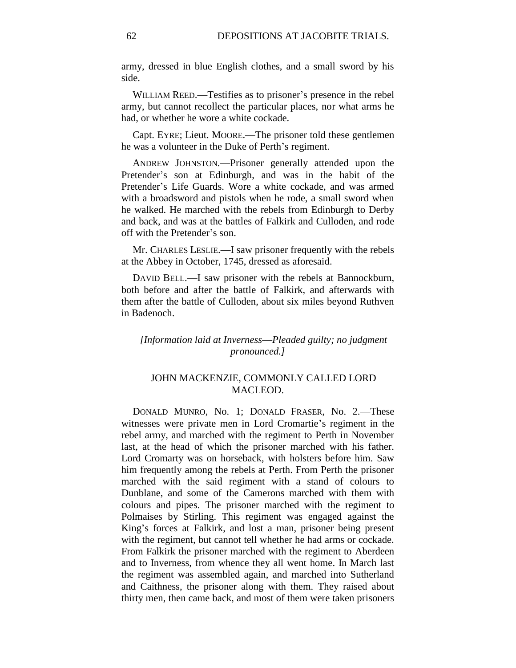army, dressed in blue English clothes, and a small sword by his side.

WILLIAM REED.—Testifies as to prisoner's presence in the rebel army, but cannot recollect the particular places, nor what arms he had, or whether he wore a white cockade.

Capt. EYRE; Lieut. MOORE.—The prisoner told these gentlemen he was a volunteer in the Duke of Perth's regiment.

ANDREW JOHNSTON.—Prisoner generally attended upon the Pretender's son at Edinburgh, and was in the habit of the Pretender's Life Guards. Wore a white cockade, and was armed with a broadsword and pistols when he rode, a small sword when he walked. He marched with the rebels from Edinburgh to Derby and back, and was at the battles of Falkirk and Culloden, and rode off with the Pretender's son.

Mr. CHARLES LESLIE.—I saw prisoner frequently with the rebels at the Abbey in October, 1745, dressed as aforesaid.

DAVID BELL.—I saw prisoner with the rebels at Bannockburn, both before and after the battle of Falkirk, and afterwards with them after the battle of Culloden, about six miles beyond Ruthven in Badenoch.

# *[Information laid at Inverness*—*Pleaded guilty; no judgment pronounced.]*

# JOHN MACKENZIE, COMMONLY CALLED LORD MACLEOD.

DONALD MUNRO, No. 1; DONALD FRASER, No. 2.—These witnesses were private men in Lord Cromartie's regiment in the rebel army, and marched with the regiment to Perth in November last, at the head of which the prisoner marched with his father. Lord Cromarty was on horseback, with holsters before him. Saw him frequently among the rebels at Perth. From Perth the prisoner marched with the said regiment with a stand of colours to Dunblane, and some of the Camerons marched with them with colours and pipes. The prisoner marched with the regiment to Polmaises by Stirling. This regiment was engaged against the King's forces at Falkirk, and lost a man, prisoner being present with the regiment, but cannot tell whether he had arms or cockade. From Falkirk the prisoner marched with the regiment to Aberdeen and to Inverness, from whence they all went home. In March last the regiment was assembled again, and marched into Sutherland and Caithness, the prisoner along with them. They raised about thirty men, then came back, and most of them were taken prisoners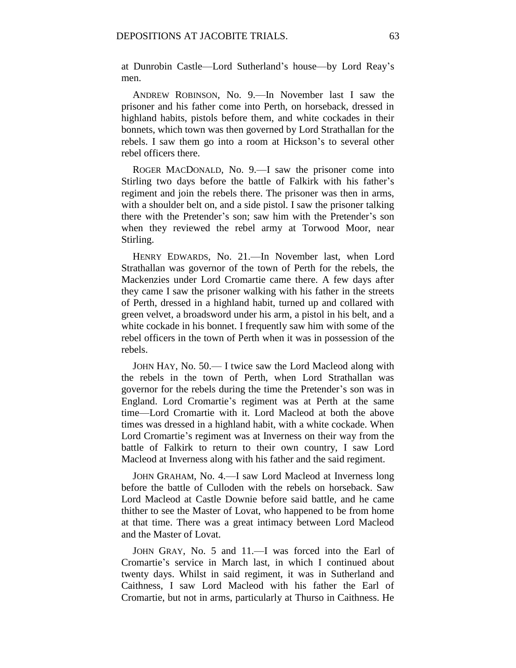at Dunrobin Castle—Lord Sutherland's house—by Lord Reay's men.

ANDREW ROBINSON, No. 9.—In November last I saw the prisoner and his father come into Perth, on horseback, dressed in highland habits, pistols before them, and white cockades in their bonnets, which town was then governed by Lord Strathallan for the rebels. I saw them go into a room at Hickson's to several other rebel officers there.

ROGER MACDONALD, No. 9.—I saw the prisoner come into Stirling two days before the battle of Falkirk with his father's regiment and join the rebels there. The prisoner was then in arms, with a shoulder belt on, and a side pistol. I saw the prisoner talking there with the Pretender's son; saw him with the Pretender's son when they reviewed the rebel army at Torwood Moor, near Stirling.

HENRY EDWARDS, No. 21.—In November last, when Lord Strathallan was governor of the town of Perth for the rebels, the Mackenzies under Lord Cromartie came there. A few days after they came I saw the prisoner walking with his father in the streets of Perth, dressed in a highland habit, turned up and collared with green velvet, a broadsword under his arm, a pistol in his belt, and a white cockade in his bonnet. I frequently saw him with some of the rebel officers in the town of Perth when it was in possession of the rebels.

JOHN HAY, No. 50.— I twice saw the Lord Macleod along with the rebels in the town of Perth, when Lord Strathallan was governor for the rebels during the time the Pretender's son was in England. Lord Cromartie's regiment was at Perth at the same time—Lord Cromartie with it. Lord Macleod at both the above times was dressed in a highland habit, with a white cockade. When Lord Cromartie's regiment was at Inverness on their way from the battle of Falkirk to return to their own country, I saw Lord Macleod at Inverness along with his father and the said regiment.

JOHN GRAHAM, No. 4.—I saw Lord Macleod at Inverness long before the battle of Culloden with the rebels on horseback. Saw Lord Macleod at Castle Downie before said battle, and he came thither to see the Master of Lovat, who happened to be from home at that time. There was a great intimacy between Lord Macleod and the Master of Lovat.

JOHN GRAY, No. 5 and 11.—I was forced into the Earl of Cromartie's service in March last, in which I continued about twenty days. Whilst in said regiment, it was in Sutherland and Caithness, I saw Lord Macleod with his father the Earl of Cromartie, but not in arms, particularly at Thurso in Caithness. He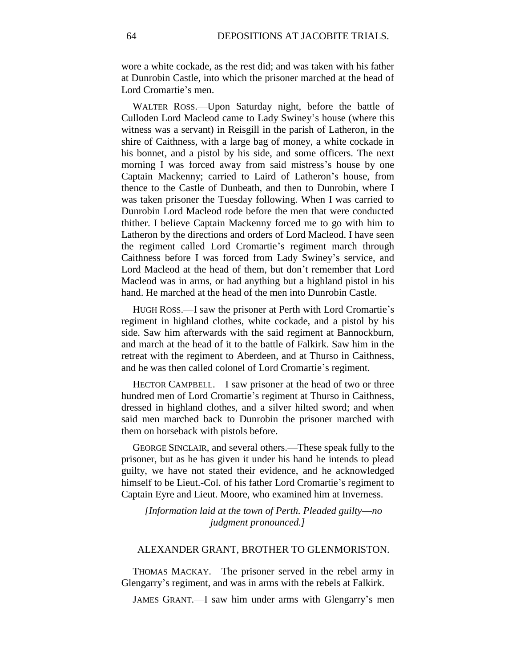wore a white cockade, as the rest did; and was taken with his father at Dunrobin Castle, into which the prisoner marched at the head of Lord Cromartie's men.

WALTER ROSS.—Upon Saturday night, before the battle of Culloden Lord Macleod came to Lady Swiney's house (where this witness was a servant) in Reisgill in the parish of Latheron, in the shire of Caithness, with a large bag of money, a white cockade in his bonnet, and a pistol by his side, and some officers. The next morning I was forced away from said mistress's house by one Captain Mackenny; carried to Laird of Latheron's house, from thence to the Castle of Dunbeath, and then to Dunrobin, where I was taken prisoner the Tuesday following. When I was carried to Dunrobin Lord Macleod rode before the men that were conducted thither. I believe Captain Mackenny forced me to go with him to Latheron by the directions and orders of Lord Macleod. I have seen the regiment called Lord Cromartie's regiment march through Caithness before I was forced from Lady Swiney's service, and Lord Macleod at the head of them, but don't remember that Lord Macleod was in arms, or had anything but a highland pistol in his hand. He marched at the head of the men into Dunrobin Castle.

HUGH ROSS.—I saw the prisoner at Perth with Lord Cromartie's regiment in highland clothes, white cockade, and a pistol by his side. Saw him afterwards with the said regiment at Bannockburn, and march at the head of it to the battle of Falkirk. Saw him in the retreat with the regiment to Aberdeen, and at Thurso in Caithness, and he was then called colonel of Lord Cromartie's regiment.

HECTOR CAMPBELL.—I saw prisoner at the head of two or three hundred men of Lord Cromartie's regiment at Thurso in Caithness, dressed in highland clothes, and a silver hilted sword; and when said men marched back to Dunrobin the prisoner marched with them on horseback with pistols before.

GEORGE SINCLAIR, and several others.—These speak fully to the prisoner, but as he has given it under his hand he intends to plead guilty, we have not stated their evidence, and he acknowledged himself to be Lieut.-Col. of his father Lord Cromartie's regiment to Captain Eyre and Lieut. Moore, who examined him at Inverness.

*[Information laid at the town of Perth. Pleaded guilty*—*no judgment pronounced.]*

## ALEXANDER GRANT, BROTHER TO GLENMORISTON.

THOMAS MACKAY.—The prisoner served in the rebel army in Glengarry's regiment, and was in arms with the rebels at Falkirk.

JAMES GRANT.—I saw him under arms with Glengarry's men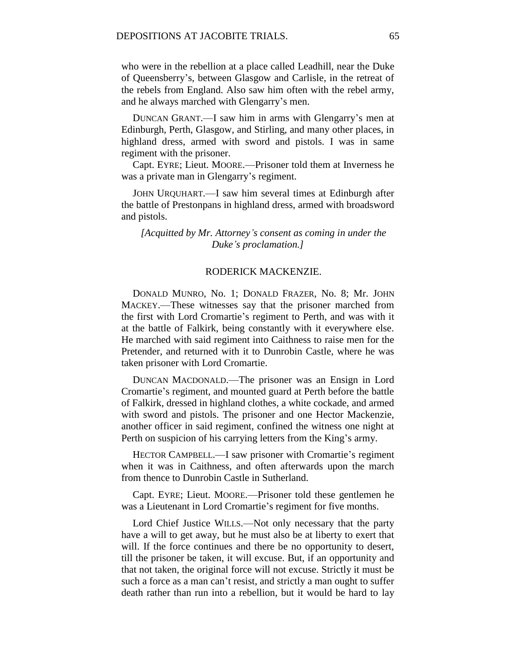who were in the rebellion at a place called Leadhill, near the Duke of Queensberry's, between Glasgow and Carlisle, in the retreat of the rebels from England. Also saw him often with the rebel army, and he always marched with Glengarry's men.

DUNCAN GRANT.—I saw him in arms with Glengarry's men at Edinburgh, Perth, Glasgow, and Stirling, and many other places, in highland dress, armed with sword and pistols. I was in same regiment with the prisoner.

Capt. EYRE; Lieut. MOORE.—Prisoner told them at Inverness he was a private man in Glengarry's regiment.

JOHN URQUHART.—I saw him several times at Edinburgh after the battle of Prestonpans in highland dress, armed with broadsword and pistols.

## *[Acquitted by Mr. Attorney's consent as coming in under the Duke's proclamation.]*

## RODERICK MACKENZIE.

DONALD MUNRO, No. 1; DONALD FRAZER, No. 8; Mr. JOHN MACKEY.—These witnesses say that the prisoner marched from the first with Lord Cromartie's regiment to Perth, and was with it at the battle of Falkirk, being constantly with it everywhere else. He marched with said regiment into Caithness to raise men for the Pretender, and returned with it to Dunrobin Castle, where he was taken prisoner with Lord Cromartie.

DUNCAN MACDONALD.—The prisoner was an Ensign in Lord Cromartie's regiment, and mounted guard at Perth before the battle of Falkirk, dressed in highland clothes, a white cockade, and armed with sword and pistols. The prisoner and one Hector Mackenzie, another officer in said regiment, confined the witness one night at Perth on suspicion of his carrying letters from the King's army.

HECTOR CAMPBELL.—I saw prisoner with Cromartie's regiment when it was in Caithness, and often afterwards upon the march from thence to Dunrobin Castle in Sutherland.

Capt. EYRE; Lieut. MOORE.—Prisoner told these gentlemen he was a Lieutenant in Lord Cromartie's regiment for five months.

Lord Chief Justice WILLS.—Not only necessary that the party have a will to get away, but he must also be at liberty to exert that will. If the force continues and there be no opportunity to desert, till the prisoner be taken, it will excuse. But, if an opportunity and that not taken, the original force will not excuse. Strictly it must be such a force as a man can't resist, and strictly a man ought to suffer death rather than run into a rebellion, but it would be hard to lay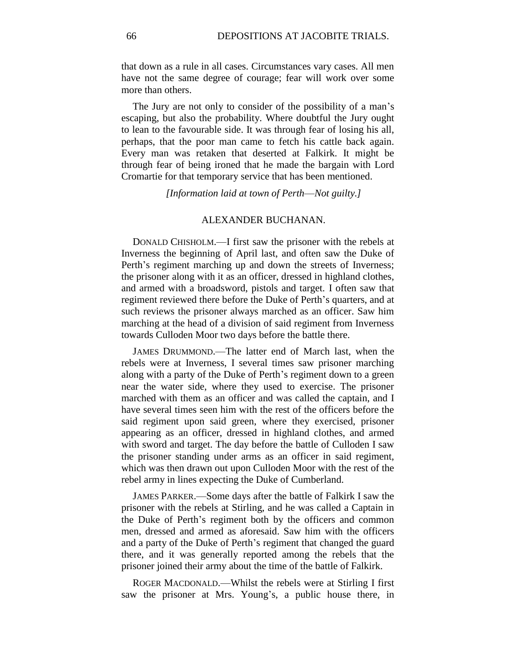that down as a rule in all cases. Circumstances vary cases. All men have not the same degree of courage; fear will work over some more than others.

The Jury are not only to consider of the possibility of a man's escaping, but also the probability. Where doubtful the Jury ought to lean to the favourable side. It was through fear of losing his all, perhaps, that the poor man came to fetch his cattle back again. Every man was retaken that deserted at Falkirk. It might be through fear of being ironed that he made the bargain with Lord Cromartie for that temporary service that has been mentioned.

*[Information laid at town of Perth*—*Not guilty.]*

## ALEXANDER BUCHANAN.

DONALD CHISHOLM.—I first saw the prisoner with the rebels at Inverness the beginning of April last, and often saw the Duke of Perth's regiment marching up and down the streets of Inverness; the prisoner along with it as an officer, dressed in highland clothes, and armed with a broadsword, pistols and target. I often saw that regiment reviewed there before the Duke of Perth's quarters, and at such reviews the prisoner always marched as an officer. Saw him marching at the head of a division of said regiment from Inverness towards Culloden Moor two days before the battle there.

JAMES DRUMMOND.—The latter end of March last, when the rebels were at Inverness, I several times saw prisoner marching along with a party of the Duke of Perth's regiment down to a green near the water side, where they used to exercise. The prisoner marched with them as an officer and was called the captain, and I have several times seen him with the rest of the officers before the said regiment upon said green, where they exercised, prisoner appearing as an officer, dressed in highland clothes, and armed with sword and target. The day before the battle of Culloden I saw the prisoner standing under arms as an officer in said regiment, which was then drawn out upon Culloden Moor with the rest of the rebel army in lines expecting the Duke of Cumberland.

JAMES PARKER.—Some days after the battle of Falkirk I saw the prisoner with the rebels at Stirling, and he was called a Captain in the Duke of Perth's regiment both by the officers and common men, dressed and armed as aforesaid. Saw him with the officers and a party of the Duke of Perth's regiment that changed the guard there, and it was generally reported among the rebels that the prisoner joined their army about the time of the battle of Falkirk.

ROGER MACDONALD.—Whilst the rebels were at Stirling I first saw the prisoner at Mrs. Young's, a public house there, in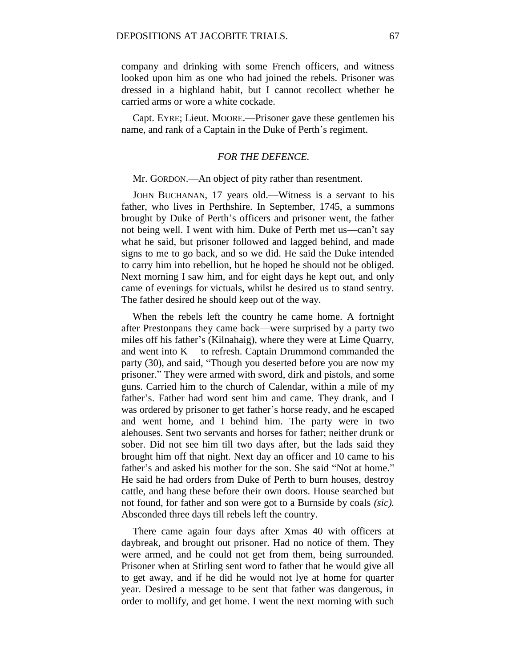company and drinking with some French officers, and witness looked upon him as one who had joined the rebels. Prisoner was dressed in a highland habit, but I cannot recollect whether he carried arms or wore a white cockade.

Capt. EYRE; Lieut. MOORE.—Prisoner gave these gentlemen his name, and rank of a Captain in the Duke of Perth's regiment.

#### *FOR THE DEFENCE.*

#### Mr. GORDON.—An object of pity rather than resentment.

JOHN BUCHANAN, 17 years old.—Witness is a servant to his father, who lives in Perthshire. In September, 1745, a summons brought by Duke of Perth's officers and prisoner went, the father not being well. I went with him. Duke of Perth met us—can't say what he said, but prisoner followed and lagged behind, and made signs to me to go back, and so we did. He said the Duke intended to carry him into rebellion, but he hoped he should not be obliged. Next morning I saw him, and for eight days he kept out, and only came of evenings for victuals, whilst he desired us to stand sentry. The father desired he should keep out of the way.

When the rebels left the country he came home. A fortnight after Prestonpans they came back—were surprised by a party two miles off his father's (Kilnahaig), where they were at Lime Quarry, and went into K— to refresh. Captain Drummond commanded the party (30), and said, "Though you deserted before you are now my prisoner." They were armed with sword, dirk and pistols, and some guns. Carried him to the church of Calendar, within a mile of my father's. Father had word sent him and came. They drank, and I was ordered by prisoner to get father's horse ready, and he escaped and went home, and I behind him. The party were in two alehouses. Sent two servants and horses for father; neither drunk or sober. Did not see him till two days after, but the lads said they brought him off that night. Next day an officer and 10 came to his father's and asked his mother for the son. She said "Not at home." He said he had orders from Duke of Perth to burn houses, destroy cattle, and hang these before their own doors. House searched but not found, for father and son were got to a Burnside by coals *(sic).*  Absconded three days till rebels left the country.

There came again four days after Xmas 40 with officers at daybreak, and brought out prisoner. Had no notice of them. They were armed, and he could not get from them, being surrounded. Prisoner when at Stirling sent word to father that he would give all to get away, and if he did he would not lye at home for quarter year. Desired a message to be sent that father was dangerous, in order to mollify, and get home. I went the next morning with such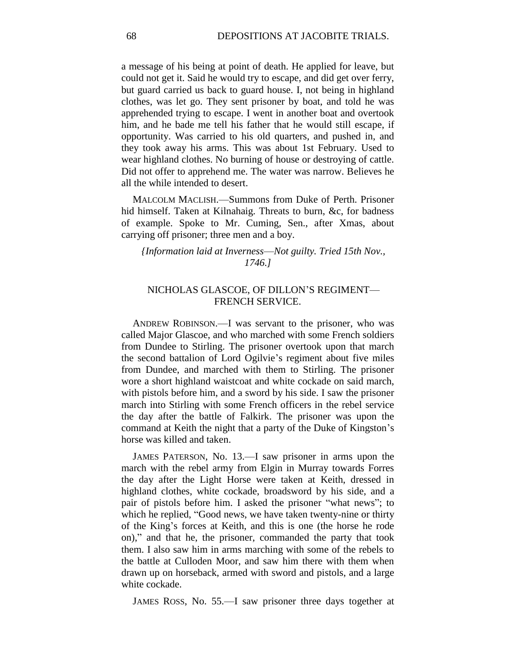a message of his being at point of death. He applied for leave, but could not get it. Said he would try to escape, and did get over ferry, but guard carried us back to guard house. I, not being in highland clothes, was let go. They sent prisoner by boat, and told he was apprehended trying to escape. I went in another boat and overtook him, and he bade me tell his father that he would still escape, if opportunity. Was carried to his old quarters, and pushed in, and they took away his arms. This was about 1st February. Used to wear highland clothes. No burning of house or destroying of cattle. Did not offer to apprehend me. The water was narrow. Believes he all the while intended to desert.

MALCOLM MACLISH.—Summons from Duke of Perth. Prisoner hid himself. Taken at Kilnahaig. Threats to burn, &c, for badness of example. Spoke to Mr. Cuming, Sen., after Xmas, about carrying off prisoner; three men and a boy.

## *{Information laid at Inverness*—*Not guilty. Tried 15th Nov., 1746.]*

# NICHOLAS GLASCOE, OF DILLON'S REGIMENT— FRENCH SERVICE.

ANDREW ROBINSON.—I was servant to the prisoner, who was called Major Glascoe, and who marched with some French soldiers from Dundee to Stirling. The prisoner overtook upon that march the second battalion of Lord Ogilvie's regiment about five miles from Dundee, and marched with them to Stirling. The prisoner wore a short highland waistcoat and white cockade on said march, with pistols before him, and a sword by his side. I saw the prisoner march into Stirling with some French officers in the rebel service the day after the battle of Falkirk. The prisoner was upon the command at Keith the night that a party of the Duke of Kingston's horse was killed and taken.

JAMES PATERSON, No. 13.—I saw prisoner in arms upon the march with the rebel army from Elgin in Murray towards Forres the day after the Light Horse were taken at Keith, dressed in highland clothes, white cockade, broadsword by his side, and a pair of pistols before him. I asked the prisoner "what news"; to which he replied, "Good news, we have taken twenty-nine or thirty of the King's forces at Keith, and this is one (the horse he rode on)," and that he, the prisoner, commanded the party that took them. I also saw him in arms marching with some of the rebels to the battle at Culloden Moor, and saw him there with them when drawn up on horseback, armed with sword and pistols, and a large white cockade.

JAMES ROSS, No. 55.—I saw prisoner three days together at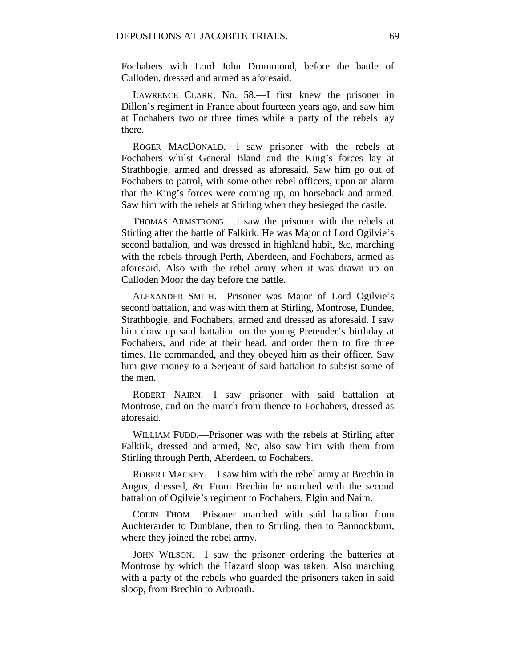Fochabers with Lord John Drummond, before the battle of Culloden, dressed and armed as aforesaid.

LAWRENCE CLARK, No. 58.—I first knew the prisoner in Dillon's regiment in France about fourteen years ago, and saw him at Fochabers two or three times while a party of the rebels lay there.

ROGER MACDONALD.—I saw prisoner with the rebels at Fochabers whilst General Bland and the King's forces lay at Strathbogie, armed and dressed as aforesaid. Saw him go out of Fochabers to patrol, with some other rebel officers, upon an alarm that the King's forces were coming up, on horseback and armed. Saw him with the rebels at Stirling when they besieged the castle.

THOMAS ARMSTRONG.—I saw the prisoner with the rebels at Stirling after the battle of Falkirk. He was Major of Lord Ogilvie's second battalion, and was dressed in highland habit, &c, marching with the rebels through Perth, Aberdeen, and Fochabers, armed as aforesaid. Also with the rebel army when it was drawn up on Culloden Moor the day before the battle.

ALEXANDER SMITH.—Prisoner was Major of Lord Ogilvie's second battalion, and was with them at Stirling, Montrose, Dundee, Strathbogie, and Fochabers, armed and dressed as aforesaid. I saw him draw up said battalion on the young Pretender's birthday at Fochabers, and ride at their head, and order them to fire three times. He commanded, and they obeyed him as their officer. Saw him give money to a Serjeant of said battalion to subsist some of the men.

ROBERT NAIRN.—I saw prisoner with said battalion at Montrose, and on the march from thence to Fochabers, dressed as aforesaid.

WILLIAM FUDD.—Prisoner was with the rebels at Stirling after Falkirk, dressed and armed, &c, also saw him with them from Stirling through Perth, Aberdeen, to Fochabers.

ROBERT MACKEY.—I saw him with the rebel army at Brechin in Angus, dressed, &c From Brechin he marched with the second battalion of Ogilvie's regiment to Fochabers, Elgin and Nairn.

COLIN THOM.—Prisoner marched with said battalion from Auchterarder to Dunblane, then to Stirling, then to Bannockburn, where they joined the rebel army.

JOHN WILSON.—I saw the prisoner ordering the batteries at Montrose by which the Hazard sloop was taken. Also marching with a party of the rebels who guarded the prisoners taken in said sloop, from Brechin to Arbroath.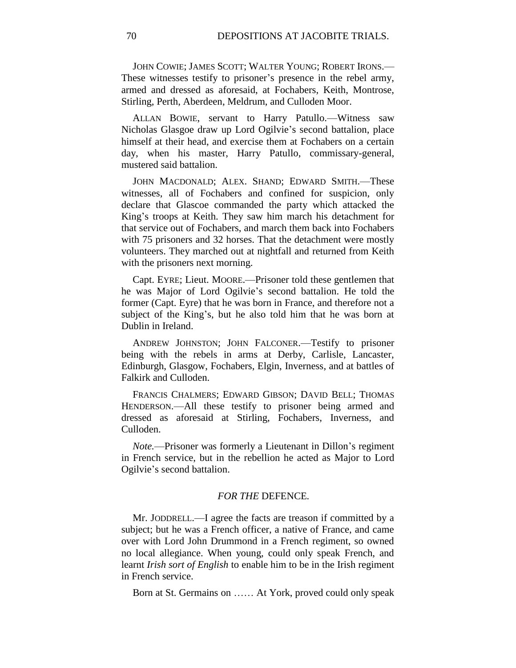JOHN COWIE; JAMES SCOTT; WALTER YOUNG; ROBERT IRONS.— These witnesses testify to prisoner's presence in the rebel army, armed and dressed as aforesaid, at Fochabers, Keith, Montrose, Stirling, Perth, Aberdeen, Meldrum, and Culloden Moor.

ALLAN BOWIE, servant to Harry Patullo.—Witness saw Nicholas Glasgoe draw up Lord Ogilvie's second battalion, place himself at their head, and exercise them at Fochabers on a certain day, when his master, Harry Patullo, commissary-general, mustered said battalion.

JOHN MACDONALD; ALEX. SHAND; EDWARD SMITH.—These witnesses, all of Fochabers and confined for suspicion, only declare that Glascoe commanded the party which attacked the King's troops at Keith. They saw him march his detachment for that service out of Fochabers, and march them back into Fochabers with 75 prisoners and 32 horses. That the detachment were mostly volunteers. They marched out at nightfall and returned from Keith with the prisoners next morning.

Capt. EYRE; Lieut. MOORE.—Prisoner told these gentlemen that he was Major of Lord Ogilvie's second battalion. He told the former (Capt. Eyre) that he was born in France, and therefore not a subject of the King's, but he also told him that he was born at Dublin in Ireland.

ANDREW JOHNSTON; JOHN FALCONER.—Testify to prisoner being with the rebels in arms at Derby, Carlisle, Lancaster, Edinburgh, Glasgow, Fochabers, Elgin, Inverness, and at battles of Falkirk and Culloden.

FRANCIS CHALMERS; EDWARD GIBSON; DAVID BELL; THOMAS HENDERSON.—All these testify to prisoner being armed and dressed as aforesaid at Stirling, Fochabers, Inverness, and Culloden.

*Note.*—Prisoner was formerly a Lieutenant in Dillon's regiment in French service, but in the rebellion he acted as Major to Lord Ogilvie's second battalion.

## *FOR THE* DEFENCE*.*

Mr. JODDRELL.—I agree the facts are treason if committed by a subject; but he was a French officer, a native of France, and came over with Lord John Drummond in a French regiment, so owned no local allegiance. When young, could only speak French, and learnt *Irish sort of English* to enable him to be in the Irish regiment in French service.

Born at St. Germains on …… At York, proved could only speak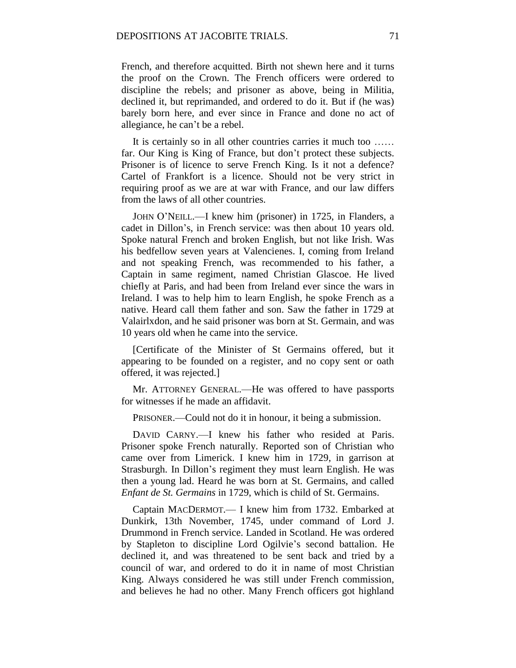French, and therefore acquitted. Birth not shewn here and it turns the proof on the Crown. The French officers were ordered to discipline the rebels; and prisoner as above, being in Militia, declined it, but reprimanded, and ordered to do it. But if (he was) barely born here, and ever since in France and done no act of allegiance, he can't be a rebel.

It is certainly so in all other countries carries it much too ...... far. Our King is King of France, but don't protect these subjects. Prisoner is of licence to serve French King. Is it not a defence? Cartel of Frankfort is a licence. Should not be very strict in requiring proof as we are at war with France, and our law differs from the laws of all other countries.

JOHN O'NEILL.—I knew him (prisoner) in 1725, in Flanders, a cadet in Dillon's, in French service: was then about 10 years old. Spoke natural French and broken English, but not like Irish. Was his bedfellow seven years at Valencienes. I, coming from Ireland and not speaking French, was recommended to his father, a Captain in same regiment, named Christian Glascoe. He lived chiefly at Paris, and had been from Ireland ever since the wars in Ireland. I was to help him to learn English, he spoke French as a native. Heard call them father and son. Saw the father in 1729 at Valairlxdon, and he said prisoner was born at St. Germain, and was 10 years old when he came into the service.

[Certificate of the Minister of St Germains offered, but it appearing to be founded on a register, and no copy sent or oath offered, it was rejected.]

Mr. ATTORNEY GENERAL.—He was offered to have passports for witnesses if he made an affidavit.

PRISONER.—Could not do it in honour, it being a submission.

DAVID CARNY.—I knew his father who resided at Paris. Prisoner spoke French naturally. Reported son of Christian who came over from Limerick. I knew him in 1729, in garrison at Strasburgh. In Dillon's regiment they must learn English. He was then a young lad. Heard he was born at St. Germains, and called *Enfant de St. Germains* in 1729, which is child of St. Germains.

Captain MACDERMOT.— I knew him from 1732. Embarked at Dunkirk, 13th November, 1745, under command of Lord J. Drummond in French service. Landed in Scotland. He was ordered by Stapleton to discipline Lord Ogilvie's second battalion. He declined it, and was threatened to be sent back and tried by a council of war, and ordered to do it in name of most Christian King. Always considered he was still under French commission, and believes he had no other. Many French officers got highland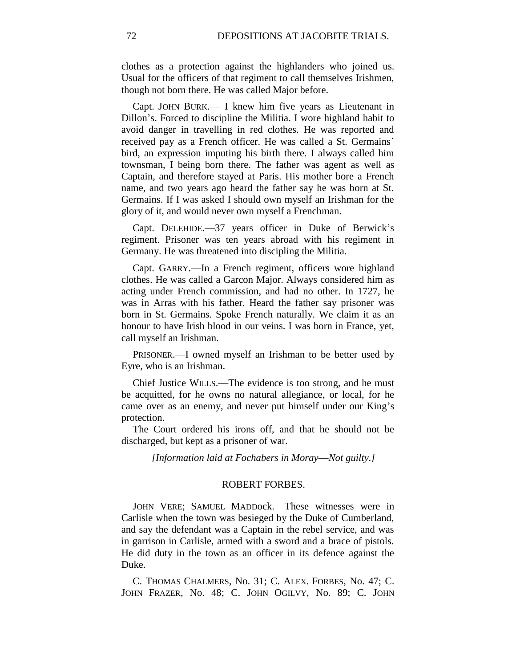clothes as a protection against the highlanders who joined us. Usual for the officers of that regiment to call themselves Irishmen, though not born there. He was called Major before.

Capt. JOHN BURK.— I knew him five years as Lieutenant in Dillon's. Forced to discipline the Militia. I wore highland habit to avoid danger in travelling in red clothes. He was reported and received pay as a French officer. He was called a St. Germains' bird, an expression imputing his birth there. I always called him townsman, I being born there. The father was agent as well as Captain, and therefore stayed at Paris. His mother bore a French name, and two years ago heard the father say he was born at St. Germains. If I was asked I should own myself an Irishman for the glory of it, and would never own myself a Frenchman.

Capt. DELEHIDE.—37 years officer in Duke of Berwick's regiment. Prisoner was ten years abroad with his regiment in Germany. He was threatened into discipling the Militia.

Capt. GARRY.—In a French regiment, officers wore highland clothes. He was called a Garcon Major. Always considered him as acting under French commission, and had no other. In 1727, he was in Arras with his father. Heard the father say prisoner was born in St. Germains. Spoke French naturally. We claim it as an honour to have Irish blood in our veins. I was born in France, yet, call myself an Irishman.

PRISONER.—I owned myself an Irishman to be better used by Eyre, who is an Irishman.

Chief Justice WILLS.—The evidence is too strong, and he must be acquitted, for he owns no natural allegiance, or local, for he came over as an enemy, and never put himself under our King's protection.

The Court ordered his irons off, and that he should not be discharged, but kept as a prisoner of war.

*[Information laid at Fochabers in Moray*—*Not guilty.]*

## ROBERT FORBES.

JOHN VERE; SAMUEL MADDock.—These witnesses were in Carlisle when the town was besieged by the Duke of Cumberland, and say the defendant was a Captain in the rebel service, and was in garrison in Carlisle, armed with a sword and a brace of pistols. He did duty in the town as an officer in its defence against the Duke.

C. THOMAS CHALMERS, No. 31; C. ALEX. FORBES, No. 47; C. JOHN FRAZER, No. 48; C. JOHN OGILVY, No. 89; C. JOHN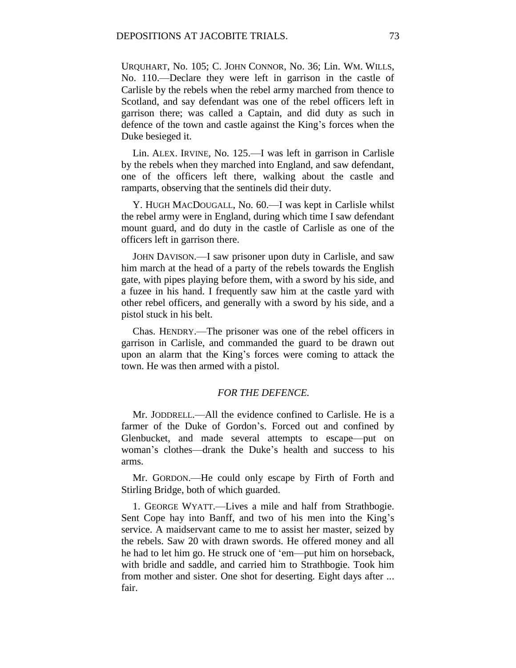URQUHART, No. 105; C. JOHN CONNOR, No. 36; Lin. WM. WILLS, No. 110.—Declare they were left in garrison in the castle of Carlisle by the rebels when the rebel army marched from thence to Scotland, and say defendant was one of the rebel officers left in garrison there; was called a Captain, and did duty as such in defence of the town and castle against the King's forces when the Duke besieged it.

Lin. ALEX. IRVINE, No. 125.—I was left in garrison in Carlisle by the rebels when they marched into England, and saw defendant, one of the officers left there, walking about the castle and ramparts, observing that the sentinels did their duty.

Y. HUGH MACDOUGALL, No. 60.—I was kept in Carlisle whilst the rebel army were in England, during which time I saw defendant mount guard, and do duty in the castle of Carlisle as one of the officers left in garrison there.

JOHN DAVISON.—I saw prisoner upon duty in Carlisle, and saw him march at the head of a party of the rebels towards the English gate, with pipes playing before them, with a sword by his side, and a fuzee in his hand. I frequently saw him at the castle yard with other rebel officers, and generally with a sword by his side, and a pistol stuck in his belt.

Chas. HENDRY.—The prisoner was one of the rebel officers in garrison in Carlisle, and commanded the guard to be drawn out upon an alarm that the King's forces were coming to attack the town. He was then armed with a pistol.

## *FOR THE DEFENCE.*

Mr. JODDRELL.—All the evidence confined to Carlisle. He is a farmer of the Duke of Gordon's. Forced out and confined by Glenbucket, and made several attempts to escape—put on woman's clothes—drank the Duke's health and success to his arms.

Mr. GORDON.—He could only escape by Firth of Forth and Stirling Bridge, both of which guarded.

1. GEORGE WYATT.—Lives a mile and half from Strathbogie. Sent Cope hay into Banff, and two of his men into the King's service. A maidservant came to me to assist her master, seized by the rebels. Saw 20 with drawn swords. He offered money and all he had to let him go. He struck one of 'em—put him on horseback, with bridle and saddle, and carried him to Strathbogie. Took him from mother and sister. One shot for deserting. Eight days after ... fair.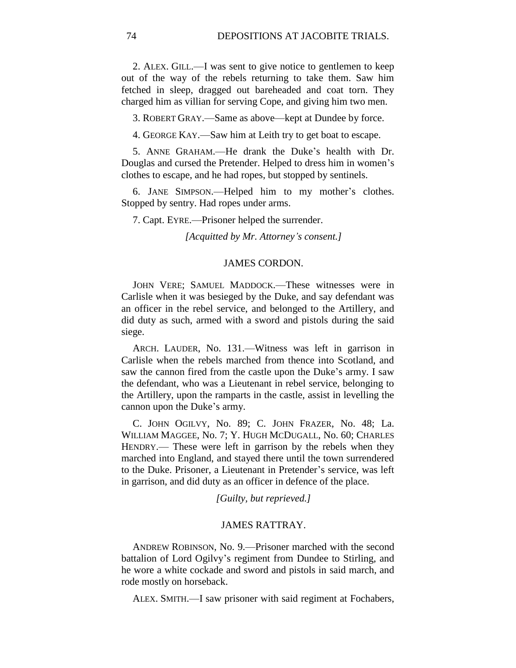2. ALEX. GILL.—I was sent to give notice to gentlemen to keep out of the way of the rebels returning to take them. Saw him fetched in sleep, dragged out bareheaded and coat torn. They charged him as villian for serving Cope, and giving him two men.

3. ROBERT GRAY.—Same as above—kept at Dundee by force.

4. GEORGE KAY.—Saw him at Leith try to get boat to escape.

5. ANNE GRAHAM.—He drank the Duke's health with Dr. Douglas and cursed the Pretender. Helped to dress him in women's clothes to escape, and he had ropes, but stopped by sentinels.

6. JANE SIMPSON.—Helped him to my mother's clothes. Stopped by sentry. Had ropes under arms.

7. Capt. EYRE.—Prisoner helped the surrender.

*[Acquitted by Mr. Attorney's consent.]*

## JAMES CORDON.

JOHN VERE; SAMUEL MADDOCK.—These witnesses were in Carlisle when it was besieged by the Duke, and say defendant was an officer in the rebel service, and belonged to the Artillery, and did duty as such, armed with a sword and pistols during the said siege.

ARCH. LAUDER, No. 131.—Witness was left in garrison in Carlisle when the rebels marched from thence into Scotland, and saw the cannon fired from the castle upon the Duke's army. I saw the defendant, who was a Lieutenant in rebel service, belonging to the Artillery, upon the ramparts in the castle, assist in levelling the cannon upon the Duke's army.

C. JOHN OGILVY, No. 89; C. JOHN FRAZER, No. 48; La. WILLIAM MAGGEE, No. 7; Y. HUGH MCDUGALL, No. 60; CHARLES HENDRY.— These were left in garrison by the rebels when they marched into England, and stayed there until the town surrendered to the Duke. Prisoner, a Lieutenant in Pretender's service, was left in garrison, and did duty as an officer in defence of the place.

*[Guilty, but reprieved.]*

#### JAMES RATTRAY.

ANDREW ROBINSON, No. 9.—Prisoner marched with the second battalion of Lord Ogilvy's regiment from Dundee to Stirling, and he wore a white cockade and sword and pistols in said march, and rode mostly on horseback.

ALEX. SMITH.—I saw prisoner with said regiment at Fochabers,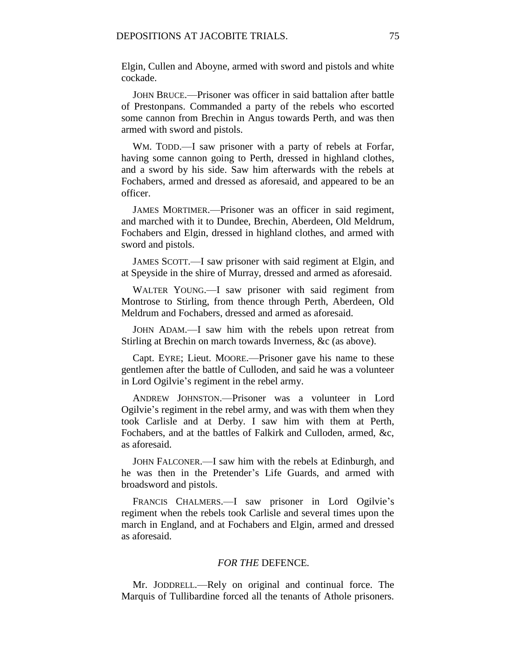Elgin, Cullen and Aboyne, armed with sword and pistols and white cockade.

JOHN BRUCE.—Prisoner was officer in said battalion after battle of Prestonpans. Commanded a party of the rebels who escorted some cannon from Brechin in Angus towards Perth, and was then armed with sword and pistols.

WM. TODD.—I saw prisoner with a party of rebels at Forfar, having some cannon going to Perth, dressed in highland clothes, and a sword by his side. Saw him afterwards with the rebels at Fochabers, armed and dressed as aforesaid, and appeared to be an officer.

JAMES MORTIMER.—Prisoner was an officer in said regiment, and marched with it to Dundee, Brechin, Aberdeen, Old Meldrum, Fochabers and Elgin, dressed in highland clothes, and armed with sword and pistols.

JAMES SCOTT.—I saw prisoner with said regiment at Elgin, and at Speyside in the shire of Murray, dressed and armed as aforesaid.

WALTER YOUNG.—I saw prisoner with said regiment from Montrose to Stirling, from thence through Perth, Aberdeen, Old Meldrum and Fochabers, dressed and armed as aforesaid.

JOHN ADAM.—I saw him with the rebels upon retreat from Stirling at Brechin on march towards Inverness, &c (as above).

Capt. EYRE; Lieut. MOORE.—Prisoner gave his name to these gentlemen after the battle of Culloden, and said he was a volunteer in Lord Ogilvie's regiment in the rebel army.

ANDREW JOHNSTON.—Prisoner was a volunteer in Lord Ogilvie's regiment in the rebel army, and was with them when they took Carlisle and at Derby. I saw him with them at Perth, Fochabers, and at the battles of Falkirk and Culloden, armed, &c, as aforesaid.

JOHN FALCONER.—I saw him with the rebels at Edinburgh, and he was then in the Pretender's Life Guards, and armed with broadsword and pistols.

FRANCIS CHALMERS.—I saw prisoner in Lord Ogilvie's regiment when the rebels took Carlisle and several times upon the march in England, and at Fochabers and Elgin, armed and dressed as aforesaid.

### *FOR THE* DEFENCE*.*

Mr. JODDRELL.—Rely on original and continual force. The Marquis of Tullibardine forced all the tenants of Athole prisoners.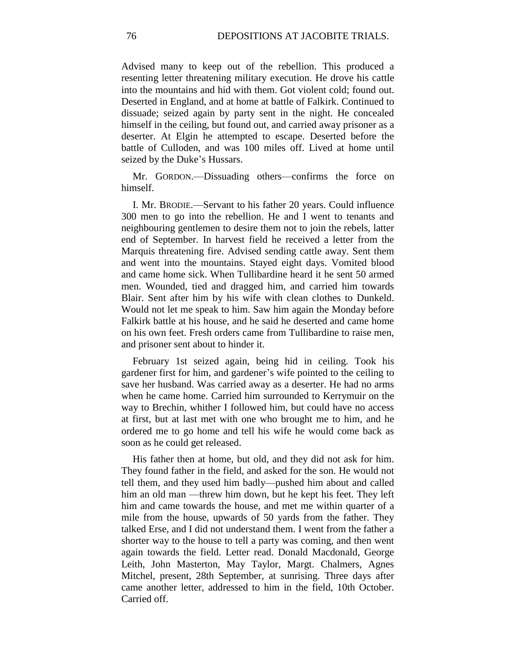Advised many to keep out of the rebellion. This produced a resenting letter threatening military execution. He drove his cattle into the mountains and hid with them. Got violent cold; found out. Deserted in England, and at home at battle of Falkirk. Continued to dissuade; seized again by party sent in the night. He concealed himself in the ceiling, but found out, and carried away prisoner as a deserter. At Elgin he attempted to escape. Deserted before the battle of Culloden, and was 100 miles off. Lived at home until seized by the Duke's Hussars.

Mr. GORDON.—Dissuading others—confirms the force on himself.

I. Mr. BRODIE.—Servant to his father 20 years. Could influence 300 men to go into the rebellion. He and I went to tenants and neighbouring gentlemen to desire them not to join the rebels, latter end of September. In harvest field he received a letter from the Marquis threatening fire. Advised sending cattle away. Sent them and went into the mountains. Stayed eight days. Vomited blood and came home sick. When Tullibardine heard it he sent 50 armed men. Wounded, tied and dragged him, and carried him towards Blair. Sent after him by his wife with clean clothes to Dunkeld. Would not let me speak to him. Saw him again the Monday before Falkirk battle at his house, and he said he deserted and came home on his own feet. Fresh orders came from Tullibardine to raise men, and prisoner sent about to hinder it.

February 1st seized again, being hid in ceiling. Took his gardener first for him, and gardener's wife pointed to the ceiling to save her husband. Was carried away as a deserter. He had no arms when he came home. Carried him surrounded to Kerrymuir on the way to Brechin, whither I followed him, but could have no access at first, but at last met with one who brought me to him, and he ordered me to go home and tell his wife he would come back as soon as he could get released.

His father then at home, but old, and they did not ask for him. They found father in the field, and asked for the son. He would not tell them, and they used him badly—pushed him about and called him an old man —threw him down, but he kept his feet. They left him and came towards the house, and met me within quarter of a mile from the house, upwards of 50 yards from the father. They talked Erse, and I did not understand them. I went from the father a shorter way to the house to tell a party was coming, and then went again towards the field. Letter read. Donald Macdonald, George Leith, John Masterton, May Taylor, Margt. Chalmers, Agnes Mitchel, present, 28th September, at sunrising. Three days after came another letter, addressed to him in the field, 10th October. Carried off.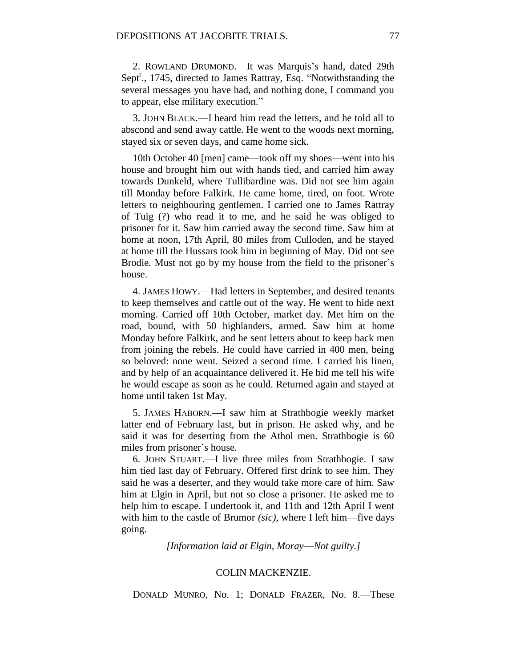2. ROWLAND DRUMOND.—It was Marquis's hand, dated 29th Sept<sup>r</sup>., 1745, directed to James Rattray, Esq. "Notwithstanding the several messages you have had, and nothing done, I command you to appear, else military execution."

3. JOHN BLACK.—I heard him read the letters, and he told all to abscond and send away cattle. He went to the woods next morning, stayed six or seven days, and came home sick.

10th October 40 [men] came—took off my shoes—went into his house and brought him out with hands tied, and carried him away towards Dunkeld, where Tullibardine was. Did not see him again till Monday before Falkirk. He came home, tired, on foot. Wrote letters to neighbouring gentlemen. I carried one to James Rattray of Tuig (?) who read it to me, and he said he was obliged to prisoner for it. Saw him carried away the second time. Saw him at home at noon, 17th April, 80 miles from Culloden, and he stayed at home till the Hussars took him in beginning of May. Did not see Brodie. Must not go by my house from the field to the prisoner's house.

4. JAMES HOWY.—Had letters in September, and desired tenants to keep themselves and cattle out of the way. He went to hide next morning. Carried off 10th October, market day. Met him on the road, bound, with 50 highlanders, armed. Saw him at home Monday before Falkirk, and he sent letters about to keep back men from joining the rebels. He could have carried in 400 men, being so beloved: none went. Seized a second time. I carried his linen, and by help of an acquaintance delivered it. He bid me tell his wife he would escape as soon as he could. Returned again and stayed at home until taken 1st May.

5. JAMES HABORN.—I saw him at Strathbogie weekly market latter end of February last, but in prison. He asked why, and he said it was for deserting from the Athol men. Strathbogie is 60 miles from prisoner's house.

6. JOHN STUART.—I live three miles from Strathbogie. I saw him tied last day of February. Offered first drink to see him. They said he was a deserter, and they would take more care of him. Saw him at Elgin in April, but not so close a prisoner. He asked me to help him to escape. I undertook it, and 11th and 12th April I went with him to the castle of Brumor *(sic),* where I left him—five days going.

*[Information laid at Elgin, Moray*—*Not guilty.]*

#### COLIN MACKENZIE.

DONALD MUNRO, No. 1; DONALD FRAZER, No. 8.—These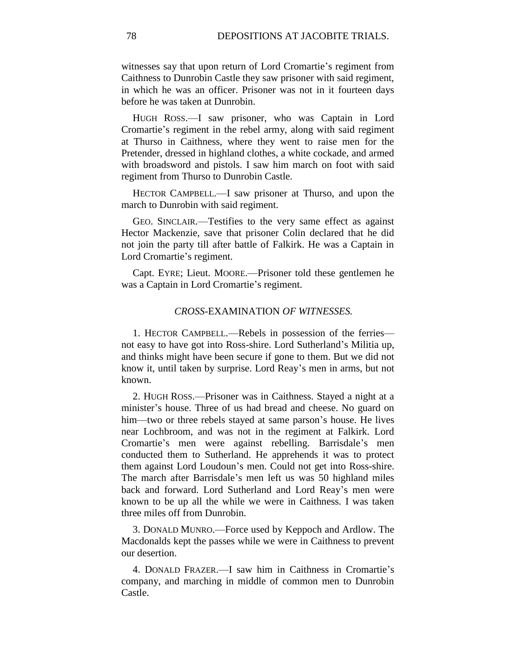witnesses say that upon return of Lord Cromartie's regiment from Caithness to Dunrobin Castle they saw prisoner with said regiment, in which he was an officer. Prisoner was not in it fourteen days before he was taken at Dunrobin.

HUGH ROSS.—I saw prisoner, who was Captain in Lord Cromartie's regiment in the rebel army, along with said regiment at Thurso in Caithness, where they went to raise men for the Pretender, dressed in highland clothes, a white cockade, and armed with broadsword and pistols. I saw him march on foot with said regiment from Thurso to Dunrobin Castle.

HECTOR CAMPBELL.—I saw prisoner at Thurso, and upon the march to Dunrobin with said regiment.

GEO. SINCLAIR.—Testifies to the very same effect as against Hector Mackenzie, save that prisoner Colin declared that he did not join the party till after battle of Falkirk. He was a Captain in Lord Cromartie's regiment.

Capt. EYRE; Lieut. MOORE.—Prisoner told these gentlemen he was a Captain in Lord Cromartie's regiment.

### *CROSS-*EXAMINATION *OF WITNESSES.*

1. HECTOR CAMPBELL.—Rebels in possession of the ferries not easy to have got into Ross-shire. Lord Sutherland's Militia up, and thinks might have been secure if gone to them. But we did not know it, until taken by surprise. Lord Reay's men in arms, but not known.

2. HUGH ROSS.—Prisoner was in Caithness. Stayed a night at a minister's house. Three of us had bread and cheese. No guard on him—two or three rebels stayed at same parson's house. He lives near Lochbroom, and was not in the regiment at Falkirk. Lord Cromartie's men were against rebelling. Barrisdale's men conducted them to Sutherland. He apprehends it was to protect them against Lord Loudoun's men. Could not get into Ross-shire. The march after Barrisdale's men left us was 50 highland miles back and forward. Lord Sutherland and Lord Reay's men were known to be up all the while we were in Caithness. I was taken three miles off from Dunrobin.

3. DONALD MUNRO.—Force used by Keppoch and Ardlow. The Macdonalds kept the passes while we were in Caithness to prevent our desertion.

4. DONALD FRAZER.—I saw him in Caithness in Cromartie's company, and marching in middle of common men to Dunrobin Castle.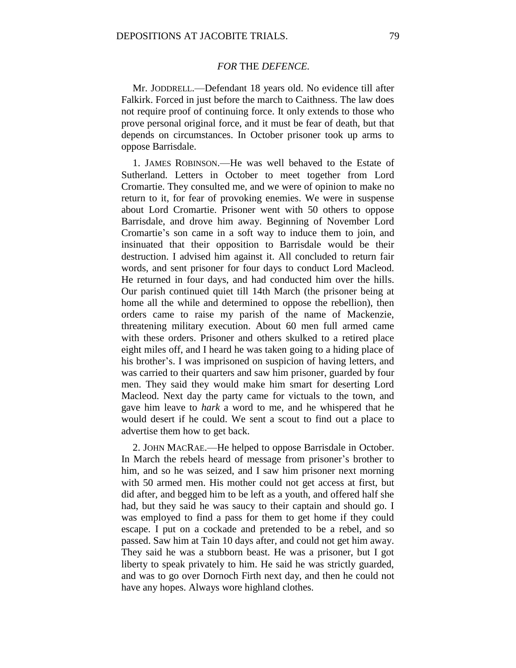### *FOR* THE *DEFENCE.*

Mr. JODDRELL.—Defendant 18 years old. No evidence till after Falkirk. Forced in just before the march to Caithness. The law does not require proof of continuing force. It only extends to those who prove personal original force, and it must be fear of death, but that depends on circumstances. In October prisoner took up arms to oppose Barrisdale.

1. JAMES ROBINSON.—He was well behaved to the Estate of Sutherland. Letters in October to meet together from Lord Cromartie. They consulted me, and we were of opinion to make no return to it, for fear of provoking enemies. We were in suspense about Lord Cromartie. Prisoner went with 50 others to oppose Barrisdale, and drove him away. Beginning of November Lord Cromartie's son came in a soft way to induce them to join, and insinuated that their opposition to Barrisdale would be their destruction. I advised him against it. All concluded to return fair words, and sent prisoner for four days to conduct Lord Macleod. He returned in four days, and had conducted him over the hills. Our parish continued quiet till 14th March (the prisoner being at home all the while and determined to oppose the rebellion), then orders came to raise my parish of the name of Mackenzie, threatening military execution. About 60 men full armed came with these orders. Prisoner and others skulked to a retired place eight miles off, and I heard he was taken going to a hiding place of his brother's. I was imprisoned on suspicion of having letters, and was carried to their quarters and saw him prisoner, guarded by four men. They said they would make him smart for deserting Lord Macleod. Next day the party came for victuals to the town, and gave him leave to *hark* a word to me, and he whispered that he would desert if he could. We sent a scout to find out a place to advertise them how to get back.

2. JOHN MACRAE.—He helped to oppose Barrisdale in October. In March the rebels heard of message from prisoner's brother to him, and so he was seized, and I saw him prisoner next morning with 50 armed men. His mother could not get access at first, but did after, and begged him to be left as a youth, and offered half she had, but they said he was saucy to their captain and should go. I was employed to find a pass for them to get home if they could escape. I put on a cockade and pretended to be a rebel, and so passed. Saw him at Tain 10 days after, and could not get him away. They said he was a stubborn beast. He was a prisoner, but I got liberty to speak privately to him. He said he was strictly guarded, and was to go over Dornoch Firth next day, and then he could not have any hopes. Always wore highland clothes.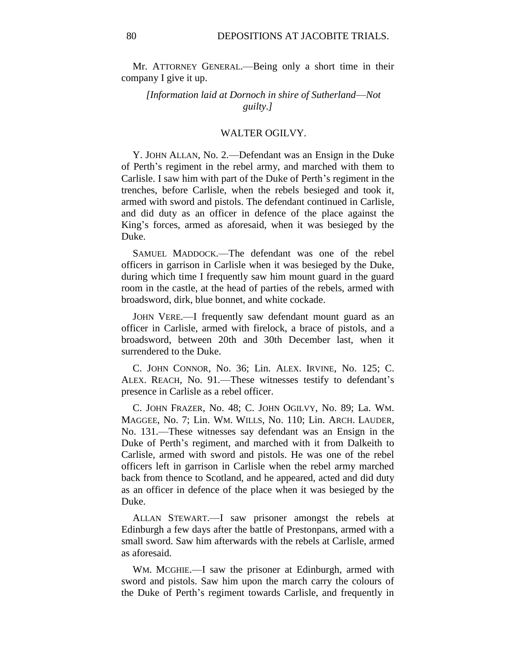Mr. ATTORNEY GENERAL.—Being only a short time in their company I give it up.

*[Information laid at Dornoch in shire of Sutherland*—*Not guilty.]*

#### WALTER OGILVY.

Y. JOHN ALLAN, No. 2.—Defendant was an Ensign in the Duke of Perth's regiment in the rebel army, and marched with them to Carlisle. I saw him with part of the Duke of Perth's regiment in the trenches, before Carlisle, when the rebels besieged and took it, armed with sword and pistols. The defendant continued in Carlisle, and did duty as an officer in defence of the place against the King's forces, armed as aforesaid, when it was besieged by the Duke.

SAMUEL MADDOCK.—The defendant was one of the rebel officers in garrison in Carlisle when it was besieged by the Duke, during which time I frequently saw him mount guard in the guard room in the castle, at the head of parties of the rebels, armed with broadsword, dirk, blue bonnet, and white cockade.

JOHN VERE.—I frequently saw defendant mount guard as an officer in Carlisle, armed with firelock, a brace of pistols, and a broadsword, between 20th and 30th December last, when it surrendered to the Duke.

C. JOHN CONNOR, No. 36; Lin. ALEX. IRVINE, No. 125; C. ALEX. REACH, No. 91.—These witnesses testify to defendant's presence in Carlisle as a rebel officer.

C. JOHN FRAZER, No. 48; C. JOHN OGILVY, No. 89; La. WM. MAGGEE, No. 7; Lin. WM. WILLS, No. 110; Lin. ARCH. LAUDER, No. 131.—These witnesses say defendant was an Ensign in the Duke of Perth's regiment, and marched with it from Dalkeith to Carlisle, armed with sword and pistols. He was one of the rebel officers left in garrison in Carlisle when the rebel army marched back from thence to Scotland, and he appeared, acted and did duty as an officer in defence of the place when it was besieged by the Duke.

ALLAN STEWART.—I saw prisoner amongst the rebels at Edinburgh a few days after the battle of Prestonpans, armed with a small sword. Saw him afterwards with the rebels at Carlisle, armed as aforesaid.

WM. MCGHIE.—I saw the prisoner at Edinburgh, armed with sword and pistols. Saw him upon the march carry the colours of the Duke of Perth's regiment towards Carlisle, and frequently in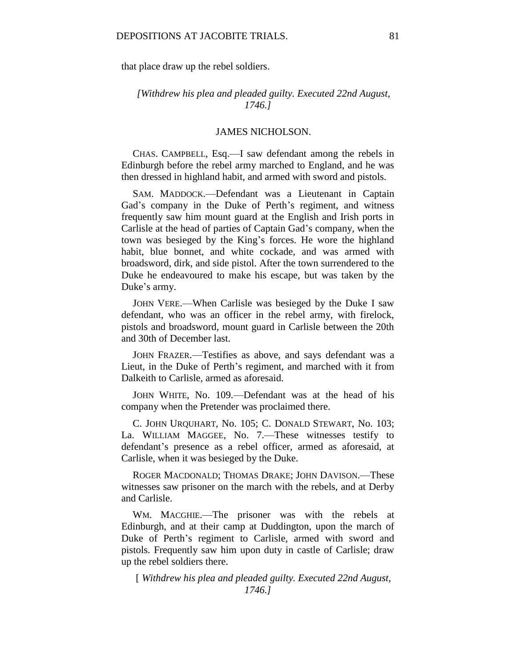that place draw up the rebel soldiers.

# *[Withdrew his plea and pleaded guilty. Executed 22nd August, 1746.]*

### JAMES NICHOLSON.

CHAS. CAMPBELL, Esq.—I saw defendant among the rebels in Edinburgh before the rebel army marched to England, and he was then dressed in highland habit, and armed with sword and pistols.

SAM. MADDOCK.—Defendant was a Lieutenant in Captain Gad's company in the Duke of Perth's regiment, and witness frequently saw him mount guard at the English and Irish ports in Carlisle at the head of parties of Captain Gad's company, when the town was besieged by the King's forces. He wore the highland habit, blue bonnet, and white cockade, and was armed with broadsword, dirk, and side pistol. After the town surrendered to the Duke he endeavoured to make his escape, but was taken by the Duke's army.

JOHN VERE.—When Carlisle was besieged by the Duke I saw defendant, who was an officer in the rebel army, with firelock, pistols and broadsword, mount guard in Carlisle between the 20th and 30th of December last.

JOHN FRAZER.—Testifies as above, and says defendant was a Lieut, in the Duke of Perth's regiment, and marched with it from Dalkeith to Carlisle, armed as aforesaid.

JOHN WHITE, No. 109.—Defendant was at the head of his company when the Pretender was proclaimed there.

C. JOHN URQUHART, No. 105; C. DONALD STEWART, No. 103; La. WILLIAM MAGGEE, No. 7.—These witnesses testify to defendant's presence as a rebel officer, armed as aforesaid, at Carlisle, when it was besieged by the Duke.

ROGER MACDONALD; THOMAS DRAKE; JOHN DAVISON.—These witnesses saw prisoner on the march with the rebels, and at Derby and Carlisle.

WM. MACGHIE.—The prisoner was with the rebels at Edinburgh, and at their camp at Duddington, upon the march of Duke of Perth's regiment to Carlisle, armed with sword and pistols. Frequently saw him upon duty in castle of Carlisle; draw up the rebel soldiers there.

[ *Withdrew his plea and pleaded guilty. Executed 22nd August, 1746.]*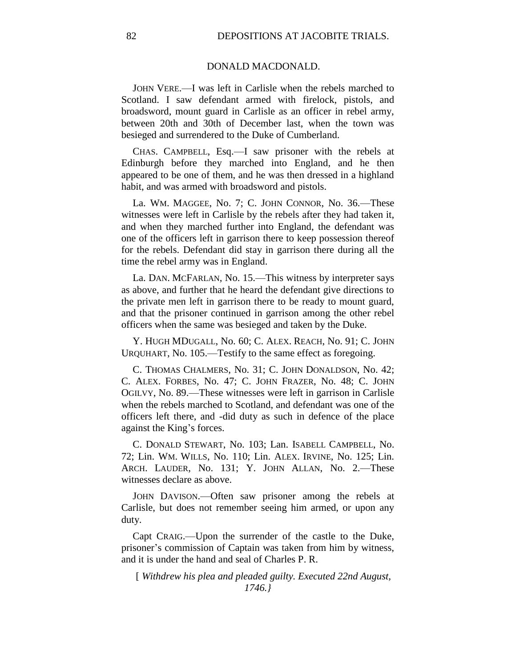### DONALD MACDONALD.

JOHN VERE.—I was left in Carlisle when the rebels marched to Scotland. I saw defendant armed with firelock, pistols, and broadsword, mount guard in Carlisle as an officer in rebel army, between 20th and 30th of December last, when the town was besieged and surrendered to the Duke of Cumberland.

CHAS. CAMPBELL, Esq.—I saw prisoner with the rebels at Edinburgh before they marched into England, and he then appeared to be one of them, and he was then dressed in a highland habit, and was armed with broadsword and pistols.

La. WM. MAGGEE, No. 7; C. JOHN CONNOR, No. 36.—These witnesses were left in Carlisle by the rebels after they had taken it, and when they marched further into England, the defendant was one of the officers left in garrison there to keep possession thereof for the rebels. Defendant did stay in garrison there during all the time the rebel army was in England.

La. DAN. MCFARLAN, No. 15.—This witness by interpreter says as above, and further that he heard the defendant give directions to the private men left in garrison there to be ready to mount guard, and that the prisoner continued in garrison among the other rebel officers when the same was besieged and taken by the Duke.

Y. HUGH MDUGALL, No. 60; C. ALEX. REACH, No. 91; C. JOHN URQUHART, No. 105.—Testify to the same effect as foregoing.

C. THOMAS CHALMERS, No. 31; C. JOHN DONALDSON, No. 42; C. ALEX. FORBES, No. 47; C. JOHN FRAZER, No. 48; C. JOHN OGILVY, No. 89.—These witnesses were left in garrison in Carlisle when the rebels marched to Scotland, and defendant was one of the officers left there, and -did duty as such in defence of the place against the King's forces.

C. DONALD STEWART, No. 103; Lan. ISABELL CAMPBELL, No. 72; Lin. WM. WILLS, No. 110; Lin. ALEX. IRVINE, No. 125; Lin. ARCH. LAUDER, No. 131; Y. JOHN ALLAN, No. 2.—These witnesses declare as above.

JOHN DAVISON.—Often saw prisoner among the rebels at Carlisle, but does not remember seeing him armed, or upon any duty.

Capt CRAIG.—Upon the surrender of the castle to the Duke, prisoner's commission of Captain was taken from him by witness, and it is under the hand and seal of Charles P. R.

[ *Withdrew his plea and pleaded guilty. Executed 22nd August, 1746.}*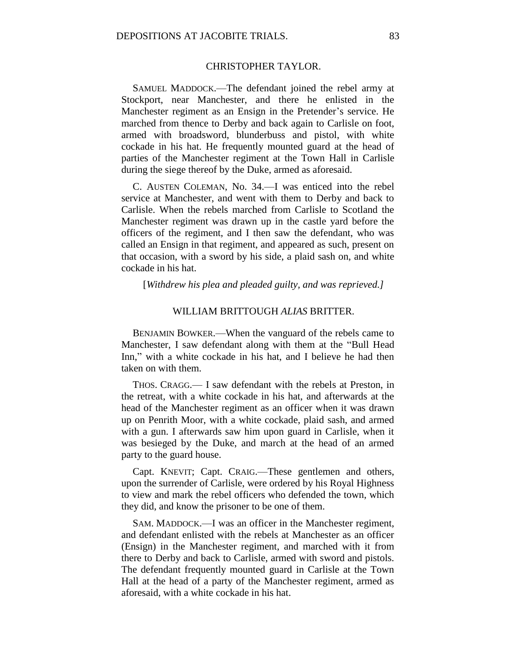# CHRISTOPHER TAYLOR.

SAMUEL MADDOCK.—The defendant joined the rebel army at Stockport, near Manchester, and there he enlisted in the Manchester regiment as an Ensign in the Pretender's service. He marched from thence to Derby and back again to Carlisle on foot, armed with broadsword, blunderbuss and pistol, with white cockade in his hat. He frequently mounted guard at the head of parties of the Manchester regiment at the Town Hall in Carlisle during the siege thereof by the Duke, armed as aforesaid.

C. AUSTEN COLEMAN, No. 34.—I was enticed into the rebel service at Manchester, and went with them to Derby and back to Carlisle. When the rebels marched from Carlisle to Scotland the Manchester regiment was drawn up in the castle yard before the officers of the regiment, and I then saw the defendant, who was called an Ensign in that regiment, and appeared as such, present on that occasion, with a sword by his side, a plaid sash on, and white cockade in his hat.

[*Withdrew his plea and pleaded guilty, and was reprieved.]*

### WILLIAM BRITTOUGH *ALIAS* BRITTER.

BENJAMIN BOWKER.—When the vanguard of the rebels came to Manchester, I saw defendant along with them at the "Bull Head Inn," with a white cockade in his hat, and I believe he had then taken on with them.

THOS. CRAGG.— I saw defendant with the rebels at Preston, in the retreat, with a white cockade in his hat, and afterwards at the head of the Manchester regiment as an officer when it was drawn up on Penrith Moor, with a white cockade, plaid sash, and armed with a gun. I afterwards saw him upon guard in Carlisle, when it was besieged by the Duke, and march at the head of an armed party to the guard house.

Capt. KNEVIT; Capt. CRAIG.—These gentlemen and others, upon the surrender of Carlisle, were ordered by his Royal Highness to view and mark the rebel officers who defended the town, which they did, and know the prisoner to be one of them.

SAM. MADDOCK.—I was an officer in the Manchester regiment, and defendant enlisted with the rebels at Manchester as an officer (Ensign) in the Manchester regiment, and marched with it from there to Derby and back to Carlisle, armed with sword and pistols. The defendant frequently mounted guard in Carlisle at the Town Hall at the head of a party of the Manchester regiment, armed as aforesaid, with a white cockade in his hat.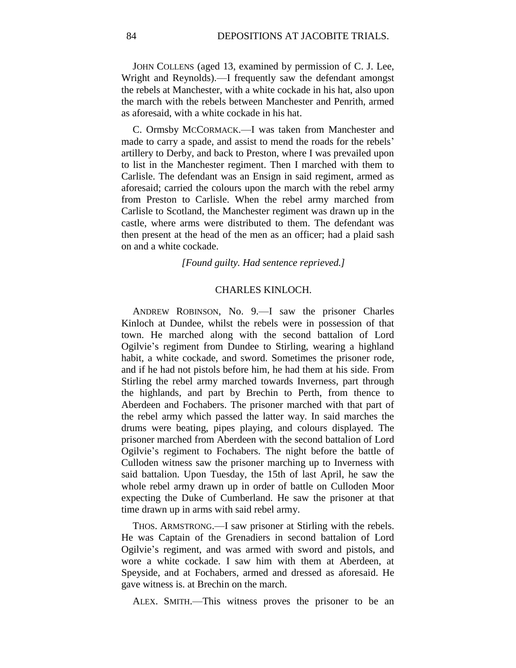JOHN COLLENS (aged 13, examined by permission of C. J. Lee, Wright and Reynolds).—I frequently saw the defendant amongst the rebels at Manchester, with a white cockade in his hat, also upon the march with the rebels between Manchester and Penrith, armed as aforesaid, with a white cockade in his hat.

C. Ormsby MCCORMACK.—I was taken from Manchester and made to carry a spade, and assist to mend the roads for the rebels' artillery to Derby, and back to Preston, where I was prevailed upon to list in the Manchester regiment. Then I marched with them to Carlisle. The defendant was an Ensign in said regiment, armed as aforesaid; carried the colours upon the march with the rebel army from Preston to Carlisle. When the rebel army marched from Carlisle to Scotland, the Manchester regiment was drawn up in the castle, where arms were distributed to them. The defendant was then present at the head of the men as an officer; had a plaid sash on and a white cockade.

*[Found guilty. Had sentence reprieved.]*

# CHARLES KINLOCH.

ANDREW ROBINSON, No. 9.—I saw the prisoner Charles Kinloch at Dundee, whilst the rebels were in possession of that town. He marched along with the second battalion of Lord Ogilvie's regiment from Dundee to Stirling, wearing a highland habit, a white cockade, and sword. Sometimes the prisoner rode, and if he had not pistols before him, he had them at his side. From Stirling the rebel army marched towards Inverness, part through the highlands, and part by Brechin to Perth, from thence to Aberdeen and Fochabers. The prisoner marched with that part of the rebel army which passed the latter way. In said marches the drums were beating, pipes playing, and colours displayed. The prisoner marched from Aberdeen with the second battalion of Lord Ogilvie's regiment to Fochabers. The night before the battle of Culloden witness saw the prisoner marching up to Inverness with said battalion. Upon Tuesday, the 15th of last April, he saw the whole rebel army drawn up in order of battle on Culloden Moor expecting the Duke of Cumberland. He saw the prisoner at that time drawn up in arms with said rebel army.

THOS. ARMSTRONG.—I saw prisoner at Stirling with the rebels. He was Captain of the Grenadiers in second battalion of Lord Ogilvie's regiment, and was armed with sword and pistols, and wore a white cockade. I saw him with them at Aberdeen, at Speyside, and at Fochabers, armed and dressed as aforesaid. He gave witness is. at Brechin on the march.

ALEX. SMITH.—This witness proves the prisoner to be an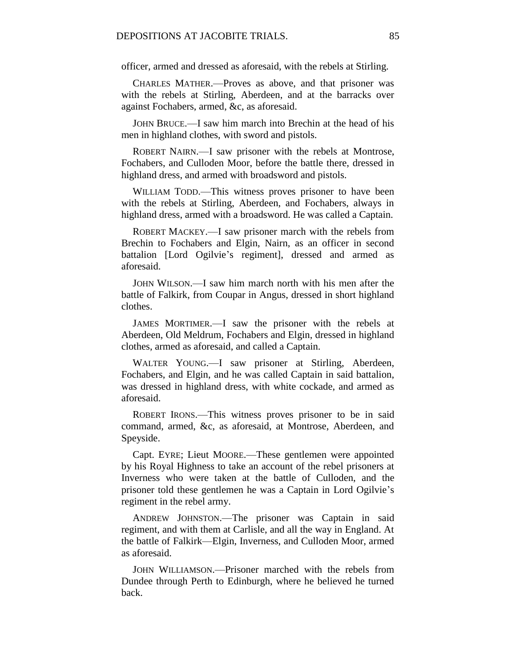officer, armed and dressed as aforesaid, with the rebels at Stirling.

CHARLES MATHER.—Proves as above, and that prisoner was with the rebels at Stirling, Aberdeen, and at the barracks over against Fochabers, armed, &c, as aforesaid.

JOHN BRUCE.—I saw him march into Brechin at the head of his men in highland clothes, with sword and pistols.

ROBERT NAIRN.—I saw prisoner with the rebels at Montrose, Fochabers, and Culloden Moor, before the battle there, dressed in highland dress, and armed with broadsword and pistols.

WILLIAM TODD.—This witness proves prisoner to have been with the rebels at Stirling, Aberdeen, and Fochabers, always in highland dress, armed with a broadsword. He was called a Captain.

ROBERT MACKEY.—I saw prisoner march with the rebels from Brechin to Fochabers and Elgin, Nairn, as an officer in second battalion [Lord Ogilvie's regiment], dressed and armed as aforesaid.

JOHN WILSON.—I saw him march north with his men after the battle of Falkirk, from Coupar in Angus, dressed in short highland clothes.

JAMES MORTIMER.—I saw the prisoner with the rebels at Aberdeen, Old Meldrum, Fochabers and Elgin, dressed in highland clothes, armed as aforesaid, and called a Captain.

WALTER YOUNG.—I saw prisoner at Stirling, Aberdeen, Fochabers, and Elgin, and he was called Captain in said battalion, was dressed in highland dress, with white cockade, and armed as aforesaid.

ROBERT IRONS.—This witness proves prisoner to be in said command, armed, &c, as aforesaid, at Montrose, Aberdeen, and Speyside.

Capt. EYRE; Lieut MOORE.—These gentlemen were appointed by his Royal Highness to take an account of the rebel prisoners at Inverness who were taken at the battle of Culloden, and the prisoner told these gentlemen he was a Captain in Lord Ogilvie's regiment in the rebel army.

ANDREW JOHNSTON.—The prisoner was Captain in said regiment, and with them at Carlisle, and all the way in England. At the battle of Falkirk—Elgin, Inverness, and Culloden Moor, armed as aforesaid.

JOHN WILLIAMSON.—Prisoner marched with the rebels from Dundee through Perth to Edinburgh, where he believed he turned back.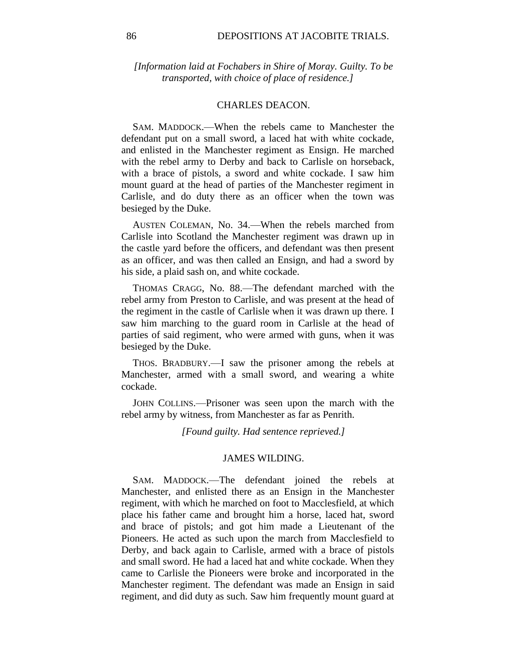*[Information laid at Fochabers in Shire of Moray. Guilty. To be transported, with choice of place of residence.]*

#### CHARLES DEACON.

SAM. MADDOCK.—When the rebels came to Manchester the defendant put on a small sword, a laced hat with white cockade, and enlisted in the Manchester regiment as Ensign. He marched with the rebel army to Derby and back to Carlisle on horseback, with a brace of pistols, a sword and white cockade. I saw him mount guard at the head of parties of the Manchester regiment in Carlisle, and do duty there as an officer when the town was besieged by the Duke.

AUSTEN COLEMAN, No. 34.—When the rebels marched from Carlisle into Scotland the Manchester regiment was drawn up in the castle yard before the officers, and defendant was then present as an officer, and was then called an Ensign, and had a sword by his side, a plaid sash on, and white cockade.

THOMAS CRAGG, No. 88.—The defendant marched with the rebel army from Preston to Carlisle, and was present at the head of the regiment in the castle of Carlisle when it was drawn up there. I saw him marching to the guard room in Carlisle at the head of parties of said regiment, who were armed with guns, when it was besieged by the Duke.

THOS. BRADBURY.—I saw the prisoner among the rebels at Manchester, armed with a small sword, and wearing a white cockade.

JOHN COLLINS.—Prisoner was seen upon the march with the rebel army by witness, from Manchester as far as Penrith.

*[Found guilty. Had sentence reprieved.]*

#### JAMES WILDING.

SAM. MADDOCK.—The defendant joined the rebels at Manchester, and enlisted there as an Ensign in the Manchester regiment, with which he marched on foot to Macclesfield, at which place his father came and brought him a horse, laced hat, sword and brace of pistols; and got him made a Lieutenant of the Pioneers. He acted as such upon the march from Macclesfield to Derby, and back again to Carlisle, armed with a brace of pistols and small sword. He had a laced hat and white cockade. When they came to Carlisle the Pioneers were broke and incorporated in the Manchester regiment. The defendant was made an Ensign in said regiment, and did duty as such. Saw him frequently mount guard at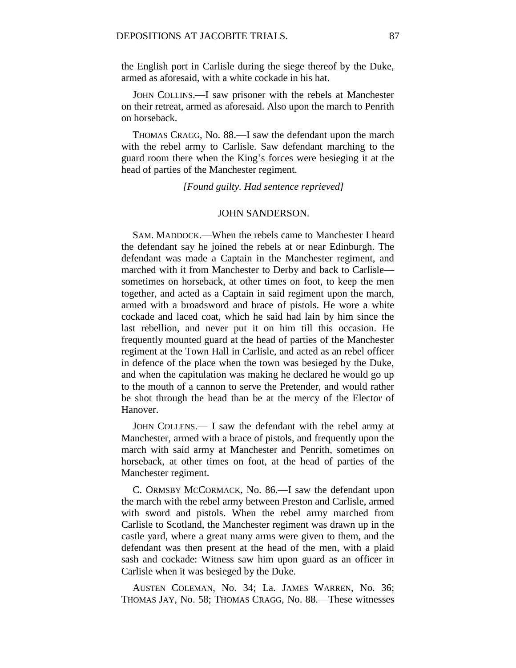the English port in Carlisle during the siege thereof by the Duke, armed as aforesaid, with a white cockade in his hat.

JOHN COLLINS.—I saw prisoner with the rebels at Manchester on their retreat, armed as aforesaid. Also upon the march to Penrith on horseback.

THOMAS CRAGG, No. 88.—I saw the defendant upon the march with the rebel army to Carlisle. Saw defendant marching to the guard room there when the King's forces were besieging it at the head of parties of the Manchester regiment.

*[Found guilty. Had sentence reprieved]*

## JOHN SANDERSON.

SAM. MADDOCK.—When the rebels came to Manchester I heard the defendant say he joined the rebels at or near Edinburgh. The defendant was made a Captain in the Manchester regiment, and marched with it from Manchester to Derby and back to Carlisle sometimes on horseback, at other times on foot, to keep the men together, and acted as a Captain in said regiment upon the march, armed with a broadsword and brace of pistols. He wore a white cockade and laced coat, which he said had lain by him since the last rebellion, and never put it on him till this occasion. He frequently mounted guard at the head of parties of the Manchester regiment at the Town Hall in Carlisle, and acted as an rebel officer in defence of the place when the town was besieged by the Duke, and when the capitulation was making he declared he would go up to the mouth of a cannon to serve the Pretender, and would rather be shot through the head than be at the mercy of the Elector of Hanover.

JOHN COLLENS.— I saw the defendant with the rebel army at Manchester, armed with a brace of pistols, and frequently upon the march with said army at Manchester and Penrith, sometimes on horseback, at other times on foot, at the head of parties of the Manchester regiment.

C. ORMSBY MCCORMACK, No. 86.—I saw the defendant upon the march with the rebel army between Preston and Carlisle, armed with sword and pistols. When the rebel army marched from Carlisle to Scotland, the Manchester regiment was drawn up in the castle yard, where a great many arms were given to them, and the defendant was then present at the head of the men, with a plaid sash and cockade: Witness saw him upon guard as an officer in Carlisle when it was besieged by the Duke.

AUSTEN COLEMAN, No. 34; La. JAMES WARREN, No. 36; THOMAS JAY, No. 58; THOMAS CRAGG, No. 88.—These witnesses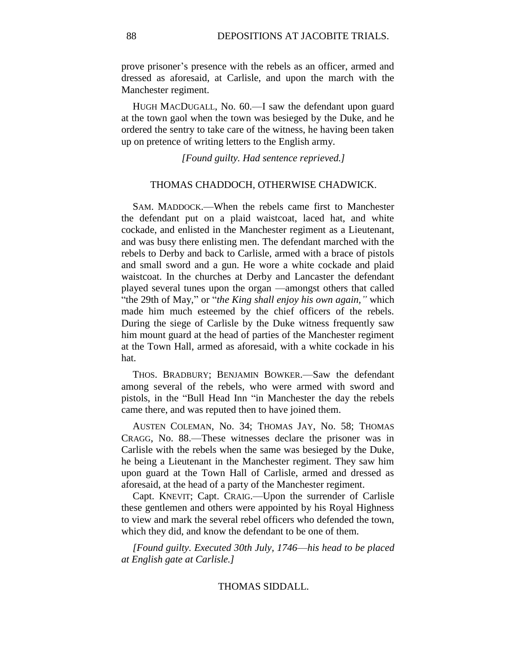prove prisoner's presence with the rebels as an officer, armed and dressed as aforesaid, at Carlisle, and upon the march with the Manchester regiment.

HUGH MACDUGALL, No. 60.—I saw the defendant upon guard at the town gaol when the town was besieged by the Duke, and he ordered the sentry to take care of the witness, he having been taken up on pretence of writing letters to the English army.

*[Found guilty. Had sentence reprieved.]*

# THOMAS CHADDOCH, OTHERWISE CHADWICK.

SAM. MADDOCK.—When the rebels came first to Manchester the defendant put on a plaid waistcoat, laced hat, and white cockade, and enlisted in the Manchester regiment as a Lieutenant, and was busy there enlisting men. The defendant marched with the rebels to Derby and back to Carlisle, armed with a brace of pistols and small sword and a gun. He wore a white cockade and plaid waistcoat. In the churches at Derby and Lancaster the defendant played several tunes upon the organ —amongst others that called "the 29th of May," or "*the King shall enjoy his own again,"* which made him much esteemed by the chief officers of the rebels. During the siege of Carlisle by the Duke witness frequently saw him mount guard at the head of parties of the Manchester regiment at the Town Hall, armed as aforesaid, with a white cockade in his hat.

THOS. BRADBURY; BENJAMIN BOWKER.—Saw the defendant among several of the rebels, who were armed with sword and pistols, in the "Bull Head Inn "in Manchester the day the rebels came there, and was reputed then to have joined them.

AUSTEN COLEMAN, No. 34; THOMAS JAY, No. 58; THOMAS CRAGG, No. 88.—These witnesses declare the prisoner was in Carlisle with the rebels when the same was besieged by the Duke, he being a Lieutenant in the Manchester regiment. They saw him upon guard at the Town Hall of Carlisle, armed and dressed as aforesaid, at the head of a party of the Manchester regiment.

Capt. KNEVIT; Capt. CRAIG.—Upon the surrender of Carlisle these gentlemen and others were appointed by his Royal Highness to view and mark the several rebel officers who defended the town, which they did, and know the defendant to be one of them.

*[Found guilty. Executed 30th July, 1746*—*his head to be placed at English gate at Carlisle.]*

### THOMAS SIDDALL.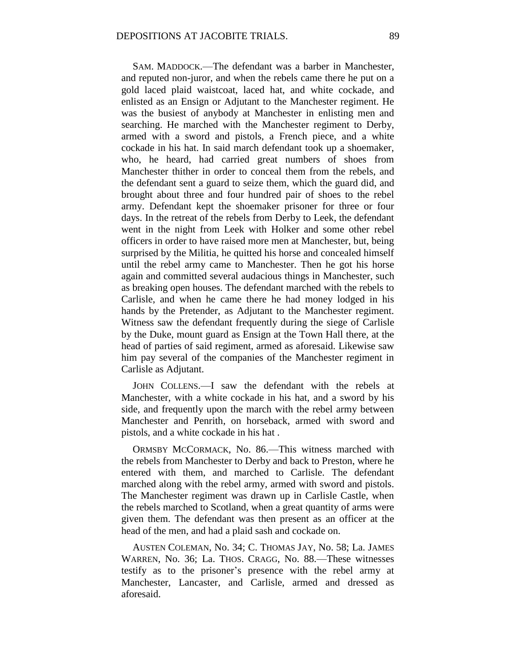SAM. MADDOCK.—The defendant was a barber in Manchester, and reputed non-juror, and when the rebels came there he put on a gold laced plaid waistcoat, laced hat, and white cockade, and enlisted as an Ensign or Adjutant to the Manchester regiment. He was the busiest of anybody at Manchester in enlisting men and searching. He marched with the Manchester regiment to Derby, armed with a sword and pistols, a French piece, and a white cockade in his hat. In said march defendant took up a shoemaker, who, he heard, had carried great numbers of shoes from Manchester thither in order to conceal them from the rebels, and the defendant sent a guard to seize them, which the guard did, and brought about three and four hundred pair of shoes to the rebel army. Defendant kept the shoemaker prisoner for three or four days. In the retreat of the rebels from Derby to Leek, the defendant went in the night from Leek with Holker and some other rebel officers in order to have raised more men at Manchester, but, being surprised by the Militia, he quitted his horse and concealed himself until the rebel army came to Manchester. Then he got his horse again and committed several audacious things in Manchester, such as breaking open houses. The defendant marched with the rebels to Carlisle, and when he came there he had money lodged in his hands by the Pretender, as Adjutant to the Manchester regiment. Witness saw the defendant frequently during the siege of Carlisle by the Duke, mount guard as Ensign at the Town Hall there, at the head of parties of said regiment, armed as aforesaid. Likewise saw him pay several of the companies of the Manchester regiment in Carlisle as Adjutant.

JOHN COLLENS.—I saw the defendant with the rebels at Manchester, with a white cockade in his hat, and a sword by his side, and frequently upon the march with the rebel army between Manchester and Penrith, on horseback, armed with sword and pistols, and a white cockade in his hat .

ORMSBY MCCORMACK, No. 86.—This witness marched with the rebels from Manchester to Derby and back to Preston, where he entered with them, and marched to Carlisle. The defendant marched along with the rebel army, armed with sword and pistols. The Manchester regiment was drawn up in Carlisle Castle, when the rebels marched to Scotland, when a great quantity of arms were given them. The defendant was then present as an officer at the head of the men, and had a plaid sash and cockade on.

AUSTEN COLEMAN, No. 34; C. THOMAS JAY, No. 58; La. JAMES WARREN, No. 36; La. THOS. CRAGG, No. 88.—These witnesses testify as to the prisoner's presence with the rebel army at Manchester, Lancaster, and Carlisle, armed and dressed as aforesaid.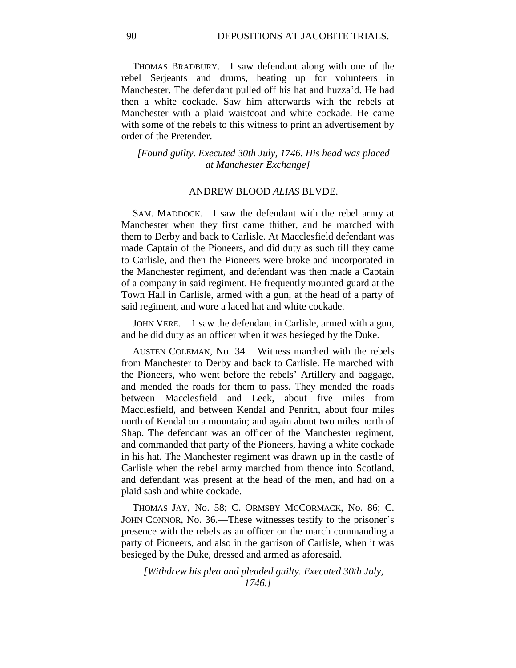THOMAS BRADBURY.—I saw defendant along with one of the rebel Serjeants and drums, beating up for volunteers in Manchester. The defendant pulled off his hat and huzza'd. He had then a white cockade. Saw him afterwards with the rebels at Manchester with a plaid waistcoat and white cockade. He came with some of the rebels to this witness to print an advertisement by order of the Pretender.

*[Found guilty. Executed 30th July, 1746. His head was placed at Manchester Exchange]*

#### ANDREW BLOOD *ALIAS* BLVDE.

SAM. MADDOCK.—I saw the defendant with the rebel army at Manchester when they first came thither, and he marched with them to Derby and back to Carlisle. At Macclesfield defendant was made Captain of the Pioneers, and did duty as such till they came to Carlisle, and then the Pioneers were broke and incorporated in the Manchester regiment, and defendant was then made a Captain of a company in said regiment. He frequently mounted guard at the Town Hall in Carlisle, armed with a gun, at the head of a party of said regiment, and wore a laced hat and white cockade.

JOHN VERE.—1 saw the defendant in Carlisle, armed with a gun, and he did duty as an officer when it was besieged by the Duke.

AUSTEN COLEMAN, No. 34.—Witness marched with the rebels from Manchester to Derby and back to Carlisle. He marched with the Pioneers, who went before the rebels' Artillery and baggage, and mended the roads for them to pass. They mended the roads between Macclesfield and Leek, about five miles from Macclesfield, and between Kendal and Penrith, about four miles north of Kendal on a mountain; and again about two miles north of Shap. The defendant was an officer of the Manchester regiment, and commanded that party of the Pioneers, having a white cockade in his hat. The Manchester regiment was drawn up in the castle of Carlisle when the rebel army marched from thence into Scotland, and defendant was present at the head of the men, and had on a plaid sash and white cockade.

THOMAS JAY, No. 58; C. ORMSBY MCCORMACK, No. 86; C. JOHN CONNOR, No. 36.—These witnesses testify to the prisoner's presence with the rebels as an officer on the march commanding a party of Pioneers, and also in the garrison of Carlisle, when it was besieged by the Duke, dressed and armed as aforesaid.

*[Withdrew his plea and pleaded guilty. Executed 30th July, 1746.]*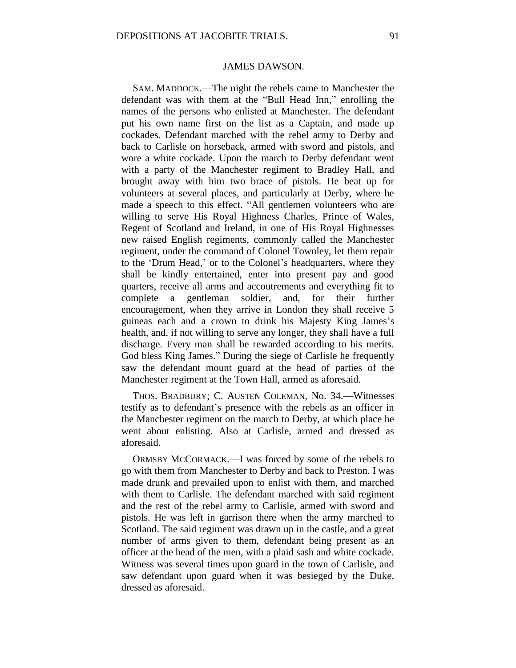## JAMES DAWSON.

SAM. MADDOCK.—The night the rebels came to Manchester the defendant was with them at the "Bull Head Inn," enrolling the names of the persons who enlisted at Manchester. The defendant put his own name first on the list as a Captain, and made up cockades. Defendant marched with the rebel army to Derby and back to Carlisle on horseback, armed with sword and pistols, and wore a white cockade. Upon the march to Derby defendant went with a party of the Manchester regiment to Bradley Hall, and brought away with him two brace of pistols. He beat up for volunteers at several places, and particularly at Derby, where he made a speech to this effect. "All gentlemen volunteers who are willing to serve His Royal Highness Charles, Prince of Wales, Regent of Scotland and Ireland, in one of His Royal Highnesses new raised English regiments, commonly called the Manchester regiment, under the command of Colonel Townley, let them repair to the 'Drum Head,' or to the Colonel's headquarters, where they shall be kindly entertained, enter into present pay and good quarters, receive all arms and accoutrements and everything fit to complete a gentleman soldier, and, for their further encouragement, when they arrive in London they shall receive 5 guineas each and a crown to drink his Majesty King James's health, and, if not willing to serve any longer, they shall have a full discharge. Every man shall be rewarded according to his merits. God bless King James." During the siege of Carlisle he frequently saw the defendant mount guard at the head of parties of the Manchester regiment at the Town Hall, armed as aforesaid.

THOS. BRADBURY; C. AUSTEN COLEMAN, No. 34.—Witnesses testify as to defendant's presence with the rebels as an officer in the Manchester regiment on the march to Derby, at which place he went about enlisting. Also at Carlisle, armed and dressed as aforesaid.

ORMSBY MCCORMACK.—I was forced by some of the rebels to go with them from Manchester to Derby and back to Preston. I was made drunk and prevailed upon to enlist with them, and marched with them to Carlisle. The defendant marched with said regiment and the rest of the rebel army to Carlisle, armed with sword and pistols. He was left in garrison there when the army marched to Scotland. The said regiment was drawn up in the castle, and a great number of arms given to them, defendant being present as an officer at the head of the men, with a plaid sash and white cockade. Witness was several times upon guard in the town of Carlisle, and saw defendant upon guard when it was besieged by the Duke, dressed as aforesaid.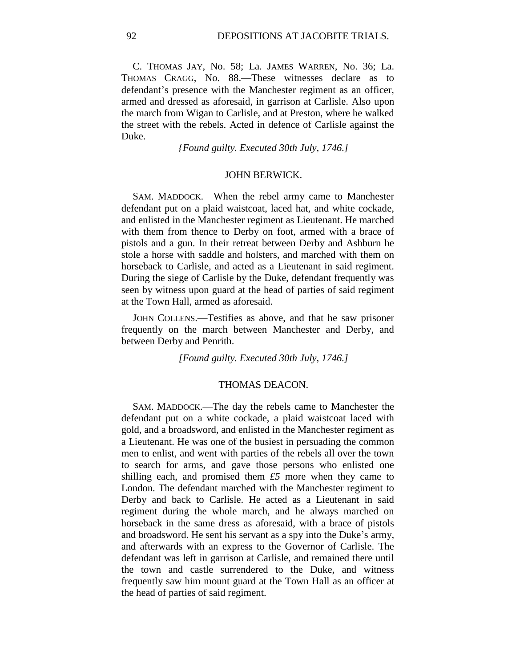C. THOMAS JAY, No. 58; La. JAMES WARREN, No. 36; La. THOMAS CRAGG, No. 88.—These witnesses declare as to defendant's presence with the Manchester regiment as an officer, armed and dressed as aforesaid, in garrison at Carlisle. Also upon the march from Wigan to Carlisle, and at Preston, where he walked the street with the rebels. Acted in defence of Carlisle against the Duke.

*{Found guilty. Executed 30th July, 1746.]*

#### JOHN BERWICK.

SAM. MADDOCK.—When the rebel army came to Manchester defendant put on a plaid waistcoat, laced hat, and white cockade, and enlisted in the Manchester regiment as Lieutenant. He marched with them from thence to Derby on foot, armed with a brace of pistols and a gun. In their retreat between Derby and Ashburn he stole a horse with saddle and holsters, and marched with them on horseback to Carlisle, and acted as a Lieutenant in said regiment. During the siege of Carlisle by the Duke, defendant frequently was seen by witness upon guard at the head of parties of said regiment at the Town Hall, armed as aforesaid.

JOHN COLLENS.—Testifies as above, and that he saw prisoner frequently on the march between Manchester and Derby, and between Derby and Penrith.

*[Found guilty. Executed 30th July, 1746.]*

### THOMAS DEACON.

SAM. MADDOCK.—The day the rebels came to Manchester the defendant put on a white cockade, a plaid waistcoat laced with gold, and a broadsword, and enlisted in the Manchester regiment as a Lieutenant. He was one of the busiest in persuading the common men to enlist, and went with parties of the rebels all over the town to search for arms, and gave those persons who enlisted one shilling each, and promised them *£5* more when they came to London. The defendant marched with the Manchester regiment to Derby and back to Carlisle. He acted as a Lieutenant in said regiment during the whole march, and he always marched on horseback in the same dress as aforesaid, with a brace of pistols and broadsword. He sent his servant as a spy into the Duke's army, and afterwards with an express to the Governor of Carlisle. The defendant was left in garrison at Carlisle, and remained there until the town and castle surrendered to the Duke, and witness frequently saw him mount guard at the Town Hall as an officer at the head of parties of said regiment.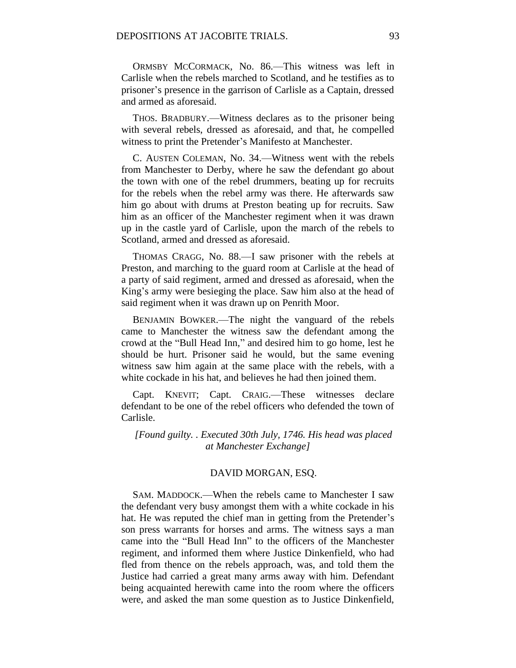ORMSBY MCCORMACK, No. 86.—This witness was left in Carlisle when the rebels marched to Scotland, and he testifies as to prisoner's presence in the garrison of Carlisle as a Captain, dressed and armed as aforesaid.

THOS. BRADBURY.—Witness declares as to the prisoner being with several rebels, dressed as aforesaid, and that, he compelled witness to print the Pretender's Manifesto at Manchester.

C. AUSTEN COLEMAN, No. 34.—Witness went with the rebels from Manchester to Derby, where he saw the defendant go about the town with one of the rebel drummers, beating up for recruits for the rebels when the rebel army was there. He afterwards saw him go about with drums at Preston beating up for recruits. Saw him as an officer of the Manchester regiment when it was drawn up in the castle yard of Carlisle, upon the march of the rebels to Scotland, armed and dressed as aforesaid.

THOMAS CRAGG, No. 88.—I saw prisoner with the rebels at Preston, and marching to the guard room at Carlisle at the head of a party of said regiment, armed and dressed as aforesaid, when the King's army were besieging the place. Saw him also at the head of said regiment when it was drawn up on Penrith Moor.

BENJAMIN BOWKER.—The night the vanguard of the rebels came to Manchester the witness saw the defendant among the crowd at the "Bull Head Inn," and desired him to go home, lest he should be hurt. Prisoner said he would, but the same evening witness saw him again at the same place with the rebels, with a white cockade in his hat, and believes he had then joined them.

Capt. KNEVIT; Capt. CRAIG.—These witnesses declare defendant to be one of the rebel officers who defended the town of Carlisle.

*[Found guilty. . Executed 30th July, 1746. His head was placed at Manchester Exchange]*

# DAVID MORGAN, ESQ.

SAM. MADDOCK.—When the rebels came to Manchester I saw the defendant very busy amongst them with a white cockade in his hat. He was reputed the chief man in getting from the Pretender's son press warrants for horses and arms. The witness says a man came into the "Bull Head Inn" to the officers of the Manchester regiment, and informed them where Justice Dinkenfield, who had fled from thence on the rebels approach, was, and told them the Justice had carried a great many arms away with him. Defendant being acquainted herewith came into the room where the officers were, and asked the man some question as to Justice Dinkenfield,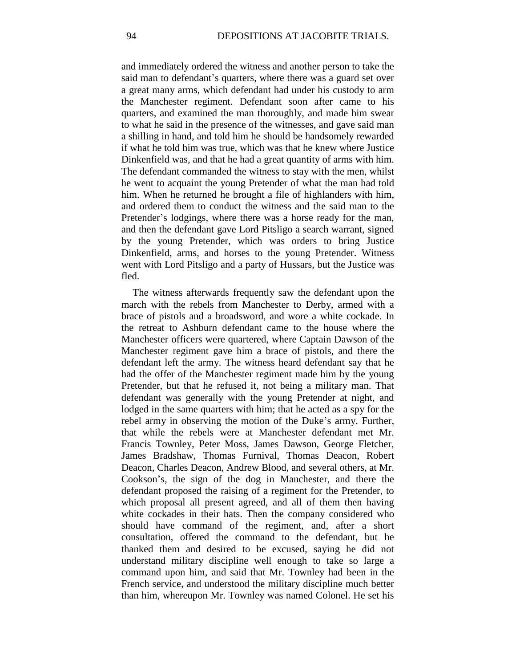and immediately ordered the witness and another person to take the said man to defendant's quarters, where there was a guard set over a great many arms, which defendant had under his custody to arm the Manchester regiment. Defendant soon after came to his quarters, and examined the man thoroughly, and made him swear to what he said in the presence of the witnesses, and gave said man a shilling in hand, and told him he should be handsomely rewarded if what he told him was true, which was that he knew where Justice Dinkenfield was, and that he had a great quantity of arms with him. The defendant commanded the witness to stay with the men, whilst he went to acquaint the young Pretender of what the man had told him. When he returned he brought a file of highlanders with him, and ordered them to conduct the witness and the said man to the Pretender's lodgings, where there was a horse ready for the man, and then the defendant gave Lord Pitsligo a search warrant, signed by the young Pretender, which was orders to bring Justice Dinkenfield, arms, and horses to the young Pretender. Witness went with Lord Pitsligo and a party of Hussars, but the Justice was fled.

The witness afterwards frequently saw the defendant upon the march with the rebels from Manchester to Derby, armed with a brace of pistols and a broadsword, and wore a white cockade. In the retreat to Ashburn defendant came to the house where the Manchester officers were quartered, where Captain Dawson of the Manchester regiment gave him a brace of pistols, and there the defendant left the army. The witness heard defendant say that he had the offer of the Manchester regiment made him by the young Pretender, but that he refused it, not being a military man. That defendant was generally with the young Pretender at night, and lodged in the same quarters with him; that he acted as a spy for the rebel army in observing the motion of the Duke's army. Further, that while the rebels were at Manchester defendant met Mr. Francis Townley, Peter Moss, James Dawson, George Fletcher, James Bradshaw, Thomas Furnival, Thomas Deacon, Robert Deacon, Charles Deacon, Andrew Blood, and several others, at Mr. Cookson's, the sign of the dog in Manchester, and there the defendant proposed the raising of a regiment for the Pretender, to which proposal all present agreed, and all of them then having white cockades in their hats. Then the company considered who should have command of the regiment, and, after a short consultation, offered the command to the defendant, but he thanked them and desired to be excused, saying he did not understand military discipline well enough to take so large a command upon him, and said that Mr. Townley had been in the French service, and understood the military discipline much better than him, whereupon Mr. Townley was named Colonel. He set his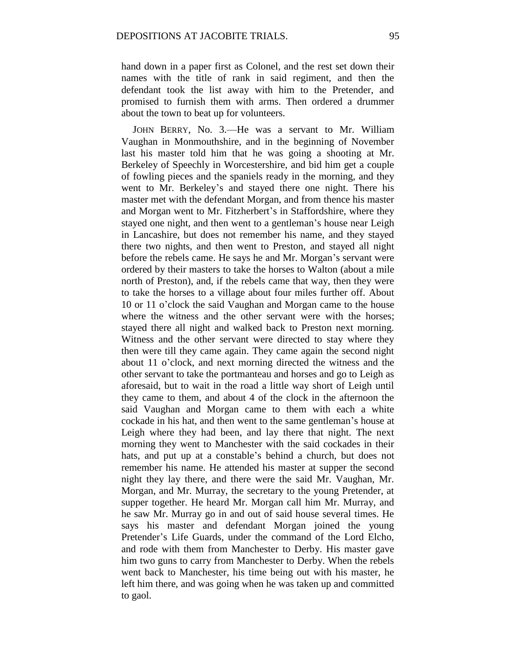hand down in a paper first as Colonel, and the rest set down their names with the title of rank in said regiment, and then the defendant took the list away with him to the Pretender, and promised to furnish them with arms. Then ordered a drummer about the town to beat up for volunteers.

JOHN BERRY, No. 3.—He was a servant to Mr. William Vaughan in Monmouthshire, and in the beginning of November last his master told him that he was going a shooting at Mr. Berkeley of Speechly in Worcestershire, and bid him get a couple of fowling pieces and the spaniels ready in the morning, and they went to Mr. Berkeley's and stayed there one night. There his master met with the defendant Morgan, and from thence his master and Morgan went to Mr. Fitzherbert's in Staffordshire, where they stayed one night, and then went to a gentleman's house near Leigh in Lancashire, but does not remember his name, and they stayed there two nights, and then went to Preston, and stayed all night before the rebels came. He says he and Mr. Morgan's servant were ordered by their masters to take the horses to Walton (about a mile north of Preston), and, if the rebels came that way, then they were to take the horses to a village about four miles further off. About 10 or 11 o'clock the said Vaughan and Morgan came to the house where the witness and the other servant were with the horses: stayed there all night and walked back to Preston next morning. Witness and the other servant were directed to stay where they then were till they came again. They came again the second night about 11 o'clock, and next morning directed the witness and the other servant to take the portmanteau and horses and go to Leigh as aforesaid, but to wait in the road a little way short of Leigh until they came to them, and about 4 of the clock in the afternoon the said Vaughan and Morgan came to them with each a white cockade in his hat, and then went to the same gentleman's house at Leigh where they had been, and lay there that night. The next morning they went to Manchester with the said cockades in their hats, and put up at a constable's behind a church, but does not remember his name. He attended his master at supper the second night they lay there, and there were the said Mr. Vaughan, Mr. Morgan, and Mr. Murray, the secretary to the young Pretender, at supper together. He heard Mr. Morgan call him Mr. Murray, and he saw Mr. Murray go in and out of said house several times. He says his master and defendant Morgan joined the young Pretender's Life Guards, under the command of the Lord Elcho, and rode with them from Manchester to Derby. His master gave him two guns to carry from Manchester to Derby. When the rebels went back to Manchester, his time being out with his master, he left him there, and was going when he was taken up and committed to gaol.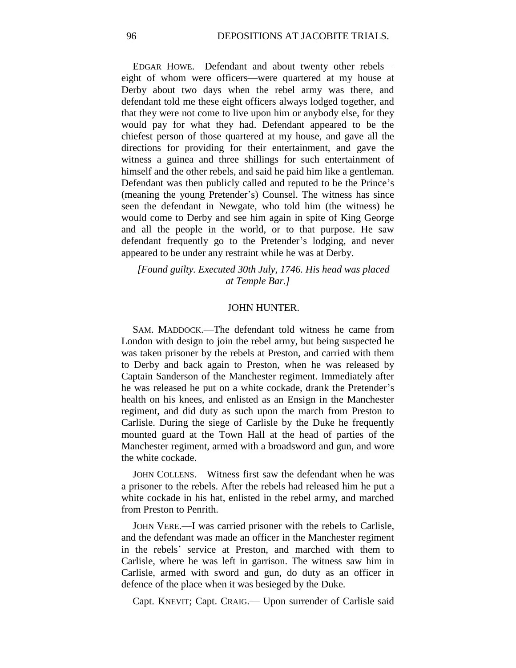EDGAR HOWE.—Defendant and about twenty other rebels eight of whom were officers—were quartered at my house at Derby about two days when the rebel army was there, and defendant told me these eight officers always lodged together, and that they were not come to live upon him or anybody else, for they would pay for what they had. Defendant appeared to be the chiefest person of those quartered at my house, and gave all the directions for providing for their entertainment, and gave the witness a guinea and three shillings for such entertainment of himself and the other rebels, and said he paid him like a gentleman. Defendant was then publicly called and reputed to be the Prince's (meaning the young Pretender's) Counsel. The witness has since seen the defendant in Newgate, who told him (the witness) he would come to Derby and see him again in spite of King George and all the people in the world, or to that purpose. He saw defendant frequently go to the Pretender's lodging, and never appeared to be under any restraint while he was at Derby.

*[Found guilty. Executed 30th July, 1746. His head was placed at Temple Bar.]*

### JOHN HUNTER.

SAM. MADDOCK.—The defendant told witness he came from London with design to join the rebel army, but being suspected he was taken prisoner by the rebels at Preston, and carried with them to Derby and back again to Preston, when he was released by Captain Sanderson of the Manchester regiment. Immediately after he was released he put on a white cockade, drank the Pretender's health on his knees, and enlisted as an Ensign in the Manchester regiment, and did duty as such upon the march from Preston to Carlisle. During the siege of Carlisle by the Duke he frequently mounted guard at the Town Hall at the head of parties of the Manchester regiment, armed with a broadsword and gun, and wore the white cockade.

JOHN COLLENS.—Witness first saw the defendant when he was a prisoner to the rebels. After the rebels had released him he put a white cockade in his hat, enlisted in the rebel army, and marched from Preston to Penrith.

JOHN VERE.—I was carried prisoner with the rebels to Carlisle, and the defendant was made an officer in the Manchester regiment in the rebels' service at Preston, and marched with them to Carlisle, where he was left in garrison. The witness saw him in Carlisle, armed with sword and gun, do duty as an officer in defence of the place when it was besieged by the Duke.

Capt. KNEVIT; Capt. CRAIG.— Upon surrender of Carlisle said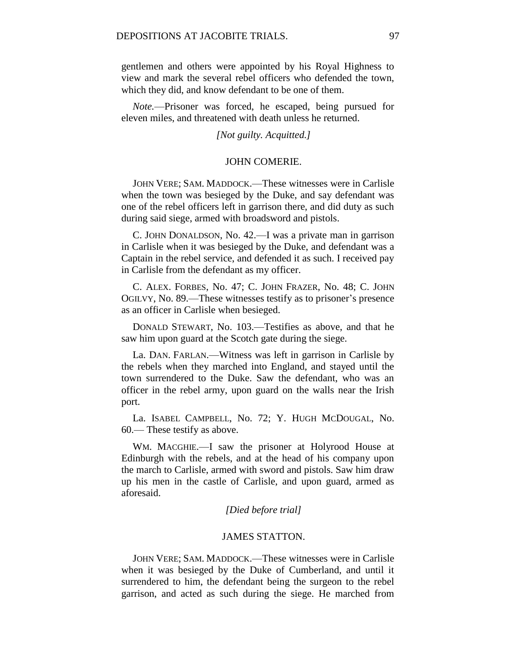gentlemen and others were appointed by his Royal Highness to view and mark the several rebel officers who defended the town, which they did, and know defendant to be one of them.

*Note.*—Prisoner was forced, he escaped, being pursued for eleven miles, and threatened with death unless he returned.

## *[Not guilty. Acquitted.]*

### JOHN COMERIE.

JOHN VERE; SAM. MADDOCK.—These witnesses were in Carlisle when the town was besieged by the Duke, and say defendant was one of the rebel officers left in garrison there, and did duty as such during said siege, armed with broadsword and pistols.

C. JOHN DONALDSON, No. 42.—I was a private man in garrison in Carlisle when it was besieged by the Duke, and defendant was a Captain in the rebel service, and defended it as such. I received pay in Carlisle from the defendant as my officer.

C. ALEX. FORBES, No. 47; C. JOHN FRAZER, No. 48; C. JOHN OGILVY, No. 89.—These witnesses testify as to prisoner's presence as an officer in Carlisle when besieged.

DONALD STEWART, No. 103.—Testifies as above, and that he saw him upon guard at the Scotch gate during the siege.

La. DAN. FARLAN.—Witness was left in garrison in Carlisle by the rebels when they marched into England, and stayed until the town surrendered to the Duke. Saw the defendant, who was an officer in the rebel army, upon guard on the walls near the Irish port.

La. ISABEL CAMPBELL, No. 72; Y. HUGH MCDOUGAL, No. 60.— These testify as above.

WM. MACGHIE.—I saw the prisoner at Holyrood House at Edinburgh with the rebels, and at the head of his company upon the march to Carlisle, armed with sword and pistols. Saw him draw up his men in the castle of Carlisle, and upon guard, armed as aforesaid.

#### *[Died before trial]*

#### JAMES STATTON.

JOHN VERE; SAM. MADDOCK.—These witnesses were in Carlisle when it was besieged by the Duke of Cumberland, and until it surrendered to him, the defendant being the surgeon to the rebel garrison, and acted as such during the siege. He marched from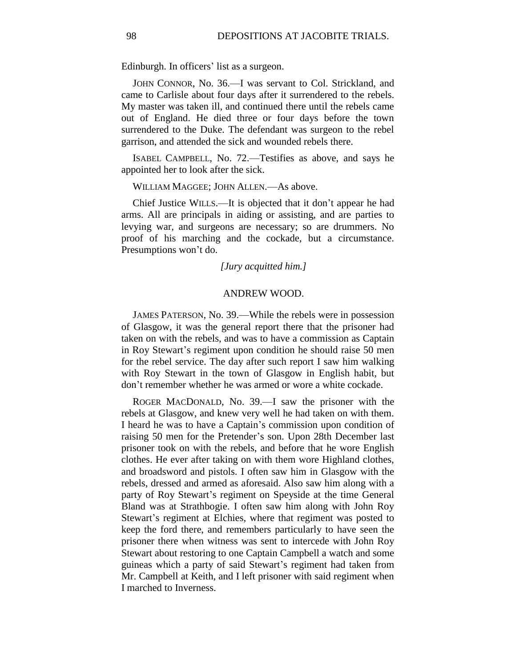Edinburgh. In officers' list as a surgeon.

JOHN CONNOR, No. 36.—I was servant to Col. Strickland, and came to Carlisle about four days after it surrendered to the rebels. My master was taken ill, and continued there until the rebels came out of England. He died three or four days before the town surrendered to the Duke. The defendant was surgeon to the rebel garrison, and attended the sick and wounded rebels there.

ISABEL CAMPBELL, No. 72.—Testifies as above, and says he appointed her to look after the sick.

WILLIAM MAGGEE; JOHN ALLEN.—As above.

Chief Justice WILLS.—It is objected that it don't appear he had arms. All are principals in aiding or assisting, and are parties to levying war, and surgeons are necessary; so are drummers. No proof of his marching and the cockade, but a circumstance. Presumptions won't do.

*[Jury acquitted him.]*

### ANDREW WOOD.

JAMES PATERSON, No. 39.—While the rebels were in possession of Glasgow, it was the general report there that the prisoner had taken on with the rebels, and was to have a commission as Captain in Roy Stewart's regiment upon condition he should raise 50 men for the rebel service. The day after such report I saw him walking with Roy Stewart in the town of Glasgow in English habit, but don't remember whether he was armed or wore a white cockade.

ROGER MACDONALD, No. 39.—I saw the prisoner with the rebels at Glasgow, and knew very well he had taken on with them. I heard he was to have a Captain's commission upon condition of raising 50 men for the Pretender's son. Upon 28th December last prisoner took on with the rebels, and before that he wore English clothes. He ever after taking on with them wore Highland clothes, and broadsword and pistols. I often saw him in Glasgow with the rebels, dressed and armed as aforesaid. Also saw him along with a party of Roy Stewart's regiment on Speyside at the time General Bland was at Strathbogie. I often saw him along with John Roy Stewart's regiment at Elchies, where that regiment was posted to keep the ford there, and remembers particularly to have seen the prisoner there when witness was sent to intercede with John Roy Stewart about restoring to one Captain Campbell a watch and some guineas which a party of said Stewart's regiment had taken from Mr. Campbell at Keith, and I left prisoner with said regiment when I marched to Inverness.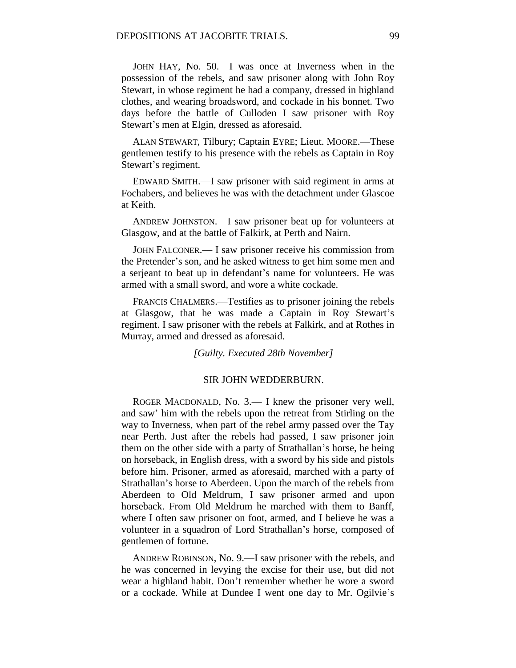JOHN HAY, No. 50.—I was once at Inverness when in the possession of the rebels, and saw prisoner along with John Roy Stewart, in whose regiment he had a company, dressed in highland clothes, and wearing broadsword, and cockade in his bonnet. Two days before the battle of Culloden I saw prisoner with Roy Stewart's men at Elgin, dressed as aforesaid.

ALAN STEWART, Tilbury; Captain EYRE; Lieut. MOORE.—These gentlemen testify to his presence with the rebels as Captain in Roy Stewart's regiment.

EDWARD SMITH.—I saw prisoner with said regiment in arms at Fochabers, and believes he was with the detachment under Glascoe at Keith.

ANDREW JOHNSTON.—I saw prisoner beat up for volunteers at Glasgow, and at the battle of Falkirk, at Perth and Nairn.

JOHN FALCONER.— I saw prisoner receive his commission from the Pretender's son, and he asked witness to get him some men and a serjeant to beat up in defendant's name for volunteers. He was armed with a small sword, and wore a white cockade.

FRANCIS CHALMERS.—Testifies as to prisoner joining the rebels at Glasgow, that he was made a Captain in Roy Stewart's regiment. I saw prisoner with the rebels at Falkirk, and at Rothes in Murray, armed and dressed as aforesaid.

*[Guilty. Executed 28th November]*

### SIR JOHN WEDDERBURN.

ROGER MACDONALD, No. 3.— I knew the prisoner very well, and saw' him with the rebels upon the retreat from Stirling on the way to Inverness, when part of the rebel army passed over the Tay near Perth. Just after the rebels had passed, I saw prisoner join them on the other side with a party of Strathallan's horse, he being on horseback, in English dress, with a sword by his side and pistols before him. Prisoner, armed as aforesaid, marched with a party of Strathallan's horse to Aberdeen. Upon the march of the rebels from Aberdeen to Old Meldrum, I saw prisoner armed and upon horseback. From Old Meldrum he marched with them to Banff, where I often saw prisoner on foot, armed, and I believe he was a volunteer in a squadron of Lord Strathallan's horse, composed of gentlemen of fortune.

ANDREW ROBINSON, No. 9.—I saw prisoner with the rebels, and he was concerned in levying the excise for their use, but did not wear a highland habit. Don't remember whether he wore a sword or a cockade. While at Dundee I went one day to Mr. Ogilvie's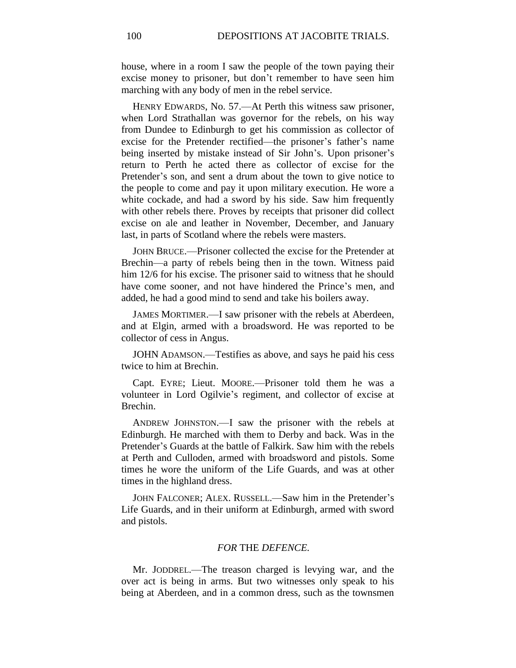house, where in a room I saw the people of the town paying their excise money to prisoner, but don't remember to have seen him marching with any body of men in the rebel service.

HENRY EDWARDS, No. 57.—At Perth this witness saw prisoner, when Lord Strathallan was governor for the rebels, on his way from Dundee to Edinburgh to get his commission as collector of excise for the Pretender rectified—the prisoner's father's name being inserted by mistake instead of Sir John's. Upon prisoner's return to Perth he acted there as collector of excise for the Pretender's son, and sent a drum about the town to give notice to the people to come and pay it upon military execution. He wore a white cockade, and had a sword by his side. Saw him frequently with other rebels there. Proves by receipts that prisoner did collect excise on ale and leather in November, December, and January last, in parts of Scotland where the rebels were masters.

JOHN BRUCE.—Prisoner collected the excise for the Pretender at Brechin—a party of rebels being then in the town. Witness paid him 12/6 for his excise. The prisoner said to witness that he should have come sooner, and not have hindered the Prince's men, and added, he had a good mind to send and take his boilers away.

JAMES MORTIMER.—I saw prisoner with the rebels at Aberdeen, and at Elgin, armed with a broadsword. He was reported to be collector of cess in Angus.

JOHN ADAMSON.—Testifies as above, and says he paid his cess twice to him at Brechin.

Capt. EYRE; Lieut. MOORE.—Prisoner told them he was a volunteer in Lord Ogilvie's regiment, and collector of excise at Brechin.

ANDREW JOHNSTON.—I saw the prisoner with the rebels at Edinburgh. He marched with them to Derby and back. Was in the Pretender's Guards at the battle of Falkirk. Saw him with the rebels at Perth and Culloden, armed with broadsword and pistols. Some times he wore the uniform of the Life Guards, and was at other times in the highland dress.

JOHN FALCONER; ALEX. RUSSELL.—Saw him in the Pretender's Life Guards, and in their uniform at Edinburgh, armed with sword and pistols.

# *FOR* THE *DEFENCE.*

Mr. JODDREL.—The treason charged is levying war, and the over act is being in arms. But two witnesses only speak to his being at Aberdeen, and in a common dress, such as the townsmen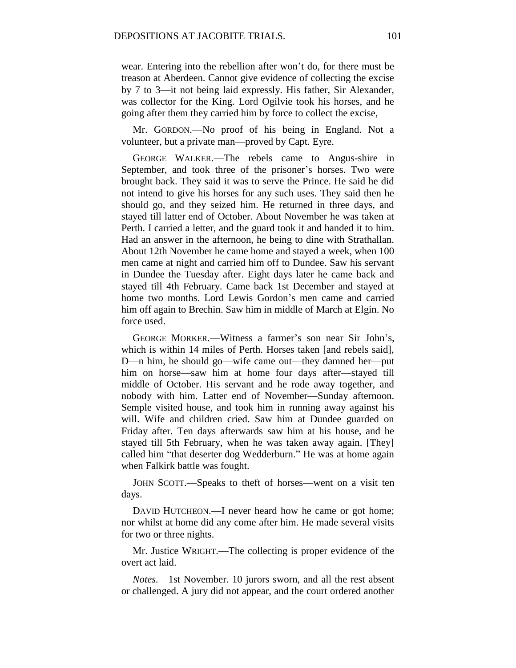wear. Entering into the rebellion after won't do, for there must be treason at Aberdeen. Cannot give evidence of collecting the excise by 7 to 3—it not being laid expressly. His father, Sir Alexander, was collector for the King. Lord Ogilvie took his horses, and he going after them they carried him by force to collect the excise,

Mr. GORDON.—No proof of his being in England. Not a volunteer, but a private man—proved by Capt. Eyre.

GEORGE WALKER.—The rebels came to Angus-shire in September, and took three of the prisoner's horses. Two were brought back. They said it was to serve the Prince. He said he did not intend to give his horses for any such uses. They said then he should go, and they seized him. He returned in three days, and stayed till latter end of October. About November he was taken at Perth. I carried a letter, and the guard took it and handed it to him. Had an answer in the afternoon, he being to dine with Strathallan. About 12th November he came home and stayed a week, when 100 men came at night and carried him off to Dundee. Saw his servant in Dundee the Tuesday after. Eight days later he came back and stayed till 4th February. Came back 1st December and stayed at home two months. Lord Lewis Gordon's men came and carried him off again to Brechin. Saw him in middle of March at Elgin. No force used.

GEORGE MORKER.—Witness a farmer's son near Sir John's, which is within 14 miles of Perth. Horses taken [and rebels said], D—n him, he should go—wife came out—they damned her—put him on horse—saw him at home four days after—stayed till middle of October. His servant and he rode away together, and nobody with him. Latter end of November—Sunday afternoon. Semple visited house, and took him in running away against his will. Wife and children cried. Saw him at Dundee guarded on Friday after. Ten days afterwards saw him at his house, and he stayed till 5th February, when he was taken away again. [They] called him "that deserter dog Wedderburn." He was at home again when Falkirk battle was fought.

JOHN SCOTT.—Speaks to theft of horses—went on a visit ten days.

DAVID HUTCHEON.—I never heard how he came or got home; nor whilst at home did any come after him. He made several visits for two or three nights.

Mr. Justice WRIGHT.—The collecting is proper evidence of the overt act laid.

*Notes.*—1st November. 10 jurors sworn, and all the rest absent or challenged. A jury did not appear, and the court ordered another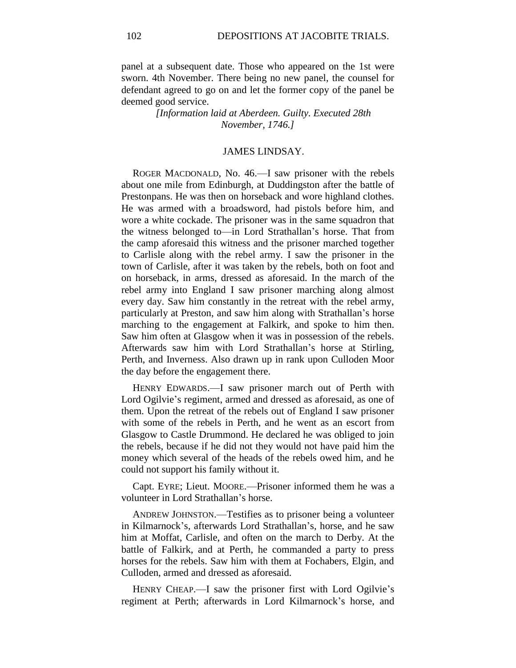panel at a subsequent date. Those who appeared on the 1st were sworn. 4th November. There being no new panel, the counsel for defendant agreed to go on and let the former copy of the panel be deemed good service.

> *[Information laid at Aberdeen. Guilty. Executed 28th November, 1746.]*

#### JAMES LINDSAY.

ROGER MACDONALD, No. 46.—I saw prisoner with the rebels about one mile from Edinburgh, at Duddingston after the battle of Prestonpans. He was then on horseback and wore highland clothes. He was armed with a broadsword, had pistols before him, and wore a white cockade. The prisoner was in the same squadron that the witness belonged to—in Lord Strathallan's horse. That from the camp aforesaid this witness and the prisoner marched together to Carlisle along with the rebel army. I saw the prisoner in the town of Carlisle, after it was taken by the rebels, both on foot and on horseback, in arms, dressed as aforesaid. In the march of the rebel army into England I saw prisoner marching along almost every day. Saw him constantly in the retreat with the rebel army, particularly at Preston, and saw him along with Strathallan's horse marching to the engagement at Falkirk, and spoke to him then. Saw him often at Glasgow when it was in possession of the rebels. Afterwards saw him with Lord Strathallan's horse at Stirling, Perth, and Inverness. Also drawn up in rank upon Culloden Moor the day before the engagement there.

HENRY EDWARDS.—I saw prisoner march out of Perth with Lord Ogilvie's regiment, armed and dressed as aforesaid, as one of them. Upon the retreat of the rebels out of England I saw prisoner with some of the rebels in Perth, and he went as an escort from Glasgow to Castle Drummond. He declared he was obliged to join the rebels, because if he did not they would not have paid him the money which several of the heads of the rebels owed him, and he could not support his family without it.

Capt. EYRE; Lieut. MOORE.—Prisoner informed them he was a volunteer in Lord Strathallan's horse.

ANDREW JOHNSTON.—Testifies as to prisoner being a volunteer in Kilmarnock's, afterwards Lord Strathallan's, horse, and he saw him at Moffat, Carlisle, and often on the march to Derby. At the battle of Falkirk, and at Perth, he commanded a party to press horses for the rebels. Saw him with them at Fochabers, Elgin, and Culloden, armed and dressed as aforesaid.

HENRY CHEAP.—I saw the prisoner first with Lord Ogilvie's regiment at Perth; afterwards in Lord Kilmarnock's horse, and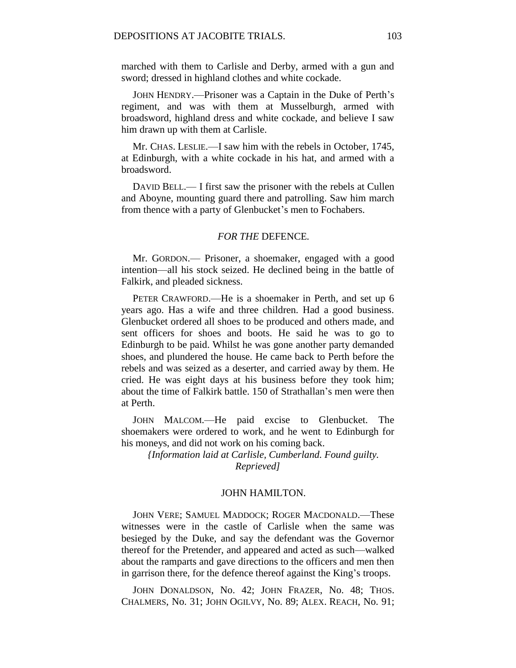marched with them to Carlisle and Derby, armed with a gun and sword; dressed in highland clothes and white cockade.

JOHN HENDRY.—Prisoner was a Captain in the Duke of Perth's regiment, and was with them at Musselburgh, armed with broadsword, highland dress and white cockade, and believe I saw him drawn up with them at Carlisle.

Mr. CHAS. LESLIE.—I saw him with the rebels in October, 1745, at Edinburgh, with a white cockade in his hat, and armed with a broadsword.

DAVID BELL.— I first saw the prisoner with the rebels at Cullen and Aboyne, mounting guard there and patrolling. Saw him march from thence with a party of Glenbucket's men to Fochabers.

## *FOR THE* DEFENCE*.*

Mr. GORDON.— Prisoner, a shoemaker, engaged with a good intention—all his stock seized. He declined being in the battle of Falkirk, and pleaded sickness.

PETER CRAWFORD.—He is a shoemaker in Perth, and set up 6 years ago. Has a wife and three children. Had a good business. Glenbucket ordered all shoes to be produced and others made, and sent officers for shoes and boots. He said he was to go to Edinburgh to be paid. Whilst he was gone another party demanded shoes, and plundered the house. He came back to Perth before the rebels and was seized as a deserter, and carried away by them. He cried. He was eight days at his business before they took him; about the time of Falkirk battle. 150 of Strathallan's men were then at Perth.

JOHN MALCOM.—He paid excise to Glenbucket. The shoemakers were ordered to work, and he went to Edinburgh for his moneys, and did not work on his coming back.

*{Information laid at Carlisle, Cumberland. Found guilty. Reprieved]*

# JOHN HAMILTON.

JOHN VERE; SAMUEL MADDOCK; ROGER MACDONALD.—These witnesses were in the castle of Carlisle when the same was besieged by the Duke, and say the defendant was the Governor thereof for the Pretender, and appeared and acted as such—walked about the ramparts and gave directions to the officers and men then in garrison there, for the defence thereof against the King's troops.

JOHN DONALDSON, No. 42; JOHN FRAZER, No. 48; THOS. CHALMERS, No. 31; JOHN OGILVY, No. 89; ALEX. REACH, No. 91;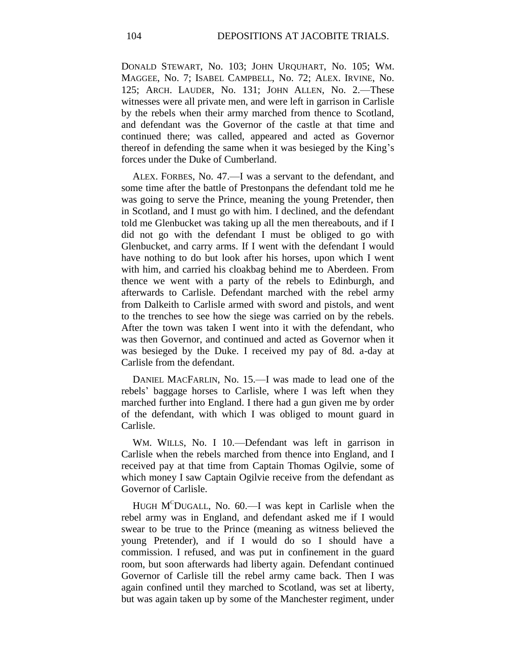DONALD STEWART, No. 103; JOHN URQUHART, No. 105; WM. MAGGEE, No. 7; ISABEL CAMPBELL, No. 72; ALEX. IRVINE, No. 125; ARCH. LAUDER, No. 131; JOHN ALLEN, No. 2.—These witnesses were all private men, and were left in garrison in Carlisle by the rebels when their army marched from thence to Scotland, and defendant was the Governor of the castle at that time and continued there; was called, appeared and acted as Governor thereof in defending the same when it was besieged by the King's forces under the Duke of Cumberland.

ALEX. FORBES, No. 47.—I was a servant to the defendant, and some time after the battle of Prestonpans the defendant told me he was going to serve the Prince, meaning the young Pretender, then in Scotland, and I must go with him. I declined, and the defendant told me Glenbucket was taking up all the men thereabouts, and if I did not go with the defendant I must be obliged to go with Glenbucket, and carry arms. If I went with the defendant I would have nothing to do but look after his horses, upon which I went with him, and carried his cloakbag behind me to Aberdeen. From thence we went with a party of the rebels to Edinburgh, and afterwards to Carlisle. Defendant marched with the rebel army from Dalkeith to Carlisle armed with sword and pistols, and went to the trenches to see how the siege was carried on by the rebels. After the town was taken I went into it with the defendant, who was then Governor, and continued and acted as Governor when it was besieged by the Duke. I received my pay of 8d. a-day at Carlisle from the defendant.

DANIEL MACFARLIN, No. 15.—I was made to lead one of the rebels' baggage horses to Carlisle, where I was left when they marched further into England. I there had a gun given me by order of the defendant, with which I was obliged to mount guard in Carlisle.

WM. WILLS, No. I 10.—Defendant was left in garrison in Carlisle when the rebels marched from thence into England, and I received pay at that time from Captain Thomas Ogilvie, some of which money I saw Captain Ogilvie receive from the defendant as Governor of Carlisle.

HUGH  $M^C$ DUGALL, No. 60.—I was kept in Carlisle when the rebel army was in England, and defendant asked me if I would swear to be true to the Prince (meaning as witness believed the young Pretender), and if I would do so I should have a commission. I refused, and was put in confinement in the guard room, but soon afterwards had liberty again. Defendant continued Governor of Carlisle till the rebel army came back. Then I was again confined until they marched to Scotland, was set at liberty, but was again taken up by some of the Manchester regiment, under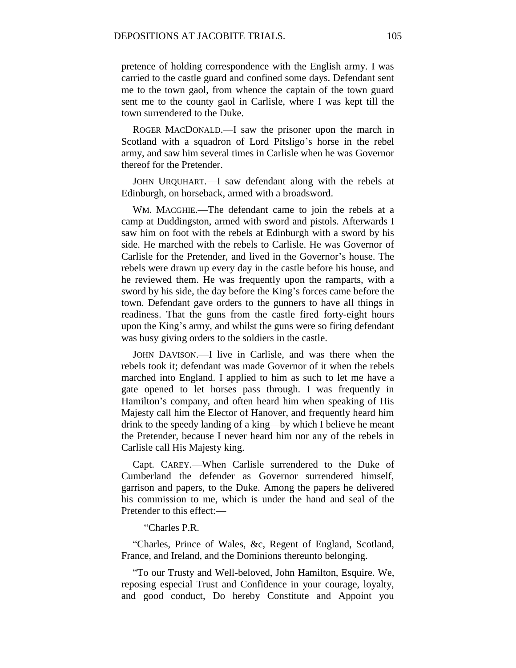pretence of holding correspondence with the English army. I was carried to the castle guard and confined some days. Defendant sent me to the town gaol, from whence the captain of the town guard sent me to the county gaol in Carlisle, where I was kept till the town surrendered to the Duke.

ROGER MACDONALD.—I saw the prisoner upon the march in Scotland with a squadron of Lord Pitsligo's horse in the rebel army, and saw him several times in Carlisle when he was Governor thereof for the Pretender.

JOHN URQUHART.—I saw defendant along with the rebels at Edinburgh, on horseback, armed with a broadsword.

WM. MACGHIE.—The defendant came to join the rebels at a camp at Duddingston, armed with sword and pistols. Afterwards I saw him on foot with the rebels at Edinburgh with a sword by his side. He marched with the rebels to Carlisle. He was Governor of Carlisle for the Pretender, and lived in the Governor's house. The rebels were drawn up every day in the castle before his house, and he reviewed them. He was frequently upon the ramparts, with a sword by his side, the day before the King's forces came before the town. Defendant gave orders to the gunners to have all things in readiness. That the guns from the castle fired forty-eight hours upon the King's army, and whilst the guns were so firing defendant was busy giving orders to the soldiers in the castle.

JOHN DAVISON.—I live in Carlisle, and was there when the rebels took it; defendant was made Governor of it when the rebels marched into England. I applied to him as such to let me have a gate opened to let horses pass through. I was frequently in Hamilton's company, and often heard him when speaking of His Majesty call him the Elector of Hanover, and frequently heard him drink to the speedy landing of a king—by which I believe he meant the Pretender, because I never heard him nor any of the rebels in Carlisle call His Majesty king.

Capt. CAREY.—When Carlisle surrendered to the Duke of Cumberland the defender as Governor surrendered himself, garrison and papers, to the Duke. Among the papers he delivered his commission to me, which is under the hand and seal of the Pretender to this effect:—

"Charles P.R.

"Charles, Prince of Wales, &c, Regent of England, Scotland, France, and Ireland, and the Dominions thereunto belonging.

"To our Trusty and Well-beloved, John Hamilton, Esquire. We, reposing especial Trust and Confidence in your courage, loyalty, and good conduct, Do hereby Constitute and Appoint you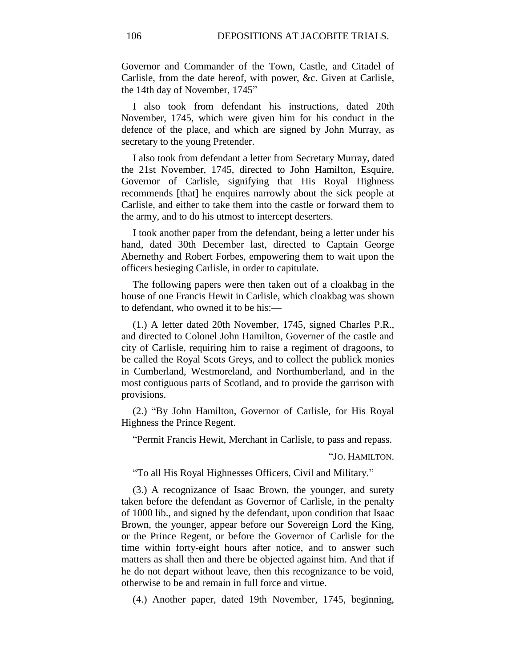Governor and Commander of the Town, Castle, and Citadel of Carlisle, from the date hereof, with power, &c. Given at Carlisle, the 14th day of November, 1745"

I also took from defendant his instructions, dated 20th November, 1745, which were given him for his conduct in the defence of the place, and which are signed by John Murray, as secretary to the young Pretender.

I also took from defendant a letter from Secretary Murray, dated the 21st November, 1745, directed to John Hamilton, Esquire, Governor of Carlisle, signifying that His Royal Highness recommends [that] he enquires narrowly about the sick people at Carlisle, and either to take them into the castle or forward them to the army, and to do his utmost to intercept deserters.

I took another paper from the defendant, being a letter under his hand, dated 30th December last, directed to Captain George Abernethy and Robert Forbes, empowering them to wait upon the officers besieging Carlisle, in order to capitulate.

The following papers were then taken out of a cloakbag in the house of one Francis Hewit in Carlisle, which cloakbag was shown to defendant, who owned it to be his:—

(1.) A letter dated 20th November, 1745, signed Charles P.R., and directed to Colonel John Hamilton, Governer of the castle and city of Carlisle, requiring him to raise a regiment of dragoons, to be called the Royal Scots Greys, and to collect the publick monies in Cumberland, Westmoreland, and Northumberland, and in the most contiguous parts of Scotland, and to provide the garrison with provisions.

(2.) "By John Hamilton, Governor of Carlisle, for His Royal Highness the Prince Regent.

"Permit Francis Hewit, Merchant in Carlisle, to pass and repass.

"JO. HAMILTON.

"To all His Royal Highnesses Officers, Civil and Military."

(3.) A recognizance of Isaac Brown, the younger, and surety taken before the defendant as Governor of Carlisle, in the penalty of 1000 lib., and signed by the defendant, upon condition that Isaac Brown, the younger, appear before our Sovereign Lord the King, or the Prince Regent, or before the Governor of Carlisle for the time within forty-eight hours after notice, and to answer such matters as shall then and there be objected against him. And that if he do not depart without leave, then this recognizance to be void, otherwise to be and remain in full force and virtue.

(4.) Another paper, dated 19th November, 1745, beginning,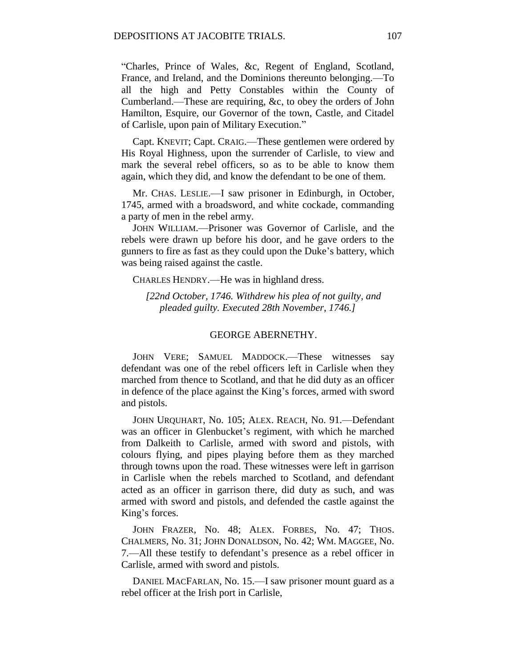"Charles, Prince of Wales, &c, Regent of England, Scotland, France, and Ireland, and the Dominions thereunto belonging.—To all the high and Petty Constables within the County of Cumberland.—These are requiring, &c, to obey the orders of John Hamilton, Esquire, our Governor of the town, Castle, and Citadel of Carlisle, upon pain of Military Execution."

Capt. KNEVIT; Capt. CRAIG.—These gentlemen were ordered by His Royal Highness, upon the surrender of Carlisle, to view and mark the several rebel officers, so as to be able to know them again, which they did, and know the defendant to be one of them.

Mr. CHAS. LESLIE.—I saw prisoner in Edinburgh, in October, 1745, armed with a broadsword, and white cockade, commanding a party of men in the rebel army.

JOHN WILLIAM.—Prisoner was Governor of Carlisle, and the rebels were drawn up before his door, and he gave orders to the gunners to fire as fast as they could upon the Duke's battery, which was being raised against the castle.

CHARLES HENDRY.—He was in highland dress.

*[22nd October, 1746. Withdrew his plea of not guilty, and pleaded guilty. Executed 28th November, 1746.]*

### GEORGE ABERNETHY.

JOHN VERE; SAMUEL MADDOCK.—These witnesses say defendant was one of the rebel officers left in Carlisle when they marched from thence to Scotland, and that he did duty as an officer in defence of the place against the King's forces, armed with sword and pistols.

JOHN URQUHART, No. 105; ALEX. REACH, No. 91.—Defendant was an officer in Glenbucket's regiment, with which he marched from Dalkeith to Carlisle, armed with sword and pistols, with colours flying, and pipes playing before them as they marched through towns upon the road. These witnesses were left in garrison in Carlisle when the rebels marched to Scotland, and defendant acted as an officer in garrison there, did duty as such, and was armed with sword and pistols, and defended the castle against the King's forces.

JOHN FRAZER, No. 48; ALEX. FORBES, No. 47; THOS. CHALMERS, No. 31; JOHN DONALDSON, No. 42; WM. MAGGEE, No. 7.—All these testify to defendant's presence as a rebel officer in Carlisle, armed with sword and pistols.

DANIEL MACFARLAN, No. 15.—I saw prisoner mount guard as a rebel officer at the Irish port in Carlisle,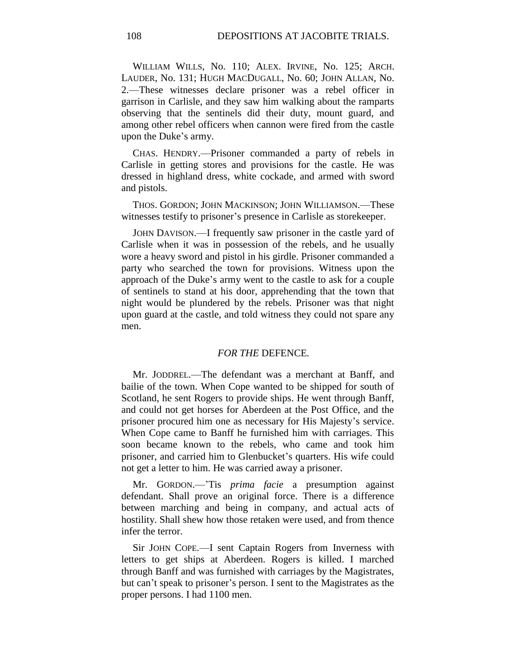WILLIAM WILLS, No. 110; ALEX. IRVINE, No. 125; ARCH. LAUDER, No. 131; HUGH MACDUGALL, No. 60; JOHN ALLAN, No. 2.—These witnesses declare prisoner was a rebel officer in garrison in Carlisle, and they saw him walking about the ramparts observing that the sentinels did their duty, mount guard, and among other rebel officers when cannon were fired from the castle upon the Duke's army.

CHAS. HENDRY.—Prisoner commanded a party of rebels in Carlisle in getting stores and provisions for the castle. He was dressed in highland dress, white cockade, and armed with sword and pistols.

THOS. GORDON; JOHN MACKINSON; JOHN WILLIAMSON.—These witnesses testify to prisoner's presence in Carlisle as storekeeper.

JOHN DAVISON.—I frequently saw prisoner in the castle yard of Carlisle when it was in possession of the rebels, and he usually wore a heavy sword and pistol in his girdle. Prisoner commanded a party who searched the town for provisions. Witness upon the approach of the Duke's army went to the castle to ask for a couple of sentinels to stand at his door, apprehending that the town that night would be plundered by the rebels. Prisoner was that night upon guard at the castle, and told witness they could not spare any men.

### *FOR THE* DEFENCE*.*

Mr. JODDREL.—The defendant was a merchant at Banff, and bailie of the town. When Cope wanted to be shipped for south of Scotland, he sent Rogers to provide ships. He went through Banff, and could not get horses for Aberdeen at the Post Office, and the prisoner procured him one as necessary for His Majesty's service. When Cope came to Banff he furnished him with carriages. This soon became known to the rebels, who came and took him prisoner, and carried him to Glenbucket's quarters. His wife could not get a letter to him. He was carried away a prisoner.

Mr. GORDON.—'Tis *prima facie* a presumption against defendant. Shall prove an original force. There is a difference between marching and being in company, and actual acts of hostility. Shall shew how those retaken were used, and from thence infer the terror.

Sir JOHN COPE.—I sent Captain Rogers from Inverness with letters to get ships at Aberdeen. Rogers is killed. I marched through Banff and was furnished with carriages by the Magistrates, but can't speak to prisoner's person. I sent to the Magistrates as the proper persons. I had 1100 men.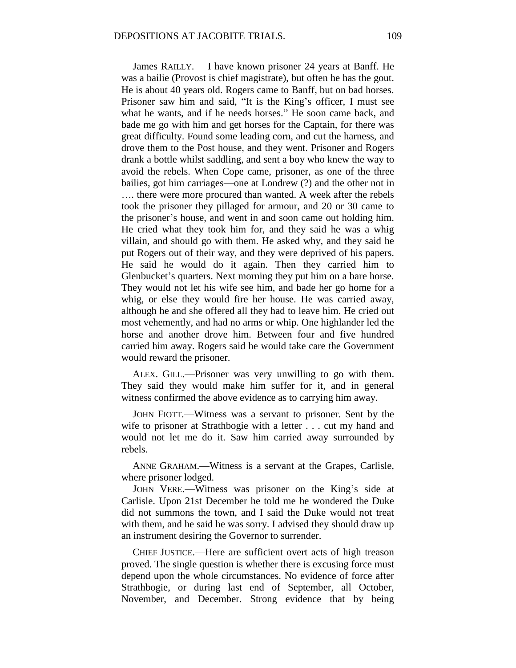James RAILLY.— I have known prisoner 24 years at Banff. He was a bailie (Provost is chief magistrate), but often he has the gout. He is about 40 years old. Rogers came to Banff, but on bad horses. Prisoner saw him and said, "It is the King's officer, I must see what he wants, and if he needs horses." He soon came back, and bade me go with him and get horses for the Captain, for there was great difficulty. Found some leading corn, and cut the harness, and drove them to the Post house, and they went. Prisoner and Rogers drank a bottle whilst saddling, and sent a boy who knew the way to avoid the rebels. When Cope came, prisoner, as one of the three bailies, got him carriages—one at Londrew (?) and the other not in …. there were more procured than wanted. A week after the rebels took the prisoner they pillaged for armour, and 20 or 30 came to the prisoner's house, and went in and soon came out holding him. He cried what they took him for, and they said he was a whig villain, and should go with them. He asked why, and they said he put Rogers out of their way, and they were deprived of his papers. He said he would do it again. Then they carried him to Glenbucket's quarters. Next morning they put him on a bare horse. They would not let his wife see him, and bade her go home for a whig, or else they would fire her house. He was carried away, although he and she offered all they had to leave him. He cried out most vehemently, and had no arms or whip. One highlander led the horse and another drove him. Between four and five hundred carried him away. Rogers said he would take care the Government would reward the prisoner.

ALEX. GILL.—Prisoner was very unwilling to go with them. They said they would make him suffer for it, and in general witness confirmed the above evidence as to carrying him away.

JOHN FIOTT.—Witness was a servant to prisoner. Sent by the wife to prisoner at Strathbogie with a letter . . . cut my hand and would not let me do it. Saw him carried away surrounded by rebels.

ANNE GRAHAM.—Witness is a servant at the Grapes, Carlisle, where prisoner lodged.

JOHN VERE.—Witness was prisoner on the King's side at Carlisle. Upon 21st December he told me he wondered the Duke did not summons the town, and I said the Duke would not treat with them, and he said he was sorry. I advised they should draw up an instrument desiring the Governor to surrender.

CHIEF JUSTICE.—Here are sufficient overt acts of high treason proved. The single question is whether there is excusing force must depend upon the whole circumstances. No evidence of force after Strathbogie, or during last end of September, all October, November, and December. Strong evidence that by being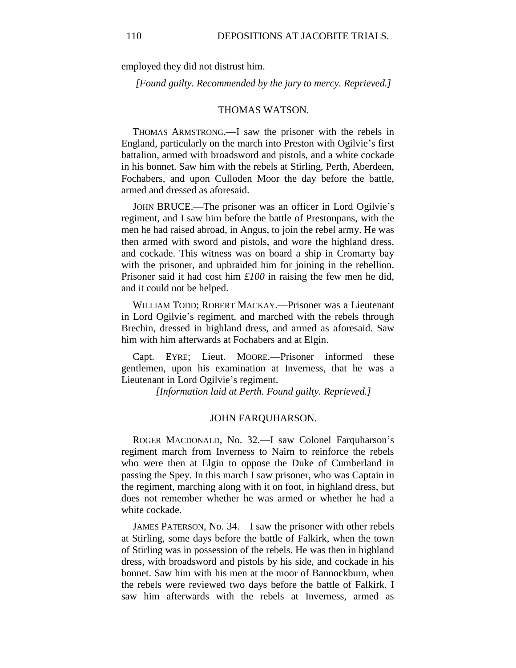employed they did not distrust him.

*[Found guilty. Recommended by the jury to mercy. Reprieved.]*

#### THOMAS WATSON.

THOMAS ARMSTRONG.—I saw the prisoner with the rebels in England, particularly on the march into Preston with Ogilvie's first battalion, armed with broadsword and pistols, and a white cockade in his bonnet. Saw him with the rebels at Stirling, Perth, Aberdeen, Fochabers, and upon Culloden Moor the day before the battle, armed and dressed as aforesaid.

JOHN BRUCE.—The prisoner was an officer in Lord Ogilvie's regiment, and I saw him before the battle of Prestonpans, with the men he had raised abroad, in Angus, to join the rebel army. He was then armed with sword and pistols, and wore the highland dress, and cockade. This witness was on board a ship in Cromarty bay with the prisoner, and upbraided him for joining in the rebellion. Prisoner said it had cost him *£100* in raising the few men he did, and it could not be helped.

WILLIAM TODD; ROBERT MACKAY.—Prisoner was a Lieutenant in Lord Ogilvie's regiment, and marched with the rebels through Brechin, dressed in highland dress, and armed as aforesaid. Saw him with him afterwards at Fochabers and at Elgin.

Capt. EYRE; Lieut. MOORE.—Prisoner informed these gentlemen, upon his examination at Inverness, that he was a Lieutenant in Lord Ogilvie's regiment.

*[Information laid at Perth. Found guilty. Reprieved.]*

#### JOHN FARQUHARSON.

ROGER MACDONALD, No. 32.—I saw Colonel Farquharson's regiment march from Inverness to Nairn to reinforce the rebels who were then at Elgin to oppose the Duke of Cumberland in passing the Spey. In this march I saw prisoner, who was Captain in the regiment, marching along with it on foot, in highland dress, but does not remember whether he was armed or whether he had a white cockade.

JAMES PATERSON, No. 34.—I saw the prisoner with other rebels at Stirling, some days before the battle of Falkirk, when the town of Stirling was in possession of the rebels. He was then in highland dress, with broadsword and pistols by his side, and cockade in his bonnet. Saw him with his men at the moor of Bannockburn, when the rebels were reviewed two days before the battle of Falkirk. I saw him afterwards with the rebels at Inverness, armed as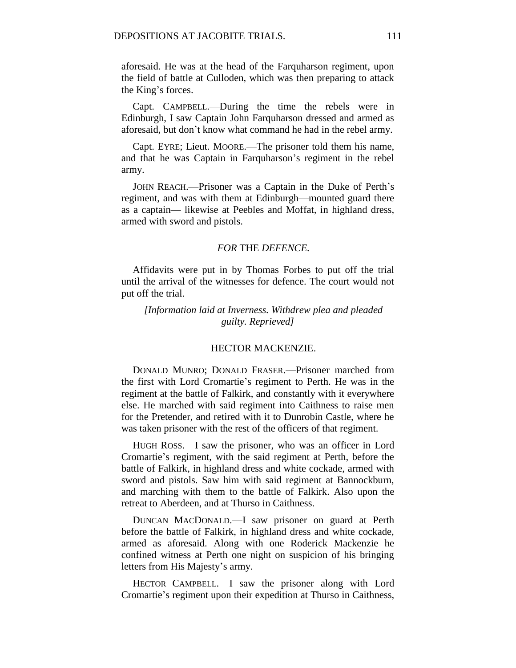aforesaid. He was at the head of the Farquharson regiment, upon the field of battle at Culloden, which was then preparing to attack the King's forces.

Capt. CAMPBELL.—During the time the rebels were in Edinburgh, I saw Captain John Farquharson dressed and armed as aforesaid, but don't know what command he had in the rebel army.

Capt. EYRE; Lieut. MOORE.—The prisoner told them his name, and that he was Captain in Farquharson's regiment in the rebel army.

JOHN REACH.—Prisoner was a Captain in the Duke of Perth's regiment, and was with them at Edinburgh—mounted guard there as a captain— likewise at Peebles and Moffat, in highland dress, armed with sword and pistols.

### *FOR* THE *DEFENCE.*

Affidavits were put in by Thomas Forbes to put off the trial until the arrival of the witnesses for defence. The court would not put off the trial.

*[Information laid at Inverness. Withdrew plea and pleaded guilty. Reprieved]*

### HECTOR MACKENZIE.

DONALD MUNRO; DONALD FRASER.—Prisoner marched from the first with Lord Cromartie's regiment to Perth. He was in the regiment at the battle of Falkirk, and constantly with it everywhere else. He marched with said regiment into Caithness to raise men for the Pretender, and retired with it to Dunrobin Castle, where he was taken prisoner with the rest of the officers of that regiment.

HUGH ROSS.—I saw the prisoner, who was an officer in Lord Cromartie's regiment, with the said regiment at Perth, before the battle of Falkirk, in highland dress and white cockade, armed with sword and pistols. Saw him with said regiment at Bannockburn, and marching with them to the battle of Falkirk. Also upon the retreat to Aberdeen, and at Thurso in Caithness.

DUNCAN MACDONALD.—I saw prisoner on guard at Perth before the battle of Falkirk, in highland dress and white cockade, armed as aforesaid. Along with one Roderick Mackenzie he confined witness at Perth one night on suspicion of his bringing letters from His Majesty's army.

HECTOR CAMPBELL.—I saw the prisoner along with Lord Cromartie's regiment upon their expedition at Thurso in Caithness,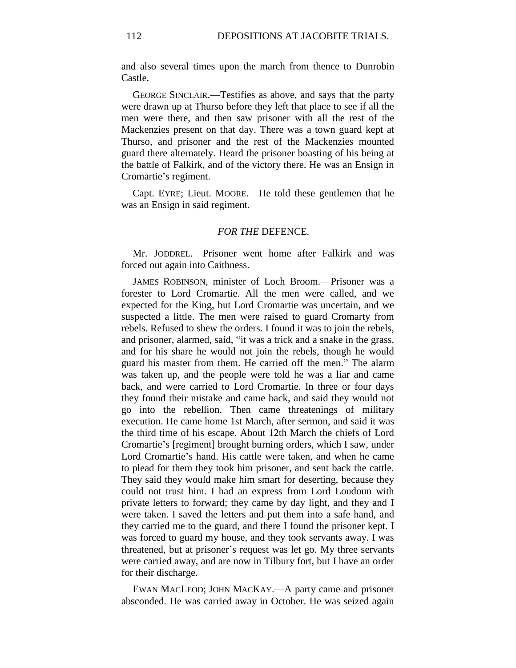and also several times upon the march from thence to Dunrobin Castle.

GEORGE SINCLAIR.—Testifies as above, and says that the party were drawn up at Thurso before they left that place to see if all the men were there, and then saw prisoner with all the rest of the Mackenzies present on that day. There was a town guard kept at Thurso, and prisoner and the rest of the Mackenzies mounted guard there alternately. Heard the prisoner boasting of his being at the battle of Falkirk, and of the victory there. He was an Ensign in Cromartie's regiment.

Capt. EYRE; Lieut. MOORE.—He told these gentlemen that he was an Ensign in said regiment.

# *FOR THE* DEFENCE*.*

Mr. JODDREL.—Prisoner went home after Falkirk and was forced out again into Caithness.

JAMES ROBINSON, minister of Loch Broom.—Prisoner was a forester to Lord Cromartie. All the men were called, and we expected for the King, but Lord Cromartie was uncertain, and we suspected a little. The men were raised to guard Cromarty from rebels. Refused to shew the orders. I found it was to join the rebels, and prisoner, alarmed, said, "it was a trick and a snake in the grass, and for his share he would not join the rebels, though he would guard his master from them. He carried off the men." The alarm was taken up, and the people were told he was a liar and came back, and were carried to Lord Cromartie. In three or four days they found their mistake and came back, and said they would not go into the rebellion. Then came threatenings of military execution. He came home 1st March, after sermon, and said it was the third time of his escape. About 12th March the chiefs of Lord Cromartie's [regiment] brought burning orders, which I saw, under Lord Cromartie's hand. His cattle were taken, and when he came to plead for them they took him prisoner, and sent back the cattle. They said they would make him smart for deserting, because they could not trust him. I had an express from Lord Loudoun with private letters to forward; they came by day light, and they and I were taken. I saved the letters and put them into a safe hand, and they carried me to the guard, and there I found the prisoner kept. I was forced to guard my house, and they took servants away. I was threatened, but at prisoner's request was let go. My three servants were carried away, and are now in Tilbury fort, but I have an order for their discharge.

EWAN MACLEOD; JOHN MACKAY.—A party came and prisoner absconded. He was carried away in October. He was seized again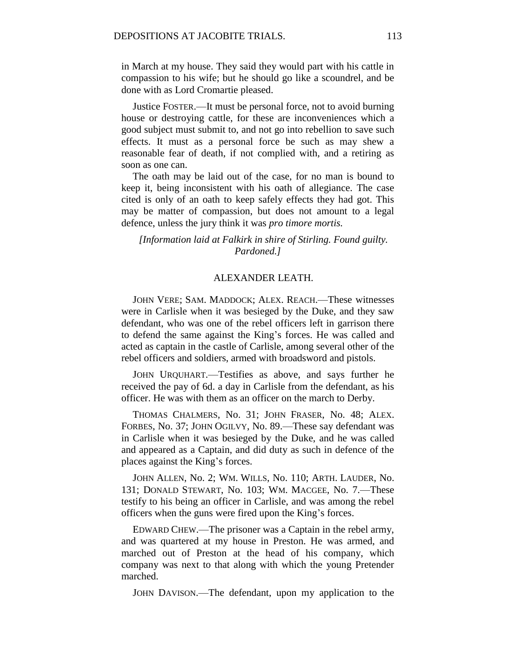in March at my house. They said they would part with his cattle in compassion to his wife; but he should go like a scoundrel, and be done with as Lord Cromartie pleased.

Justice FOSTER.—It must be personal force, not to avoid burning house or destroying cattle, for these are inconveniences which a good subject must submit to, and not go into rebellion to save such effects. It must as a personal force be such as may shew a reasonable fear of death, if not complied with, and a retiring as soon as one can.

The oath may be laid out of the case, for no man is bound to keep it, being inconsistent with his oath of allegiance. The case cited is only of an oath to keep safely effects they had got. This may be matter of compassion, but does not amount to a legal defence, unless the jury think it was *pro timore mortis.*

*[Information laid at Falkirk in shire of Stirling. Found guilty. Pardoned.]*

## ALEXANDER LEATH.

JOHN VERE; SAM. MADDOCK; ALEX. REACH.—These witnesses were in Carlisle when it was besieged by the Duke, and they saw defendant, who was one of the rebel officers left in garrison there to defend the same against the King's forces. He was called and acted as captain in the castle of Carlisle, among several other of the rebel officers and soldiers, armed with broadsword and pistols.

JOHN URQUHART.—Testifies as above, and says further he received the pay of 6d. a day in Carlisle from the defendant, as his officer. He was with them as an officer on the march to Derby.

THOMAS CHALMERS, No. 31; JOHN FRASER, No. 48; ALEX. FORBES, No. 37; JOHN OGILVY, No. 89.—These say defendant was in Carlisle when it was besieged by the Duke, and he was called and appeared as a Captain, and did duty as such in defence of the places against the King's forces.

JOHN ALLEN, No. 2; WM. WILLS, No. 110; ARTH. LAUDER, No. 131; DONALD STEWART, No. 103; WM. MACGEE, No. 7.—These testify to his being an officer in Carlisle, and was among the rebel officers when the guns were fired upon the King's forces.

EDWARD CHEW.—The prisoner was a Captain in the rebel army, and was quartered at my house in Preston. He was armed, and marched out of Preston at the head of his company, which company was next to that along with which the young Pretender marched.

JOHN DAVISON.—The defendant, upon my application to the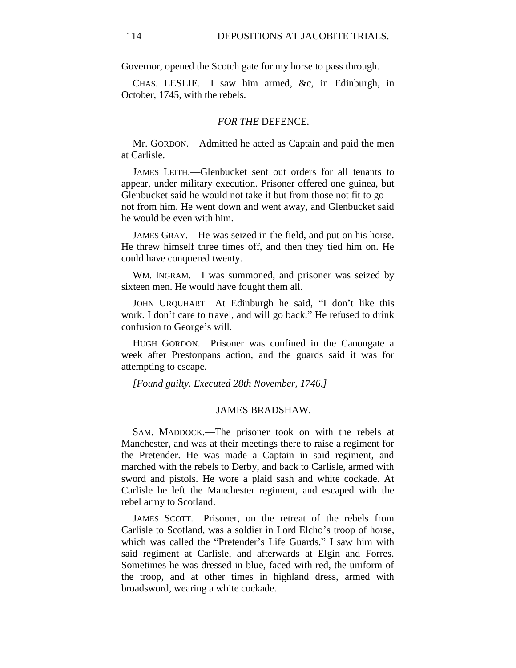Governor, opened the Scotch gate for my horse to pass through.

CHAS. LESLIE.—I saw him armed, &c, in Edinburgh, in October, 1745, with the rebels.

#### *FOR THE* DEFENCE*.*

Mr. GORDON.—Admitted he acted as Captain and paid the men at Carlisle.

JAMES LEITH.—Glenbucket sent out orders for all tenants to appear, under military execution. Prisoner offered one guinea, but Glenbucket said he would not take it but from those not fit to go not from him. He went down and went away, and Glenbucket said he would be even with him.

JAMES GRAY.—He was seized in the field, and put on his horse. He threw himself three times off, and then they tied him on. He could have conquered twenty.

WM. INGRAM.—I was summoned, and prisoner was seized by sixteen men. He would have fought them all.

JOHN URQUHART—At Edinburgh he said, "I don't like this work. I don't care to travel, and will go back." He refused to drink confusion to George's will.

HUGH GORDON.—Prisoner was confined in the Canongate a week after Prestonpans action, and the guards said it was for attempting to escape.

*[Found guilty. Executed 28th November, 1746.]*

#### JAMES BRADSHAW.

SAM. MADDOCK.—The prisoner took on with the rebels at Manchester, and was at their meetings there to raise a regiment for the Pretender. He was made a Captain in said regiment, and marched with the rebels to Derby, and back to Carlisle, armed with sword and pistols. He wore a plaid sash and white cockade. At Carlisle he left the Manchester regiment, and escaped with the rebel army to Scotland.

JAMES SCOTT.—Prisoner, on the retreat of the rebels from Carlisle to Scotland, was a soldier in Lord Elcho's troop of horse, which was called the "Pretender's Life Guards." I saw him with said regiment at Carlisle, and afterwards at Elgin and Forres. Sometimes he was dressed in blue, faced with red, the uniform of the troop, and at other times in highland dress, armed with broadsword, wearing a white cockade.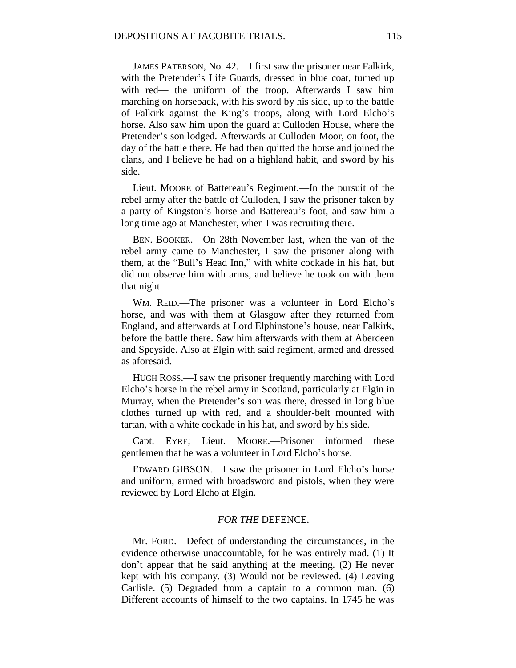JAMES PATERSON, No. 42.—I first saw the prisoner near Falkirk, with the Pretender's Life Guards, dressed in blue coat, turned up with red— the uniform of the troop. Afterwards I saw him marching on horseback, with his sword by his side, up to the battle of Falkirk against the King's troops, along with Lord Elcho's horse. Also saw him upon the guard at Culloden House, where the Pretender's son lodged. Afterwards at Culloden Moor, on foot, the day of the battle there. He had then quitted the horse and joined the clans, and I believe he had on a highland habit, and sword by his side.

Lieut. MOORE of Battereau's Regiment.—In the pursuit of the rebel army after the battle of Culloden, I saw the prisoner taken by a party of Kingston's horse and Battereau's foot, and saw him a long time ago at Manchester, when I was recruiting there.

BEN. BOOKER.—On 28th November last, when the van of the rebel army came to Manchester, I saw the prisoner along with them, at the "Bull's Head Inn," with white cockade in his hat, but did not observe him with arms, and believe he took on with them that night.

WM. REID.—The prisoner was a volunteer in Lord Elcho's horse, and was with them at Glasgow after they returned from England, and afterwards at Lord Elphinstone's house, near Falkirk, before the battle there. Saw him afterwards with them at Aberdeen and Speyside. Also at Elgin with said regiment, armed and dressed as aforesaid.

HUGH ROSS.—I saw the prisoner frequently marching with Lord Elcho's horse in the rebel army in Scotland, particularly at Elgin in Murray, when the Pretender's son was there, dressed in long blue clothes turned up with red, and a shoulder-belt mounted with tartan, with a white cockade in his hat, and sword by his side.

Capt. EYRE; Lieut. MOORE.—Prisoner informed these gentlemen that he was a volunteer in Lord Elcho's horse.

EDWARD GIBSON.—I saw the prisoner in Lord Elcho's horse and uniform, armed with broadsword and pistols, when they were reviewed by Lord Elcho at Elgin.

# *FOR THE* DEFENCE*.*

Mr. FORD.—Defect of understanding the circumstances, in the evidence otherwise unaccountable, for he was entirely mad. (1) It don't appear that he said anything at the meeting. (2) He never kept with his company. (3) Would not be reviewed. (4) Leaving Carlisle. (5) Degraded from a captain to a common man. (6) Different accounts of himself to the two captains. In 1745 he was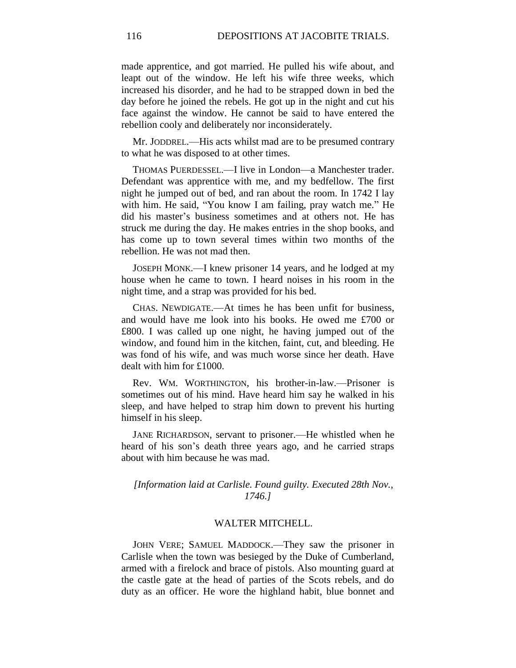made apprentice, and got married. He pulled his wife about, and leapt out of the window. He left his wife three weeks, which increased his disorder, and he had to be strapped down in bed the day before he joined the rebels. He got up in the night and cut his face against the window. He cannot be said to have entered the rebellion cooly and deliberately nor inconsiderately.

Mr. JODDREL.—His acts whilst mad are to be presumed contrary to what he was disposed to at other times.

THOMAS PUERDESSEL.—I live in London—a Manchester trader. Defendant was apprentice with me, and my bedfellow. The first night he jumped out of bed, and ran about the room. In 1742 I lay with him. He said, "You know I am failing, pray watch me." He did his master's business sometimes and at others not. He has struck me during the day. He makes entries in the shop books, and has come up to town several times within two months of the rebellion. He was not mad then.

JOSEPH MONK.—I knew prisoner 14 years, and he lodged at my house when he came to town. I heard noises in his room in the night time, and a strap was provided for his bed.

CHAS. NEWDIGATE.—At times he has been unfit for business, and would have me look into his books. He owed me £700 or £800. I was called up one night, he having jumped out of the window, and found him in the kitchen, faint, cut, and bleeding. He was fond of his wife, and was much worse since her death. Have dealt with him for £1000.

Rev. WM. WORTHINGTON, his brother-in-law.—Prisoner is sometimes out of his mind. Have heard him say he walked in his sleep, and have helped to strap him down to prevent his hurting himself in his sleep.

JANE RICHARDSON, servant to prisoner.—He whistled when he heard of his son's death three years ago, and he carried straps about with him because he was mad.

# *[Information laid at Carlisle. Found guilty. Executed 28th Nov., 1746.]*

#### WALTER MITCHELL.

JOHN VERE; SAMUEL MADDOCK.—They saw the prisoner in Carlisle when the town was besieged by the Duke of Cumberland, armed with a firelock and brace of pistols. Also mounting guard at the castle gate at the head of parties of the Scots rebels, and do duty as an officer. He wore the highland habit, blue bonnet and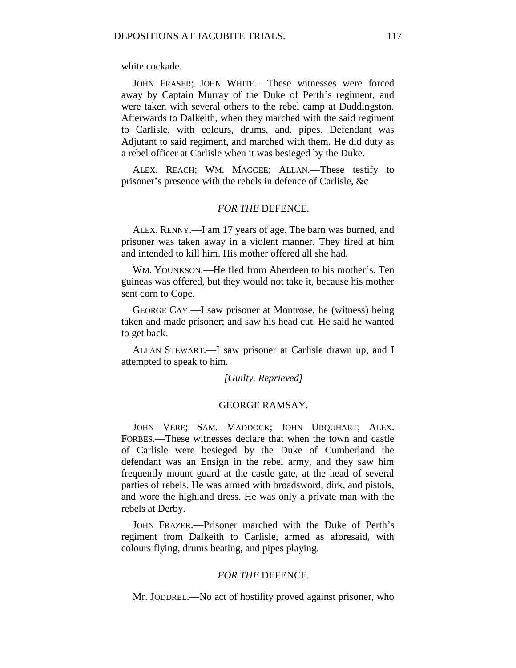white cockade.

JOHN FRASER; JOHN WHITE.—These witnesses were forced away by Captain Murray of the Duke of Perth's regiment, and were taken with several others to the rebel camp at Duddingston. Afterwards to Dalkeith, when they marched with the said regiment to Carlisle, with colours, drums, and. pipes. Defendant was Adjutant to said regiment, and marched with them. He did duty as a rebel officer at Carlisle when it was besieged by the Duke.

ALEX. REACH; WM. MAGGEE; ALLAN.—These testify to prisoner's presence with the rebels in defence of Carlisle, &c

## *FOR THE* DEFENCE*.*

ALEX. RENNY.—I am 17 years of age. The barn was burned, and prisoner was taken away in a violent manner. They fired at him and intended to kill him. His mother offered all she had.

WM. YOUNKSON.—He fled from Aberdeen to his mother's. Ten guineas was offered, but they would not take it, because his mother sent corn to Cope.

GEORGE CAY.—I saw prisoner at Montrose, he (witness) being taken and made prisoner; and saw his head cut. He said he wanted to get back.

ALLAN STEWART.—I saw prisoner at Carlisle drawn up, and I attempted to speak to him.

*[Guilty. Reprieved]*

## GEORGE RAMSAY.

JOHN VERE; SAM. MADDOCK; JOHN URQUHART; ALEX. FORBES.—These witnesses declare that when the town and castle of Carlisle were besieged by the Duke of Cumberland the defendant was an Ensign in the rebel army, and they saw him frequently mount guard at the castle gate, at the head of several parties of rebels. He was armed with broadsword, dirk, and pistols, and wore the highland dress. He was only a private man with the rebels at Derby.

JOHN FRAZER.—Prisoner marched with the Duke of Perth's regiment from Dalkeith to Carlisle, armed as aforesaid, with colours flying, drums beating, and pipes playing.

## *FOR THE* DEFENCE*.*

Mr. JODDREL.—No act of hostility proved against prisoner, who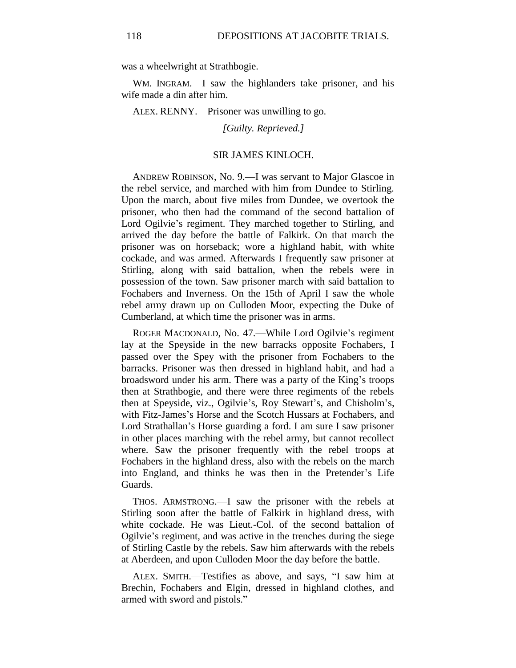was a wheelwright at Strathbogie.

WM. INGRAM.—I saw the highlanders take prisoner, and his wife made a din after him.

ALEX. RENNY.—Prisoner was unwilling to go.

*[Guilty. Reprieved.]*

## SIR JAMES KINLOCH.

ANDREW ROBINSON, No. 9.—I was servant to Major Glascoe in the rebel service, and marched with him from Dundee to Stirling. Upon the march, about five miles from Dundee, we overtook the prisoner, who then had the command of the second battalion of Lord Ogilvie's regiment. They marched together to Stirling, and arrived the day before the battle of Falkirk. On that march the prisoner was on horseback; wore a highland habit, with white cockade, and was armed. Afterwards I frequently saw prisoner at Stirling, along with said battalion, when the rebels were in possession of the town. Saw prisoner march with said battalion to Fochabers and Inverness. On the 15th of April I saw the whole rebel army drawn up on Culloden Moor, expecting the Duke of Cumberland, at which time the prisoner was in arms.

ROGER MACDONALD, No. 47.—While Lord Ogilvie's regiment lay at the Speyside in the new barracks opposite Fochabers, I passed over the Spey with the prisoner from Fochabers to the barracks. Prisoner was then dressed in highland habit, and had a broadsword under his arm. There was a party of the King's troops then at Strathbogie, and there were three regiments of the rebels then at Speyside, viz., Ogilvie's, Roy Stewart's, and Chisholm's, with Fitz-James's Horse and the Scotch Hussars at Fochabers, and Lord Strathallan's Horse guarding a ford. I am sure I saw prisoner in other places marching with the rebel army, but cannot recollect where. Saw the prisoner frequently with the rebel troops at Fochabers in the highland dress, also with the rebels on the march into England, and thinks he was then in the Pretender's Life Guards.

THOS. ARMSTRONG.—I saw the prisoner with the rebels at Stirling soon after the battle of Falkirk in highland dress, with white cockade. He was Lieut.-Col. of the second battalion of Ogilvie's regiment, and was active in the trenches during the siege of Stirling Castle by the rebels. Saw him afterwards with the rebels at Aberdeen, and upon Culloden Moor the day before the battle.

ALEX. SMITH.—Testifies as above, and says, "I saw him at Brechin, Fochabers and Elgin, dressed in highland clothes, and armed with sword and pistols."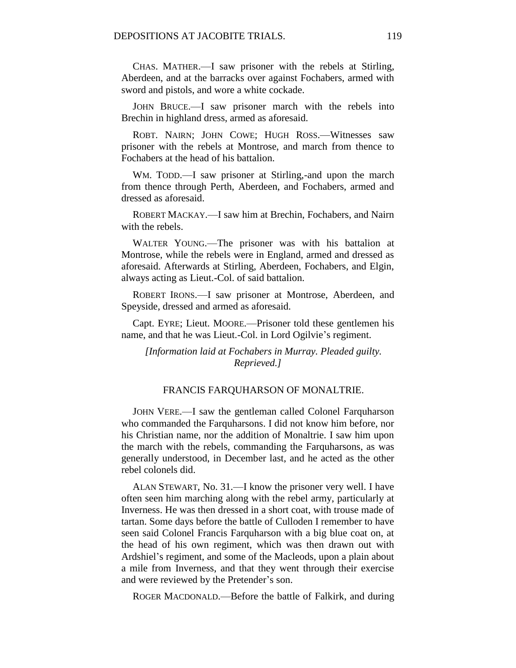CHAS. MATHER.—I saw prisoner with the rebels at Stirling, Aberdeen, and at the barracks over against Fochabers, armed with sword and pistols, and wore a white cockade.

JOHN BRUCE.—I saw prisoner march with the rebels into Brechin in highland dress, armed as aforesaid.

ROBT. NAIRN; JOHN COWE; HUGH ROSS.—Witnesses saw prisoner with the rebels at Montrose, and march from thence to Fochabers at the head of his battalion.

WM. TODD.—I saw prisoner at Stirling,-and upon the march from thence through Perth, Aberdeen, and Fochabers, armed and dressed as aforesaid.

ROBERT MACKAY.—I saw him at Brechin, Fochabers, and Nairn with the rebels.

WALTER YOUNG.—The prisoner was with his battalion at Montrose, while the rebels were in England, armed and dressed as aforesaid. Afterwards at Stirling, Aberdeen, Fochabers, and Elgin, always acting as Lieut.-Col. of said battalion.

ROBERT IRONS.—I saw prisoner at Montrose, Aberdeen, and Speyside, dressed and armed as aforesaid.

Capt. EYRE; Lieut. MOORE.—Prisoner told these gentlemen his name, and that he was Lieut.-Col. in Lord Ogilvie's regiment.

*[Information laid at Fochabers in Murray. Pleaded guilty. Reprieved.]*

## FRANCIS FARQUHARSON OF MONALTRIE.

JOHN VERE.—I saw the gentleman called Colonel Farquharson who commanded the Farquharsons. I did not know him before, nor his Christian name, nor the addition of Monaltrie. I saw him upon the march with the rebels, commanding the Farquharsons, as was generally understood, in December last, and he acted as the other rebel colonels did.

ALAN STEWART, No. 31.—I know the prisoner very well. I have often seen him marching along with the rebel army, particularly at Inverness. He was then dressed in a short coat, with trouse made of tartan. Some days before the battle of Culloden I remember to have seen said Colonel Francis Farquharson with a big blue coat on, at the head of his own regiment, which was then drawn out with Ardshiel's regiment, and some of the Macleods, upon a plain about a mile from Inverness, and that they went through their exercise and were reviewed by the Pretender's son.

ROGER MACDONALD.—Before the battle of Falkirk, and during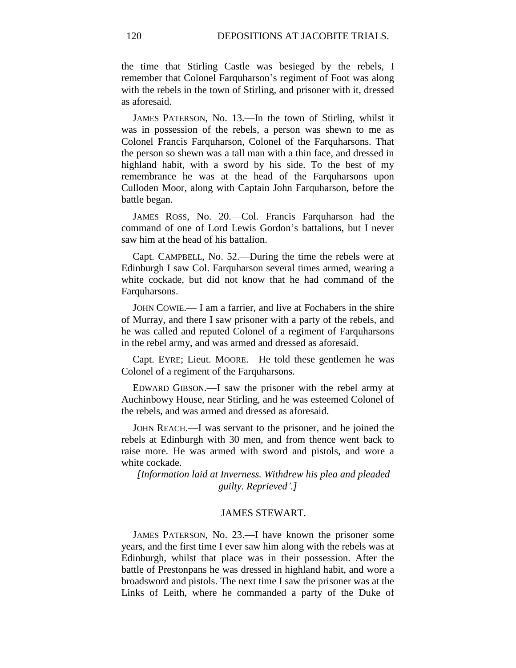the time that Stirling Castle was besieged by the rebels, I remember that Colonel Farquharson's regiment of Foot was along with the rebels in the town of Stirling, and prisoner with it, dressed as aforesaid.

JAMES PATERSON, No. 13.—In the town of Stirling, whilst it was in possession of the rebels, a person was shewn to me as Colonel Francis Farquharson, Colonel of the Farquharsons. That the person so shewn was a tall man with a thin face, and dressed in highland habit, with a sword by his side. To the best of my remembrance he was at the head of the Farquharsons upon Culloden Moor, along with Captain John Farquharson, before the battle began.

JAMES ROSS, No. 20.—Col. Francis Farquharson had the command of one of Lord Lewis Gordon's battalions, but I never saw him at the head of his battalion.

Capt. CAMPBELL, No. 52.—During the time the rebels were at Edinburgh I saw Col. Farquharson several times armed, wearing a white cockade, but did not know that he had command of the Farquharsons.

JOHN COWIE.— I am a farrier, and live at Fochabers in the shire of Murray, and there I saw prisoner with a party of the rebels, and he was called and reputed Colonel of a regiment of Farquharsons in the rebel army, and was armed and dressed as aforesaid.

Capt. EYRE; Lieut. MOORE.—He told these gentlemen he was Colonel of a regiment of the Farquharsons.

EDWARD GIBSON.—I saw the prisoner with the rebel army at Auchinbowy House, near Stirling, and he was esteemed Colonel of the rebels, and was armed and dressed as aforesaid.

JOHN REACH.—I was servant to the prisoner, and he joined the rebels at Edinburgh with 30 men, and from thence went back to raise more. He was armed with sword and pistols, and wore a white cockade.

*[Information laid at Inverness. Withdrew his plea and pleaded guilty. Reprieved'.]*

## JAMES STEWART.

JAMES PATERSON, No. 23.—I have known the prisoner some years, and the first time I ever saw him along with the rebels was at Edinburgh, whilst that place was in their possession. After the battle of Prestonpans he was dressed in highland habit, and wore a broadsword and pistols. The next time I saw the prisoner was at the Links of Leith, where he commanded a party of the Duke of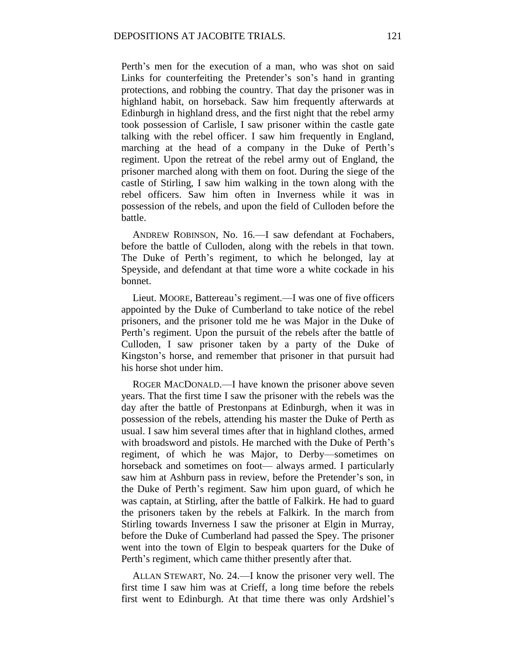Perth's men for the execution of a man, who was shot on said Links for counterfeiting the Pretender's son's hand in granting protections, and robbing the country. That day the prisoner was in highland habit, on horseback. Saw him frequently afterwards at Edinburgh in highland dress, and the first night that the rebel army took possession of Carlisle, I saw prisoner within the castle gate talking with the rebel officer. I saw him frequently in England, marching at the head of a company in the Duke of Perth's regiment. Upon the retreat of the rebel army out of England, the prisoner marched along with them on foot. During the siege of the castle of Stirling, I saw him walking in the town along with the rebel officers. Saw him often in Inverness while it was in possession of the rebels, and upon the field of Culloden before the battle.

ANDREW ROBINSON, No. 16.—I saw defendant at Fochabers, before the battle of Culloden, along with the rebels in that town. The Duke of Perth's regiment, to which he belonged, lay at Speyside, and defendant at that time wore a white cockade in his bonnet.

Lieut. MOORE, Battereau's regiment.—I was one of five officers appointed by the Duke of Cumberland to take notice of the rebel prisoners, and the prisoner told me he was Major in the Duke of Perth's regiment. Upon the pursuit of the rebels after the battle of Culloden, I saw prisoner taken by a party of the Duke of Kingston's horse, and remember that prisoner in that pursuit had his horse shot under him.

ROGER MACDONALD.—I have known the prisoner above seven years. That the first time I saw the prisoner with the rebels was the day after the battle of Prestonpans at Edinburgh, when it was in possession of the rebels, attending his master the Duke of Perth as usual. I saw him several times after that in highland clothes, armed with broadsword and pistols. He marched with the Duke of Perth's regiment, of which he was Major, to Derby—sometimes on horseback and sometimes on foot— always armed. I particularly saw him at Ashburn pass in review, before the Pretender's son, in the Duke of Perth's regiment. Saw him upon guard, of which he was captain, at Stirling, after the battle of Falkirk. He had to guard the prisoners taken by the rebels at Falkirk. In the march from Stirling towards Inverness I saw the prisoner at Elgin in Murray, before the Duke of Cumberland had passed the Spey. The prisoner went into the town of Elgin to bespeak quarters for the Duke of Perth's regiment, which came thither presently after that.

ALLAN STEWART, No. 24.—I know the prisoner very well. The first time I saw him was at Crieff, a long time before the rebels first went to Edinburgh. At that time there was only Ardshiel's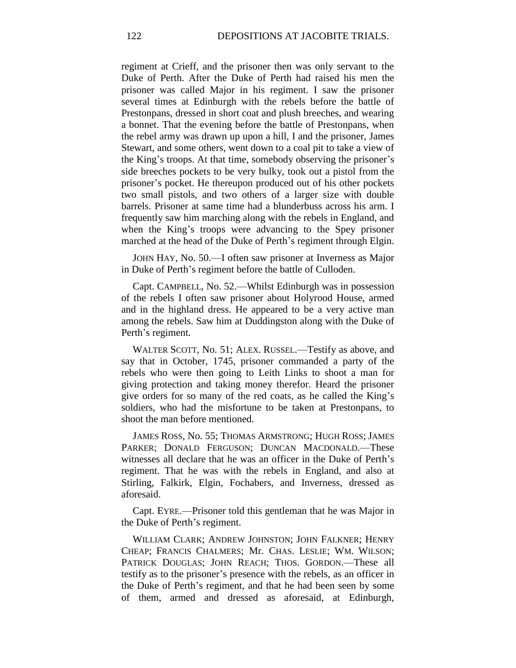regiment at Crieff, and the prisoner then was only servant to the Duke of Perth. After the Duke of Perth had raised his men the prisoner was called Major in his regiment. I saw the prisoner several times at Edinburgh with the rebels before the battle of Prestonpans, dressed in short coat and plush breeches, and wearing a bonnet. That the evening before the battle of Prestonpans, when the rebel army was drawn up upon a hill, I and the prisoner, James Stewart, and some others, went down to a coal pit to take a view of the King's troops. At that time, somebody observing the prisoner's side breeches pockets to be very bulky, took out a pistol from the prisoner's pocket. He thereupon produced out of his other pockets two small pistols, and two others of a larger size with double barrels. Prisoner at same time had a blunderbuss across his arm. I frequently saw him marching along with the rebels in England, and when the King's troops were advancing to the Spey prisoner marched at the head of the Duke of Perth's regiment through Elgin.

JOHN HAY, No. 50.—I often saw prisoner at Inverness as Major in Duke of Perth's regiment before the battle of Culloden.

Capt. CAMPBELL, No. 52.—Whilst Edinburgh was in possession of the rebels I often saw prisoner about Holyrood House, armed and in the highland dress. He appeared to be a very active man among the rebels. Saw him at Duddingston along with the Duke of Perth's regiment.

WALTER SCOTT, No. 51; ALEX. RUSSEL.—Testify as above, and say that in October, 1745, prisoner commanded a party of the rebels who were then going to Leith Links to shoot a man for giving protection and taking money therefor. Heard the prisoner give orders for so many of the red coats, as he called the King's soldiers, who had the misfortune to be taken at Prestonpans, to shoot the man before mentioned.

JAMES ROSS, No. 55; THOMAS ARMSTRONG; HUGH ROSS; JAMES PARKER; DONALD FERGUSON; DUNCAN MACDONALD.—These witnesses all declare that he was an officer in the Duke of Perth's regiment. That he was with the rebels in England, and also at Stirling, Falkirk, Elgin, Fochabers, and Inverness, dressed as aforesaid.

Capt. EYRE.—Prisoner told this gentleman that he was Major in the Duke of Perth's regiment.

WILLIAM CLARK; ANDREW JOHNSTON; JOHN FALKNER; HENRY CHEAP; FRANCIS CHALMERS; Mr. CHAS. LESLIE; WM. WILSON; PATRICK DOUGLAS; JOHN REACH; THOS. GORDON.-These all testify as to the prisoner's presence with the rebels, as an officer in the Duke of Perth's regiment, and that he had been seen by some of them, armed and dressed as aforesaid, at Edinburgh,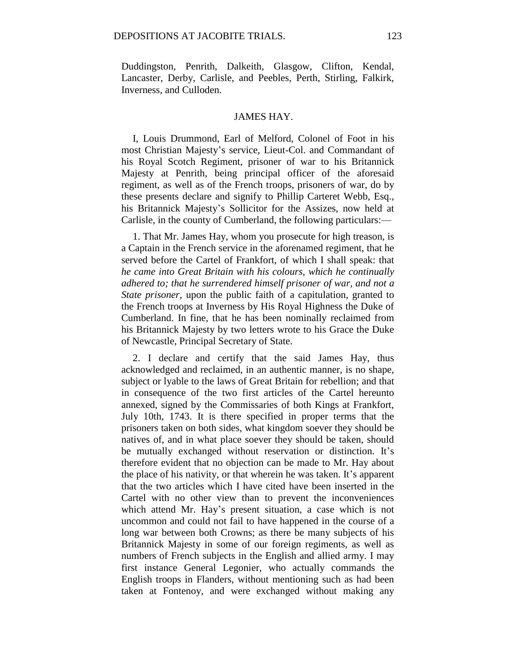Duddingston, Penrith, Dalkeith, Glasgow, Clifton, Kendal, Lancaster, Derby, Carlisle, and Peebles, Perth, Stirling, Falkirk, Inverness, and Culloden.

## JAMES HAY.

I, Louis Drummond, Earl of Melford, Colonel of Foot in his most Christian Majesty's service, Lieut-Col. and Commandant of his Royal Scotch Regiment, prisoner of war to his Britannick Majesty at Penrith, being principal officer of the aforesaid regiment, as well as of the French troops, prisoners of war, do by these presents declare and signify to Phillip Carteret Webb, Esq., his Britannick Majesty's Sollicitor for the Assizes, now held at Carlisle, in the county of Cumberland, the following particulars:—

1. That Mr. James Hay, whom you prosecute for high treason, is a Captain in the French service in the aforenamed regiment, that he served before the Cartel of Frankfort, of which I shall speak: that *he came into Great Britain with his colours, which he continually adhered to; that he surrendered himself prisoner of war, and not a State prisoner,* upon the public faith of a capitulation, granted to the French troops at Inverness by His Royal Highness the Duke of Cumberland. In fine, that he has been nominally reclaimed from his Britannick Majesty by two letters wrote to his Grace the Duke of Newcastle, Principal Secretary of State.

2. I declare and certify that the said James Hay, thus acknowledged and reclaimed, in an authentic manner, is no shape, subject or lyable to the laws of Great Britain for rebellion; and that in consequence of the two first articles of the Cartel hereunto annexed, signed by the Commissaries of both Kings at Frankfort, July 10th, 1743. It is there specified in proper terms that the prisoners taken on both sides, what kingdom soever they should be natives of, and in what place soever they should be taken, should be mutually exchanged without reservation or distinction. It's therefore evident that no objection can be made to Mr. Hay about the place of his nativity, or that wherein he was taken. It's apparent that the two articles which I have cited have been inserted in the Cartel with no other view than to prevent the inconveniences which attend Mr. Hay's present situation, a case which is not uncommon and could not fail to have happened in the course of a long war between both Crowns; as there be many subjects of his Britannick Majesty in some of our foreign regiments, as well as numbers of French subjects in the English and allied army. I may first instance General Legonier, who actually commands the English troops in Flanders, without mentioning such as had been taken at Fontenoy, and were exchanged without making any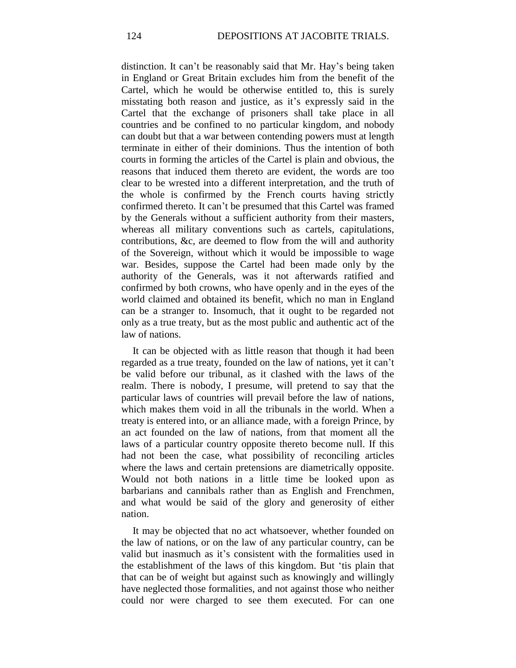distinction. It can't be reasonably said that Mr. Hay's being taken in England or Great Britain excludes him from the benefit of the Cartel, which he would be otherwise entitled to, this is surely misstating both reason and justice, as it's expressly said in the Cartel that the exchange of prisoners shall take place in all countries and be confined to no particular kingdom, and nobody can doubt but that a war between contending powers must at length terminate in either of their dominions. Thus the intention of both courts in forming the articles of the Cartel is plain and obvious, the reasons that induced them thereto are evident, the words are too clear to be wrested into a different interpretation, and the truth of the whole is confirmed by the French courts having strictly confirmed thereto. It can't be presumed that this Cartel was framed by the Generals without a sufficient authority from their masters, whereas all military conventions such as cartels, capitulations, contributions, &c, are deemed to flow from the will and authority of the Sovereign, without which it would be impossible to wage war. Besides, suppose the Cartel had been made only by the authority of the Generals, was it not afterwards ratified and confirmed by both crowns, who have openly and in the eyes of the world claimed and obtained its benefit, which no man in England can be a stranger to. Insomuch, that it ought to be regarded not only as a true treaty, but as the most public and authentic act of the law of nations.

It can be objected with as little reason that though it had been regarded as a true treaty, founded on the law of nations, yet it can't be valid before our tribunal, as it clashed with the laws of the realm. There is nobody, I presume, will pretend to say that the particular laws of countries will prevail before the law of nations, which makes them void in all the tribunals in the world. When a treaty is entered into, or an alliance made, with a foreign Prince, by an act founded on the law of nations, from that moment all the laws of a particular country opposite thereto become null. If this had not been the case, what possibility of reconciling articles where the laws and certain pretensions are diametrically opposite. Would not both nations in a little time be looked upon as barbarians and cannibals rather than as English and Frenchmen, and what would be said of the glory and generosity of either nation.

It may be objected that no act whatsoever, whether founded on the law of nations, or on the law of any particular country, can be valid but inasmuch as it's consistent with the formalities used in the establishment of the laws of this kingdom. But 'tis plain that that can be of weight but against such as knowingly and willingly have neglected those formalities, and not against those who neither could nor were charged to see them executed. For can one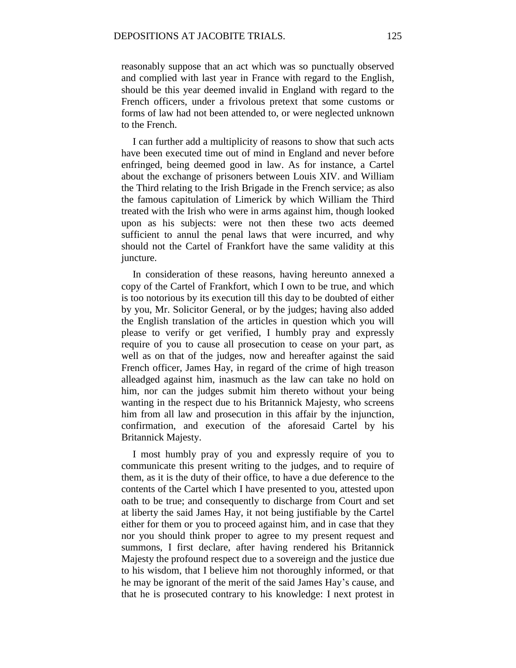reasonably suppose that an act which was so punctually observed and complied with last year in France with regard to the English, should be this year deemed invalid in England with regard to the French officers, under a frivolous pretext that some customs or forms of law had not been attended to, or were neglected unknown to the French.

I can further add a multiplicity of reasons to show that such acts have been executed time out of mind in England and never before enfringed, being deemed good in law. As for instance, a Cartel about the exchange of prisoners between Louis XIV. and William the Third relating to the Irish Brigade in the French service; as also the famous capitulation of Limerick by which William the Third treated with the Irish who were in arms against him, though looked upon as his subjects: were not then these two acts deemed sufficient to annul the penal laws that were incurred, and why should not the Cartel of Frankfort have the same validity at this juncture.

In consideration of these reasons, having hereunto annexed a copy of the Cartel of Frankfort, which I own to be true, and which is too notorious by its execution till this day to be doubted of either by you, Mr. Solicitor General, or by the judges; having also added the English translation of the articles in question which you will please to verify or get verified, I humbly pray and expressly require of you to cause all prosecution to cease on your part, as well as on that of the judges, now and hereafter against the said French officer, James Hay, in regard of the crime of high treason alleadged against him, inasmuch as the law can take no hold on him, nor can the judges submit him thereto without your being wanting in the respect due to his Britannick Majesty, who screens him from all law and prosecution in this affair by the injunction, confirmation, and execution of the aforesaid Cartel by his Britannick Majesty.

I most humbly pray of you and expressly require of you to communicate this present writing to the judges, and to require of them, as it is the duty of their office, to have a due deference to the contents of the Cartel which I have presented to you, attested upon oath to be true; and consequently to discharge from Court and set at liberty the said James Hay, it not being justifiable by the Cartel either for them or you to proceed against him, and in case that they nor you should think proper to agree to my present request and summons, I first declare, after having rendered his Britannick Majesty the profound respect due to a sovereign and the justice due to his wisdom, that I believe him not thoroughly informed, or that he may be ignorant of the merit of the said James Hay's cause, and that he is prosecuted contrary to his knowledge: I next protest in